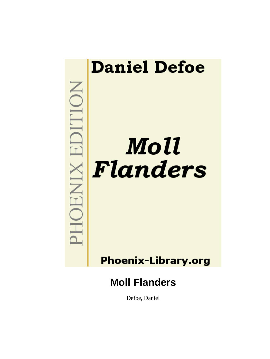

Defoe, Daniel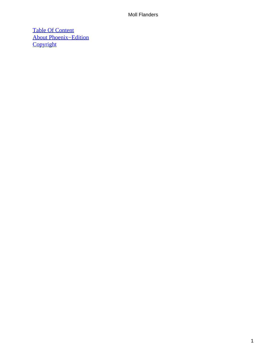[Table Of Content](#page-227-0) [About Phoenix−Edition](#page-228-0) **[Copyright](#page-231-0)**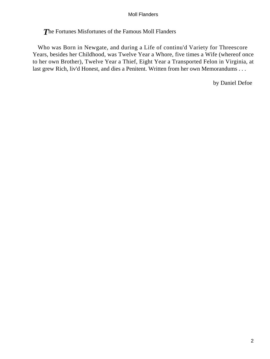*T*he Fortunes Misfortunes of the Famous Moll Flanders

 Who was Born in Newgate, and during a Life of continu'd Variety for Threescore Years, besides her Childhood, was Twelve Year a Whore, five times a Wife (whereof once to her own Brother), Twelve Year a Thief, Eight Year a Transported Felon in Virginia, at last grew Rich, liv'd Honest, and dies a Penitent. Written from her own Memorandums . . .

by Daniel Defoe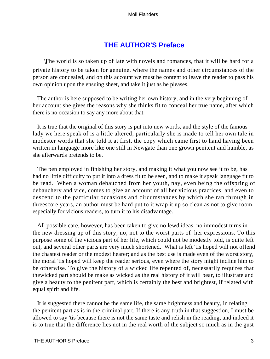## **[THE AUTHOR'S Preface](#page-227-0)**

**The world is so taken up of late with novels and romances, that it will be hard for a** private history to be taken for genuine, where the names and other circumstances of the person are concealed, and on this account we must be content to leave the reader to pass his own opinion upon the ensuing sheet, and take it just as he pleases.

 The author is here supposed to be writing her own history, and in the very beginning of her account she gives the reasons why she thinks fit to conceal her true name, after which there is no occasion to say any more about that.

 It is true that the original of this story is put into new words, and the style of the famous lady we here speak of is a little altered; particularly she is made to tell her own tale in modester words that she told it at first, the copy which came first to hand having been written in language more like one still in Newgate than one grown penitent and humble, as she afterwards pretends to be.

 The pen employed in finishing her story, and making it what you now see it to be, has had no little difficulty to put it into a dress fit to be seen, and to make it speak language fit to be read. When a woman debauched from her youth, nay, even being the offspring of debauchery and vice, comes to give an account of all her vicious practices, and even to descend to the particular occasions and circumstances by which she ran through in threescore years, an author must be hard put to it wrap it up so clean as not to give room, especially for vicious readers, to turn it to his disadvantage.

 All possible care, however, has been taken to give no lewd ideas, no immodest turns in the new dressing up of this story; no, not to the worst parts of her expressions. To this purpose some of the vicious part of her life, which could not be modestly told, is quite left out, and several other parts are very much shortened. What is left 'tis hoped will not offend the chastest reader or the modest hearer; and as the best use is made even of the worst story, the moral 'tis hoped will keep the reader serious, even where the story might incline him to be otherwise. To give the history of a wicked life repented of, necessarily requires that thewicked part should be make as wicked as the real history of it will bear, to illustrate and give a beauty to the penitent part, which is certainly the best and brightest, if related with equal spirit and life.

 It is suggested there cannot be the same life, the same brightness and beauty, in relating the penitent part as is in the criminal part. If there is any truth in that suggestion, I must be allowed to say 'tis because there is not the same taste and relish in the reading, and indeed it is to true that the difference lies not in the real worth of the subject so much as in the gust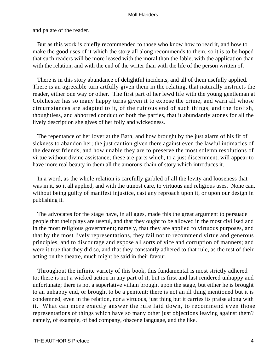and palate of the reader.

 But as this work is chiefly recommended to those who know how to read it, and how to make the good uses of it which the story all along recommends to them, so it is to be hoped that such readers will be more leased with the moral than the fable, with the application than with the relation, and with the end of the writer than with the life of the person written of.

 There is in this story abundance of delightful incidents, and all of them usefully applied. There is an agreeable turn artfully given them in the relating, that naturally instructs the reader, either one way or other. The first part of her lewd life with the young gentleman at Colchester has so many happy turns given it to expose the crime, and warn all whose circumstances are adapted to it, of the ruinous end of such things, and the foolish, thoughtless, and abhorred conduct of both the parties, that it abundantly atones for all the lively description she gives of her folly and wickedness.

 The repentance of her lover at the Bath, and how brought by the just alarm of his fit of sickness to abandon her; the just caution given there against even the lawful intimacies of the dearest friends, and how unable they are to preserve the most solemn resolutions of virtue without divine assistance; these are parts which, to a just discernment, will appear to have more real beauty in them all the amorous chain of story which introduces it.

 In a word, as the whole relation is carefully garbled of all the levity and looseness that was in it, so it all applied, and with the utmost care, to virtuous and religious uses. None can, without being guilty of manifest injustice, cast any reproach upon it, or upon our design in publishing it.

 The advocates for the stage have, in all ages, made this the great argument to persuade people that their plays are useful, and that they ought to be allowed in the most civilised and in the most religious government; namely, that they are applied to virtuous purposes, and that by the most lively representations, they fail not to recommend virtue and generous principles, and to discourage and expose all sorts of vice and corruption of manners; and were it true that they did so, and that they constantly adhered to that rule, as the test of their acting on the theatre, much might be said in their favour.

 Throughout the infinite variety of this book, this fundamental is most strictly adhered to; there is not a wicked action in any part of it, but is first and last rendered unhappy and unfortunate; there is not a superlative villain brought upon the stage, but either he is brought to an unhappy end, or brought to be a penitent; there is not an ill thing mentioned but it is condemned, even in the relation, nor a virtuous, just thing but it carries its praise along with it. What can more exactly answer the rule laid down, to recommend even those representations of things which have so many other just objections leaving against them? namely, of example, of bad company, obscene language, and the like.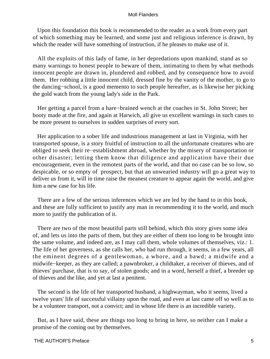Upon this foundation this book is recommended to the reader as a work from every part of which something may be learned, and some just and religious inference is drawn, by which the reader will have something of instruction, if he pleases to make use of it.

 All the exploits of this lady of fame, in her depredations upon mankind, stand as so many warnings to honest people to beware of them, intimating to them by what methods innocent people are drawn in, plundered and robbed, and by consequence how to avoid them. Her robbing a little innocent child, dressed fine by the vanity of the mother, to go to the dancing−school, is a good memento to such people hereafter, as is likewise her picking the gold watch from the young lady's side in the Park.

 Her getting a parcel from a hare−brained wench at the coaches in St. John Street; her booty made at the fire, and again at Harwich, all give us excellent warnings in such cases to be more present to ourselves in sudden surprises of every sort.

 Her application to a sober life and industrious management at last in Virginia, with her transported spouse, is a story fruitful of instruction to all the unfortunate creatures who are obliged to seek their re−establishment abroad, whether by the misery of transportation or other disaster; letting them know that diligence and application have their due encouragement, even in the remotest parts of the world, and that no case can be so low, so despicable, or so empty of prospect, but that an unwearied industry will go a great way to deliver us from it, will in time raise the meanest creature to appear again the world, and give him a new case for his life.

 There are a few of the serious inferences which we are led by the hand to in this book, and these are fully sufficient to justify any man in recommending it to the world, and much more to justify the publication of it.

 There are two of the most beautiful parts still behind, which this story gives some idea of, and lets us into the parts of them, but they are either of them too long to be brought into the same volume, and indeed are, as I may call them, whole volumes of themselves, viz.: 1. The life of her governess, as she calls her, who had run through, it seems, in a few years, all the eminent degrees of a gentlewoman, a whore, and a bawd; a midwife and a midwife−keeper, as they are called; a pawnbroker, a childtaker, a receiver of thieves, and of thieves' purchase, that is to say, of stolen goods; and in a word, herself a thief, a breeder up of thieves and the like, and yet at last a penitent.

 The second is the life of her transported husband, a highwayman, who it seems, lived a twelve years' life of successful villainy upon the road, and even at last came off so well as to be a volunteer transport, not a convict; and in whose life there is an incredible variety.

 But, as I have said, these are things too long to bring in here, so neither can I make a promise of the coming out by themselves.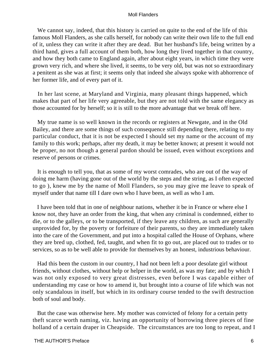We cannot say, indeed, that this history is carried on quite to the end of the life of this famous Moll Flanders, as she calls herself, for nobody can write their own life to the full end of it, unless they can write it after they are dead. But her husband's life, being written by a third hand, gives a full account of them both, how long they lived together in that country, and how they both came to England again, after about eight years, in which time they were grown very rich, and where she lived, it seems, to be very old, but was not so extraordinary a penitent as she was at first; it seems only that indeed she always spoke with abhorrence of her former life, and of every part of it.

 In her last scene, at Maryland and Virginia, many pleasant things happened, which makes that part of her life very agreeable, but they are not told with the same elegancy as those accounted for by herself; so it is still to the more advantage that we break off here.

 My true name is so well known in the records or registers at Newgate, and in the Old Bailey, and there are some things of such consequence still depending there, relating to my particular conduct, that it is not be expected I should set my name or the account of my family to this work; perhaps, after my death, it may be better known; at present it would not be proper, no not though a general pardon should be issued, even without exceptions and reserve of persons or crimes.

 It is enough to tell you, that as some of my worst comrades, who are out of the way of doing me harm (having gone out of the world by the steps and the string, as I often expected to go ), knew me by the name of Moll Flanders, so you may give me leave to speak of myself under that name till I dare own who I have been, as well as who I am.

 I have been told that in one of neighbour nations, whether it be in France or where else I know not, they have an order from the king, that when any criminal is condemned, either to die, or to the galleys, or to be transported, if they leave any children, as such are generally unprovided for, by the poverty or forfeiture of their parents, so they are immediately taken into the care of the Government, and put into a hospital called the House of Orphans, where they are bred up, clothed, fed, taught, and when fit to go out, are placed out to trades or to services, so as to be well able to provide for themselves by an honest, industrious behaviour.

 Had this been the custom in our country, I had not been left a poor desolate girl without friends, without clothes, without help or helper in the world, as was my fate; and by which I was not only exposed to very great distresses, even before I was capable either of understanding my case or how to amend it, but brought into a course of life which was not only scandalous in itself, but which in its ordinary course tended to the swift destruction both of soul and body.

 But the case was otherwise here. My mother was convicted of felony for a certain petty theft scarce worth naming, viz. having an opportunity of borrowing three pieces of fine holland of a certain draper in Cheapside. The circumstances are too long to repeat, and I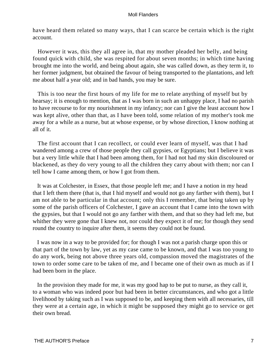have heard them related so many ways, that I can scarce be certain which is the right account.

 However it was, this they all agree in, that my mother pleaded her belly, and being found quick with child, she was respited for about seven months; in which time having brought me into the world, and being about again, she was called down, as they term it, to her former judgment, but obtained the favour of being transported to the plantations, and left me about half a year old; and in bad hands, you may be sure.

 This is too near the first hours of my life for me to relate anything of myself but by hearsay; it is enough to mention, that as I was born in such an unhappy place, I had no parish to have recourse to for my nourishment in my infancy; nor can I give the least account how I was kept alive, other than that, as I have been told, some relation of my mother's took me away for a while as a nurse, but at whose expense, or by whose direction, I know nothing at all of it.

 The first account that I can recollect, or could ever learn of myself, was that I had wandered among a crew of those people they call gypsies, or Egyptians; but I believe it was but a very little while that I had been among them, for I had not had my skin discoloured or blackened, as they do very young to all the children they carry about with them; nor can I tell how I came among them, or how I got from them.

 It was at Colchester, in Essex, that those people left me; and I have a notion in my head that I left them there (that is, that I hid myself and would not go any farther with them), but I am not able to be particular in that account; only this I remember, that being taken up by some of the parish officers of Colchester, I gave an account that I came into the town with the gypsies, but that I would not go any farther with them, and that so they had left me, but whither they were gone that I knew not, nor could they expect it of me; for though they send round the country to inquire after them, it seems they could not be found.

 I was now in a way to be provided for; for though I was not a parish charge upon this or that part of the town by law, yet as my case came to be known, and that I was too young to do any work, being not above three years old, compassion moved the magistrates of the town to order some care to be taken of me, and I became one of their own as much as if I had been born in the place.

 In the provision they made for me, it was my good hap to be put to nurse, as they call it, to a woman who was indeed poor but had been in better circumstances, and who got a little livelihood by taking such as I was supposed to be, and keeping them with all necessaries, till they were at a certain age, in which it might be supposed they might go to service or get their own bread.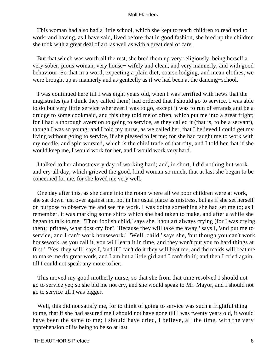This woman had also had a little school, which she kept to teach children to read and to work; and having, as I have said, lived before that in good fashion, she bred up the children she took with a great deal of art, as well as with a great deal of care.

 But that which was worth all the rest, she bred them up very religiously, being herself a very sober, pious woman, very house− wifely and clean, and very mannerly, and with good behaviour. So that in a word, expecting a plain diet, coarse lodging, and mean clothes, we were brought up as mannerly and as genteelly as if we had been at the dancing−school.

 I was continued here till I was eight years old, when I was terrified with news that the magistrates (as I think they called them) had ordered that I should go to service. I was able to do but very little service wherever I was to go, except it was to run of errands and be a drudge to some cookmaid, and this they told me of often, which put me into a great fright; for I had a thorough aversion to going to service, as they called it (that is, to be a servant), though I was so young; and I told my nurse, as we called her, that I believed I could get my living without going to service, if she pleased to let me; for she had taught me to work with my needle, and spin worsted, which is the chief trade of that city, and I told her that if she would keep me, I would work for her, and I would work very hard.

 I talked to her almost every day of working hard; and, in short, I did nothing but work and cry all day, which grieved the good, kind woman so much, that at last she began to be concerned for me, for she loved me very well.

 One day after this, as she came into the room where all we poor children were at work, she sat down just over against me, not in her usual place as mistress, but as if she set herself on purpose to observe me and see me work. I was doing something she had set me to; as I remember, it was marking some shirts which she had taken to make, and after a while she began to talk to me. 'Thou foolish child,' says she, 'thou art always crying (for I was crying then); 'prithee, what dost cry for?' 'Because they will take me away,' says I, 'and put me to service, and I can't work housework.' 'Well, child,' says she, 'but though you can't work housework, as you call it, you will learn it in time, and they won't put you to hard things at first.' 'Yes, they will,' says I, 'and if I can't do it they will beat me, and the maids will beat me to make me do great work, and I am but a little girl and I can't do it'; and then I cried again, till I could not speak any more to her.

 This moved my good motherly nurse, so that she from that time resolved I should not go to service yet; so she bid me not cry, and she would speak to Mr. Mayor, and I should not go to service till I was bigger.

 Well, this did not satisfy me, for to think of going to service was such a frightful thing to me, that if she had assured me I should not have gone till I was twenty years old, it would have been the same to me; I should have cried, I believe, all the time, with the very apprehension of its being to be so at last.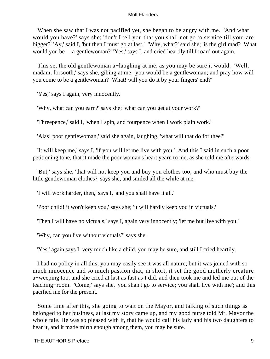When she saw that I was not pacified yet, she began to be angry with me. 'And what would you have?' says she; 'don't I tell you that you shall not go to service till your are bigger?' 'Ay,' said I, 'but then I must go at last.' 'Why, what?' said she; 'is the girl mad? What would you be – a gentlewoman?' 'Yes,' says I, and cried heartily till I roard out again.

 This set the old gentlewoman a−laughing at me, as you may be sure it would. 'Well, madam, forsooth,' says she, gibing at me, 'you would be a gentlewoman; and pray how will you come to be a gentlewoman? What! will you do it by your fingers' end?'

'Yes,' says I again, very innocently.

'Why, what can you earn?' says she; 'what can you get at your work?'

'Threepence,' said I, 'when I spin, and fourpence when I work plain work.'

'Alas! poor gentlewoman,' said she again, laughing, 'what will that do for thee?'

 'It will keep me,' says I, 'if you will let me live with you.' And this I said in such a poor petitioning tone, that it made the poor woman's heart yearn to me, as she told me afterwards.

 'But,' says she, 'that will not keep you and buy you clothes too; and who must buy the little gentlewoman clothes?' says she, and smiled all the while at me.

'I will work harder, then,' says I, 'and you shall have it all.'

'Poor child! it won't keep you,' says she; 'it will hardly keep you in victuals.'

'Then I will have no victuals,' says I, again very innocently; 'let me but live with you.'

'Why, can you live without victuals?' says she.

'Yes,' again says I, very much like a child, you may be sure, and still I cried heartily.

 I had no policy in all this; you may easily see it was all nature; but it was joined with so much innocence and so much passion that, in short, it set the good motherly creature a−weeping too, and she cried at last as fast as I did, and then took me and led me out of the teaching−room. 'Come,' says she, 'you shan't go to service; you shall live with me'; and this pacified me for the present.

 Some time after this, she going to wait on the Mayor, and talking of such things as belonged to her business, at last my story came up, and my good nurse told Mr. Mayor the whole tale. He was so pleased with it, that he would call his lady and his two daughters to hear it, and it made mirth enough among them, you may be sure.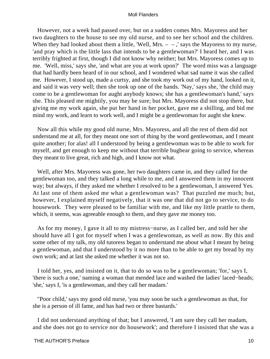However, not a week had passed over, but on a sudden comes Mrs. Mayoress and her two daughters to the house to see my old nurse, and to see her school and the children. When they had looked about them a little, 'Well, Mrs.  $-$ ,' says the Mayoress to my nurse, 'and pray which is the little lass that intends to be a gentlewoman?' I heard her, and I was terribly frighted at first, though I did not know why neither; but Mrs. Mayoress comes up to me. 'Well, miss,' says she, 'and what are you at work upon?' The word miss was a language that had hardly been heard of in our school, and I wondered what sad name it was she called me. However, I stood up, made a curtsy, and she took my work out of my hand, looked on it, and said it was very well; then she took up one of the hands. 'Nay,' says she, 'the child may come to be a gentlewoman for aught anybody knows; she has a gentlewoman's hand,' says she. This pleased me mightily, you may be sure; but Mrs. Mayoress did not stop there, but giving me my work again, she put her hand in her pocket, gave me a shilling, and bid me mind my work, and learn to work well, and I might be a gentlewoman for aught she knew.

 Now all this while my good old nurse, Mrs. Mayoress, and all the rest of them did not understand me at all, for they meant one sort of thing by the word gentlewoman, and I meant quite another; for alas! all I understood by being a gentlewoman was to be able to work for myself, and get enough to keep me without that terrible bugbear going to service, whereas they meant to live great, rich and high, and I know not what.

 Well, after Mrs. Mayoress was gone, her two daughters came in, and they called for the gentlewoman too, and they talked a long while to me, and I answered them in my innocent way; but always, if they asked me whether I resolved to be a gentlewoman, I answered Yes. At last one of them asked me what a gentlewoman was? That puzzled me much; but, however, I explained myself negatively, that it was one that did not go to service, to do housework. They were pleased to be familiar with me, and like my little prattle to them, which, it seems, was agreeable enough to them, and they gave me money too.

 As for my money, I gave it all to my mistress−nurse, as I called her, and told her she should have all I got for myself when I was a gentlewoman, as well as now. By this and some other of my talk, my old tutoress began to understand me about what I meant by being a gentlewoman, and that I understood by it no more than to be able to get my bread by my own work; and at last she asked me whether it was not so.

 I told her, yes, and insisted on it, that to do so was to be a gentlewoman; 'for,' says I, 'there is such a one,' naming a woman that mended lace and washed the ladies' laced−heads; 'she,' says I, 'is a gentlewoman, and they call her madam.'

 "Poor child,' says my good old nurse, 'you may soon be such a gentlewoman as that, for she is a person of ill fame, and has had two or three bastards.'

 I did not understand anything of that; but I answered, 'I am sure they call her madam, and she does not go to service nor do housework'; and therefore I insisted that she was a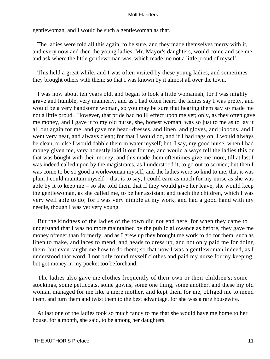gentlewoman, and I would be such a gentlewoman as that.

 The ladies were told all this again, to be sure, and they made themselves merry with it, and every now and then the young ladies, Mr. Mayor's daughters, would come and see me, and ask where the little gentlewoman was, which made me not a little proud of myself.

 This held a great while, and I was often visited by these young ladies, and sometimes they brought others with them; so that I was known by it almost all over the town.

 I was now about ten years old, and began to look a little womanish, for I was mighty grave and humble, very mannerly, and as I had often heard the ladies say I was pretty, and would be a very handsome woman, so you may be sure that hearing them say so made me not a little proud. However, that pride had no ill effect upon me yet; only, as they often gave me money, and I gave it to my old nurse, she, honest woman, was so just to me as to lay it all out again for me, and gave me head−dresses, and linen, and gloves, and ribbons, and I went very neat, and always clean; for that I would do, and if I had rags on, I would always be clean, or else I would dabble them in water myself; but, I say, my good nurse, when I had money given me, very honestly laid it out for me, and would always tell the ladies this or that was bought with their money; and this made them oftentimes give me more, till at last I was indeed called upon by the magistrates, as I understood it, to go out to service; but then I was come to be so good a workwoman myself, and the ladies were so kind to me, that it was plain I could maintain myself – that is to say, I could earn as much for my nurse as she was able by it to keep me – so she told them that if they would give her leave, she would keep the gentlewoman, as she called me, to be her assistant and teach the children, which I was very well able to do; for I was very nimble at my work, and had a good hand with my needle, though I was yet very young.

 But the kindness of the ladies of the town did not end here, for when they came to understand that I was no more maintained by the public allowance as before, they gave me money oftener than formerly; and as I grew up they brought me work to do for them, such as linen to make, and laces to mend, and heads to dress up, and not only paid me for doing them, but even taught me how to do them; so that now I was a gentlewoman indeed, as I understood that word, I not only found myself clothes and paid my nurse for my keeping, but got money in my pocket too beforehand.

 The ladies also gave me clothes frequently of their own or their children's; some stockings, some petticoats, some gowns, some one thing, some another, and these my old woman managed for me like a mere mother, and kept them for me, obliged me to mend them, and turn them and twist them to the best advantage, for she was a rare housewife.

 At last one of the ladies took so much fancy to me that she would have me home to her house, for a month, she said, to be among her daughters.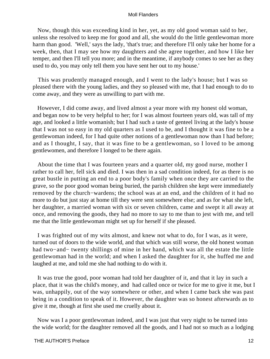Now, though this was exceeding kind in her, yet, as my old good woman said to her, unless she resolved to keep me for good and all, she would do the little gentlewoman more harm than good. 'Well,' says the lady, 'that's true; and therefore I'll only take her home for a week, then, that I may see how my daughters and she agree together, and how I like her temper, and then I'll tell you more; and in the meantime, if anybody comes to see her as they used to do, you may only tell them you have sent her out to my house.'

 This was prudently managed enough, and I went to the lady's house; but I was so pleased there with the young ladies, and they so pleased with me, that I had enough to do to come away, and they were as unwilling to part with me.

 However, I did come away, and lived almost a year more with my honest old woman, and began now to be very helpful to her; for I was almost fourteen years old, was tall of my age, and looked a little womanish; but I had such a taste of genteel living at the lady's house that I was not so easy in my old quarters as I used to be, and I thought it was fine to be a gentlewoman indeed, for I had quite other notions of a gentlewoman now than I had before; and as I thought, I say, that it was fine to be a gentlewoman, so I loved to be among gentlewomen, and therefore I longed to be there again.

 About the time that I was fourteen years and a quarter old, my good nurse, mother I rather to call her, fell sick and died. I was then in a sad condition indeed, for as there is no great bustle in putting an end to a poor body's family when once they are carried to the grave, so the poor good woman being buried, the parish children she kept were immediately removed by the church−wardens; the school was at an end, and the children of it had no more to do but just stay at home till they were sent somewhere else; and as for what she left, her daughter, a married woman with six or seven children, came and swept it all away at once, and removing the goods, they had no more to say to me than to jest with me, and tell me that the little gentlewoman might set up for herself if she pleased.

 I was frighted out of my wits almost, and knew not what to do, for I was, as it were, turned out of doors to the wide world, and that which was still worse, the old honest woman had two−and− twenty shillings of mine in her hand, which was all the estate the little gentlewoman had in the world; and when I asked the daughter for it, she huffed me and laughed at me, and told me she had nothing to do with it.

 It was true the good, poor woman had told her daughter of it, and that it lay in such a place, that it was the child's money, and had called once or twice for me to give it me, but I was, unhappily, out of the way somewhere or other, and when I came back she was past being in a condition to speak of it. However, the daughter was so honest afterwards as to give it me, though at first she used me cruelly about it.

 Now was I a poor gentlewoman indeed, and I was just that very night to be turned into the wide world; for the daughter removed all the goods, and I had not so much as a lodging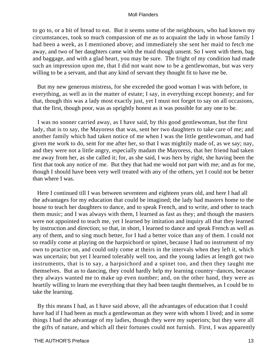to go to, or a bit of bread to eat. But it seems some of the neighbours, who had known my circumstances, took so much compassion of me as to acquaint the lady in whose family I had been a week, as I mentioned above; and immediately she sent her maid to fetch me away, and two of her daughters came with the maid though unsent. So I went with them, bag and baggage, and with a glad heart, you may be sure. The fright of my condition had made such an impression upon me, that I did not want now to be a gentlewoman, but was very willing to be a servant, and that any kind of servant they thought fit to have me be.

 But my new generous mistress, for she exceeded the good woman I was with before, in everything, as well as in the matter of estate; I say, in everything except honesty; and for that, though this was a lady most exactly just, yet I must not forget to say on all occasions, that the first, though poor, was as uprightly honest as it was possible for any one to be.

 I was no sooner carried away, as I have said, by this good gentlewoman, but the first lady, that is to say, the Mayoress that was, sent her two daughters to take care of me; and another family which had taken notice of me when I was the little gentlewoman, and had given me work to do, sent for me after her, so that I was mightily made of, as we say; nay, and they were not a little angry, especially madam the Mayoress, that her friend had taken me away from her, as she called it; for, as she said, I was hers by right, she having been the first that took any notice of me. But they that had me would not part with me; and as for me, though I should have been very well treated with any of the others, yet I could not be better than where I was.

 Here I continued till I was between seventeen and eighteen years old, and here I had all the advantages for my education that could be imagined; the lady had masters home to the house to teach her daughters to dance, and to speak French, and to write, and other to teach them music; and I was always with them, I learned as fast as they; and though the masters were not appointed to teach me, yet I learned by imitation and inquiry all that they learned by instruction and direction; so that, in short, I learned to dance and speak French as well as any of them, and to sing much better, for I had a better voice than any of them. I could not so readily come at playing on the harpsichord or spinet, because I had no instrument of my own to practice on, and could only come at theirs in the intervals when they left it, which was uncertain; but yet I learned tolerably well too, and the young ladies at length got two instruments, that is to say, a harpsichord and a spinet too, and then they taught me themselves. But as to dancing, they could hardly help my learning country−dances, because they always wanted me to make up even number; and, on the other hand, they were as heartily willing to learn me everything that they had been taught themselves, as I could be to take the learning.

 By this means I had, as I have said above, all the advantages of education that I could have had if I had been as much a gentlewoman as they were with whom I lived; and in some things I had the advantage of my ladies, though they were my superiors; but they were all the gifts of nature, and which all their fortunes could not furnish. First, I was apparently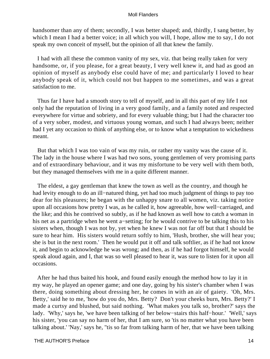handsomer than any of them; secondly, I was better shaped; and, thirdly, I sang better, by which I mean I had a better voice; in all which you will, I hope, allow me to say, I do not speak my own conceit of myself, but the opinion of all that knew the family.

 I had with all these the common vanity of my sex, viz. that being really taken for very handsome, or, if you please, for a great beauty, I very well knew it, and had as good an opinion of myself as anybody else could have of me; and particularly I loved to hear anybody speak of it, which could not but happen to me sometimes, and was a great satisfaction to me.

 Thus far I have had a smooth story to tell of myself, and in all this part of my life I not only had the reputation of living in a very good family, and a family noted and respected everywhere for virtue and sobriety, and for every valuable thing; but I had the character too of a very sober, modest, and virtuous young woman, and such I had always been; neither had I yet any occasion to think of anything else, or to know what a temptation to wickedness meant.

 But that which I was too vain of was my ruin, or rather my vanity was the cause of it. The lady in the house where I was had two sons, young gentlemen of very promising parts and of extraordinary behaviour, and it was my misfortune to be very well with them both, but they managed themselves with me in a quite different manner.

 The eldest, a gay gentleman that knew the town as well as the country, and though he had levity enough to do an ill−natured thing, yet had too much judgment of things to pay too dear for his pleasures; he began with the unhappy snare to all women, viz. taking notice upon all occasions how pretty I was, as he called it, how agreeable, how well−carriaged, and the like; and this he contrived so subtly, as if he had known as well how to catch a woman in his net as a partridge when he went a−setting; for he would contrive to be talking this to his sisters when, though I was not by, yet when he knew I was not far off but that I should be sure to hear him. His sisters would return softly to him, 'Hush, brother, she will hear you; she is but in the next room.' Then he would put it off and talk softlier, as if he had not know it, and begin to acknowledge he was wrong; and then, as if he had forgot himself, he would speak aloud again, and I, that was so well pleased to hear it, was sure to listen for it upon all occasions.

 After he had thus baited his hook, and found easily enough the method how to lay it in my way, he played an opener game; and one day, going by his sister's chamber when I was there, doing something about dressing her, he comes in with an air of gaiety. 'Oh, Mrs. Betty,' said he to me, 'how do you do, Mrs. Betty? Don't your cheeks burn, Mrs. Betty?' I made a curtsy and blushed, but said nothing. 'What makes you talk so, brother?' says the lady. 'Why,' says he, 'we have been talking of her below−stairs this half−hour.' 'Well,' says his sister, 'you can say no harm of her, that I am sure, so 'tis no matter what you have been talking about.' 'Nay,' says he, ''tis so far from talking harm of her, that we have been talking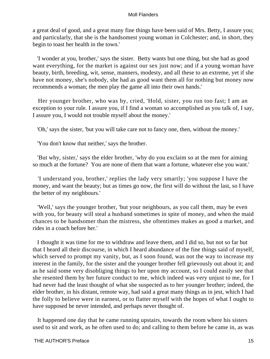a great deal of good, and a great many fine things have been said of Mrs. Betty, I assure you; and particularly, that she is the handsomest young woman in Colchester; and, in short, they begin to toast her health in the town.'

 'I wonder at you, brother,' says the sister. Betty wants but one thing, but she had as good want everything, for the market is against our sex just now; and if a young woman have beauty, birth, breeding, wit, sense, manners, modesty, and all these to an extreme, yet if she have not money, she's nobody, she had as good want them all for nothing but money now recommends a woman; the men play the game all into their own hands.'

 Her younger brother, who was by, cried, 'Hold, sister, you run too fast; I am an exception to your rule. I assure you, if I find a woman so accomplished as you talk of, I say, I assure you, I would not trouble myself about the money.'

'Oh,' says the sister, 'but you will take care not to fancy one, then, without the money.'

'You don't know that neither,' says the brother.

 'But why, sister,' says the elder brother, 'why do you exclaim so at the men for aiming so much at the fortune? You are none of them that want a fortune, whatever else you want.'

 'I understand you, brother,' replies the lady very smartly; 'you suppose I have the money, and want the beauty; but as times go now, the first will do without the last, so I have the better of my neighbours.'

 'Well,' says the younger brother, 'but your neighbours, as you call them, may be even with you, for beauty will steal a husband sometimes in spite of money, and when the maid chances to be handsomer than the mistress, she oftentimes makes as good a market, and rides in a coach before her.'

 I thought it was time for me to withdraw and leave them, and I did so, but not so far but that I heard all their discourse, in which I heard abundance of the fine things said of myself, which served to prompt my vanity, but, as I soon found, was not the way to increase my interest in the family, for the sister and the younger brother fell grievously out about it; and as he said some very disobliging things to her upon my account, so I could easily see that she resented them by her future conduct to me, which indeed was very unjust to me, for I had never had the least thought of what she suspected as to her younger brother; indeed, the elder brother, in his distant, remote way, had said a great many things as in jest, which I had the folly to believe were in earnest, or to flatter myself with the hopes of what I ought to have supposed he never intended, and perhaps never thought of.

 It happened one day that he came running upstairs, towards the room where his sisters used to sit and work, as he often used to do; and calling to them before he came in, as was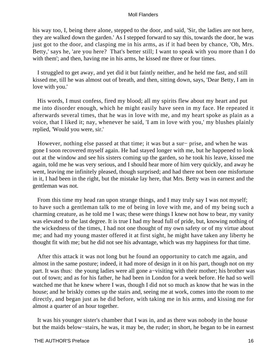his way too, I, being there alone, stepped to the door, and said, 'Sir, the ladies are not here, they are walked down the garden.' As I stepped forward to say this, towards the door, he was just got to the door, and clasping me in his arms, as if it had been by chance, 'Oh, Mrs. Betty,' says he, 'are you here? That's better still; I want to speak with you more than I do with them'; and then, having me in his arms, he kissed me three or four times.

 I struggled to get away, and yet did it but faintly neither, and he held me fast, and still kissed me, till he was almost out of breath, and then, sitting down, says, 'Dear Betty, I am in love with you.'

 His words, I must confess, fired my blood; all my spirits flew about my heart and put me into disorder enough, which he might easily have seen in my face. He repeated it afterwards several times, that he was in love with me, and my heart spoke as plain as a voice, that I liked it; nay, whenever he said, 'I am in love with you,' my blushes plainly replied, 'Would you were, sir.'

 However, nothing else passed at that time; it was but a sur− prise, and when he was gone I soon recovered myself again. He had stayed longer with me, but he happened to look out at the window and see his sisters coming up the garden, so he took his leave, kissed me again, told me he was very serious, and I should hear more of him very quickly, and away he went, leaving me infinitely pleased, though surprised; and had there not been one misfortune in it, I had been in the right, but the mistake lay here, that Mrs. Betty was in earnest and the gentleman was not.

 From this time my head ran upon strange things, and I may truly say I was not myself; to have such a gentleman talk to me of being in love with me, and of my being such a charming creature, as he told me I was; these were things I knew not how to bear, my vanity was elevated to the last degree. It is true I had my head full of pride, but, knowing nothing of the wickedness of the times, I had not one thought of my own safety or of my virtue about me; and had my young master offered it at first sight, he might have taken any liberty he thought fit with me; but he did not see his advantage, which was my happiness for that time.

 After this attack it was not long but he found an opportunity to catch me again, and almost in the same posture; indeed, it had more of design in it on his part, though not on my part. It was thus: the young ladies were all gone a−visiting with their mother; his brother was out of town; and as for his father, he had been in London for a week before. He had so well watched me that he knew where I was, though I did not so much as know that he was in the house; and he briskly comes up the stairs and, seeing me at work, comes into the room to me directly, and began just as he did before, with taking me in his arms, and kissing me for almost a quarter of an hour together.

 It was his younger sister's chamber that I was in, and as there was nobody in the house but the maids below−stairs, he was, it may be, the ruder; in short, he began to be in earnest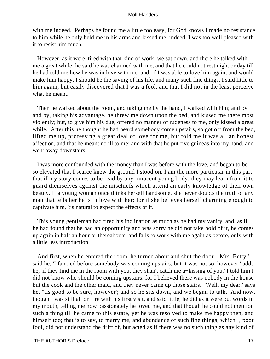with me indeed. Perhaps he found me a little too easy, for God knows I made no resistance to him while he only held me in his arms and kissed me; indeed, I was too well pleased with it to resist him much.

 However, as it were, tired with that kind of work, we sat down, and there he talked with me a great while; he said he was charmed with me, and that he could not rest night or day till he had told me how he was in love with me, and, if I was able to love him again, and would make him happy, I should be the saving of his life, and many such fine things. I said little to him again, but easily discovered that I was a fool, and that I did not in the least perceive what he meant.

 Then he walked about the room, and taking me by the hand, I walked with him; and by and by, taking his advantage, he threw me down upon the bed, and kissed me there most violently; but, to give him his due, offered no manner of rudeness to me, only kissed a great while. After this he thought he had heard somebody come upstairs, so got off from the bed, lifted me up, professing a great deal of love for me, but told me it was all an honest affection, and that he meant no ill to me; and with that he put five guineas into my hand, and went away downstairs.

 I was more confounded with the money than I was before with the love, and began to be so elevated that I scarce knew the ground I stood on. I am the more particular in this part, that if my story comes to be read by any innocent young body, they may learn from it to guard themselves against the mischiefs which attend an early knowledge of their own beauty. If a young woman once thinks herself handsome, she never doubts the truth of any man that tells her he is in love with her; for if she believes herself charming enough to captivate him, 'tis natural to expect the effects of it.

 This young gentleman had fired his inclination as much as he had my vanity, and, as if he had found that he had an opportunity and was sorry he did not take hold of it, he comes up again in half an hour or thereabouts, and falls to work with me again as before, only with a little less introduction.

 And first, when he entered the room, he turned about and shut the door. 'Mrs. Betty,' said he, 'I fancied before somebody was coming upstairs, but it was not so; however,' adds he, 'if they find me in the room with you, they shan't catch me a−kissing of you.' I told him I did not know who should be coming upstairs, for I believed there was nobody in the house but the cook and the other maid, and they never came up those stairs. 'Well, my dear,' says he, ''tis good to be sure, however'; and so he sits down, and we began to talk. And now, though I was still all on fire with his first visit, and said little, he did as it were put words in my mouth, telling me how passionately he loved me, and that though he could not mention such a thing till he came to this estate, yet he was resolved to make me happy then, and himself too; that is to say, to marry me, and abundance of such fine things, which I, poor fool, did not understand the drift of, but acted as if there was no such thing as any kind of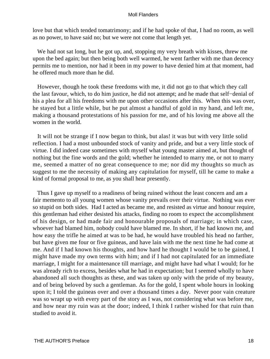love but that which tended tomatrimony; and if he had spoke of that, I had no room, as well as no power, to have said no; but we were not come that length yet.

 We had not sat long, but he got up, and, stopping my very breath with kisses, threw me upon the bed again; but then being both well warmed, he went farther with me than decency permits me to mention, nor had it been in my power to have denied him at that moment, had he offered much more than he did.

 However, though he took these freedoms with me, it did not go to that which they call the last favour, which, to do him justice, he did not attempt; and he made that self−denial of his a plea for all his freedoms with me upon other occasions after this. When this was over, he stayed but a little while, but he put almost a handful of gold in my hand, and left me, making a thousand protestations of his passion for me, and of his loving me above all the women in the world.

 It will not be strange if I now began to think, but alas! it was but with very little solid reflection. I had a most unbounded stock of vanity and pride, and but a very little stock of virtue. I did indeed case sometimes with myself what young master aimed at, but thought of nothing but the fine words and the gold; whether he intended to marry me, or not to marry me, seemed a matter of no great consequence to me; nor did my thoughts so much as suggest to me the necessity of making any capitulation for myself, till he came to make a kind of formal proposal to me, as you shall hear presently.

 Thus I gave up myself to a readiness of being ruined without the least concern and am a fair memento to all young women whose vanity prevails over their virtue. Nothing was ever so stupid on both sides. Had I acted as became me, and resisted as virtue and honour require, this gentleman had either desisted his attacks, finding no room to expect the accomplishment of his design, or had made fair and honourable proposals of marriage; in which case, whoever had blamed him, nobody could have blamed me. In short, if he had known me, and how easy the trifle he aimed at was to be had, he would have troubled his head no farther, but have given me four or five guineas, and have lain with me the next time he had come at me. And if I had known his thoughts, and how hard he thought I would be to be gained, I might have made my own terms with him; and if I had not capitulated for an immediate marriage, I might for a maintenance till marriage, and might have had what I would; for he was already rich to excess, besides what he had in expectation; but I seemed wholly to have abandoned all such thoughts as these, and was taken up only with the pride of my beauty, and of being beloved by such a gentleman. As for the gold, I spent whole hours in looking upon it; I told the guineas over and over a thousand times a day. Never poor vain creature was so wrapt up with every part of the story as I was, not considering what was before me, and how near my ruin was at the door; indeed, I think I rather wished for that ruin than studied to avoid it.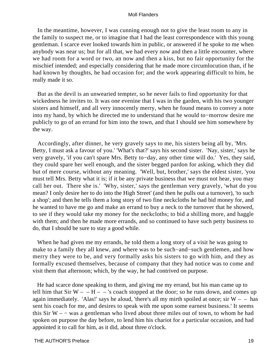In the meantime, however, I was cunning enough not to give the least room to any in the family to suspect me, or to imagine that I had the least correspondence with this young gentleman. I scarce ever looked towards him in public, or answered if he spoke to me when anybody was near us; but for all that, we had every now and then a little encounter, where we had room for a word or two, an now and then a kiss, but no fair opportunity for the mischief intended; and especially considering that he made more circumlocution than, if he had known by thoughts, he had occasion for; and the work appearing difficult to him, he really made it so.

 But as the devil is an unwearied tempter, so he never fails to find opportunity for that wickedness he invites to. It was one evenine that I was in the garden, with his two younger sisters and himself, and all very innocently merry, when he found means to convey a note into my hand, by which he directed me to understand that he would to−morrow desire me publicly to go of an errand for him into the town, and that I should see him somewhere by the way.

 Accordingly, after dinner, he very gravely says to me, his sisters being all by, 'Mrs. Betty, I must ask a favour of you.' 'What's that?' says his second sister. 'Nay, sister,' says he very gravely, 'if you can't spare Mrs. Betty to−day, any other time will do.' Yes, they said, they could spare her well enough, and the sister begged pardon for asking, which they did but of mere course, without any meaning. 'Well, but, brother,' says the eldest sister, 'you must tell Mrs. Betty what it is; if it be any private business that we must not hear, you may call her out. There she is.' 'Why, sister,' says the gentleman very gravely, 'what do you mean? I only desire her to do into the High Street' (and then he pulls out a turnover), 'to such a shop'; and then he tells them a long story of two fine neckcloths he had bid money for, and he wanted to have me go and make an errand to buy a neck to the turnover that he showed, to see if they would take my money for the neckcloths; to bid a shilling more, and haggle with them; and then he made more errands, and so continued to have such petty business to do, that I should be sure to stay a good while.

When he had given me my errands, he told them a long story of a visit he was going to make to a family they all knew, and where was to be such−and−such gentlemen, and how merry they were to be, and very formally asks his sisters to go with him, and they as formally excused themselves, because of company that they had notice was to come and visit them that afternoon; which, by the way, he had contrived on purpose.

 He had scarce done speaking to them, and giving me my errand, but his man came up to tell him that Sir W – – H – – 's coach stopped at the door; so he runs down, and comes up again immediately. 'Alas!' says he aloud, 'there's all my mirth spoiled at once; sir  $W - -$  has sent his coach for me, and desires to speak with me upon some earnest business.' It seems this Sir W – – was a gentleman who lived about three miles out of town, to whom he had spoken on purpose the day before, to lend him his chariot for a particular occasion, and had appointed it to call for him, as it did, about three o'clock.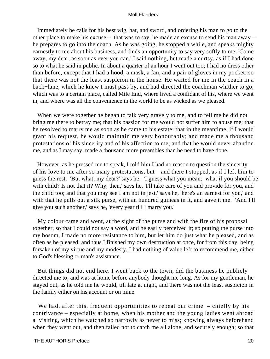Immediately he calls for his best wig, hat, and sword, and ordering his man to go to the other place to make his excuse – that was to say, he made an excuse to send his man away – he prepares to go into the coach. As he was going, he stopped a while, and speaks mighty earnestly to me about his business, and finds an opportunity to say very softly to me, 'Come away, my dear, as soon as ever you can.' I said nothing, but made a curtsy, as if I had done so to what he said in public. In about a quarter of an hour I went out too; I had no dress other than before, except that I had a hood, a mask, a fan, and a pair of gloves in my pocket; so that there was not the least suspicion in the house. He waited for me in the coach in a back−lane, which he knew I must pass by, and had directed the coachman whither to go, which was to a certain place, called Mile End, where lived a confidant of his, where we went in, and where was all the convenience in the world to be as wicked as we pleased.

 When we were together he began to talk very gravely to me, and to tell me he did not bring me there to betray me; that his passion for me would not suffer him to abuse me; that he resolved to marry me as soon as he came to his estate; that in the meantime, if I would grant his request, he would maintain me very honourably; and made me a thousand protestations of his sincerity and of his affection to me; and that he would never abandon me, and as I may say, made a thousand more preambles than he need to have done.

 However, as he pressed me to speak, I told him I had no reason to question the sincerity of his love to me after so many protestations, but – and there I stopped, as if I left him to guess the rest. 'But what, my dear?' says he. 'I guess what you mean: what if you should be with child? Is not that it? Why, then,' says he, 'I'll take care of you and provide for you, and the child too; and that you may see I am not in jest,' says he, 'here's an earnest for you,' and with that he pulls out a silk purse, with an hundred guineas in it, and gave it me. 'And I'll give you such another,' says he, 'every year till I marry you.'

 My colour came and went, at the sight of the purse and with the fire of his proposal together, so that I could not say a word, and he easily perceived it; so putting the purse into my bosom, I made no more resistance to him, but let him do just what he pleased, and as often as he pleased; and thus I finished my own destruction at once, for from this day, being forsaken of my virtue and my modesty, I had nothing of value left to recommend me, either to God's blessing or man's assistance.

 But things did not end here. I went back to the town, did the business he publicly directed me to, and was at home before anybody thought me long. As for my gentleman, he stayed out, as he told me he would, till late at night, and there was not the least suspicion in the family either on his account or on mine.

We had, after this, frequent opportunities to repeat our crime – chiefly by his contrivance – especially at home, when his mother and the young ladies went abroad a−visiting, which he watched so narrowly as never to miss; knowing always beforehand when they went out, and then failed not to catch me all alone, and securely enough; so that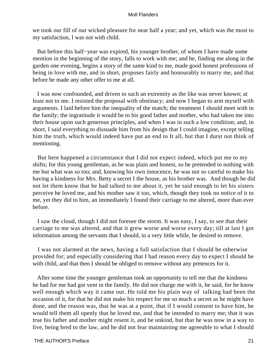we took our fill of our wicked pleasure for near half a year; and yet, which was the most to my satisfaction, I was not with child.

 But before this half−year was expired, his younger brother, of whom I have made some mention in the beginning of the story, falls to work with me; and he, finding me along in the garden one evening, begins a story of the same kind to me, made good honest professions of being in love with me, and in short, proposes fairly and honourably to marry me, and that before he made any other offer to me at all.

 I was now confounded, and driven to such an extremity as the like was never known; at least not to me. I resisted the proposal with obstinacy; and now I began to arm myself with arguments. I laid before him the inequality of the match; the treatment I should meet with in the family; the ingratitude it would be to his good father and mother, who had taken me into their house upon such generous principles, and when I was in such a low condition; and, in short, I said everything to dissuade him from his design that I could imagine, except telling him the truth, which would indeed have put an end to It all, but that I durst not think of mentioning.

 But here happened a circumstance that I did not expect indeed, which put me to my shifts; for this young gentleman, as he was plain and honest, so he pretended to nothing with me but what was so too; and, knowing his own innocence, he was not so careful to make his having a kindness for Mrs. Betty a secret I the house, as his brother was. And though he did not let them know that he had talked to me about it, yet he said enough to let his sisters perceive he loved me, and his mother saw it too, which, though they took no notice of it to me, yet they did to him, an immediately I found their carriage to me altered, more than ever before.

 I saw the cloud, though I did not foresee the storm. It was easy, I say, to see that their carriage to me was altered, and that it grew worse and worse every day; till at last I got information among the servants that I should, in a very little while, be desired to remove.

 I was not alarmed at the news, having a full satisfaction that I should be otherwise provided for; and especially considering that I had reason every day to expect I should be with child, and that then I should be obliged to remove without any pretences for it.

 After some time the younger gentleman took an opportunity to tell me that the kindness he had for me had got vent in the family. He did not charge me with it, he said, for he know well enough which way it came out. He told me his plain way of talking had been the occasion of it, for that he did not make his respect for me so much a secret as he might have done, and the reason was, that he was at a point, that if I would consent to have him, he would tell them all openly that he loved me, and that he intended to marry me; that it was true his father and mother might resent it, and be unkind, but that he was now in a way to live, being bred to the law, and he did not fear maintaining me agreeable to what I should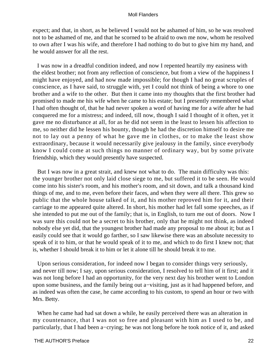expect; and that, in short, as he believed I would not be ashamed of him, so he was resolved not to be ashamed of me, and that he scorned to be afraid to own me now, whom he resolved to own after I was his wife, and therefore I had nothing to do but to give him my hand, and he would answer for all the rest.

 I was now in a dreadful condition indeed, and now I repented heartily my easiness with the eldest brother; not from any reflection of conscience, but from a view of the happiness I might have enjoyed, and had now made impossible; for though I had no great scruples of conscience, as I have said, to struggle with, yet I could not think of being a whore to one brother and a wife to the other. But then it came into my thoughts that the first brother had promised to made me his wife when he came to his estate; but I presently remembered what I had often thought of, that he had never spoken a word of having me for a wife after he had conquered me for a mistress; and indeed, till now, though I said I thought of it often, yet it gave me no disturbance at all, for as he did not seem in the least to lessen his affection to me, so neither did he lessen his bounty, though he had the discretion himself to desire me not to lay out a penny of what he gave me in clothes, or to make the least show extraordinary, because it would necessarily give jealousy in the family, since everybody know I could come at such things no manner of ordinary way, but by some private friendship, which they would presently have suspected.

 But I was now in a great strait, and knew not what to do. The main difficulty was this: the younger brother not only laid close siege to me, but suffered it to be seen. He would come into his sister's room, and his mother's room, and sit down, and talk a thousand kind things of me, and to me, even before their faces, and when they were all there. This grew so public that the whole house talked of it, and his mother reproved him for it, and their carriage to me appeared quite altered. In short, his mother had let fall some speeches, as if she intended to put me out of the family; that is, in English, to turn me out of doors. Now I was sure this could not be a secret to his brother, only that he might not think, as indeed nobody else yet did, that the youngest brother had made any proposal to me about it; but as I easily could see that it would go farther, so I saw likewise there was an absolute necessity to speak of it to him, or that he would speak of it to me, and which to do first I knew not; that is, whether I should break it to him or let it alone till he should break it to me.

 Upon serious consideration, for indeed now I began to consider things very seriously, and never till now; I say, upon serious consideration, I resolved to tell him of it first; and it was not long before I had an opportunity, for the very next day his brother went to London upon some business, and the family being out a−visiting, just as it had happened before, and as indeed was often the case, he came according to his custom, to spend an hour or two with Mrs. Betty.

 When he came had had sat down a while, he easily perceived there was an alteration in my countenance, that I was not so free and pleasant with him as I used to be, and particularly, that I had been a−crying; he was not long before he took notice of it, and asked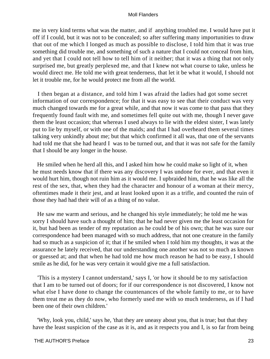me in very kind terms what was the matter, and if anything troubled me. I would have put it off if I could, but it was not to be concealed; so after suffering many importunities to draw that out of me which I longed as much as possible to disclose, I told him that it was true something did trouble me, and something of such a nature that I could not conceal from him, and yet that I could not tell how to tell him of it neither; that it was a thing that not only surprised me, but greatly perplexed me, and that I knew not what course to take, unless he would direct me. He told me with great tenderness, that let it be what it would, I should not let it trouble me, for he would protect me from all the world.

 I then began at a distance, and told him I was afraid the ladies had got some secret information of our correspondence; for that it was easy to see that their conduct was very much changed towards me for a great while, and that now it was come to that pass that they frequently found fault with me, and sometimes fell quite out with me, though I never gave them the least occasion; that whereas I used always to lie with the eldest sister, I was lately put to lie by myself, or with one of the maids; and that I had overheard them several times talking very unkindly about me; but that which confirmed it all was, that one of the servants had told me that she had heard I was to be turned out, and that it was not safe for the family that I should be any longer in the house.

 He smiled when he herd all this, and I asked him how he could make so light of it, when he must needs know that if there was any discovery I was undone for ever, and that even it would hurt him, though not ruin him as it would me. I upbraided him, that he was like all the rest of the sex, that, when they had the character and honour of a woman at their mercy, oftentimes made it their jest, and at least looked upon it as a trifle, and counted the ruin of those they had had their will of as a thing of no value.

 He saw me warm and serious, and he changed his style immediately; he told me he was sorry I should have such a thought of him; that he had never given me the least occasion for it, but had been as tender of my reputation as he could be of his own; that he was sure our correspondence had been managed with so much address, that not one creature in the family had so much as a suspicion of it; that if he smiled when I told him my thoughts, it was at the assurance he lately received, that our understanding one another was not so much as known or guessed at; and that when he had told me how much reason he had to be easy, I should smile as he did, for he was very certain it would give me a full satisfaction.

 'This is a mystery I cannot understand,' says I, 'or how it should be to my satisfaction that I am to be turned out of doors; for if our correspondence is not discovered, I know not what else I have done to change the countenances of the whole family to me, or to have them treat me as they do now, who formerly used me with so much tenderness, as if I had been one of their own children.'

 'Why, look you, child,' says he, 'that they are uneasy about you, that is true; but that they have the least suspicion of the case as it is, and as it respects you and I, is so far from being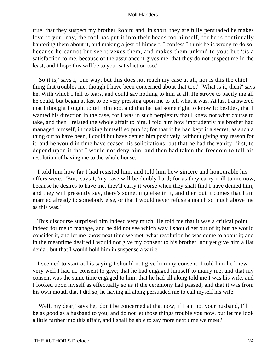true, that they suspect my brother Robin; and, in short, they are fully persuaded he makes love to you; nay, the fool has put it into their heads too himself, for he is continually bantering them about it, and making a jest of himself. I confess I think he is wrong to do so, because he cannot but see it vexes them, and makes them unkind to you; but 'tis a satisfaction to me, because of the assurance it gives me, that they do not suspect me in the least, and I hope this will be to your satisfaction too.'

 'So it is,' says I, 'one way; but this does not reach my case at all, nor is this the chief thing that troubles me, though I have been concerned about that too.' 'What is it, then?' says he. With which I fell to tears, and could say nothing to him at all. He strove to pacify me all he could, but began at last to be very pressing upon me to tell what it was. At last I answered that I thought I ought to tell him too, and that he had some right to know it; besides, that I wanted his direction in the case, for I was in such perplexity that I knew not what course to take, and then I related the whole affair to him. I told him how imprudently his brother had managed himself, in making himself so public; for that if he had kept it a secret, as such a thing out to have been, I could but have denied him positively, without giving any reason for it, and he would in time have ceased his solicitations; but that he had the vanity, first, to depend upon it that I would not deny him, and then had taken the freedom to tell his resolution of having me to the whole house.

 I told him how far I had resisted him, and told him how sincere and honourable his offers were. 'But,' says I, 'my case will be doubly hard; for as they carry it ill to me now, because he desires to have me, they'll carry it worse when they shall find I have denied him; and they will presently say, there's something else in it, and then out it comes that I am married already to somebody else, or that I would never refuse a match so much above me as this was.'

 This discourse surprised him indeed very much. He told me that it was a critical point indeed for me to manage, and he did not see which way I should get out of it; but he would consider it, and let me know next time we met, what resolution he was come to about it; and in the meantime desired I would not give my consent to his brother, nor yet give him a flat denial, but that I would hold him in suspense a while.

 I seemed to start at his saying I should not give him my consent. I told him he knew very well I had no consent to give; that he had engaged himself to marry me, and that my consent was the same time engaged to him; that he had all along told me I was his wife, and I looked upon myself as effectually so as if the ceremony had passed; and that it was from his own mouth that I did so, he having all along persuaded me to call myself his wife.

 'Well, my dear,' says he, 'don't be concerned at that now; if I am not your husband, I'll be as good as a husband to you; and do not let those things trouble you now, but let me look a little farther into this affair, and I shall be able to say more next time we meet.'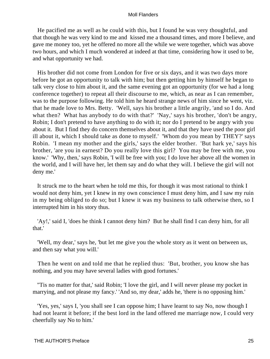He pacified me as well as he could with this, but I found he was very thoughtful, and that though he was very kind to me and kissed me a thousand times, and more I believe, and gave me money too, yet he offered no more all the while we were together, which was above two hours, and which I much wondered at indeed at that time, considering how it used to be, and what opportunity we had.

 His brother did not come from London for five or six days, and it was two days more before he got an opportunity to talk with him; but then getting him by himself he began to talk very close to him about it, and the same evening got an opportunity (for we had a long conference together) to repeat all their discourse to me, which, as near as I can remember, was to the purpose following. He told him he heard strange news of him since he went, viz. that he made love to Mrs. Betty. 'Well, says his brother a little angrily, 'and so I do. And what then? What has anybody to do with that?' 'Nay,' says his brother, 'don't be angry, Robin; I don't pretend to have anything to do with it; nor do I pretend to be angry with you about it. But I find they do concern themselves about it, and that they have used the poor girl ill about it, which I should take as done to myself.' 'Whom do you mean by THEY?' says Robin. 'I mean my mother and the girls,' says the elder brother. 'But hark ye,' says his brother, 'are you in earnest? Do you really love this girl? You may be free with me, you know.' 'Why, then,' says Robin, 'I will be free with you; I do love her above all the women in the world, and I will have her, let them say and do what they will. I believe the girl will not deny me.'

 It struck me to the heart when he told me this, for though it was most rational to think I would not deny him, yet I knew in my own conscience I must deny him, and I saw my ruin in my being obliged to do so; but I knew it was my business to talk otherwise then, so I interrupted him in his story thus.

 'Ay!,' said I, 'does he think I cannot deny him? But he shall find I can deny him, for all that.'

 'Well, my dear,' says he, 'but let me give you the whole story as it went on between us, and then say what you will.'

 Then he went on and told me that he replied thus: 'But, brother, you know she has nothing, and you may have several ladies with good fortunes.'

 ''Tis no matter for that,' said Robin; 'I love the girl, and I will never please my pocket in marrying, and not please my fancy.' 'And so, my dear,' adds he, 'there is no opposing him.'

 'Yes, yes,' says I, 'you shall see I can oppose him; I have learnt to say No, now though I had not learnt it before; if the best lord in the land offered me marriage now, I could very cheerfully say No to him.'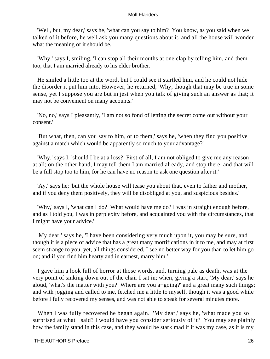'Well, but, my dear,' says he, 'what can you say to him? You know, as you said when we talked of it before, he well ask you many questions about it, and all the house will wonder what the meaning of it should be.'

 'Why,' says I, smiling, 'I can stop all their mouths at one clap by telling him, and them too, that I am married already to his elder brother.'

 He smiled a little too at the word, but I could see it startled him, and he could not hide the disorder it put him into. However, he returned, 'Why, though that may be true in some sense, yet I suppose you are but in jest when you talk of giving such an answer as that; it may not be convenient on many accounts.'

 'No, no,' says I pleasantly, 'I am not so fond of letting the secret come out without your consent.'

 'But what, then, can you say to him, or to them,' says he, 'when they find you positive against a match which would be apparently so much to your advantage?'

 'Why,' says I, 'should I be at a loss? First of all, I am not obliged to give me any reason at all; on the other hand, I may tell them I am married already, and stop there, and that will be a full stop too to him, for he can have no reason to ask one question after it.'

 'Ay,' says he; 'but the whole house will tease you about that, even to father and mother, and if you deny them positively, they will be disobliged at you, and suspicious besides.'

 'Why,' says I, 'what can I do? What would have me do? I was in straight enough before, and as I told you, I was in perplexity before, and acquainted you with the circumstances, that I might have your advice.'

 'My dear,' says he, 'I have been considering very much upon it, you may be sure, and though it is a piece of advice that has a great many mortifications in it to me, and may at first seem strange to you, yet, all things considered, I see no better way for you than to let him go on; and if you find him hearty and in earnest, marry him.'

 I gave him a look full of horror at those words, and, turning pale as death, was at the very point of sinking down out of the chair I sat in; when, giving a start, 'My dear,' says he aloud, 'what's the matter with you? Where are you a−going?' and a great many such things; and with jogging and called to me, fetched me a little to myself, though it was a good while before I fully recovered my senses, and was not able to speak for several minutes more.

 When I was fully recovered he began again. 'My dear,' says he, 'what made you so surprised at what I said? I would have you consider seriously of it? You may see plainly how the family stand in this case, and they would be stark mad if it was my case, as it is my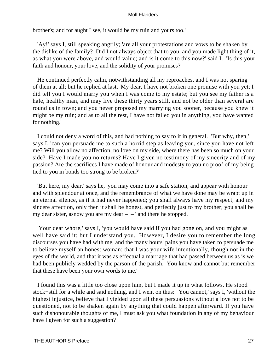brother's; and for aught I see, it would be my ruin and yours too.'

 'Ay!' says I, still speaking angrily; 'are all your protestations and vows to be shaken by the dislike of the family? Did I not always object that to you, and you made light thing of it, as what you were above, and would value; and is it come to this now?' said I. 'Is this your faith and honour, your love, and the solidity of your promises?'

 He continued perfectly calm, notwithstanding all my reproaches, and I was not sparing of them at all; but he replied at last, 'My dear, I have not broken one promise with you yet; I did tell you I would marry you when I was come to my estate; but you see my father is a hale, healthy man, and may live these thirty years still, and not be older than several are round us in town; and you never proposed my marrying you sooner, because you knew it might be my ruin; and as to all the rest, I have not failed you in anything, you have wanted for nothing.'

 I could not deny a word of this, and had nothing to say to it in general. 'But why, then,' says I, 'can you persuade me to such a horrid step as leaving you, since you have not left me? Will you allow no affection, no love on my side, where there has been so much on your side? Have I made you no returns? Have I given no testimony of my sincerity and of my passion? Are the sacrifices I have made of honour and modesty to you no proof of my being tied to you in bonds too strong to be broken?'

 'But here, my dear,' says he, 'you may come into a safe station, and appear with honour and with splendour at once, and the remembrance of what we have done may be wrapt up in an eternal silence, as if it had never happened; you shall always have my respect, and my sincere affection, only then it shall be honest, and perfectly just to my brother; you shall be my dear sister, as now you are my dear  $-$  – ' and there he stopped.

 'Your dear whore,' says I, 'you would have said if you had gone on, and you might as well have said it; but I understand you. However, I desire you to remember the long discourses you have had with me, and the many hours' pains you have taken to persuade me to believe myself an honest woman; that I was your wife intentionally, though not in the eyes of the world, and that it was as effectual a marriage that had passed between us as is we had been publicly wedded by the parson of the parish. You know and cannot but remember that these have been your own words to me.'

 I found this was a little too close upon him, but I made it up in what follows. He stood stock−still for a while and said nothing, and I went on thus: 'You cannot,' says I, 'without the highest injustice, believe that I yielded upon all these persuasions without a love not to be questioned, not to be shaken again by anything that could happen afterward. If you have such dishonourable thoughts of me, I must ask you what foundation in any of my behaviour have I given for such a suggestion?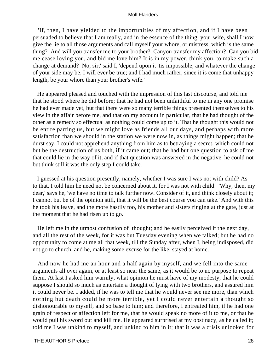'If, then, I have yielded to the importunities of my affection, and if I have been persuaded to believe that I am really, and in the essence of the thing, your wife, shall I now give the lie to all those arguments and call myself your whore, or mistress, which is the same thing? And will you transfer me to your brother? Canyou transfer my affection? Can you bid me cease loving you, and bid me love him? It is in my power, think you, to make such a change at demand? No, sir,' said I, 'depend upon it 'tis impossible, and whatever the change of your side may be, I will ever be true; and I had much rather, since it is come that unhappy length, be your whore than your brother's wife.'

 He appeared pleased and touched with the impression of this last discourse, and told me that he stood where he did before; that he had not been unfaithful to me in any one promise he had ever made yet, but that there were so many terrible things presented themselves to his view in the affair before me, and that on my account in particular, that he had thought of the other as a remedy so effectual as nothing could come up to it. That he thought this would not be entire parting us, but we might love as friends all our days, and perhaps with more satisfaction than we should in the station we were now in, as things might happen; that he durst say, I could not apprehend anything from him as to betraying a secret, which could not but be the destruction of us both, if it came out; that he had but one question to ask of me that could lie in the way of it, and if that question was answered in the negative, he could not but think still it was the only step I could take.

 I guessed at his question presently, namely, whether I was sure I was not with child? As to that, I told him he need not be concerned about it, for I was not with child. 'Why, then, my dear,' says he, 'we have no time to talk further now. Consider of it, and think closely about it; I cannot but be of the opinion still, that it will be the best course you can take.' And with this he took his leave, and the more hastily too, his mother and sisters ringing at the gate, just at the moment that he had risen up to go.

 He left me in the utmost confusion of thought; and he easily perceived it the next day, and all the rest of the week, for it was but Tuesday evening when we talked; but he had no opportunity to come at me all that week, till the Sunday after, when I, being indisposed, did not go to church, and he, making some excuse for the like, stayed at home.

 And now he had me an hour and a half again by myself, and we fell into the same arguments all over again, or at least so near the same, as it would be to no purpose to repeat them. At last I asked him warmly, what opinion he must have of my modesty, that he could suppose I should so much as entertain a thought of lying with two brothers, and assured him it could never be. I added, if he was to tell me that he would never see me more, than which nothing but death could be more terrible, yet I could never entertain a thought so dishonourable to myself, and so base to him; and therefore, I entreated him, if he had one grain of respect or affection left for me, that he would speak no more of it to me, or that he would pull his sword out and kill me. He appeared surprised at my obstinacy, as he called it; told me I was unkind to myself, and unkind to him in it; that it was a crisis unlooked for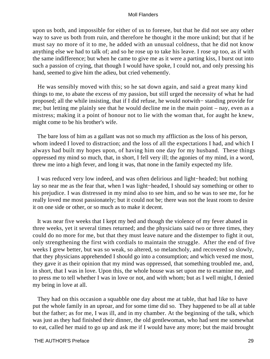upon us both, and impossible for either of us to foresee, but that he did not see any other way to save us both from ruin, and therefore he thought it the more unkind; but that if he must say no more of it to me, he added with an unusual coldness, that he did not know anything else we had to talk of; and so he rose up to take his leave. I rose up too, as if with the same indifference; but when he came to give me as it were a parting kiss, I burst out into such a passion of crying, that though I would have spoke, I could not, and only pressing his hand, seemed to give him the adieu, but cried vehemently.

 He was sensibly moved with this; so he sat down again, and said a great many kind things to me, to abate the excess of my passion, but still urged the necessity of what he had proposed; all the while insisting, that if I did refuse, he would notwith− standing provide for me; but letting me plainly see that he would decline me in the main point – nay, even as a mistress; making it a point of honour not to lie with the woman that, for aught he knew, might come to be his brother's wife.

 The bare loss of him as a gallant was not so much my affliction as the loss of his person, whom indeed I loved to distraction; and the loss of all the expectations I had, and which I always had built my hopes upon, of having him one day for my husband. These things oppressed my mind so much, that, in short, I fell very ill; the agonies of my mind, in a word, threw me into a high fever, and long it was, that none in the family expected my life.

 I was reduced very low indeed, and was often delirious and light−headed; but nothing lay so near me as the fear that, when I was light−headed, I should say something or other to his prejudice. I was distressed in my mind also to see him, and so he was to see me, for he really loved me most passionately; but it could not be; there was not the least room to desire it on one side or other, or so much as to make it decent.

 It was near five weeks that I kept my bed and though the violence of my fever abated in three weeks, yet it several times returned; and the physicians said two or three times, they could do no more for me, but that they must leave nature and the distemper to fight it out, only strengthening the first with cordials to maintain the struggle. After the end of five weeks I grew better, but was so weak, so altered, so melancholy, and recovered so slowly, that they physicians apprehended I should go into a consumption; and which vexed me most, they gave it as their opinion that my mind was oppressed, that something troubled me, and, in short, that I was in love. Upon this, the whole house was set upon me to examine me, and to press me to tell whether I was in love or not, and with whom; but as I well might, I denied my being in love at all.

 They had on this occasion a squabble one day about me at table, that had like to have put the whole family in an uproar, and for some time did so. They happened to be all at table but the father; as for me, I was ill, and in my chamber. At the beginning of the talk, which was just as they had finished their dinner, the old gentlewoman, who had sent me somewhat to eat, called her maid to go up and ask me if I would have any more; but the maid brought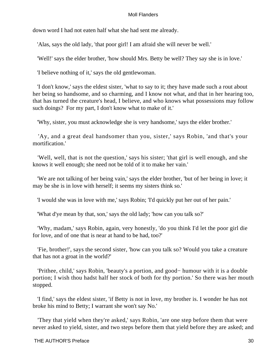down word I had not eaten half what she had sent me already.

'Alas, says the old lady, 'that poor girl! I am afraid she will never be well.'

'Well!' says the elder brother, 'how should Mrs. Betty be well? They say she is in love.'

'I believe nothing of it,' says the old gentlewoman.

 'I don't know,' says the eldest sister, 'what to say to it; they have made such a rout about her being so handsome, and so charming, and I know not what, and that in her hearing too, that has turned the creature's head, I believe, and who knows what possessions may follow such doings? For my part, I don't know what to make of it.'

'Why, sister, you must acknowledge she is very handsome,' says the elder brother.'

 'Ay, and a great deal handsomer than you, sister,' says Robin, 'and that's your mortification.'

 'Well, well, that is not the question,' says his sister; 'that girl is well enough, and she knows it well enough; she need not be told of it to make her vain.'

 'We are not talking of her being vain,' says the elder brother, 'but of her being in love; it may be she is in love with herself; it seems my sisters think so.'

'I would she was in love with me,' says Robin; 'I'd quickly put her out of her pain.'

'What d'ye mean by that, son,' says the old lady; 'how can you talk so?'

 'Why, madam,' says Robin, again, very honestly, 'do you think I'd let the poor girl die for love, and of one that is near at hand to be had, too?'

 'Fie, brother!', says the second sister, 'how can you talk so? Would you take a creature that has not a groat in the world?'

 'Prithee, child,' says Robin, 'beauty's a portion, and good− humour with it is a double portion; I wish thou hadst half her stock of both for thy portion.' So there was her mouth stopped.

 'I find,' says the eldest sister, 'if Betty is not in love, my brother is. I wonder he has not broke his mind to Betty; I warrant she won't say No.'

 'They that yield when they're asked,' says Robin, 'are one step before them that were never asked to yield, sister, and two steps before them that yield before they are asked; and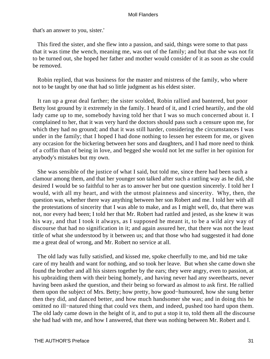that's an answer to you, sister.'

 This fired the sister, and she flew into a passion, and said, things were some to that pass that it was time the wench, meaning me, was out of the family; and but that she was not fit to be turned out, she hoped her father and mother would consider of it as soon as she could be removed.

 Robin replied, that was business for the master and mistress of the family, who where not to be taught by one that had so little judgment as his eldest sister.

 It ran up a great deal farther; the sister scolded, Robin rallied and bantered, but poor Betty lost ground by it extremely in the family. I heard of it, and I cried heartily, and the old lady came up to me, somebody having told her that I was so much concerned about it. I complained to her, that it was very hard the doctors should pass such a censure upon me, for which they had no ground; and that it was still harder, considering the circumstances I was under in the family; that I hoped I had done nothing to lessen her esteem for me, or given any occasion for the bickering between her sons and daughters, and I had more need to think of a coffin than of being in love, and begged she would not let me suffer in her opinion for anybody's mistakes but my own.

 She was sensible of the justice of what I said, but told me, since there had been such a clamour among them, and that her younger son talked after such a rattling way as he did, she desired I would be so faithful to her as to answer her but one question sincerely. I told her I would, with all my heart, and with the utmost plainness and sincerity. Why, then, the question was, whether there way anything between her son Robert and me. I told her with all the protestations of sincerity that I was able to make, and as I might well, do, that there was not, nor every had been; I told her that Mr. Robert had rattled and jested, as she knew it was his way, and that I took it always, as I supposed he meant it, to be a wild airy way of discourse that had no signification in it; and again assured her, that there was not the least tittle of what she understood by it between us; and that those who had suggested it had done me a great deal of wrong, and Mr. Robert no service at all.

 The old lady was fully satisfied, and kissed me, spoke cheerfully to me, and bid me take care of my health and want for nothing, and so took her leave. But when she came down she found the brother and all his sisters together by the ears; they were angry, even to passion, at his upbraiding them with their being homely, and having never had any sweethearts, never having been asked the question, and their being so forward as almost to ask first. He rallied them upon the subject of Mrs. Betty; how pretty, how good−humoured, how she sung better then they did, and danced better, and how much handsomer she was; and in doing this he omitted no ill−natured thing that could vex them, and indeed, pushed too hard upon them. The old lady came down in the height of it, and to put a stop it to, told them all the discourse she had had with me, and how I answered, that there was nothing between Mr. Robert and I.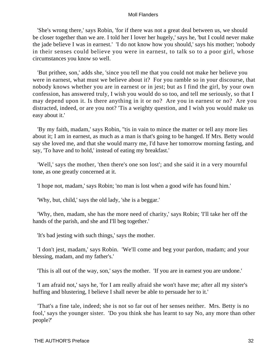'She's wrong there,' says Robin, 'for if there was not a great deal between us, we should be closer together than we are. I told her I lover her hugely,' says he, 'but I could never make the jade believe I was in earnest.' 'I do not know how you should,' says his mother; 'nobody in their senses could believe you were in earnest, to talk so to a poor girl, whose circumstances you know so well.

 'But prithee, son,' adds she, 'since you tell me that you could not make her believe you were in earnest, what must we believe about it? For you ramble so in your discourse, that nobody knows whether you are in earnest or in jest; but as I find the girl, by your own confession, has answered truly, I wish you would do so too, and tell me seriously, so that I may depend upon it. Is there anything in it or no? Are you in earnest or no? Are you distracted, indeed, or are you not? 'Tis a weighty question, and I wish you would make us easy about it.'

 'By my faith, madam,' says Robin, ''tis in vain to mince the matter or tell any more lies about it; I am in earnest, as much as a man is that's going to be hanged. If Mrs. Betty would say she loved me, and that she would marry me, I'd have her tomorrow morning fasting, and say, 'To have and to hold,' instead of eating my breakfast.'

 'Well,' says the mother, 'then there's one son lost'; and she said it in a very mournful tone, as one greatly concerned at it.

'I hope not, madam,' says Robin; 'no man is lost when a good wife has found him.'

'Why, but, child,' says the old lady, 'she is a beggar.'

 'Why, then, madam, she has the more need of charity,' says Robin; 'I'll take her off the hands of the parish, and she and I'll beg together.'

'It's bad jesting with such things,' says the mother.

 'I don't jest, madam,' says Robin. 'We'll come and beg your pardon, madam; and your blessing, madam, and my father's.'

'This is all out of the way, son,' says the mother. 'If you are in earnest you are undone.'

 'I am afraid not,' says he, 'for I am really afraid she won't have me; after all my sister's huffing and blustering, I believe I shall never be able to persuade her to it.'

 'That's a fine tale, indeed; she is not so far out of her senses neither. Mrs. Betty is no fool,' says the younger sister. 'Do you think she has learnt to say No, any more than other people?'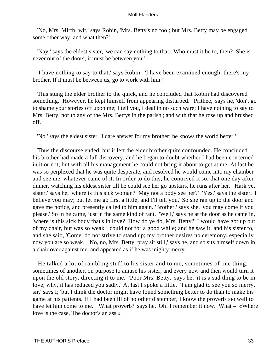'No, Mrs. Mirth−wit,' says Robin, 'Mrs. Betty's no fool; but Mrs. Betty may be engaged some other way, and what then?'

 'Nay,' says the eldest sister, 'we can say nothing to that. Who must it be to, then? She is never out of the doors; it must be between you.'

 'I have nothing to say to that,' says Robin. 'I have been examined enough; there's my brother. If it must be between us, go to work with him.'

 This stung the elder brother to the quick, and he concluded that Robin had discovered something. However, he kept himself from appearing disturbed. 'Prithee,' says he, 'don't go to shame your stories off upon me; I tell you, I deal in no such ware; I have nothing to say to Mrs. Betty, nor to any of the Mrs. Bettys in the parish'; and with that he rose up and brushed off.

'No,' says the eldest sister, 'I dare answer for my brother; he knows the world better.'

 Thus the discourse ended, but it left the elder brother quite confounded. He concluded his brother had made a full discovery, and he began to doubt whether I had been concerned in it or not; but with all his management he could not bring it about to get at me. At last he was so perplexed that he was quite desperate, and resolved he would come into my chamber and see me, whatever came of it. In order to do this, he contrived it so, that one day after dinner, watching his eldest sister till he could see her go upstairs, he runs after her. 'Hark ye, sister,' says he, 'where is this sick woman? May not a body see her?' 'Yes,' says the sister, 'I believe you may; but let me go first a little, and I'll tell you.' So she ran up to the door and gave me notice, and presently called to him again. 'Brother,' says she, 'you may come if you please.' So in he came, just in the same kind of rant. 'Well,' says he at the door as he came in, 'where is this sick body that's in love? How do ye do, Mrs. Betty?' I would have got up out of my chair, but was so weak I could not for a good while; and he saw it, and his sister to, and she said, 'Come, do not strive to stand up; my brother desires no ceremony, especially now you are so weak.' 'No, no, Mrs. Betty, pray sit still,' says he, and so sits himself down in a chair over against me, and appeared as if he was mighty merry.

 He talked a lot of rambling stuff to his sister and to me, sometimes of one thing, sometimes of another, on purpose to amuse his sister, and every now and then would turn it upon the old story, directing it to me. 'Poor Mrs. Betty,' says he, 'it is a sad thing to be in love; why, it has reduced you sadly.' At last I spoke a little. 'I am glad to see you so merry, sir,' says I; 'but I think the doctor might have found something better to do than to make his game at his patients. If I had been ill of no other distemper, I know the proverb too well to have let him come to me.' 'What proverb?' says he, 'Oh! I remember it now. What – «Where love is the case, The doctor's an ass.»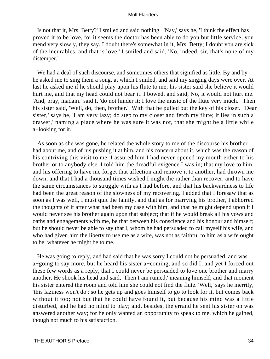Is not that it, Mrs. Betty?' I smiled and said nothing. 'Nay,' says he, 'I think the effect has proved it to be love, for it seems the doctor has been able to do you but little service; you mend very slowly, they say. I doubt there's somewhat in it, Mrs. Betty; I doubt you are sick of the incurables, and that is love.' I smiled and said, 'No, indeed, sir, that's none of my distemper.'

 We had a deal of such discourse, and sometimes others that signified as little. By and by he asked me to sing them a song, at which I smiled, and said my singing days were over. At last he asked me if he should play upon his flute to me; his sister said she believe it would hurt me, and that my head could not bear it. I bowed, and said, No, it would not hurt me. 'And, pray, madam.' said I, 'do not hinder it; I love the music of the flute very much.' Then his sister said, 'Well, do, then, brother.' With that he pulled out the key of his closet. 'Dear sister,' says he, 'I am very lazy; do step to my closet and fetch my flute; it lies in such a drawer,' naming a place where he was sure it was not, that she might be a little while a−looking for it.

 As soon as she was gone, he related the whole story to me of the discourse his brother had about me, and of his pushing it at him, and his concern about it, which was the reason of his contriving this visit to me. I assured him I had never opened my mouth either to his brother or to anybody else. I told him the dreadful exigence I was in; that my love to him, and his offering to have me forget that affection and remove it to another, had thrown me down; and that I had a thousand times wished I might die rather than recover, and to have the same circumstances to struggle with as I had before, and that his backwardness to life had been the great reason of the slowness of my recovering. I added that I foresaw that as soon as I was well, I must quit the family, and that as for marrying his brother, I abhorred the thoughts of it after what had been my case with him, and that he might depend upon it I would never see his brother again upon that subject; that if he would break all his vows and oaths and engagements with me, be that between his conscience and his honour and himself; but he should never be able to say that I, whom he had persuaded to call myself his wife, and who had given him the liberty to use me as a wife, was not as faithful to him as a wife ought to be, whatever he might be to me.

 He was going to reply, and had said that he was sorry I could not be persuaded, and was a−going to say more, but he heard his sister a−coming, and so did I; and yet I forced out these few words as a reply, that I could never be persuaded to love one brother and marry another. He shook his head and said, 'Then I am ruined,' meaning himself; and that moment his sister entered the room and told him she could not find the flute. 'Well,' says he merrily, 'this laziness won't do'; so he gets up and goes himself to go to look for it, but comes back without it too; not but that he could have found it, but because his mind was a little disturbed, and he had no mind to play; and, besides, the errand he sent his sister on was answered another way; for he only wanted an opportunity to speak to me, which he gained, though not much to his satisfaction.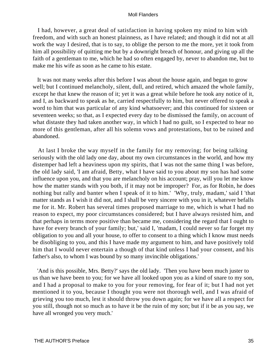I had, however, a great deal of satisfaction in having spoken my mind to him with freedom, and with such an honest plainness, as I have related; and though it did not at all work the way I desired, that is to say, to oblige the person to me the more, yet it took from him all possibility of quitting me but by a downright breach of honour, and giving up all the faith of a gentleman to me, which he had so often engaged by, never to abandon me, but to make me his wife as soon as he came to his estate.

 It was not many weeks after this before I was about the house again, and began to grow well; but I continued melancholy, silent, dull, and retired, which amazed the whole family, except he that knew the reason of it; yet it was a great while before he took any notice of it, and I, as backward to speak as he, carried respectfully to him, but never offered to speak a word to him that was particular of any kind whatsoever; and this continued for sixteen or seventeen weeks; so that, as I expected every day to be dismissed the family, on account of what distaste they had taken another way, in which I had no guilt, so I expected to hear no more of this gentleman, after all his solemn vows and protestations, but to be ruined and abandoned.

 At last I broke the way myself in the family for my removing; for being talking seriously with the old lady one day, about my own circumstances in the world, and how my distemper had left a heaviness upon my spirits, that I was not the same thing I was before, the old lady said, 'I am afraid, Betty, what I have said to you about my son has had some influence upon you, and that you are melancholy on his account; pray, will you let me know how the matter stands with you both, if it may not be improper? For, as for Robin, he does nothing but rally and banter when I speak of it to him.' 'Why, truly, madam,' said I 'that matter stands as I wish it did not, and I shall be very sincere with you in it, whatever befalls me for it. Mr. Robert has several times proposed marriage to me, which is what I had no reason to expect, my poor circumstances considered; but I have always resisted him, and that perhaps in terms more positive than became me, considering the regard that I ought to have for every branch of your family; but,' said I, 'madam, I could never so far forget my obligation to you and all your house, to offer to consent to a thing which I know must needs be disobliging to you, and this I have made my argument to him, and have positively told him that I would never entertain a though of that kind unless I had your consent, and his father's also, to whom I was bound by so many invincible obligations.'

 'And is this possible, Mrs. Betty?' says the old lady. 'Then you have been much juster to us than we have been to you; for we have all looked upon you as a kind of snare to my son, and I had a proposal to make to you for your removing, for fear of it; but I had not yet mentioned it to you, because I thought you were not thorough well, and I was afraid of grieving you too much, lest it should throw you down again; for we have all a respect for you still, though not so much as to have it be the ruin of my son; but if it be as you say, we have all wronged you very much.'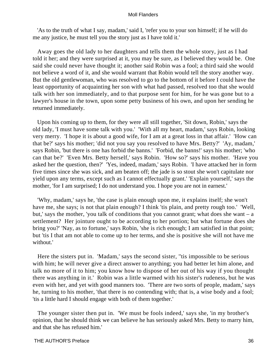'As to the truth of what I say, madam,' said I, 'refer you to your son himself; if he will do me any justice, he must tell you the story just as I have told it.'

 Away goes the old lady to her daughters and tells them the whole story, just as I had told it her; and they were surprised at it, you may be sure, as I believed they would be. One said she could never have thought it; another said Robin was a fool; a third said she would not believe a word of it, and she would warrant that Robin would tell the story another way. But the old gentlewoman, who was resolved to go to the bottom of it before I could have the least opportunity of acquainting her son with what had passed, resolved too that she would talk with her son immediately, and to that purpose sent for him, for he was gone but to a lawyer's house in the town, upon some petty business of his own, and upon her sending he returned immediately.

 Upon his coming up to them, for they were all still together, 'Sit down, Robin,' says the old lady, 'I must have some talk with you.' 'With all my heart, madam,' says Robin, looking very merry. 'I hope it is about a good wife, for I am at a great loss in that affair.' 'How can that be?' says his mother; 'did not you say you resolved to have Mrs. Betty?' 'Ay, madam,' says Robin, 'but there is one has forbid the banns.' 'Forbid, the banns!' says his mother; 'who can that be?' 'Even Mrs. Betty herself,' says Robin. 'How so?' says his mother. 'Have you asked her the question, then?' 'Yes, indeed, madam,' says Robin. 'I have attacked her in form five times since she was sick, and am beaten off; the jade is so stout she won't capitulate nor yield upon any terms, except such as I cannot effectually grant.' 'Explain yourself,' says the mother, 'for I am surprised; I do not understand you. I hope you are not in earnest.'

 'Why, madam,' says he, 'the case is plain enough upon me, it explains itself; she won't have me, she says; is not that plain enough? I think 'tis plain, and pretty rough too.' 'Well, but,' says the mother, 'you talk of conditions that you cannot grant; what does she want – a settlement? Her jointure ought to be according to her portion; but what fortune does she bring you?' 'Nay, as to fortune,' says Robin, 'she is rich enough; I am satisfied in that point; but 'tis I that am not able to come up to her terms, and she is positive she will not have me without.'

 Here the sisters put in. 'Madam,' says the second sister, ''tis impossible to be serious with him; he will never give a direct answer to anything; you had better let him alone, and talk no more of it to him; you know how to dispose of her out of his way if you thought there was anything in it.' Robin was a little warmed with his sister's rudeness, but he was even with her, and yet with good manners too. 'There are two sorts of people, madam,' says he, turning to his mother, 'that there is no contending with; that is, a wise body and a fool; 'tis a little hard I should engage with both of them together.'

 The younger sister then put in. 'We must be fools indeed,' says she, 'in my brother's opinion, that he should think we can believe he has seriously asked Mrs. Betty to marry him, and that she has refused him.'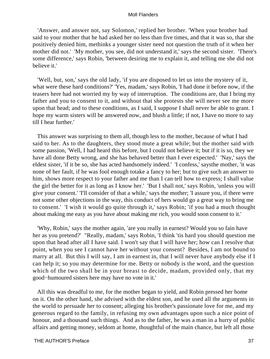'Answer, and answer not, say Solomon,' replied her brother. 'When your brother had said to your mother that he had asked her no less than five times, and that it was so, that she positively denied him, methinks a younger sister need not question the truth of it when her mother did not.' 'My mother, you see, did not understand it,' says the second sister. 'There's some difference,' says Robin, 'between desiring me to explain it, and telling me she did not believe it.'

 'Well, but, son,' says the old lady, 'if you are disposed to let us into the mystery of it, what were these hard conditions?' 'Yes, madam,' says Robin, 'I had done it before now, if the teasers here had not worried my by way of interruption. The conditions are, that I bring my father and you to consent to it, and without that she protests she will never see me more upon that head; and to these conditions, as I said, I suppose I shall never be able to grant. I hope my warm sisters will be answered now, and blush a little; if not, I have no more to say till I hear further.'

 This answer was surprising to them all, though less to the mother, because of what I had said to her. As to the daughters, they stood mute a great while; but the mother said with some passion, 'Well, I had heard this before, but I could not believe it; but if it is so, they we have all done Betty wrong, and she has behaved better than I ever expected.' 'Nay,' says the eldest sister, 'if it be so, she has acted handsomely indeed.' 'I confess,' saysthe mother, 'it was none of her fault, if he was fool enough totake a fancy to her; but to give such an answer to him, shows more respect to your father and me than I can tell how to express; I shall value the girl the better for it as long as I know her.' 'But I shall not,' says Robin, 'unless you will give your consent.' 'I'll consider of that a while,' says the mother; 'I assure you, if there were not some other objections in the way, this conduct of hers would go a great way to bring me to consent.' 'I wish it would go quite through it,' says Robin; 'if you had a much thought about making me easy as you have about making me rich, you would soon consent to it.'

 'Why, Robin,' says the mother again, 'are you really in earnest? Would you so fain have her as you pretend?' "Really, madam,' says Robin, 'I think 'tis hard you should question me upon that head after all I have said. I won't say that I will have her; how can I resolve that point, when you see I cannot have her without your consent? Besides, I am not bound to marry at all. But this I will say, I am in earnest in, that I will never have anybody else if I can help it; so you may determine for me. Betty or nobody is the word, and the question which of the two shall be in your breast to decide, madam, provided only, that my good−humoured sisters here may have no vote in it.'

 All this was dreadful to me, for the mother began to yield, and Robin pressed her home on it. On the other hand, she advised with the eldest son, and he used all the arguments in the world to persuade her to consent; alleging his brother's passionate love for me, and my generous regard to the family, in refusing my own advantages upon such a nice point of honour, and a thousand such things. And as to the father, he was a man in a hurry of public affairs and getting money, seldom at home, thoughtful of the main chance, but left all those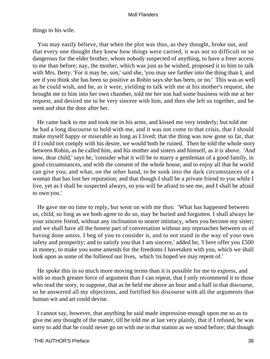# things to his wife.

 You may easily believe, that when the plot was thus, as they thought, broke out, and that every one thought they knew how things were carried, it was not so difficult or so dangerous for the elder brother, whom nobody suspected of anything, to have a freer access to me than before; nay, the mother, which was just as he wished, proposed it to him to talk with Mrs. Betty. 'For it may be, son,' said she, 'you may see farther into the thing than I, and see if you think she has been so positive as Robin says she has been, or no.' This was as well as he could wish, and he, as it were, yielding to talk with me at his mother's request, she brought me to him into her own chamber, told me her son had some business with me at her request, and desired me to be very sincere with him, and then she left us together, and he went and shut the door after her.

 He came back to me and took me in his arms, and kissed me very tenderly; but told me he had a long discourse to hold with me, and it was not come to that crisis, that I should make myself happy or miserable as long as I lived; that the thing was now gone so far, that if I could not comply with his desire, we would both be ruined. Then he told the whole story between Robin, as he called him, and his mother and sisters and himself, as it is above. 'And now, dear child,' says he, 'consider what it will be to marry a gentleman of a good family, in good circumstances, and with the consent of the whole house, and to enjoy all that he world can give you; and what, on the other hand, to be sunk into the dark circumstances of a woman that has lost her reputation; and that though I shall be a private friend to you while I live, yet as I shall be suspected always, so you will be afraid to see me, and I shall be afraid to own you.'

 He gave me no time to reply, but went on with me thus: 'What has happened between us, child, so long as we both agree to do so, may be buried and forgotten. I shall always be your sincere friend, without any inclination to nearer intimacy, when you become my sister; and we shall have all the honest part of conversation without any reproaches between us of having done amiss. I beg of you to consider it, and to not stand in the way of your own safety and prosperity; and to satisfy you that I am sincere,' added he, 'I here offer you £500 in money, to make you some amends for the freedoms I havetaken with you, which we shall look upon as some of the follies of our lives, which 'tis hoped we may repent of.'

 He spoke this in so much more moving terms than it is possible for me to express, and with so much greater force of argument than I can repeat, that I only recommend it to those who read the story, to suppose, that as he held me above an hour and a half in that discourse, so he answered all my objections, and fortified his discourse with all the arguments that human wit and art could devise.

 I cannot say, however, that anything he said made impression enough upon me so as to give me any thought of the matter, till he told me at last very plainly, that if I refused, he was sorry to add that he could never go on with me in that station as we stood before; that though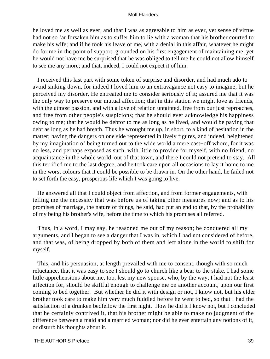he loved me as well as ever, and that I was as agreeable to him as ever, yet sense of virtue had not so far forsaken him as to suffer him to lie with a woman that his brother courted to make his wife; and if he took his leave of me, with a denial in this affair, whatever he might do for me in the point of support, grounded on his first engagement of maintaining me, yet he would not have me be surprised that he was obliged to tell me he could not allow himself to see me any more; and that, indeed, I could not expect it of him.

 I received this last part with some token of surprise and disorder, and had much ado to avoid sinking down, for indeed I loved him to an extravagance not easy to imagine; but he perceived my disorder. He entreated me to consider seriously of it; assured me that it was the only way to preserve our mutual affection; that in this station we might love as friends, with the utmost passion, and with a love of relation untainted, free from our just reproaches, and free from other people's suspicions; that he should ever acknowledge his happiness owing to me; that he would be debtor to me as long as he lived, and would be paying that debt as long as he had breath. Thus he wrought me up, in short, to a kind of hesitation in the matter; having the dangers on one side represented in lively figures, and indeed, heightened by my imagination of being turned out to the wide world a mere cast−off whore, for it was no less, and perhaps exposed as such, with little to provide for myself, with no friend, no acquaintance in the whole world, out of that town, and there I could not pretend to stay. All this terrified me to the last degree, and he took care upon all occasions to lay it home to me in the worst colours that it could be possible to be drawn in. On the other hand, he failed not to set forth the easy, prosperous life which I was going to live.

 He answered all that I could object from affection, and from former engagements, with telling me the necessity that was before us of taking other measures now; and as to his promises of marriage, the nature of things, he said, had put an end to that, by the probability of my being his brother's wife, before the time to which his promises all referred.

 Thus, in a word, I may say, he reasoned me out of my reason; he conquered all my arguments, and I began to see a danger that I was in, which I had not considered of before, and that was, of being dropped by both of them and left alone in the world to shift for myself.

 This, and his persuasion, at length prevailed with me to consent, though with so much reluctance, that it was easy to see I should go to church like a bear to the stake. I had some little apprehensions about me, too, lest my new spouse, who, by the way, I had not the least affection for, should be skillful enough to challenge me on another account, upon our first coming to bed together. But whether he did it with design or not, I know not, but his elder brother took care to make him very much fuddled before he went to bed, so that I had the satisfaction of a drunken bedfellow the first night. How he did it I know not, but I concluded that he certainly contrived it, that his brother might be able to make no judgment of the difference between a maid and a married woman; nor did he ever entertain any notions of it, or disturb his thoughts about it.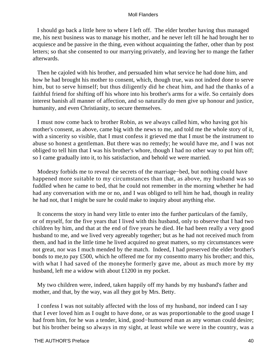I should go back a little here to where I left off. The elder brother having thus managed me, his next business was to manage his mother, and he never left till he had brought her to acquiesce and be passive in the thing, even without acquainting the father, other than by post letters; so that she consented to our marrying privately, and leaving her to mange the father afterwards.

 Then he cajoled with his brother, and persuaded him what service he had done him, and how he had brought his mother to consent, which, though true, was not indeed done to serve him, but to serve himself; but thus diligently did he cheat him, and had the thanks of a faithful friend for shifting off his whore into his brother's arms for a wife. So certainly does interest banish all manner of affection, and so naturally do men give up honour and justice, humanity, and even Christianity, to secure themselves.

 I must now come back to brother Robin, as we always called him, who having got his mother's consent, as above, came big with the news to me, and told me the whole story of it, with a sincerity so visible, that I must confess it grieved me that I must be the instrument to abuse so honest a gentleman. But there was no remedy; he would have me, and I was not obliged to tell him that I was his brother's whore, though I had no other way to put him off; so I came gradually into it, to his satisfaction, and behold we were married.

 Modesty forbids me to reveal the secrets of the marriage−bed, but nothing could have happened more suitable to my circumstances than that, as above, my husband was so fuddled when he came to bed, that he could not remember in the morning whether he had had any conversation with me or no, and I was obliged to tell him he had, though in reality he had not, that I might be sure he could make to inquiry about anything else.

 It concerns the story in hand very little to enter into the further particulars of the family, or of myself, for the five years that I lived with this husband, only to observe that I had two children by him, and that at the end of five years he died. He had been really a very good husband to me, and we lived very agreeably together; but as he had not received much from them, and had in the little time he lived acquired no great matters, so my circumstances were not great, nor was I much mended by the match. Indeed, I had preserved the elder brother's bonds to me,to pay £500, which he offered me for my consentto marry his brother; and this, with what I had saved of the moneyhe formerly gave me, about as much more by my husband, left me a widow with about £1200 in my pocket.

 My two children were, indeed, taken happily off my hands by my husband's father and mother, and that, by the way, was all they got by Mrs. Betty.

 I confess I was not suitably affected with the loss of my husband, nor indeed can I say that I ever loved him as I ought to have done, or as was proportionable to the good usage I had from him, for he was a tender, kind, good−humoured man as any woman could desire; but his brother being so always in my sight, at least while we were in the country, was a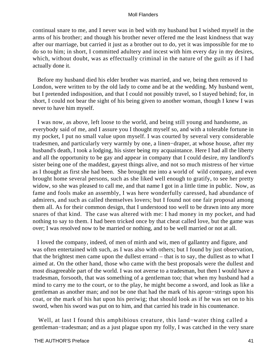continual snare to me, and I never was in bed with my husband but I wished myself in the arms of his brother; and though his brother never offered me the least kindness that way after our marriage, but carried it just as a brother out to do, yet it was impossible for me to do so to him; in short, I committed adultery and incest with him every day in my desires, which, without doubt, was as effectually criminal in the nature of the guilt as if I had actually done it.

 Before my husband died his elder brother was married, and we, being then removed to London, were written to by the old lady to come and be at the wedding. My husband went, but I pretended indisposition, and that I could not possibly travel, so I stayed behind; for, in short, I could not bear the sight of his being given to another woman, though I knew I was never to have him myself.

 I was now, as above, left loose to the world, and being still young and handsome, as everybody said of me, and I assure you I thought myself so, and with a tolerable fortune in my pocket, I put no small value upon myself. I was courted by several very considerable tradesmen, and particularly very warmly by one, a linen−draper, at whose house, after my husband's death, I took a lodging, his sister being my acquaintance. Here I had all the liberty and all the opportunity to be gay and appear in company that I could desire, my landlord's sister being one of the maddest, gayest things alive, and not so much mistress of her virtue as I thought as first she had been. She brought me into a world of wild company, and even brought home several persons, such as she liked well enough to gratify, to see her pretty widow, so she was pleased to call me, and that name I got in a little time in public. Now, as fame and fools make an assembly, I was here wonderfully caressed, had abundance of admirers, and such as called themselves lovers; but I found not one fair proposal among them all. As for their common design, that I understood too well to be drawn into any more snares of that kind. The case was altered with me: I had money in my pocket, and had nothing to say to them. I had been tricked once by that cheat called love, but the game was over; I was resolved now to be married or nothing, and to be well married or not at all.

 I loved the company, indeed, of men of mirth and wit, men of gallantry and figure, and was often entertained with such, as I was also with others; but I found by just observation, that the brightest men came upon the dullest errand – that is to say, the dullest as to what I aimed at. On the other hand, those who came with the best proposals were the dullest and most disagreeable part of the world. I was not averse to a tradesman, but then I would have a tradesman, forsooth, that was something of a gentleman too; that when my husband had a mind to carry me to the court, or to the play, he might become a sword, and look as like a gentleman as another man; and not be one that had the mark of his apron−strings upon his coat, or the mark of his hat upon his periwig; that should look as if he was set on to his sword, when his sword was put on to him, and that carried his trade in his countenance.

 Well, at last I found this amphibious creature, this land−water thing called a gentleman−tradesman; and as a just plague upon my folly, I was catched in the very snare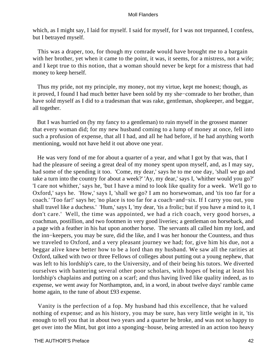which, as I might say, I laid for myself. I said for myself, for I was not trepanned, I confess, but I betrayed myself.

 This was a draper, too, for though my comrade would have brought me to a bargain with her brother, yet when it came to the point, it was, it seems, for a mistress, not a wife; and I kept true to this notion, that a woman should never be kept for a mistress that had money to keep herself.

 Thus my pride, not my principle, my money, not my virtue, kept me honest; though, as it proved, I found I had much better have been sold by my she−comrade to her brother, than have sold myself as I did to a tradesman that was rake, gentleman, shopkeeper, and beggar, all together.

 But I was hurried on (by my fancy to a gentleman) to ruin myself in the grossest manner that every woman did; for my new husband coming to a lump of money at once, fell into such a profusion of expense, that all I had, and all he had before, if he had anything worth mentioning, would not have held it out above one year.

 He was very fond of me for about a quarter of a year, and what I got by that was, that I had the pleasure of seeing a great deal of my money spent upon myself, and, as I may say, had some of the spending it too. 'Come, my dear,' says he to me one day, 'shall we go and take a turn into the country for about a week?' 'Ay, my dear,' says I, 'whither would you go?' 'I care not whither,' says he, 'but I have a mind to look like quality for a week. We'll go to Oxford,' says he. 'How,' says I, 'shall we go? I am no horsewoman, and 'tis too far for a coach.' 'Too far!' says he; 'no place is too far for a coach−and−six. If I carry you out, you shall travel like a duchess.' 'Hum,' says I, 'my dear, 'tis a frolic; but if you have a mind to it, I don't care.' Well, the time was appointed, we had a rich coach, very good horses, a coachman, postillion, and two footmen in very good liveries; a gentleman on horseback, and a page with a feather in his hat upon another horse. The servants all called him my lord, and the inn−keepers, you may be sure, did the like, and I was her honour the Countess, and thus we traveled to Oxford, and a very pleasant journey we had; for, give him his due, not a beggar alive knew better how to be a lord than my husband. We saw all the rarities at Oxford, talked with two or three Fellows of colleges about putting out a young nephew, that was left to his lordship's care, to the University, and of their being his tutors. We diverted ourselves with bantering several other poor scholars, with hopes of being at least his lordship's chaplains and putting on a scarf; and thus having lived like quality indeed, as to expense, we went away for Northampton, and, in a word, in about twelve days' ramble came home again, to the tune of about £93 expense.

 Vanity is the perfection of a fop. My husband had this excellence, that he valued nothing of expense; and as his history, you may be sure, has very little weight in it, 'tis enough to tell you that in about two years and a quarter he broke, and was not so happy to get over into the Mint, but got into a sponging−house, being arrested in an action too heavy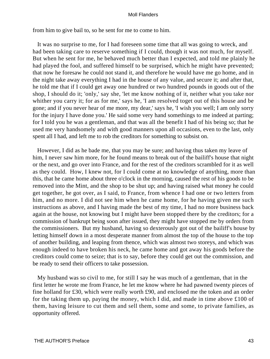from him to give bail to, so he sent for me to come to him.

 It was no surprise to me, for I had foreseen some time that all was going to wreck, and had been taking care to reserve something if I could, though it was not much, for myself. But when he sent for me, he behaved much better than I expected, and told me plainly he had played the fool, and suffered himself to be surprised, which he might have prevented; that now he foresaw he could not stand it, and therefore he would have me go home, and in the night take away everything I had in the house of any value, and secure it; and after that, he told me that if I could get away one hundred or two hundred pounds in goods out of the shop, I should do it; 'only,' say she, 'let me know nothing of it, neither what you take nor whither you carry it; for as for me,' says he, 'I am resolved toget out of this house and be gone; and if you never hear of me more, my dear,' says he, 'I wish you well; I am only sorry for the injury I have done you.' He said some very hand somethings to me indeed at parting; for I told you he was a gentleman, and that was all the benefit I had of his being so; that he used me very handsomely and with good manners upon all occasions, even to the last, only spent all I had, and left me to rob the creditors for something to subsist on.

 However, I did as he bade me, that you may be sure; and having thus taken my leave of him, I never saw him more, for he found means to break out of the bailiff's house that night or the next, and go over into France, and for the rest of the creditors scrambled for it as well as they could. How, I knew not, for I could come at no knowledge of anything, more than this, that he came home about three o'clock in the morning, caused the rest of his goods to be removed into the Mint, and the shop to be shut up; and having raised what money he could get together, he got over, as I said, to France, from whence I had one or two letters from him, and no more. I did not see him when he came home, for he having given me such instructions as above, and I having made the best of my time, I had no more business back again at the house, not knowing but I might have been stopped there by the creditors; for a commission of bankrupt being soon after issued, they might have stopped me by orders from the commissioners. But my husband, having so dexterously got out of the bailiff's house by letting himself down in a most desperate manner from almost the top of the house to the top of another building, and leaping from thence, which was almost two storeys, and which was enough indeed to have broken his neck, he came home and got away his goods before the creditors could come to seize; that is to say, before they could get out the commission, and be ready to send their officers to take possession.

 My husband was so civil to me, for still I say he was much of a gentleman, that in the first letter he wrote me from France, he let me know where he had pawned twenty pieces of fine holland for £30, which were really worth £90, and enclosed me the token and an order for the taking them up, paying the money, which I did, and made in time above £100 of them, having leisure to cut them and sell them, some and some, to private families, as opportunity offered.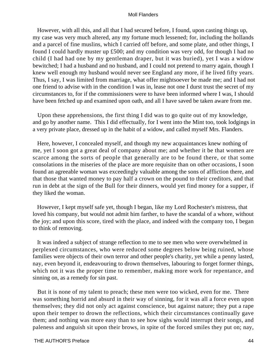However, with all this, and all that I had secured before, I found, upon casting things up, my case was very much altered, any my fortune much lessened; for, including the hollands and a parcel of fine muslins, which I carried off before, and some plate, and other things, I found I could hardly muster up £500; and my condition was very odd, for though I had no child (I had had one by my gentleman draper, but it was buried), yet I was a widow bewitched; I had a husband and no husband, and I could not pretend to marry again, though I knew well enough my husband would never see England any more, if he lived fifty years. Thus, I say, I was limited from marriage, what offer mightsoever be made me; and I had not one friend to advise with in the condition I was in, lease not one I durst trust the secret of my circumstances to, for if the commissioners were to have been informed where I was, I should have been fetched up and examined upon oath, and all I have saved be taken aware from me.

 Upon these apprehensions, the first thing I did was to go quite out of my knowledge, and go by another name. This I did effectually, for I went into the Mint too, took lodgings in a very private place, dressed up in the habit of a widow, and called myself Mrs. Flanders.

 Here, however, I concealed myself, and though my new acquaintances knew nothing of me, yet I soon got a great deal of company about me; and whether it be that women are scarce among the sorts of people that generally are to be found there, or that some consolations in the miseries of the place are more requisite than on other occasions, I soon found an agreeable woman was exceedingly valuable among the sons of affliction there, and that those that wanted money to pay half a crown on the pound to their creditors, and that run in debt at the sign of the Bull for their dinners, would yet find money for a supper, if they liked the woman.

 However, I kept myself safe yet, though I began, like my Lord Rochester's mistress, that loved his company, but would not admit him farther, to have the scandal of a whore, without the joy; and upon this score, tired with the place, and indeed with the company too, I began to think of removing.

 It was indeed a subject of strange reflection to me to see men who were overwhelmed in perplexed circumstances, who were reduced some degrees below being ruined, whose families were objects of their own terror and other people's charity, yet while a penny lasted, nay, even beyond it, endeavouring to drown themselves, labouring to forget former things, which not it was the proper time to remember, making more work for repentance, and sinning on, as a remedy for sin past.

 But it is none of my talent to preach; these men were too wicked, even for me. There was something horrid and absurd in their way of sinning, for it was all a force even upon themselves; they did not only act against conscience, but against nature; they put a rape upon their temper to drown the reflections, which their circumstances continually gave them; and nothing was more easy than to see how sighs would interrupt their songs, and paleness and anguish sit upon their brows, in spite of the forced smiles they put on; nay,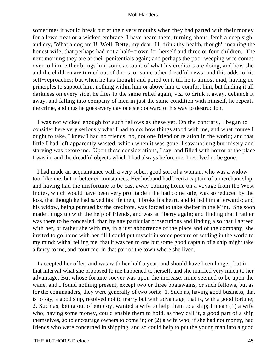sometimes it would break out at their very mouths when they had parted with their money for a lewd treat or a wicked embrace. I have heard them, turning about, fetch a deep sigh, and cry, 'What a dog am I! Well, Betty, my dear, I'll drink thy health, though'; meaning the honest wife, that perhaps had not a half−crown for herself and three or four children. The next morning they are at their penitentials again; and perhaps the poor weeping wife comes over to him, either brings him some account of what his creditors are doing, and how she and the children are turned out of doors, or some other dreadful news; and this adds to his self−reproaches; but when he has thought and pored on it till he is almost mad, having no principles to support him, nothing within him or above him to comfort him, but finding it all darkness on every side, he flies to the same relief again, viz. to drink it away, debauch it away, and falling into company of men in just the same condition with himself, he repeats the crime, and thus he goes every day one step onward of his way to destruction.

 I was not wicked enough for such fellows as these yet. On the contrary, I began to consider here very seriously what I had to do; how things stood with me, and what course I ought to take. I knew I had no friends, no, not one friend or relation in the world; and that little I had left apparently wasted, which when it was gone, I saw nothing but misery and starving was before me. Upon these considerations, I say, and filled with horror at the place I was in, and the dreadful objects which I had always before me, I resolved to be gone.

 I had made an acquaintance with a very sober, good sort of a woman, who was a widow too, like me, but in better circumstances. Her husband had been a captain of a merchant ship, and having had the misfortune to be cast away coming home on a voyage from the West Indies, which would have been very profitable if he had come safe, was so reduced by the loss, that though he had saved his life then, it broke his heart, and killed him afterwards; and his widow, being pursued by the creditors, was forced to take shelter in the Mint. She soon made things up with the help of friends, and was at liberty again; and finding that I rather was there to be concealed, than by any particular prosecutions and finding also that I agreed with her, or rather she with me, in a just abhorrence of the place and of the company, she invited to go home with her till I could put myself in some posture of settling in the world to my mind; withal telling me, that it was ten to one but some good captain of a ship might take a fancy to me, and court me, in that part of the town where she lived.

 I accepted her offer, and was with her half a year, and should have been longer, but in that interval what she proposed to me happened to herself, and she married very much to her advantage. But whose fortune soever was upon the increase, mine seemed to be upon the wane, and I found nothing present, except two or three boatswains, or such fellows, but as for the commanders, they were generally of two sorts: 1. Such as, having good business, that is to say, a good ship, resolved not to marry but with advantage, that is, with a good fortune; 2. Such as, being out of employ, wanted a wife to help them to a ship; I mean (1) a wife who, having some money, could enable them to hold, as they call it, a good part of a ship themselves, so to encourage owners to come in; or (2) a wife who, if she had not money, had friends who were concerned in shipping, and so could help to put the young man into a good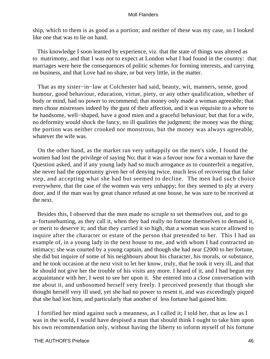ship, which to them is as good as a portion; and neither of these was my case, so I looked like one that was to lie on hand.

 This knowledge I soon learned by experience, viz. that the state of things was altered as to matrimony, and that I was not to expect at London what I had found in the country: that marriages were here the consequences of politic schemes for forming interests, and carrying on business, and that Love had no share, or but very little, in the matter.

 That as my sister−in−law at Colchester had said, beauty, wit, manners, sense, good humour, good behaviour, education, virtue, piety, or any other qualification, whether of body or mind, had no power to recommend; that money only made a woman agreeable; that men chose mistresses indeed by the gust of their affection, and it was requisite to a whore to be handsome, well−shaped, have a good mien and a graceful behaviour; but that for a wife, no deformity would shock the fancy, no ill qualities the judgment; the money was the thing; the portion was neither crooked nor monstrous, but the money was always agreeable, whatever the wife was.

 On the other hand, as the market ran very unhappily on the men's side, I found the women had lost the privilege of saying No; that it was a favour now for a woman to have the Question asked, and if any young lady had so much arrogance as to counterfeit a negative, she never had the opportunity given her of denying twice, much less of recovering that false step, and accepting what she had but seemed to decline. The men had such choice everywhere, that the case of the women was very unhappy; for they seemed to ply at every door, and if the man was by great chance refused at one house, he was sure to be received at the next.

 Besides this, I observed that the men made no scruple to set themselves out, and to go a−fortunehunting, as they call it, when they had really no fortune themselves to demand it, or merit to deserve it; and that they carried it so high, that a woman was scarce allowed to inquire after the character or estate of the person that pretended to her. This I had an example of, in a young lady in the next house to me, and with whom I had contracted an intimacy; she was courted by a young captain, and though she had near £2000 to her fortune, she did but inquire of some of his neighbours about his character, his morals, or substance, and he took occasion at the next visit to let her know, truly, that he took it very ill, and that he should not give her the trouble of his visits any more. I heard of it, and I had begun my acquaintance with her, I went to see her upon it. She entered into a close conversation with me about it, and unbosomed herself very freely. I perceived presently that though she thought herself very ill used, yet she had no power to resent it, and was exceedingly piqued that she had lost him, and particularly that another of less fortune had gained him.

 I fortified her mind against such a meanness, as I called it; I told her, that as low as I was in the world, I would have despised a man that should think I ought to take him upon his own recommendation only, without having the liberty to inform myself of his fortune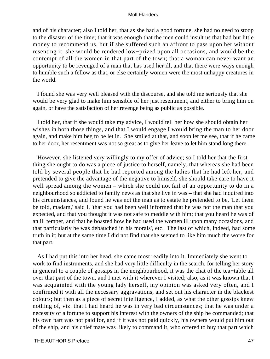and of his character; also I told her, that as she had a good fortune, she had no need to stoop to the disaster of the time; that it was enough that the men could insult us that had but little money to recommend us, but if she suffered such an affront to pass upon her without resenting it, she would be rendered low−prized upon all occasions, and would be the contempt of all the women in that part of the town; that a woman can never want an opportunity to be revenged of a man that has used her ill, and that there were ways enough to humble such a fellow as that, or else certainly women were the most unhappy creatures in the world.

 I found she was very well pleased with the discourse, and she told me seriously that she would be very glad to make him sensible of her just resentment, and either to bring him on again, or have the satisfaction of her revenge being as public as possible.

 I told her, that if she would take my advice, I would tell her how she should obtain her wishes in both those things, and that I would engage I would bring the man to her door again, and make him beg to be let in. She smiled at that, and soon let me see, that if he came to her door, her resentment was not so great as to give her leave to let him stand long there.

 However, she listened very willingly to my offer of advice; so I told her that the first thing she ought to do was a piece of justice to herself, namely, that whereas she had been told by several people that he had reported among the ladies that he had left her, and pretended to give the advantage of the negative to himself, she should take care to have it well spread among the women – which she could not fail of an opportunity to do in a neighbourhood so addicted to family news as that she live in was – that she had inquired into his circumstances, and found he was not the man as to estate he pretended to be. 'Let them be told, madam,' said I, 'that you had been well informed that he was not the man that you expected, and that you thought it was not safe to meddle with him; that you heard he was of an ill temper, and that he boasted how he had used the women ill upon many occasions, and that particularly he was debauched in his morals', etc. The last of which, indeed, had some truth in it; but at the same time I did not find that she seemed to like him much the worse for that part.

 As I had put this into her head, she came most readily into it. Immediately she went to work to find instruments, and she had very little difficulty in the search, for telling her story in general to a couple of gossips in the neighbourhood, it was the chat of the tea−table all over that part of the town, and I met with it wherever I visited; also, as it was known that I was acquainted with the young lady herself, my opinion was asked very often, and I confirmed it with all the necessary aggravations, and set out his character in the blackest colours; but then as a piece of secret intelligence, I added, as what the other gossips knew nothing of, viz. that I had heard he was in very bad circumstances; that he was under a necessity of a fortune to support his interest with the owners of the ship he commanded; that his own part was not paid for, and if it was not paid quickly, his owners would put him out of the ship, and his chief mate was likely to command it, who offered to buy that part which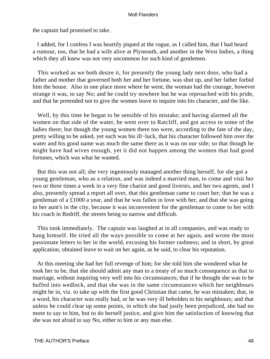the captain had promised to take.

 I added, for I confess I was heartily piqued at the rogue, as I called him, that I had heard a rumour, too, that he had a wife alive at Plymouth, and another in the West Indies, a thing which they all knew was not very uncommon for such kind of gentlemen.

 This worked as we both desire it, for presently the young lady next door, who had a father and mother that governed both her and her fortune, was shut up, and her father forbid him the house. Also in one place more where he went, the woman had the courage, however strange it was, to say No; and he could try nowhere but he was reproached with his pride, and that he pretended not to give the women leave to inquire into his character, and the like.

 Well, by this time he began to be sensible of his mistake; and having alarmed all the women on that side of the water, he went over to Ratcliff, and got access to some of the ladies there; but though the young women there too were, according to the fate of the day, pretty willing to be asked, yet such was his ill−luck, that his character followed him over the water and his good name was much the same there as it was on our side; so that though he might have had wives enough, yet it did not happen among the women that had good fortunes, which was what he wanted.

 But this was not all; she very ingeniously managed another thing herself, for she got a young gentleman, who as a relation, and was indeed a married man, to come and visit her two or three times a week in a very fine chariot and good liveries, and her two agents, and I also, presently spread a report all over, that this gentleman came to court her; that he was a gentleman of a £1000 a year, and that he was fallen in love with her, and that she was going to her aunt's in the city, because it was inconvenient for the gentleman to come to her with his coach in Redriff, the streets being so narrow and difficult.

 This took immediately. The captain was laughed at in all companies, and was ready to hang himself. He tried all the ways possible to come at her again, and wrote the most passionate letters to her in the world, excusing his former rashness; and in short, by great application, obtained leave to wait on her again, as he said, to clear his reputation.

 At this meeting she had her full revenge of him; for she told him she wondered what he took her to be, that she should admit any man to a treaty of so much consequence as that to marriage, without inquiring very well into his circumstances; that if he thought she was to be huffed into wedlock, and that she was in the same circumstances which her neighbours might be in, viz. to take up with the first good Christian that came, he was mistaken; that, in a word, his character was really bad, or he was very ill beholden to his neighbours; and that unless he could clear up some points, in which she had justly been prejudiced, she had no more to say to him, but to do herself justice, and give him the satisfaction of knowing that she was not afraid to say No, either to him or any man else.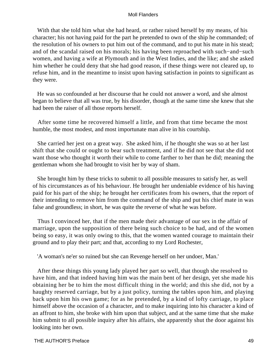With that she told him what she had heard, or rather raised herself by my means, of his character; his not having paid for the part he pretended to own of the ship he commanded; of the resolution of his owners to put him out of the command, and to put his mate in his stead; and of the scandal raised on his morals; his having been reproached with such−and−such women, and having a wife at Plymouth and in the West Indies, and the like; and she asked him whether he could deny that she had good reason, if these things were not cleared up, to refuse him, and in the meantime to insist upon having satisfaction in points to significant as they were.

 He was so confounded at her discourse that he could not answer a word, and she almost began to believe that all was true, by his disorder, though at the same time she knew that she had been the raiser of all those reports herself.

 After some time he recovered himself a little, and from that time became the most humble, the most modest, and most importunate man alive in his courtship.

 She carried her jest on a great way. She asked him, if he thought she was so at her last shift that she could or ought to bear such treatment, and if he did not see that she did not want those who thought it worth their while to come farther to her than he did; meaning the gentleman whom she had brought to visit her by way of sham.

 She brought him by these tricks to submit to all possible measures to satisfy her, as well of his circumstances as of his behaviour. He brought her undeniable evidence of his having paid for his part of the ship; he brought her certificates from his owners, that the report of their intending to remove him from the command of the ship and put his chief mate in was false and groundless; in short, he was quite the reverse of what he was before.

 Thus I convinced her, that if the men made their advantage of our sex in the affair of marriage, upon the supposition of there being such choice to be had, and of the women being so easy, it was only owing to this, that the women wanted courage to maintain their ground and to play their part; and that, according to my Lord Rochester,

'A woman's ne'er so ruined but she can Revenge herself on her undoer, Man.'

 After these things this young lady played her part so well, that though she resolved to have him, and that indeed having him was the main bent of her design, yet she made his obtaining her be to him the most difficult thing in the world; and this she did, not by a haughty reserved carriage, but by a just policy, turning the tables upon him, and playing back upon him his own game; for as he pretended, by a kind of lofty carriage, to place himself above the occasion of a character, and to make inquiring into his character a kind of an affront to him, she broke with him upon that subject, and at the same time that she make him submit to all possible inquiry after his affairs, she apparently shut the door against his looking into her own.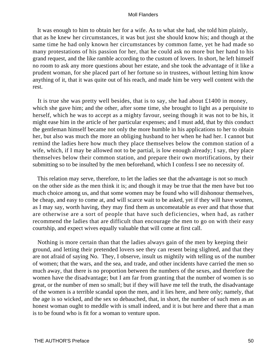It was enough to him to obtain her for a wife. As to what she had, she told him plainly, that as he knew her circumstances, it was but just she should know his; and though at the same time he had only known her circumstances by common fame, yet he had made so many protestations of his passion for her, that he could ask no more but her hand to his grand request, and the like ramble according to the custom of lovers. In short, he left himself no room to ask any more questions about her estate, and she took the advantage of it like a prudent woman, for she placed part of her fortune so in trustees, without letting him know anything of it, that it was quite out of his reach, and made him be very well content with the rest.

 It is true she was pretty well besides, that is to say, she had about £1400 in money, which she gave him; and the other, after some time, she brought to light as a perquisite to herself, which he was to accept as a mighty favour, seeing though it was not to be his, it might ease him in the article of her particular expenses; and I must add, that by this conduct the gentleman himself became not only the more humble in his applications to her to obtain her, but also was much the more an obliging husband to her when he had her. I cannot but remind the ladies here how much they place themselves below the common station of a wife, which, if I may be allowed not to be partial, is low enough already; I say, they place themselves below their common station, and prepare their own mortifications, by their submitting so to be insulted by the men beforehand, which I confess I see no necessity of.

 This relation may serve, therefore, to let the ladies see that the advantage is not so much on the other side as the men think it is; and though it may be true that the men have but too much choice among us, and that some women may be found who will dishonour themselves, be cheap, and easy to come at, and will scarce wait to be asked, yet if they will have women, as I may say, worth having, they may find them as uncomeatable as ever and that those that are otherwise are a sort of people that have such deficiencies, when had, as rather recommend the ladies that are difficult than encourage the men to go on with their easy courtship, and expect wives equally valuable that will come at first call.

 Nothing is more certain than that the ladies always gain of the men by keeping their ground, and letting their pretended lovers see they can resent being slighted, and that they are not afraid of saying No. They, I observe, insult us mightily with telling us of the number of women; that the wars, and the sea, and trade, and other incidents have carried the men so much away, that there is no proportion between the numbers of the sexes, and therefore the women have the disadvantage; but I am far from granting that the number of women is so great, or the number of men so small; but if they will have me tell the truth, the disadvantage of the women is a terrible scandal upon the men, and it lies here, and here only; namely, that the age is so wicked, and the sex so debauched, that, in short, the number of such men as an honest woman ought to meddle with is small indeed, and it is but here and there that a man is to be found who is fit for a woman to venture upon.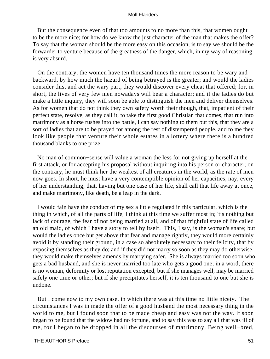But the consequence even of that too amounts to no more than this, that women ought to be the more nice; for how do we know the just character of the man that makes the offer? To say that the woman should be the more easy on this occasion, is to say we should be the forwarder to venture because of the greatness of the danger, which, in my way of reasoning, is very absurd.

 On the contrary, the women have ten thousand times the more reason to be wary and backward, by how much the hazard of being betrayed is the greater; and would the ladies consider this, and act the wary part, they would discover every cheat that offered; for, in short, the lives of very few men nowadays will bear a character; and if the ladies do but make a little inquiry, they will soon be able to distinguish the men and deliver themselves. As for women that do not think they own safety worth their though, that, impatient of their perfect state, resolve, as they call it, to take the first good Christian that comes, that run into matrimony as a horse rushes into the battle, I can say nothing to them but this, that they are a sort of ladies that are to be prayed for among the rest of distempered people, and to me they look like people that venture their whole estates in a lottery where there is a hundred thousand blanks to one prize.

 No man of common−sense will value a woman the less for not giving up herself at the first attack, or for accepting his proposal without inquiring into his person or character; on the contrary, he must think her the weakest of all creatures in the world, as the rate of men now goes. In short, he must have a very contemptible opinion of her capacities, nay, every of her understanding, that, having but one case of her life, shall call that life away at once, and make matrimony, like death, be a leap in the dark.

 I would fain have the conduct of my sex a little regulated in this particular, which is the thing in which, of all the parts of life, I think at this time we suffer most in; 'tis nothing but lack of courage, the fear of not being married at all, and of that frightful state of life called an old maid, of which I have a story to tell by itself. This, I say, is the woman's snare; but would the ladies once but get above that fear and manage rightly, they would more certainly avoid it by standing their ground, in a case so absolutely necessary to their felicity, that by exposing themselves as they do; and if they did not marry so soon as they may do otherwise, they would make themselves amends by marrying safer. She is always married too soon who gets a bad husband, and she is never married too late who gets a good one; in a word, there is no woman, deformity or lost reputation excepted, but if she manages well, may be married safely one time or other; but if she precipitates herself, it is ten thousand to one but she is undone.

 But I come now to my own case, in which there was at this time no little nicety. The circumstances I was in made the offer of a good husband the most necessary thing in the world to me, but I found soon that to be made cheap and easy was not the way. It soon began to be found that the widow had no fortune, and to say this was to say all that was ill of me, for I began to be dropped in all the discourses of matrimony. Being well−bred,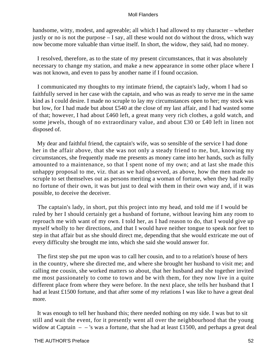handsome, witty, modest, and agreeable; all which I had allowed to my character – whether justly or no is not the purpose – I say, all these would not do without the dross, which way now become more valuable than virtue itself. In short, the widow, they said, had no money.

 I resolved, therefore, as to the state of my present circumstances, that it was absolutely necessary to change my station, and make a new appearance in some other place where I was not known, and even to pass by another name if I found occasion.

 I communicated my thoughts to my intimate friend, the captain's lady, whom I had so faithfully served in her case with the captain, and who was as ready to serve me in the same kind as I could desire. I made no scruple to lay my circumstances open to her; my stock was but low, for I had made but about £540 at the close of my last affair, and I had wasted some of that; however, I had about £460 left, a great many very rich clothes, a gold watch, and some jewels, though of no extraordinary value, and about £30 or £40 left in linen not disposed of.

 My dear and faithful friend, the captain's wife, was so sensible of the service I had done her in the affair above, that she was not only a steady friend to me, but, knowing my circumstances, she frequently made me presents as money came into her hands, such as fully amounted to a maintenance, so that I spent none of my own; and at last she made this unhappy proposal to me, viz. that as we had observed, as above, how the men made no scruple to set themselves out as persons meriting a woman of fortune, when they had really no fortune of their own, it was but just to deal with them in their own way and, if it was possible, to deceive the deceiver.

 The captain's lady, in short, put this project into my head, and told me if I would be ruled by her I should certainly get a husband of fortune, without leaving him any room to reproach me with want of my own. I told her, as I had reason to do, that I would give up myself wholly to her directions, and that I would have neither tongue to speak nor feet to step in that affair but as she should direct me, depending that she would extricate me out of every difficulty she brought me into, which she said she would answer for.

 The first step she put me upon was to call her cousin, and to to a relation's house of hers in the country, where she directed me, and where she brought her husband to visit me; and calling me cousin, she worked matters so about, that her husband and she together invited me most passionately to come to town and be with them, for they now live in a quite different place from where they were before. In the next place, she tells her husband that I had at least £1500 fortune, and that after some of my relations I was like to have a great deal more.

 It was enough to tell her husband this; there needed nothing on my side. I was but to sit still and wait the event, for it presently went all over the neighbourhood that the young widow at Captain – – 's was a fortune, that she had at least £1500, and perhaps a great deal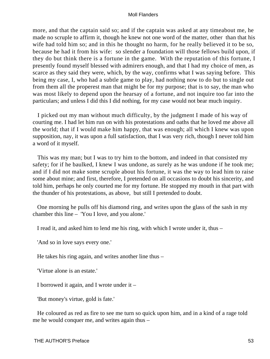more, and that the captain said so; and if the captain was asked at any timeabout me, he made no scruple to affirm it, though he knew not one word of the matter, other than that his wife had told him so; and in this he thought no harm, for he really believed it to be so, because he had it from his wife: so slender a foundation will those fellows build upon, if they do but think there is a fortune in the game. With the reputation of this fortune, I presently found myself blessed with admirers enough, and that I had my choice of men, as scarce as they said they were, which, by the way, confirms what I was saying before. This being my case, I, who had a subtle game to play, had nothing now to do but to single out from them all the properest man that might be for my purpose; that is to say, the man who was most likely to depend upon the hearsay of a fortune, and not inquire too far into the particulars; and unless I did this I did nothing, for my case would not bear much inquiry.

 I picked out my man without much difficulty, by the judgment I made of his way of courting me. I had let him run on with his protestations and oaths that he loved me above all the world; that if I would make him happy, that was enough; all which I knew was upon supposition, nay, it was upon a full satisfaction, that I was very rich, though I never told him a word of it myself.

 This was my man; but I was to try him to the bottom, and indeed in that consisted my safety; for if he baulked, I knew I was undone, as surely as he was undone if he took me; and if I did not make some scruple about his fortune, it was the way to lead him to raise some about mine; and first, therefore, I pretended on all occasions to doubt his sincerity, and told him, perhaps he only courted me for my fortune. He stopped my mouth in that part with the thunder of his protestations, as above, but still I pretended to doubt.

 One morning he pulls off his diamond ring, and writes upon the glass of the sash in my chamber this line – 'You I love, and you alone.'

I read it, and asked him to lend me his ring, with which I wrote under it, thus –

'And so in love says every one.'

He takes his ring again, and writes another line thus –

'Virtue alone is an estate.'

I borrowed it again, and I wrote under it –

'But money's virtue, gold is fate.'

 He coloured as red as fire to see me turn so quick upon him, and in a kind of a rage told me he would conquer me, and writes again thus –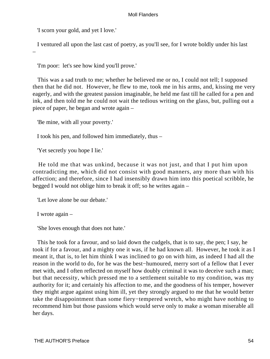'I scorn your gold, and yet I love.'

–

I ventured all upon the last cast of poetry, as you'll see, for I wrote boldly under his last

'I'm poor: let's see how kind you'll prove.'

 This was a sad truth to me; whether he believed me or no, I could not tell; I supposed then that he did not. However, he flew to me, took me in his arms, and, kissing me very eagerly, and with the greatest passion imaginable, he held me fast till he called for a pen and ink, and then told me he could not wait the tedious writing on the glass, but, pulling out a piece of paper, he began and wrote again –

'Be mine, with all your poverty.'

I took his pen, and followed him immediately, thus –

'Yet secretly you hope I lie.'

 He told me that was unkind, because it was not just, and that I put him upon contradicting me, which did not consist with good manners, any more than with his affection; and therefore, since I had insensibly drawn him into this poetical scribble, he begged I would not oblige him to break it off; so he writes again –

'Let love alone be our debate.'

I wrote again –

'She loves enough that does not hate.'

 This he took for a favour, and so laid down the cudgels, that is to say, the pen; I say, he took if for a favour, and a mighty one it was, if he had known all. However, he took it as I meant it, that is, to let him think I was inclined to go on with him, as indeed I had all the reason in the world to do, for he was the best−humoured, merry sort of a fellow that I ever met with, and I often reflected on myself how doubly criminal it was to deceive such a man; but that necessity, which pressed me to a settlement suitable to my condition, was my authority for it; and certainly his affection to me, and the goodness of his temper, however they might argue against using him ill, yet they strongly argued to me that he would better take the disappointment than some fiery−tempered wretch, who might have nothing to recommend him but those passions which would serve only to make a woman miserable all her days.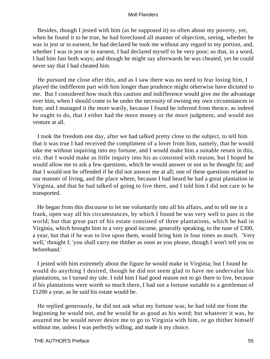Besides, though I jested with him (as he supposed it) so often about my poverty, yet, when he found it to be true, he had foreclosed all manner of objection, seeing, whether he was in jest or in earnest, he had declared he took me without any regard to my portion, and, whether I was in jest or in earnest, I had declared myself to be very poor; so that, in a word, I had him fast both ways; and though he might say afterwards he was cheated, yet he could never say that I had cheated him.

 He pursued me close after this, and as I saw there was no need to fear losing him, I played the indifferent part with him longer than prudence might otherwise have dictated to me. But I considered how much this caution and indifference would give me the advantage over him, when I should come to be under the necessity of owning my own circumstances to him; and I managed it the more warily, because I found he inferred from thence, as indeed he ought to do, that I either had the more money or the more judgment, and would not venture at all.

 I took the freedom one day, after we had talked pretty close to the subject, to tell him that it was true I had received the compliment of a lover from him, namely, that he would take me without inquiring into my fortune, and I would make him a suitable return in this, viz. that I would make as little inquiry into his as consisted with reason, but I hoped he would allow me to ask a few questions, which he would answer or not as he thought fit; and that I would not be offended if he did not answer me at all; one of these questions related to our manner of living, and the place where, because I had heard he had a great plantation in Virginia, and that he had talked of going to live there, and I told him I did not care to be transported.

 He began from this discourse to let me voluntarily into all his affairs, and to tell me in a frank, open way all his circumstances, by which I found he was very well to pass in the world; but that great part of his estate consisted of three plantations, which he had in Virginia, which brought him in a very good income, generally speaking, to the tune of £300, a year, but that if he was to live upon them, would bring him in four times as much. 'Very well,' thought I; 'you shall carry me thither as soon as you please, though I won't tell you so beforehand.'

 I jested with him extremely about the figure he would make in Virginia; but I found he would do anything I desired, though he did not seem glad to have me undervalue his plantations, so I turned my tale. I told him I had good reason not to go there to live, because if his plantations were worth so much there, I had not a fortune suitable to a gentleman of £1200 a year, as he said his estate would be.

 He replied generously, he did not ask what my fortune was; he had told me from the beginning he would not, and he would be as good as his word; but whatever it was, he assured me he would never desire me to go to Virginia with him, or go thither himself without me, unless I was perfectly willing, and made it my choice.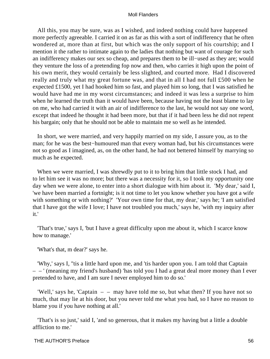All this, you may be sure, was as I wished, and indeed nothing could have happened more perfectly agreeable. I carried it on as far as this with a sort of indifferency that he often wondered at, more than at first, but which was the only support of his courtship; and I mention it the rather to intimate again to the ladies that nothing but want of courage for such an indifferency makes our sex so cheap, and prepares them to be ill−used as they are; would they venture the loss of a pretending fop now and then, who carries it high upon the point of his own merit, they would certainly be less slighted, and courted more. Had I discovered really and truly what my great fortune was, and that in all I had not full £500 when he expected £1500, yet I had hooked him so fast, and played him so long, that I was satisfied he would have had me in my worst circumstances; and indeed it was less a surprise to him when he learned the truth than it would have been, because having not the least blame to lay on me, who had carried it with an air of indifference to the last, he would not say one word, except that indeed he thought it had been more, but that if it had been less he did not repent his bargain; only that he should not be able to maintain me so well as he intended.

 In short, we were married, and very happily married on my side, I assure you, as to the man; for he was the best–humoured man that every woman had, but his circumstances were not so good as I imagined, as, on the other hand, he had not bettered himself by marrying so much as he expected.

When we were married, I was shrewdly put to it to bring him that little stock I had, and to let him see it was no more; but there was a necessity for it, so I took my opportunity one day when we were alone, to enter into a short dialogue with him about it. 'My dear,' said I, 'we have been married a fortnight; is it not time to let you know whether you have got a wife with something or with nothing?' 'Your own time for that, my dear,' says he; 'I am satisfied that I have got the wife I love; I have not troubled you much,' says he, 'with my inquiry after it.'

 'That's true,' says I, 'but I have a great difficulty upon me about it, which I scarce know how to manage.'

'What's that, m dear?' says he.

 'Why,' says I, ''tis a little hard upon me, and 'tis harder upon you. I am told that Captain – – ' (meaning my friend's husband) 'has told you I had a great deal more money than I ever pretended to have, and I am sure I never employed him to do so.'

'Well,' says he, 'Captain  $-$  – may have told me so, but what then? If you have not so much, that may lie at his door, but you never told me what you had, so I have no reason to blame you if you have nothing at all.'

 'That's is so just,' said I, 'and so generous, that it makes my having but a little a double affliction to me.'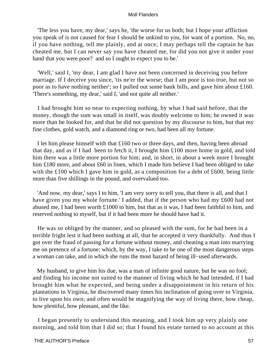'The less you have, my dear,' says he, 'the worse for us both; but I hope your affliction you speak of is not caused for fear I should be unkind to you, for want of a portion. No, no, if you have nothing, tell me plainly, and at once; I may perhaps tell the captain he has cheated me, but I can never say you have cheated me, for did you not give it under your hand that you were poor? and so I ought to expect you to be.'

 'Well,' said I, 'my dear, I am glad I have not been concerned in deceiving you before marriage. If I deceive you since, 'tis ne'er the worse; that I am poor is too true, but not so poor as to have nothing neither'; so I pulled out some bank bills, and gave him about £160. 'There's something, my dear,' said I, 'and not quite all neither.'

 I had brought him so near to expecting nothing, by what I had said before, that the money, though the sum was small in itself, was doubly welcome to him; he owned it was more than he looked for, and that he did not question by my discourse to him, but that my fine clothes, gold watch, and a diamond ring or two, had been all my fortune.

 I let him please himself with that £160 two or three days, and then, having been abroad that day, and as if I had been to fetch it, I brought him £100 more home in gold, and told him there was a little more portion for him; and, in short, in about a week more I brought him £180 more, and about £60 in linen, which I made him believe I had been obliged to take with the £100 which I gave him in gold, as a composition for a debt of £600, being little more than five shillings in the pound, and overvalued too.

 'And now, my dear,' says I to him, 'I am very sorry to tell you, that there is all, and that I have given you my whole fortune.' I added, that if the person who had my £600 had not abused me, I had been worth £1000 to him, but that as it was, I had been faithful to him, and reserved nothing to myself, but if it had been more he should have had it.

 He was so obliged by the manner, and so pleased with the sum, for he had been in a terrible fright lest it had been nothing at all, that he accepted it very thankfully. And thus I got over the fraud of passing for a fortune without money, and cheating a man into marrying me on pretence of a fortune; which, by the way, I take to be one of the most dangerous steps a woman can take, and in which she runs the most hazard of being ill−used afterwards.

 My husband, to give him his due, was a man of infinite good nature, but he was no fool; and finding his income not suited to the manner of living which he had intended, if I had brought him what he expected, and being under a disappointment in his return of his plantations in Virginia, he discovered many times his inclination of going over to Virginia, to live upon his own; and often would be magnifying the way of living there, how cheap, how plentiful, how pleasant, and the like.

 I began presently to understand this meaning, and I took him up very plainly one morning, and told him that I did so; that I found his estate turned to no account at this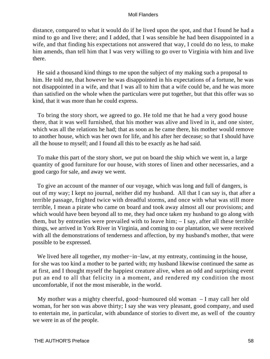distance, compared to what it would do if he lived upon the spot, and that I found he had a mind to go and live there; and I added, that I was sensible he had been disappointed in a wife, and that finding his expectations not answered that way, I could do no less, to make him amends, than tell him that I was very willing to go over to Virginia with him and live there.

 He said a thousand kind things to me upon the subject of my making such a proposal to him. He told me, that however he was disappointed in his expectations of a fortune, he was not disappointed in a wife, and that I was all to him that a wife could be, and he was more than satisfied on the whole when the particulars were put together, but that this offer was so kind, that it was more than he could express.

 To bring the story short, we agreed to go. He told me that he had a very good house there, that it was well furnished, that his mother was alive and lived in it, and one sister, which was all the relations he had; that as soon as he came there, his mother would remove to another house, which was her own for life, and his after her decease; so that I should have all the house to myself; and I found all this to be exactly as he had said.

 To make this part of the story short, we put on board the ship which we went in, a large quantity of good furniture for our house, with stores of linen and other necessaries, and a good cargo for sale, and away we went.

 To give an account of the manner of our voyage, which was long and full of dangers, is out of my way; I kept no journal, neither did my husband. All that I can say is, that after a terrible passage, frighted twice with dreadful storms, and once with what was still more terrible, I mean a pirate who came on board and took away almost all our provisions; and which would have been beyond all to me, they had once taken my husband to go along with them, but by entreaties were prevailed with to leave him; – I say, after all these terrible things, we arrived in York River in Virginia, and coming to our plantation, we were received with all the demonstrations of tenderness and affection, by my husband's mother, that were possible to be expressed.

 We lived here all together, my mother−in−law, at my entreaty, continuing in the house, for she was too kind a mother to be parted with; my husband likewise continued the same as at first, and I thought myself the happiest creature alive, when an odd and surprising event put an end to all that felicity in a moment, and rendered my condition the most uncomfortable, if not the most miserable, in the world.

 My mother was a mighty cheerful, good−humoured old woman – I may call her old woman, for her son was above thirty; I say she was very pleasant, good company, and used to entertain me, in particular, with abundance of stories to divert me, as well of the country we were in as of the people.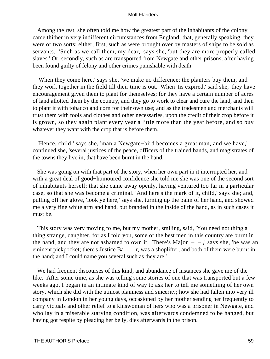Among the rest, she often told me how the greatest part of the inhabitants of the colony came thither in very indifferent circumstances from England; that, generally speaking, they were of two sorts; either, first, such as were brought over by masters of ships to be sold as servants. 'Such as we call them, my dear,' says she, 'but they are more properly called slaves.' Or, secondly, such as are transported from Newgate and other prisons, after having been found guilty of felony and other crimes punishable with death.

 'When they come here,' says she, 'we make no difference; the planters buy them, and they work together in the field till their time is out. When 'tis expired,' said she, 'they have encouragement given them to plant for themselves; for they have a certain number of acres of land allotted them by the country, and they go to work to clear and cure the land, and then to plant it with tobacco and corn for their own use; and as the tradesmen and merchants will trust them with tools and clothes and other necessaries, upon the credit of their crop before it is grown, so they again plant every year a little more than the year before, and so buy whatever they want with the crop that is before them.

 'Hence, child,' says she, 'man a Newgate−bird becomes a great man, and we have,' continued she, 'several justices of the peace, officers of the trained bands, and magistrates of the towns they live in, that have been burnt in the hand.'

 She was going on with that part of the story, when her own part in it interrupted her, and with a great deal of good−humoured confidence she told me she was one of the second sort of inhabitants herself; that she came away openly, having ventured too far in a particular case, so that she was become a criminal. 'And here's the mark of it, child,' says she; and, pulling off her glove, 'look ye here,' says she, turning up the palm of her hand, and showed me a very fine white arm and hand, but branded in the inside of the hand, as in such cases it must be.

 This story was very moving to me, but my mother, smiling, said, 'You need not thing a thing strange, daughter, for as I told you, some of the best men in this country are burnt in the hand, and they are not ashamed to own it. There's Major  $-$ , says she, 'he was an eminent pickpocket; there's Justice  $Ba - -r$ , was a shoplifter, and both of them were burnt in the hand; and I could name you several such as they are.'

 We had frequent discourses of this kind, and abundance of instances she gave me of the like. After some time, as she was telling some stories of one that was transported but a few weeks ago, I began in an intimate kind of way to ask her to tell me something of her own story, which she did with the utmost plainness and sincerity; how she had fallen into very ill company in London in her young days, occasioned by her mother sending her frequently to carry victuals and other relief to a kinswoman of hers who was a prisoner in Newgate, and who lay in a miserable starving condition, was afterwards condemned to be hanged, but having got respite by pleading her belly, dies afterwards in the prison.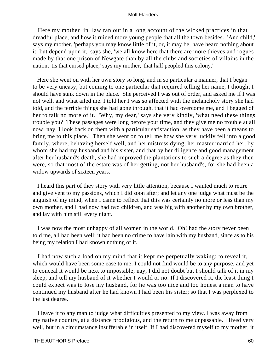Here my mother−in−law ran out in a long account of the wicked practices in that dreadful place, and how it ruined more young people that all the town besides. 'And child,' says my mother, 'perhaps you may know little of it, or, it may be, have heard nothing about it; but depend upon it,' says she, 'we all know here that there are more thieves and rogues made by that one prison of Newgate than by all the clubs and societies of villains in the nation; 'tis that cursed place,' says my mother, 'that half peopled this colony.'

 Here she went on with her own story so long, and in so particular a manner, that I began to be very uneasy; but coming to one particular that required telling her name, I thought I should have sunk down in the place. She perceived I was out of order, and asked me if I was not well, and what ailed me. I told her I was so affected with the melancholy story she had told, and the terrible things she had gone through, that it had overcome me, and I begged of her to talk no more of it. 'Why, my dear,' says she very kindly, 'what need these things trouble you? These passages were long before your time, and they give me no trouble at all now; nay, I look back on them with a particular satisfaction, as they have been a means to bring me to this place.' Then she went on to tell me how she very luckily fell into a good family, where, behaving herself well, and her mistress dying, her master married her, by whom she had my husband and his sister, and that by her diligence and good management after her husband's death, she had improved the plantations to such a degree as they then were, so that most of the estate was of her getting, not her husband's, for she had been a widow upwards of sixteen years.

 I heard this part of they story with very little attention, because I wanted much to retire and give vent to my passions, which I did soon after; and let any one judge what must be the anguish of my mind, when I came to reflect that this was certainly no more or less than my own mother, and I had now had two children, and was big with another by my own brother, and lay with him still every night.

 I was now the most unhappy of all women in the world. Oh! had the story never been told me, all had been well; it had been no crime to have lain with my husband, since as to his being my relation I had known nothing of it.

 I had now such a load on my mind that it kept me perpetually waking; to reveal it, which would have been some ease to me, I could not find would be to any purpose, and yet to conceal it would be next to impossible; nay, I did not doubt but I should talk of it in my sleep, and tell my husband of it whether I would or no. If I discovered it, the least thing I could expect was to lose my husband, for he was too nice and too honest a man to have continued my husband after he had known I had been his sister; so that I was perplexed to the last degree.

 I leave it to any man to judge what difficulties presented to my view. I was away from my native country, at a distance prodigious, and the return to me unpassable. I lived very well, but in a circumstance insufferable in itself. If I had discovered myself to my mother, it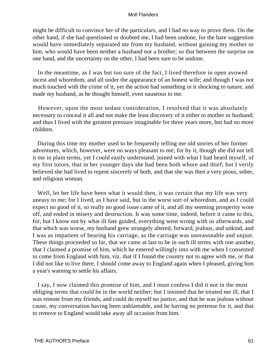might be difficult to convince her of the particulars, and I had no way to prove them. On the other hand, if she had questioned or doubted me, I had been undone, for the bare suggestion would have immediately separated me from my husband, without gaining my mother or him, who would have been neither a husband nor a brother; so that between the surprise on one hand, and the uncertainty on the other, I had been sure to be undone.

 In the meantime, as I was but too sure of the fact, I lived therefore in open avowed incest and whoredom, and all under the appearance of an honest wife; and though I was not much touched with the crime of it, yet the action had something in it shocking to nature, and made my husband, as he thought himself, even nauseous to me.

 However, upon the most sedate consideration, I resolved that it was absolutely necessary to conceal it all and not make the least discovery of it either to mother or husband; and thus I lived with the greatest pressure imaginable for three years more, but had no more children.

 During this time my mother used to be frequently telling me old stories of her former adventures, which, however, were no ways pleasant to me; for by it, though she did not tell it me in plain terms, yet I could easily understand, joined with what I had heard myself, of my first tutors, that in her younger days she had been both whore and thief; but I verily believed she had lived to repent sincerely of both, and that she was then a very pious, sober, and religious woman.

 Well, let her life have been what it would then, it was certain that my life was very uneasy to me; for I lived, as I have said, but in the worst sort of whoredom, and as I could expect no good of it, so really no good issue came of it, and all my seeming prosperity wore off, and ended in misery and destruction. It was some time, indeed, before it came to this, for, but I know not by what ill fate guided, everything went wrong with us afterwards, and that which was worse, my husband grew strangely altered, forward, jealous, and unkind, and I was as impatient of bearing his carriage, as the carriage was unreasonable and unjust. These things proceeded so far, that we came at last to be in such ill terms with one another, that I claimed a promise of him, which he entered willingly into with me when I consented to come from England with him, viz. that if I found the country not to agree with me, or that I did not like to live there, I should come away to England again when I pleased, giving him a year's warning to settle his affairs.

 I say, I now claimed this promise of him, and I must confess I did it not in the most obliging terms that could be in the world neither; but I insisted that he treated me ill, that I was remote from my friends, and could do myself no justice, and that he was jealous without cause, my conversation having been unblamable, and he having no pretense for it, and that to remove to England would take away all occasion from him.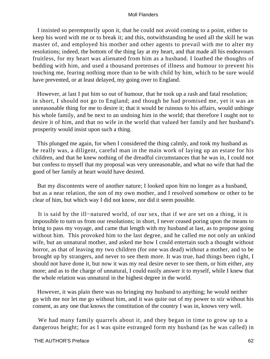I insisted so peremptorily upon it, that he could not avoid coming to a point, either to keep his word with me or to break it; and this, notwithstanding he used all the skill he was master of, and employed his mother and other agents to prevail with me to alter my resolutions; indeed, the bottom of the thing lay at my heart, and that made all his endeavours fruitless, for my heart was alienated from him as a husband. I loathed the thoughts of bedding with him, and used a thousand pretenses of illness and humour to prevent his touching me, fearing nothing more than to be with child by him, which to be sure would have prevented, or at least delayed, my going over to England.

 However, at last I put him so out of humour, that he took up a rash and fatal resolution; in short, I should not go to England; and though he had promised me, yet it was an unreasonable thing for me to desire it; that it would be ruinous to his affairs, would unhinge his whole family, and be next to an undoing him in the world; that therefore I ought not to desire it of him, and that no wife in the world that valued her family and her husband's prosperity would insist upon such a thing.

 This plunged me again, for when I considered the thing calmly, and took my husband as he really was, a diligent, careful man in the main work of laying up an estate for his children, and that he knew nothing of the dreadful circumstances that he was in, I could not but confess to myself that my proposal was very unreasonable, and what no wife that had the good of her family at heart would have desired.

 But my discontents were of another nature; I looked upon him no longer as a husband, but as a near relation, the son of my own mother, and I resolved somehow or other to be clear of him, but which way I did not know, nor did it seem possible.

 It is said by the ill−natured world, of our sex, that if we are set on a thing, it is impossible to turn us from our resolutions; in short, I never ceased poring upon the means to bring to pass my voyage, and came that length with my husband at last, as to propose going without him. This provoked him to the last degree, and he called me not only an unkind wife, but an unnatural mother, and asked me how I could entertain such a thought without horror, as that of leaving my two children (for one was dead) without a mother, and to be brought up by strangers, and never to see them more. It was true, had things been right, I should not have done it, but now it was my real desire never to see them, or him either, any more; and as to the charge of unnatural, I could easily answer it to myself, while I knew that the whole relation was unnatural in the highest degree in the world.

 However, it was plain there was no bringing my husband to anything; he would neither go with me nor let me go without him, and it was quite out of my power to stir without his consent, as any one that knows the constitution of the country I was in, knows very well.

 We had many family quarrels about it, and they began in time to grow up to a dangerous height; for as I was quite estranged form my husband (as he was called) in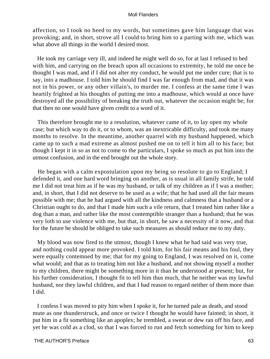affection, so I took no heed to my words, but sometimes gave him language that was provoking; and, in short, strove all I could to bring him to a parting with me, which was what above all things in the world I desired most.

 He took my carriage very ill, and indeed he might well do so, for at last I refused to bed with him, and carrying on the breach upon all occasions to extremity, he told me once he thought I was mad, and if I did not alter my conduct, he would put me under cure; that is to say, into a madhouse. I told him he should find I was far enough from mad, and that it was not in his power, or any other villain's, to murder me. I confess at the same time I was heartily frighted at his thoughts of putting me into a madhouse, which would at once have destroyed all the possibility of breaking the truth out, whatever the occasion might be; for that then no one would have given credit to a word of it.

 This therefore brought me to a resolution, whatever came of it, to lay open my whole case; but which way to do it, or to whom, was an inextricable difficulty, and took me many months to resolve. In the meantime, another quarrel with my husband happened, which came up to such a mad extreme as almost pushed me on to tell it him all to his face; but though I kept it in so as not to come to the particulars, I spoke so much as put him into the utmost confusion, and in the end brought out the whole story.

 He began with a calm expostulation upon my being so resolute to go to England; I defended it, and one hard word bringing on another, as is usual in all family strife, he told me I did not treat him as if he was my husband, or talk of my children as if I was a mother; and, in short, that I did not deserve to be used as a wife; that he had used all the fair means possible with me; that he had argued with all the kindness and calmness that a husband or a Christian ought to do, and that I made him such a vile return, that I treated him rather like a dog than a man, and rather like the most contemptible stranger than a husband; that he was very loth to use violence with me, but that, in short, he saw a necessity of it now, and that for the future he should be obliged to take such measures as should reduce me to my duty.

 My blood was now fired to the utmost, though I knew what he had said was very true, and nothing could appear more provoked. I told him, for his fair means and his foul, they were equally contemned by me; that for my going to England, I was resolved on it, come what would; and that as to treating him not like a husband, and not showing myself a mother to my children, there might be something more in it than he understood at present; but, for his further consideration, I thought fit to tell him thus much, that he neither was my lawful husband, nor they lawful children, and that I had reason to regard neither of them more than I did.

 I confess I was moved to pity him when I spoke it, for he turned pale as death, and stood mute as one thunderstruck, and once or twice I thought he would have fainted; in short, it put him in a fit something like an apoplex; he trembled, a sweat or dew ran off his face, and yet he was cold as a clod, so that I was forced to run and fetch something for him to keep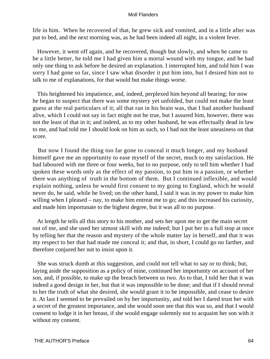life in him. When he recovered of that, he grew sick and vomited, and in a little after was put to bed, and the next morning was, as he had been indeed all night, in a violent fever.

 However, it went off again, and he recovered, though but slowly, and when he came to be a little better, he told me I had given him a mortal wound with my tongue, and he had only one thing to ask before he desired an explanation. I interrupted him, and told him I was sorry I had gone so far, since I saw what disorder it put him into, but I desired him not to talk to me of explanations, for that would but make things worse.

 This heightened his impatience, and, indeed, perplexed him beyond all bearing; for now he began to suspect that there was some mystery yet unfolded, but could not make the least guess at the real particulars of it; all that ran in his brain was, that I had another husband alive, which I could not say in fact might not be true, but I assured him, however, there was not the least of that in it; and indeed, as to my other husband, he was effectually dead in law to me, and had told me I should look on him as such, so I had not the least uneasiness on that score.

 But now I found the thing too far gone to conceal it much longer, and my husband himself gave me an opportunity to ease myself of the secret, much to my satisfaction. He had laboured with me three or four weeks, but to no purpose, only to tell him whether I had spoken these words only as the effect of my passion, to put him in a passion, or whether there was anything of truth in the bottom of them. But I continued inflexible, and would explain nothing, unless he would first consent to my going to England, which he would never do, he said, while he lived; on the other hand, I said it was in my power to make him willing when I pleased – nay, to make him entreat me to go; and this increased his curiosity, and made him importunate to the highest degree, but it was all to no purpose.

 At length he tells all this story to his mother, and sets her upon me to get the main secret out of me, and she used her utmost skill with me indeed; but I put her to a full stop at once by telling her that the reason and mystery of the whole matter lay in herself, and that it was my respect to her that had made me conceal it; and that, in short, I could go no farther, and therefore conjured her not to insist upon it.

 She was struck dumb at this suggestion, and could not tell what to say or to think; but, laying aside the supposition as a policy of mine, continued her importunity on account of her son, and, if possible, to make up the breach between us two. As to that, I told her that it was indeed a good design in her, but that it was impossible to be done; and that if I should reveal to her the truth of what she desired, she would grant it to be impossible, and cease to desire it. At last I seemed to be prevailed on by her importunity, and told her I dared trust her with a secret of the greatest importance, and she would soon see that this was so, and that I would consent to lodge it in her breast, if she would engage solemnly not to acquaint her son with it without my consent.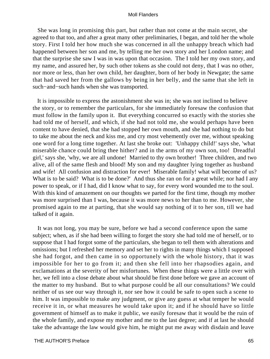She was long in promising this part, but rather than not come at the main secret, she agreed to that too, and after a great many other preliminaries, I began, and told her the whole story. First I told her how much she was concerned in all the unhappy breach which had happened between her son and me, by telling me her own story and her London name; and that the surprise she saw I was in was upon that occasion. The I told her my own story, and my name, and assured her, by such other tokens as she could not deny, that I was no other, nor more or less, than her own child, her daughter, born of her body in Newgate; the same that had saved her from the gallows by being in her belly, and the same that she left in such−and−such hands when she was transported.

 It is impossible to express the astonishment she was in; she was not inclined to believe the story, or to remember the particulars, for she immediately foresaw the confusion that must follow in the family upon it. But everything concurred so exactly with the stories she had told me of herself, and which, if she had not told me, she would perhaps have been content to have denied, that she had stopped her own mouth, and she had nothing to do but to take me about the neck and kiss me, and cry most vehemently over me, without speaking one word for a long time together. At last she broke out: 'Unhappy child!' says she, 'what miserable chance could bring thee hither? and in the arms of my own son, too! Dreadful girl,' says she, 'why, we are all undone! Married to thy own brother! Three children, and two alive, all of the same flesh and blood! My son and my daughter lying together as husband and wife! All confusion and distraction for ever! Miserable family! what will become of us? What is to be said? What is to be done?' And thus she ran on for a great while; nor had I any power to speak, or if I had, did I know what to say, for every word wounded me to the soul. With this kind of amazement on our thoughts we parted for the first time, though my mother was more surprised than I was, because it was more news to her than to me. However, she promised again to me at parting, that she would say nothing of it to her son, till we had talked of it again.

 It was not long, you may be sure, before we had a second conference upon the same subject; when, as if she had been willing to forget the story she had told me of herself, or to suppose that I had forgot some of the particulars, she began to tell them with alterations and omissions; but I refreshed her memory and set her to rights in many things which I supposed she had forgot, and then came in so opportunely with the whole history, that it was impossible for her to go from it; and then she fell into her rhapsodies again, and exclamations at the severity of her misfortunes. When these things were a little over with her, we fell into a close debate about what should be first done before we gave an account of the matter to my husband. But to what purpose could be all our consultations? We could neither of us see our way through it, nor see how it could be safe to open such a scene to him. It was impossible to make any judgment, or give any guess at what temper he would receive it in, or what measures he would take upon it; and if he should have so little government of himself as to make it public, we easily foresaw that it would be the ruin of the whole family, and expose my mother and me to the last degree; and if at last he should take the advantage the law would give him, he might put me away with disdain and leave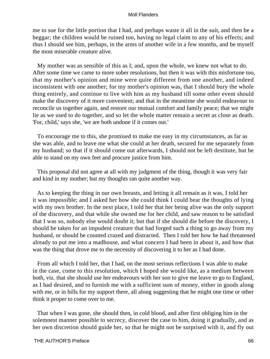me to sue for the little portion that I had, and perhaps waste it all in the suit, and then be a beggar; the children would be ruined too, having no legal claim to any of his effects; and thus I should see him, perhaps, in the arms of another wife in a few months, and be myself the most miserable creature alive.

 My mother was as sensible of this as I; and, upon the whole, we knew not what to do. After some time we came to more sober resolutions, but then it was with this misfortune too, that my mother's opinion and mine were quite different from one another, and indeed inconsistent with one another; for my mother's opinion was, that I should bury the whole thing entirely, and continue to live with him as my husband till some other event should make the discovery of it more convenient; and that in the meantime she would endeavour to reconcile us together again, and restore our mutual comfort and family peace; that we might lie as we used to do together, and so let the whole matter remain a secret as close as death. 'For, child,' says she, 'we are both undone if it comes out.'

 To encourage me to this, she promised to make me easy in my circumstances, as far as she was able, and to leave me what she could at her death, secured for me separately from my husband; so that if it should come out afterwards, I should not be left destitute, but be able to stand on my own feet and procure justice from him.

 This proposal did not agree at all with my judgment of the thing, though it was very fair and kind in my mother; but my thoughts ran quite another way.

 As to keeping the thing in our own breasts, and letting it all remain as it was, I told her it was impossible; and I asked her how she could think I could bear the thoughts of lying with my own brother. In the next place, I told her that her being alive was the only support of the discovery, and that while she owned me for her child, and saw reason to be satisfied that I was so, nobody else would doubt it; but that if she should die before the discovery, I should be taken for an impudent creature that had forged such a thing to go away from my husband, or should be counted crazed and distracted. Then I told her how he had threatened already to put me into a madhouse, and what concern I had been in about it, and how that was the thing that drove me to the necessity of discovering it to her as I had done.

 From all which I told her, that I had, on the most serious reflections I was able to make in the case, come to this resolution, which I hoped she would like, as a medium between both, viz. that she should use her endeavours with her son to give me leave to go to England, as I had desired, and to furnish me with a sufficient sum of money, either in goods along with me, or in bills for my support there, all along suggesting that he might one time or other think it proper to come over to me.

 That when I was gone, she should then, in cold blood, and after first obliging him in the solemnest manner possible to secrecy, discover the case to him, doing it gradually, and as her own discretion should guide her, so that he might not be surprised with it, and fly out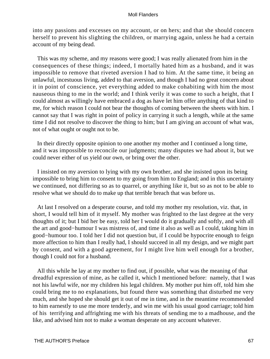into any passions and excesses on my account, or on hers; and that she should concern herself to prevent his slighting the children, or marrying again, unless he had a certain account of my being dead.

 This was my scheme, and my reasons were good; I was really alienated from him in the consequences of these things; indeed, I mortally hated him as a husband, and it was impossible to remove that riveted aversion I had to him. At the same time, it being an unlawful, incestuous living, added to that aversion, and though I had no great concern about it in point of conscience, yet everything added to make cohabiting with him the most nauseous thing to me in the world; and I think verily it was come to such a height, that I could almost as willingly have embraced a dog as have let him offer anything of that kind to me, for which reason I could not bear the thoughts of coming between the sheets with him. I cannot say that I was right in point of policy in carrying it such a length, while at the same time I did not resolve to discover the thing to him; but I am giving an account of what was, not of what ought or ought not to be.

 In their directly opposite opinion to one another my mother and I continued a long time, and it was impossible to reconcile our judgments; many disputes we had about it, but we could never either of us yield our own, or bring over the other.

 I insisted on my aversion to lying with my own brother, and she insisted upon its being impossible to bring him to consent to my going from him to England; and in this uncertainty we continued, not differing so as to quarrel, or anything like it, but so as not to be able to resolve what we should do to make up that terrible breach that was before us.

 At last I resolved on a desperate course, and told my mother my resolution, viz. that, in short, I would tell him of it myself. My mother was frighted to the last degree at the very thoughts of it; but I bid her be easy, told her I would do it gradually and softly, and with all the art and good−humour I was mistress of, and time it also as well as I could, taking him in good−humour too. I told her I did not question but, if I could be hypocrite enough to feign more affection to him than I really had, I should succeed in all my design, and we might part by consent, and with a good agreement, for I might live him well enough for a brother, though I could not for a husband.

 All this while he lay at my mother to find out, if possible, what was the meaning of that dreadful expression of mine, as he called it, which I mentioned before: namely, that I was not his lawful wife, nor my children his legal children. My mother put him off, told him she could bring me to no explanations, but found there was something that disturbed me very much, and she hoped she should get it out of me in time, and in the meantime recommended to him earnestly to use me more tenderly, and win me with his usual good carriage; told him of his terrifying and affrighting me with his threats of sending me to a madhouse, and the like, and advised him not to make a woman desperate on any account whatever.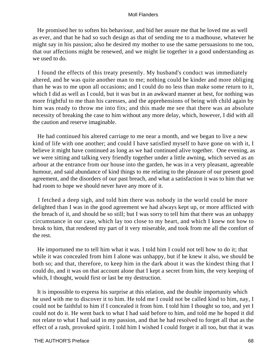He promised her to soften his behaviour, and bid her assure me that he loved me as well as ever, and that he had so such design as that of sending me to a madhouse, whatever he might say in his passion; also he desired my mother to use the same persuasions to me too, that our affections might be renewed, and we might lie together in a good understanding as we used to do.

 I found the effects of this treaty presently. My husband's conduct was immediately altered, and he was quite another man to me; nothing could be kinder and more obliging than he was to me upon all occasions; and I could do no less than make some return to it, which I did as well as I could, but it was but in an awkward manner at best, for nothing was more frightful to me than his caresses, and the apprehensions of being with child again by him was ready to throw me into fits; and this made me see that there was an absolute necessity of breaking the case to him without any more delay, which, however, I did with all the caution and reserve imaginable.

 He had continued his altered carriage to me near a month, and we began to live a new kind of life with one another; and could I have satisfied myself to have gone on with it, I believe it might have continued as long as we had continued alive together. One evening, as we were sitting and talking very friendly together under a little awning, which served as an arbour at the entrance from our house into the garden, he was in a very pleasant, agreeable humour, and said abundance of kind things to me relating to the pleasure of our present good agreement, and the disorders of our past breach, and what a satisfaction it was to him that we had room to hope we should never have any more of it.

 I fetched a deep sigh, and told him there was nobody in the world could be more delighted than I was in the good agreement we had always kept up, or more afflicted with the breach of it, and should be so still; but I was sorry to tell him that there was an unhappy circumstance in our case, which lay too close to my heart, and which I knew not how to break to him, that rendered my part of it very miserable, and took from me all the comfort of the rest.

 He importuned me to tell him what it was. I told him I could not tell how to do it; that while it was concealed from him I alone was unhappy, but if he knew it also, we should be both so; and that, therefore, to keep him in the dark about it was the kindest thing that I could do, and it was on that account alone that I kept a secret from him, the very keeping of which, I thought, would first or last be my destruction.

 It is impossible to express his surprise at this relation, and the double importunity which he used with me to discover it to him. He told me I could not be called kind to him, nay, I could not be faithful to him if I concealed it from him. I told him I thought so too, and yet I could not do it. He went back to what I had said before to him, and told me he hoped it did not relate to what I had said in my passion, and that he had resolved to forget all that as the effect of a rash, provoked spirit. I told him I wished I could forget it all too, but that it was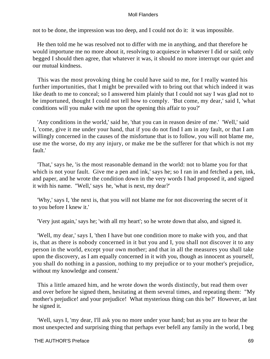not to be done, the impression was too deep, and I could not do it: it was impossible.

 He then told me he was resolved not to differ with me in anything, and that therefore he would importune me no more about it, resolving to acquiesce in whatever I did or said; only begged I should then agree, that whatever it was, it should no more interrupt our quiet and our mutual kindness.

 This was the most provoking thing he could have said to me, for I really wanted his further importunities, that I might be prevailed with to bring out that which indeed it was like death to me to conceal; so I answered him plainly that I could not say I was glad not to be importuned, thought I could not tell how to comply. 'But come, my dear,' said I, 'what conditions will you make with me upon the opening this affair to you?'

 'Any conditions in the world,' said he, 'that you can in reason desire of me.' 'Well,' said I, 'come, give it me under your hand, that if you do not find I am in any fault, or that I am willingly concerned in the causes of the misfortune that is to follow, you will not blame me, use me the worse, do my any injury, or make me be the sufferer for that which is not my fault.'

 'That,' says he, 'is the most reasonable demand in the world: not to blame you for that which is not your fault. Give me a pen and ink,' says he; so I ran in and fetched a pen, ink, and paper, and he wrote the condition down in the very words I had proposed it, and signed it with his name. "Well,' says he, 'what is next, my dear?'

 'Why,' says I, 'the next is, that you will not blame me for not discovering the secret of it to you before I knew it.'

'Very just again,' says he; 'with all my heart'; so he wrote down that also, and signed it.

 'Well, my dear,' says I, 'then I have but one condition more to make with you, and that is, that as there is nobody concerned in it but you and I, you shall not discover it to any person in the world, except your own mother; and that in all the measures you shall take upon the discovery, as I am equally concerned in it with you, though as innocent as yourself, you shall do nothing in a passion, nothing to my prejudice or to your mother's prejudice, without my knowledge and consent.'

 This a little amazed him, and he wrote down the words distinctly, but read them over and over before he signed them, hesitating at them several times, and repeating them: "My mother's prejudice! and your prejudice! What mysterious thing can this be?' However, at last he signed it.

 'Well, says I, 'my dear, I'll ask you no more under your hand; but as you are to hear the most unexpected and surprising thing that perhaps ever befell any family in the world, I beg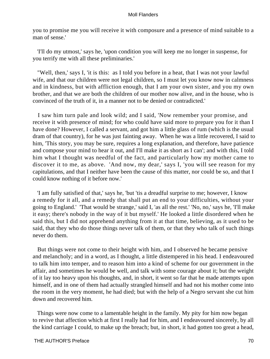you to promise me you will receive it with composure and a presence of mind suitable to a man of sense.'

 'I'll do my utmost,' says he, 'upon condition you will keep me no longer in suspense, for you terrify me with all these preliminaries.'

 "Well, then,' says I, 'it is this: as I told you before in a heat, that I was not your lawful wife, and that our children were not legal children, so I must let you know now in calmness and in kindness, but with affliction enough, that I am your own sister, and you my own brother, and that we are both the children of our mother now alive, and in the house, who is convinced of the truth of it, in a manner not to be denied or contradicted.'

 I saw him turn pale and look wild; and I said, 'Now remember your promise, and receive it with presence of mind; for who could have said more to prepare you for it than I have done? However, I called a servant, and got him a little glass of rum (which is the usual dram of that country), for he was just fainting away. When he was a little recovered, I said to him, 'This story, you may be sure, requires a long explanation, and therefore, have patience and compose your mind to hear it out, and I'll make it as short as I can'; and with this, I told him what I thought was needful of the fact, and particularly how my mother came to discover it to me, as above. 'And now, my dear,' says I, 'you will see reason for my capitulations, and that I neither have been the cause of this matter, nor could be so, and that I could know nothing of it before now.'

 'I am fully satisfied of that,' says he, 'but 'tis a dreadful surprise to me; however, I know a remedy for it all, and a remedy that shall put an end to your difficulties, without your going to England.' 'That would be strange,' said I, 'as all the rest.' 'No, no,' says he, 'I'll make it easy; there's nobody in the way of it but myself.' He looked a little disordered when he said this, but I did not apprehend anything from it at that time, believing, as it used to be said, that they who do those things never talk of them, or that they who talk of such things never do them.

 But things were not come to their height with him, and I observed he became pensive and melancholy; and in a word, as I thought, a little distempered in his head. I endeavoured to talk him into temper, and to reason him into a kind of scheme for our government in the affair, and sometimes he would be well, and talk with some courage about it; but the weight of it lay too heavy upon his thoughts, and, in short, it went so far that he made attempts upon himself, and in one of them had actually strangled himself and had not his mother come into the room in the very moment, he had died; but with the help of a Negro servant she cut him down and recovered him.

 Things were now come to a lamentable height in the family. My pity for him now began to revive that affection which at first I really had for him, and I endeavoured sincerely, by all the kind carriage I could, to make up the breach; but, in short, it had gotten too great a head,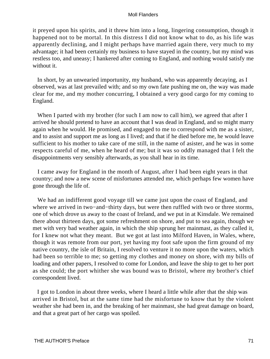it preyed upon his spirits, and it threw him into a long, lingering consumption, though it happened not to be mortal. In this distress I did not know what to do, as his life was apparently declining, and I might perhaps have married again there, very much to my advantage; it had been certainly my business to have stayed in the country, but my mind was restless too, and uneasy; I hankered after coming to England, and nothing would satisfy me without it.

 In short, by an unwearied importunity, my husband, who was apparently decaying, as I observed, was at last prevailed with; and so my own fate pushing me on, the way was made clear for me, and my mother concurring, I obtained a very good cargo for my coming to England.

When I parted with my brother (for such I am now to call him), we agreed that after I arrived he should pretend to have an account that I was dead in England, and so might marry again when he would. He promised, and engaged to me to correspond with me as a sister, and to assist and support me as long as I lived; and that if he died before me, he would leave sufficient to his mother to take care of me still, in the name of asister, and he was in some respects careful of me, when he heard of me; but it was so oddly managed that I felt the disappointments very sensibly afterwards, as you shall hear in its time.

 I came away for England in the month of August, after I had been eight years in that country; and now a new scene of misfortunes attended me, which perhaps few women have gone through the life of.

We had an indifferent good voyage till we came just upon the coast of England, and where we arrived in two−and−thirty days, but were then ruffled with two or three storms, one of which drove us away to the coast of Ireland, and we put in at Kinsdale. We remained there about thirteen days, got some refreshment on shore, and put to sea again, though we met with very bad weather again, in which the ship sprung her mainmast, as they called it, for I knew not what they meant. But we got at last into Milford Haven, in Wales, where, though it was remote from our port, yet having my foot safe upon the firm ground of my native country, the isle of Britain, I resolved to venture it no more upon the waters, which had been so terrible to me; so getting my clothes and money on shore, with my bills of loading and other papers, I resolved to come for London, and leave the ship to get to her port as she could; the port whither she was bound was to Bristol, where my brother's chief correspondent lived.

 I got to London in about three weeks, where I heard a little while after that the ship was arrived in Bristol, but at the same time had the misfortune to know that by the violent weather she had been in, and the breaking of her mainmast, she had great damage on board, and that a great part of her cargo was spoiled.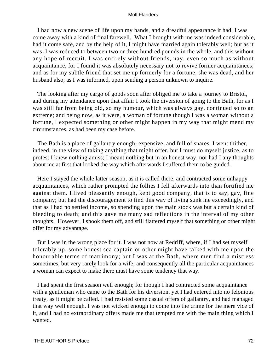I had now a new scene of life upon my hands, and a dreadful appearance it had. I was come away with a kind of final farewell. What I brought with me was indeed considerable, had it come safe, and by the help of it, I might have married again tolerably well; but as it was, I was reduced to between two or three hundred pounds in the whole, and this without any hope of recruit. I was entirely without friends, nay, even so much as without acquaintance, for I found it was absolutely necessary not to revive former acquaintances; and as for my subtle friend that set me up formerly for a fortune, she was dead, and her husband also; as I was informed, upon sending a person unknown to inquire.

 The looking after my cargo of goods soon after obliged me to take a journey to Bristol, and during my attendance upon that affair I took the diversion of going to the Bath, for as I was still far from being old, so my humour, which was always gay, continued so to an extreme; and being now, as it were, a woman of fortune though I was a woman without a fortune, I expected something or other might happen in my way that might mend my circumstances, as had been my case before.

 The Bath is a place of gallantry enough; expensive, and full of snares. I went thither, indeed, in the view of taking anything that might offer, but I must do myself justice, as to protest I knew nothing amiss; I meant nothing but in an honest way, nor had I any thoughts about me at first that looked the way which afterwards I suffered them to be guided.

 Here I stayed the whole latter season, as it is called there, and contracted some unhappy acquaintances, which rather prompted the follies I fell afterwards into than fortified me against them. I lived pleasantly enough, kept good company, that is to say, gay, fine company; but had the discouragement to find this way of living sunk me exceedingly, and that as I had no settled income, so spending upon the main stock was but a certain kind of bleeding to death; and this gave me many sad reflections in the interval of my other thoughts. However, I shook them off, and still flattered myself that something or other might offer for my advantage.

 But I was in the wrong place for it. I was not now at Redriff, where, if I had set myself tolerably up, some honest sea captain or other might have talked with me upon the honourable terms of matrimony; but I was at the Bath, where men find a mistress sometimes, but very rarely look for a wife; and consequently all the particular acquaintances a woman can expect to make there must have some tendency that way.

 I had spent the first season well enough; for though I had contracted some acquaintance with a gentleman who came to the Bath for his diversion, yet I had entered into no felonious treaty, as it might be called. I had resisted some casual offers of gallantry, and had managed that way well enough. I was not wicked enough to come into the crime for the mere vice of it, and I had no extraordinary offers made me that tempted me with the main thing which I wanted.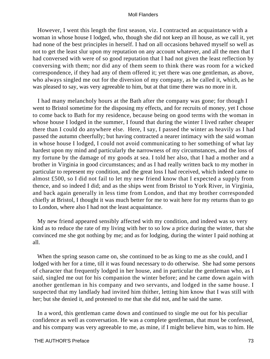However, I went this length the first season, viz. I contracted an acquaintance with a woman in whose house I lodged, who, though she did not keep an ill house, as we call it, yet had none of the best principles in herself. I had on all occasions behaved myself so well as not to get the least slur upon my reputation on any account whatever, and all the men that I had conversed with were of so good reputation that I had not given the least reflection by conversing with them; nor did any of them seem to think there was room for a wicked correspondence, if they had any of them offered it; yet there was one gentleman, as above, who always singled me out for the diversion of my company, as he called it, which, as he was pleased to say, was very agreeable to him, but at that time there was no more in it.

 I had many melancholy hours at the Bath after the company was gone; for though I went to Bristol sometime for the disposing my effects, and for recruits of money, yet I chose to come back to Bath for my residence, because being on good terms with the woman in whose house I lodged in the summer, I found that during the winter I lived rather cheaper there than I could do anywhere else. Here, I say, I passed the winter as heavily as I had passed the autumn cheerfully; but having contracted a nearer intimacy with the said woman in whose house I lodged, I could not avoid communicating to her something of what lay hardest upon my mind and particularly the narrowness of my circumstances, and the loss of my fortune by the damage of my goods at sea. I told her also, that I had a mother and a brother in Virginia in good circumstances; and as I had really written back to my mother in particular to represent my condition, and the great loss I had received, which indeed came to almost £500, so I did not fail to let my new friend know that I expected a supply from thence, and so indeed I did; and as the ships went from Bristol to York River, in Virginia, and back again generally in less time from London, and that my brother corresponded chiefly at Bristol, I thought it was much better for me to wait here for my returns than to go to London, where also I had not the least acquaintance.

 My new friend appeared sensibly affected with my condition, and indeed was so very kind as to reduce the rate of my living with her to so low a price during the winter, that she convinced me she got nothing by me; and as for lodging, during the winter I paid nothing at all.

When the spring season came on, she continued to be as king to me as she could, and I lodged with her for a time, till it was found necessary to do otherwise. She had some persons of character that frequently lodged in her house, and in particular the gentleman who, as I said, singled me out for his companion the winter before; and he came down again with another gentleman in his company and two servants, and lodged in the same house. I suspected that my landlady had invited him thither, letting him know that I was still with her; but she denied it, and protested to me that she did not, and he said the same.

 In a word, this gentleman came down and continued to single me out for his peculiar confidence as well as conversation. He was a complete gentleman, that must be confessed, and his company was very agreeable to me, as mine, if I might believe him, was to him. He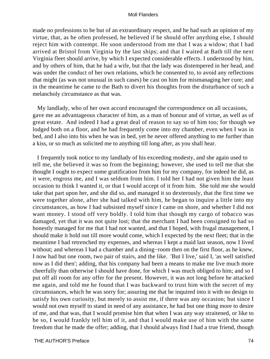made no professions to be but of an extraordinary respect, and he had such an opinion of my virtue, that, as he often professed, he believed if he should offer anything else, I should reject him with contempt. He soon understood from me that I was a widow; that I had arrived at Bristol from Virginia by the last ships; and that I waited at Bath till the next Virginia fleet should arrive, by which I expected considerable effects. I understood by him, and by others of him, that he had a wife, but that the lady was distempered in her head, and was under the conduct of her own relations, which he consented to, to avoid any reflections that might (as was not unusual in such cases) be cast on him for mismanaging her cure; and in the meantime he came to the Bath to divert his thoughts from the disturbance of such a melancholy circumstance as that was.

 My landlady, who of her own accord encouraged the correspondence on all occasions, gave me an advantageous character of him, as a man of honour and of virtue, as well as of great estate. And indeed I had a great deal of reason to say so of him too; for though we lodged both on a floor, and he had frequently come into my chamber, even when I was in bed, and I also into his when he was in bed, yet he never offered anything to me further than a kiss, or so much as solicited me to anything till long after, as you shall hear.

 I frequently took notice to my landlady of his exceeding modesty, and she again used to tell me, she believed it was so from the beginning; however, she used to tell me that she thought I ought to expect some gratification from him for my company, for indeed he did, as it were, engross me, and I was seldom from him. I told her I had not given him the least occasion to think I wanted it, or that I would accept of it from him. She told me she would take that part upon her, and she did so, and managed it so dexterously, that the first time we were together alone, after she had talked with him, he began to inquire a little into my circumstances, as how I had subsisted myself since I came on shore, and whether I did not want money. I stood off very boldly. I told him that though my cargo of tobacco was damaged, yet that it was not quite lost; that the merchant I had been consigned to had so honestly managed for me that I had not wanted, and that I hoped, with frugal management, I should make it hold out till more would come, which I expected by the next fleet; that in the meantime I had retrenched my expenses, and whereas I kept a maid last season, now I lived without; and whereas I had a chamber and a dining–room then on the first floor, as he knew, I now had but one room, two pair of stairs, and the like. 'But I live,' said I, 'as well satisfied now as I did then'; adding, that his company had been a means to make me live much more cheerfully than otherwise I should have done, for which I was much obliged to him; and so I put off all room for any offer for the present. However, it was not long before he attacked me again, and told me he found that I was backward to trust him with the secret of my circumstances, which he was sorry for; assuring me that he inquired into it with no design to satisfy his own curiosity, but merely to assist me, if there was any occasion; but since I would not own myself to stand in need of any assistance, he had but one thing more to desire of me, and that was, that I would promise him that when I was any way straitened, or like to be so, I would frankly tell him of it, and that I would make use of him with the same freedom that he made the offer; adding, that I should always find I had a true friend, though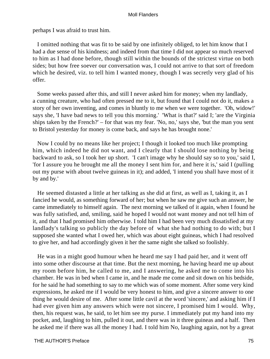perhaps I was afraid to trust him.

 I omitted nothing that was fit to be said by one infinitely obliged, to let him know that I had a due sense of his kindness; and indeed from that time I did not appear so much reserved to him as I had done before, though still within the bounds of the strictest virtue on both sides; but how free soever our conversation was, I could not arrive to that sort of freedom which he desired, viz. to tell him I wanted money, though I was secretly very glad of his offer.

 Some weeks passed after this, and still I never asked him for money; when my landlady, a cunning creature, who had often pressed me to it, but found that I could not do it, makes a story of her own inventing, and comes in bluntly to me when we were together. 'Oh, widow!' says she, 'I have bad news to tell you this morning.' 'What is that?' said I; 'are the Virginia ships taken by the French?' – for that was my fear. 'No, no,' says she, 'but the man you sent to Bristol yesterday for money is come back, and says he has brought none.'

 Now I could by no means like her project; I though it looked too much like prompting him, which indeed he did not want, and I clearly that I should lose nothing by being backward to ask, so I took her up short. 'I can't image why he should say so to you,' said I, 'for I assure you he brought me all the money I sent him for, and here it is,' said I (pulling out my purse with about twelve guineas in it); and added, 'I intend you shall have most of it by and by.'

 He seemed distasted a little at her talking as she did at first, as well as I, taking it, as I fancied he would, as something forward of her; but when he saw me give such an answer, he came immediately to himself again. The next morning we talked of it again, when I found he was fully satisfied, and, smiling, said he hoped I would not want money and not tell him of it, and that I had promised him otherwise. I told him I had been very much dissatisfied at my landlady's talking so publicly the day before of what she had nothing to do with; but I supposed she wanted what I owed her, which was about eight guineas, which I had resolved to give her, and had accordingly given it her the same night she talked so foolishly.

 He was in a might good humour when he heard me say I had paid her, and it went off into some other discourse at that time. But the next morning, he having heard me up about my room before him, he called to me, and I answering, he asked me to come into his chamber. He was in bed when I came in, and he made me come and sit down on his bedside, for he said he had something to say to me which was of some moment. After some very kind expressions, he asked me if I would be very honest to him, and give a sincere answer to one thing he would desire of me. After some little cavil at the word 'sincere,' and asking him if I had ever given him any answers which were not sincere, I promised him I would. Why, then, his request was, he said, to let him see my purse. I immediately put my hand into my pocket, and, laughing to him, pulled it out, and there was in it three guineas and a half. Then he asked me if there was all the money I had. I told him No, laughing again, not by a great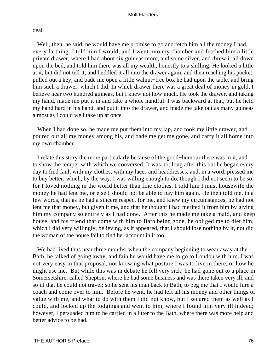deal.

Well, then, he said, he would have me promise to go and fetch him all the money I had, every farthing. I told him I would, and I went into my chamber and fetched him a little private drawer, where I had about six guineas more, and some silver, and threw it all down upon the bed, and told him there was all my wealth, honestly to a shilling. He looked a little at it, but did not tell it, and huddled it all into the drawer again, and then reaching his pocket, pulled out a key, and bade me open a little walnut−tree box he had upon the table, and bring him such a drawer, which I did. In which drawer there was a great deal of money in gold, I believe near two hundred guineas, but I knew not how much. He took the drawer, and taking my hand, made me put it in and take a whole handful. I was backward at that, but he held my hand hard in his hand, and put it into the drawer, and made me take out as many guineas almost as I could well take up at once.

 When I had done so, he made me put them into my lap, and took my little drawer, and poured out all my money among his, and bade me get me gone, and carry it all home into my own chamber.

 I relate this story the more particularly because of the good−humour there was in it, and to show the temper with which we conversed. It was not long after this but he began every day to find fault with my clothes, with my laces and headdresses, and, in a word, pressed me to buy better; which, by the way, I was willing enough to do, though I did not seem to be so, for I loved nothing in the world better than fine clothes. I told him I must housewife the money he had lent me, or else I should not be able to pay him again. He then told me, in a few words, that as he had a sincere respect for me, and knew my circumstances, he had not lent me that money, but given it me, and that he thought I had merited it from him by giving him my company so entirely as I had done. After this he made me take a maid, and keep house, and his friend that come with him to Bath being gone, he obliged me to diet him, which I did very willingly, believing, as it appeared, that I should lose nothing by it, not did the woman of the house fail to find her account in it too.

 We had lived thus near three months, when the company beginning to wear away at the Bath, he talked of going away, and fain he would have me to go to London with him. I was not very easy in that proposal, not knowing what posture I was to live in there, or how he might use me. But while this was in debate he fell very sick; he had gone out to a place in Somersetshire, called Shepton, where he had some business and was there taken very ill, and so ill that he could not travel; so he sent his man back to Bath, to beg me that I would hire a coach and come over to him. Before he went, he had left all his money and other things of value with me, and what to do with them I did not know, but I secured them as well as I could, and locked up the lodgings and went to him, where I found him very ill indeed; however, I persuaded him to be carried in a litter to the Bath, where there was more help and better advice to be had.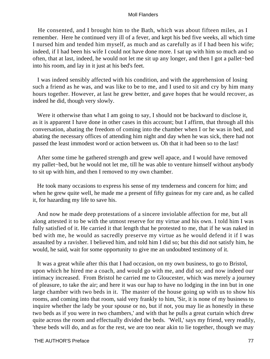He consented, and I brought him to the Bath, which was about fifteen miles, as I remember. Here he continued very ill of a fever, and kept his bed five weeks, all which time I nursed him and tended him myself, as much and as carefully as if I had been his wife; indeed, if I had been his wife I could not have done more. I sat up with him so much and so often, that at last, indeed, he would not let me sit up any longer, and then I got a pallet−bed into his room, and lay in it just at his bed's feet.

 I was indeed sensibly affected with his condition, and with the apprehension of losing such a friend as he was, and was like to be to me, and I used to sit and cry by him many hours together. However, at last he grew better, and gave hopes that he would recover, as indeed he did, though very slowly.

Were it otherwise than what I am going to say, I should not be backward to disclose it, as it is apparent I have done in other cases in this account; but I affirm, that through all this conversation, abating the freedom of coming into the chamber when I or he was in bed, and abating the necessary offices of attending him night and day when he was sick, there had not passed the least immodest word or action between us. Oh that it had been so to the last!

 After some time he gathered strength and grew well apace, and I would have removed my pallet−bed, but he would not let me, till he was able to venture himself without anybody to sit up with him, and then I removed to my own chamber.

 He took many occasions to express his sense of my tenderness and concern for him; and when he grew quite well, he made me a present of fifty guineas for my care and, as he called it, for hazarding my life to save his.

 And now he made deep protestations of a sincere inviolable affection for me, but all along attested it to be with the utmost reserve for my virtue and his own. I told him I was fully satisfied of it. He carried it that length that he protested to me, that if he was naked in bed with me, he would as sacredly preserve my virtue as he would defend it if I was assaulted by a ravisher. I believed him, and told him I did so; but this did not satisfy him, he would, he said, wait for some opportunity to give me an undoubted testimony of it.

 It was a great while after this that I had occasion, on my own business, to go to Bristol, upon which he hired me a coach, and would go with me, and did so; and now indeed our intimacy increased. From Bristol he carried me to Gloucester, which was merely a journey of pleasure, to take the air; and here it was our hap to have no lodging in the inn but in one large chamber with two beds in it. The master of the house going up with us to show his rooms, and coming into that room, said very frankly to him, 'Sir, it is none of my business to inquire whether the lady be your spouse or no, but if not, you may lie as honestly in these two beds as if you were in two chambers,' and with that he pulls a great curtain which drew quite across the room and effectually divided the beds. 'Well,' says my friend, very readily, 'these beds will do, and as for the rest, we are too near akin to lie together, though we may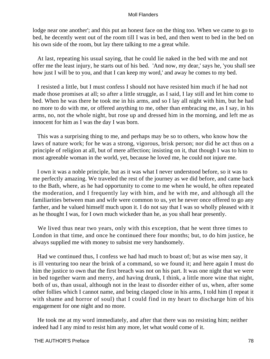lodge near one another'; and this put an honest face on the thing too. When we came to go to bed, he decently went out of the room till I was in bed, and then went to bed in the bed on his own side of the room, but lay there talking to me a great while.

 At last, repeating his usual saying, that he could lie naked in the bed with me and not offer me the least injury, he starts out of his bed. 'And now, my dear,' says he, 'you shall see how just I will be to you, and that I can keep my word,' and away he comes to my bed.

 I resisted a little, but I must confess I should not have resisted him much if he had not made those promises at all; so after a little struggle, as I said, I lay still and let him come to bed. When he was there he took me in his arms, and so I lay all night with him, but he had no more to do with me, or offered anything to me, other than embracing me, as I say, in his arms, no, not the whole night, but rose up and dressed him in the morning, and left me as innocent for him as I was the day I was born.

 This was a surprising thing to me, and perhaps may be so to others, who know how the laws of nature work; for he was a strong, vigorous, brisk person; nor did he act thus on a principle of religion at all, but of mere affection; insisting on it, that though I was to him to most agreeable woman in the world, yet, because he loved me, he could not injure me.

 I own it was a noble principle, but as it was what I never understood before, so it was to me perfectly amazing. We traveled the rest of the journey as we did before, and came back to the Bath, where, as he had opportunity to come to me when he would, he often repeated the moderation, and I frequently lay with him, and he with me, and although all the familiarities between man and wife were common to us, yet he never once offered to go any farther, and he valued himself much upon it. I do not say that I was so wholly pleased with it as he thought I was, for I own much wickeder than he, as you shall hear presently.

 We lived thus near two years, only with this exception, that he went three times to London in that time, and once he continued there four months; but, to do him justice, he always supplied me with money to subsist me very handsomely.

 Had we continued thus, I confess we had had much to boast of; but as wise men say, it is ill venturing too near the brink of a command, so we found it; and here again I must do him the justice to own that the first breach was not on his part. It was one night that we were in bed together warm and merry, and having drunk, I think, a little more wine that night, both of us, than usual, although not in the least to disorder either of us, when, after some other follies which I cannot name, and being clasped close in his arms, I told him (I repeat it with shame and horror of soul) that I could find in my heart to discharge him of his engagement for one night and no more.

 He took me at my word immediately, and after that there was no resisting him; neither indeed had I any mind to resist him any more, let what would come of it.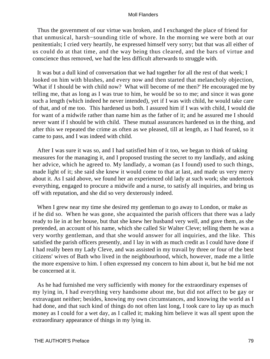Thus the government of our virtue was broken, and I exchanged the place of friend for that unmusical, harsh−sounding title of whore. In the morning we were both at our penitentials; I cried very heartily, he expressed himself very sorry; but that was all either of us could do at that time, and the way being thus cleared, and the bars of virtue and conscience thus removed, we had the less difficult afterwards to struggle with.

 It was but a dull kind of conversation that we had together for all the rest of that week; I looked on him with blushes, and every now and then started that melancholy objection, 'What if I should be with child now? What will become of me then?' He encouraged me by telling me, that as long as I was true to him, he would be so to me; and since it was gone such a length (which indeed he never intended), yet if I was with child, he would take care of that, and of me too. This hardened us both. I assured him if I was with child, I would die for want of a midwife rather than name him as the father of it; and he assured me I should never want if I should be with child. These mutual assurances hardened us in the thing, and after this we repeated the crime as often as we pleased, till at length, as I had feared, so it came to pass, and I was indeed with child.

 After I was sure it was so, and I had satisfied him of it too, we began to think of taking measures for the managing it, and I proposed trusting the secret to my landlady, and asking her advice, which he agreed to. My landlady, a woman (as I found) used to such things, made light of it; she said she knew it would come to that at last, and made us very merry about it. As I said above, we found her an experienced old lady at such work; she undertook everything, engaged to procure a midwife and a nurse, to satisfy all inquiries, and bring us off with reputation, and she did so very dexterously indeed.

 When I grew near my time she desired my gentleman to go away to London, or make as if he did so. When he was gone, she acquainted the parish officers that there was a lady ready to lie in at her house, but that she knew her husband very well, and gave them, as she pretended, an account of his name, which she called Sir Walter Cleve; telling them he was a very worthy gentleman, and that she would answer for all inquiries, and the like. This satisfied the parish officers presently, and I lay in with as much credit as I could have done if I had really been my Lady Cleve, and was assisted in my travail by three or four of the best citizens' wives of Bath who lived in the neighbourhood, which, however, made me a little the more expensive to him. I often expressed my concern to him about it, but he bid me not be concerned at it.

 As he had furnished me very sufficiently with money for the extraordinary expenses of my lying in, I had everything very handsome about me, but did not affect to be gay or extravagant neither; besides, knowing my own circumstances, and knowing the world as I had done, and that such kind of things do not often last long, I took care to lay up as much money as I could for a wet day, as I called it; making him believe it was all spent upon the extraordinary appearance of things in my lying in.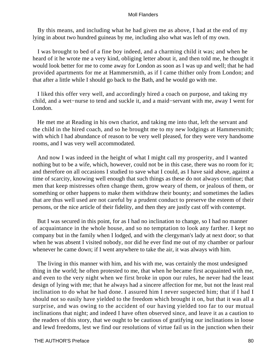By this means, and including what he had given me as above, I had at the end of my lying in about two hundred guineas by me, including also what was left of my own.

 I was brought to bed of a fine boy indeed, and a charming child it was; and when he heard of it he wrote me a very kind, obliging letter about it, and then told me, he thought it would look better for me to come away for London as soon as I was up and well; that he had provided apartments for me at Hammersmith, as if I came thither only from London; and that after a little while I should go back to the Bath, and he would go with me.

 I liked this offer very well, and accordingly hired a coach on purpose, and taking my child, and a wet−nurse to tend and suckle it, and a maid−servant with me, away I went for London.

 He met me at Reading in his own chariot, and taking me into that, left the servant and the child in the hired coach, and so he brought me to my new lodgings at Hammersmith; with which I had abundance of reason to be very well pleased, for they were very handsome rooms, and I was very well accommodated.

 And now I was indeed in the height of what I might call my prosperity, and I wanted nothing but to be a wife, which, however, could not be in this case, there was no room for it; and therefore on all occasions I studied to save what I could, as I have said above, against a time of scarcity, knowing well enough that such things as these do not always continue; that men that keep mistresses often change them, grow weary of them, or jealous of them, or something or other happens to make them withdraw their bounty; and sometimes the ladies that are thus well used are not careful by a prudent conduct to preserve the esteem of their persons, or the nice article of their fidelity, and then they are justly cast off with contempt.

 But I was secured in this point, for as I had no inclination to change, so I had no manner of acquaintance in the whole house, and so no temptation to look any farther. I kept no company but in the family when I lodged, and with the clergyman's lady at next door; so that when he was absent I visited nobody, nor did he ever find me out of my chamber or parlour whenever he came down; if I went anywhere to take the air, it was always with him.

 The living in this manner with him, and his with me, was certainly the most undesigned thing in the world; he often protested to me, that when he became first acquainted with me, and even to the very night when we first broke in upon our rules, he never had the least design of lying with me; that he always had a sincere affection for me, but not the least real inclination to do what he had done. I assured him I never suspected him; that if I had I should not so easily have yielded to the freedom which brought it on, but that it was all a surprise, and was owing to the accident of our having yielded too far to our mutual inclinations that night; and indeed I have often observed since, and leave it as a caution to the readers of this story, that we ought to be cautious of gratifying our inclinations in loose and lewd freedoms, lest we find our resolutions of virtue fail us in the junction when their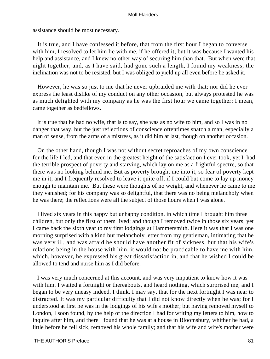assistance should be most necessary.

 It is true, and I have confessed it before, that from the first hour I began to converse with him, I resolved to let him lie with me, if he offered it; but it was because I wanted his help and assistance, and I knew no other way of securing him than that. But when were that night together, and, as I have said, had gone such a length, I found my weakness; the inclination was not to be resisted, but I was obliged to yield up all even before he asked it.

 However, he was so just to me that he never upbraided me with that; nor did he ever express the least dislike of my conduct on any other occasion, but always protested he was as much delighted with my company as he was the first hour we came together: I mean, came together as bedfellows.

 It is true that he had no wife, that is to say, she was as no wife to him, and so I was in no danger that way, but the just reflections of conscience oftentimes snatch a man, especially a man of sense, from the arms of a mistress, as it did him at last, though on another occasion.

 On the other hand, though I was not without secret reproaches of my own conscience for the life I led, and that even in the greatest height of the satisfaction I ever took, yet I had the terrible prospect of poverty and starving, which lay on me as a frightful spectre, so that there was no looking behind me. But as poverty brought me into it, so fear of poverty kept me in it, and I frequently resolved to leave it quite off, if I could but come to lay up money enough to maintain me. But these were thoughts of no weight, and whenever he came to me they vanished; for his company was so delightful, that there was no being melancholy when he was there; the reflections were all the subject of those hours when I was alone.

 I lived six years in this happy but unhappy condition, in which time I brought him three children, but only the first of them lived; and though I removed twice in those six years, yet I came back the sixth year to my first lodgings at Hammersmith. Here it was that I was one morning surprised with a kind but melancholy letter from my gentleman, intimating that he was very ill, and was afraid he should have another fit of sickness, but that his wife's relations being in the house with him, it would not be practicable to have me with him, which, however, he expressed his great dissatisfaction in, and that he wished I could be allowed to tend and nurse him as I did before.

 I was very much concerned at this account, and was very impatient to know how it was with him. I waited a fortnight or thereabouts, and heard nothing, which surprised me, and I began to be very uneasy indeed. I think, I may say, that for the next fortnight I was near to distracted. It was my particular difficulty that I did not know directly when he was; for I understood at first he was in the lodgings of his wife's mother; but having removed myself to London, I soon found, by the help of the direction I had for writing my letters to him, how to inquire after him, and there I found that he was at a house in Bloomsbury, whither he had, a little before he fell sick, removed his whole family; and that his wife and wife's mother were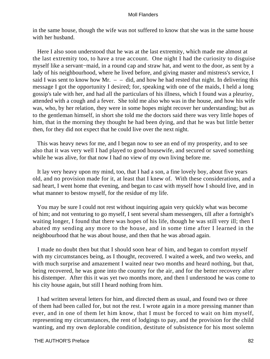in the same house, though the wife was not suffered to know that she was in the same house with her husband.

 Here I also soon understood that he was at the last extremity, which made me almost at the last extremity too, to have a true account. One night I had the curiosity to disguise myself like a servant−maid, in a round cap and straw hat, and went to the door, as sent by a lady of his neighbourhood, where he lived before, and giving master and mistress's service, I said I was sent to know how Mr.  $-$  – did, and how he had rested that night. In delivering this message I got the opportunity I desired; for, speaking with one of the maids, I held a long gossip's tale with her, and had all the particulars of his illness, which I found was a pleurisy, attended with a cough and a fever. She told me also who was in the house, and how his wife was, who, by her relation, they were in some hopes might recover her understanding; but as to the gentleman himself, in short she told me the doctors said there was very little hopes of him, that in the morning they thought he had been dying, and that he was but little better then, for they did not expect that he could live over the next night.

 This was heavy news for me, and I began now to see an end of my prosperity, and to see also that it was very well I had played to good housewife, and secured or saved something while he was alive, for that now I had no view of my own living before me.

 It lay very heavy upon my mind, too, that I had a son, a fine lovely boy, about five years old, and no provision made for it, at least that I knew of. With these considerations, and a sad heart, I went home that evening, and began to cast with myself how I should live, and in what manner to bestow myself, for the residue of my life.

 You may be sure I could not rest without inquiring again very quickly what was become of him; and not venturing to go myself, I sent several sham messengers, till after a fortnight's waiting longer, I found that there was hopes of his life, though he was still very ill; then I abated my sending any more to the house, and in some time after I learned in the neighbourhood that he was about house, and then that he was abroad again.

 I made no doubt then but that I should soon hear of him, and began to comfort myself with my circumstances being, as I thought, recovered. I waited a week, and two weeks, and with much surprise and amazement I waited near two months and heard nothing, but that, being recovered, he was gone into the country for the air, and for the better recovery after his distemper. After this it was yet two months more, and then I understood he was come to his city house again, but still I heard nothing from him.

 I had written several letters for him, and directed them as usual, and found two or three of them had been called for, but not the rest. I wrote again in a more pressing manner than ever, and in one of them let him know, that I must be forced to wait on him myself, representing my circumstances, the rent of lodgings to pay, and the provision for the child wanting, and my own deplorable condition, destitute of subsistence for his most solemn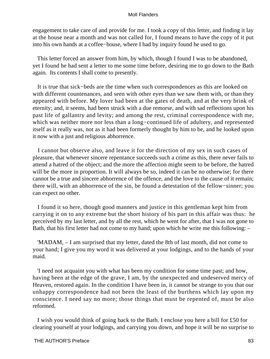engagement to take care of and provide for me. I took a copy of this letter, and finding it lay at the house near a month and was not called for, I found means to have the copy of it put into his own hands at a coffee−house, where I had by inquiry found he used to go.

 This letter forced an answer from him, by which, though I found I was to be abandoned, yet I found he had sent a letter to me some time before, desiring me to go down to the Bath again. Its contents I shall come to presently.

 It is true that sick−beds are the time when such correspondences as this are looked on with different countenances, and seen with other eyes than we saw them with, or than they appeared with before. My lover had been at the gates of death, and at the very brink of eternity; and, it seems, had been struck with a due remorse, and with sad reflections upon his past life of gallantry and levity; and among the rest, criminal correspondence with me, which was neither more nor less than a long−continued life of adultery, and represented itself as it really was, not as it had been formerly thought by him to be, and he looked upon it now with a just and religious abhorrence.

 I cannot but observe also, and leave it for the direction of my sex in such cases of pleasure, that whenever sincere repentance succeeds such a crime as this, there never fails to attend a hatred of the object; and the more the affection might seem to be before, the hatred will be the more in proportion. It will always be so, indeed it can be no otherwise; for there cannot be a true and sincere abhorrence of the offence, and the love to the cause of it remain; there will, with an abhorrence of the sin, be found a detestation of the fellow−sinner; you can expect no other.

 I found it so here, though good manners and justice in this gentleman kept him from carrying it on to any extreme but the short history of his part in this affair was thus: he perceived by my last letter, and by all the rest, which he went for after, that I was not gone to Bath, that his first letter had not come to my hand; upon which he write me this following: –

 'MADAM, – I am surprised that my letter, dated the 8th of last month, did not come to your hand; I give you my word it was delivered at your lodgings, and to the hands of your maid.

 'I need not acquaint you with what has been my condition for some time past; and how, having been at the edge of the grave, I am, by the unexpected and undeserved mercy of Heaven, restored again. In the condition I have been in, it cannot be strange to you that our unhappy correspondence had not been the least of the burthens which lay upon my conscience. I need say no more; those things that must be repented of, must be also reformed.

 I wish you would think of going back to the Bath. I enclose you here a bill for £50 for clearing yourself at your lodgings, and carrying you down, and hope it will be no surprise to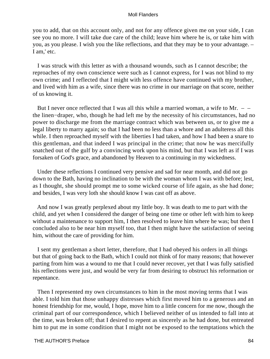you to add, that on this account only, and not for any offence given me on your side, I can see you no more. I will take due care of the child; leave him where he is, or take him with you, as you please. I wish you the like reflections, and that they may be to your advantage. – I am,' etc.

 I was struck with this letter as with a thousand wounds, such as I cannot describe; the reproaches of my own conscience were such as I cannot express, for I was not blind to my own crime; and I reflected that I might with less offence have continued with my brother, and lived with him as a wife, since there was no crime in our marriage on that score, neither of us knowing it.

But I never once reflected that I was all this while a married woman, a wife to Mr.  $$ the linen−draper, who, though he had left me by the necessity of his circumstances, had no power to discharge me from the marriage contract which was between us, or to give me a legal liberty to marry again; so that I had been no less than a whore and an adulteress all this while. I then reproached myself with the liberties I had taken, and how I had been a snare to this gentleman, and that indeed I was principal in the crime; that now he was mercifully snatched out of the gulf by a convincing work upon his mind, but that I was left as if I was forsaken of God's grace, and abandoned by Heaven to a continuing in my wickedness.

 Under these reflections I continued very pensive and sad for near month, and did not go down to the Bath, having no inclination to be with the woman whom I was with before; lest, as I thought, she should prompt me to some wicked course of life again, as she had done; and besides, I was very loth she should know I was cast off as above.

 And now I was greatly perplexed about my little boy. It was death to me to part with the child, and yet when I considered the danger of being one time or other left with him to keep without a maintenance to support him, I then resolved to leave him where he was; but then I concluded also to be near him myself too, that I then might have the satisfaction of seeing him, without the care of providing for him.

 I sent my gentleman a short letter, therefore, that I had obeyed his orders in all things but that of going back to the Bath, which I could not think of for many reasons; that however parting from him was a wound to me that I could never recover, yet that I was fully satisfied his reflections were just, and would be very far from desiring to obstruct his reformation or repentance.

 Then I represented my own circumstances to him in the most moving terms that I was able. I told him that those unhappy distresses which first moved him to a generous and an honest friendship for me, would, I hope, move him to a little concern for me now, though the criminal part of our correspondence, which I believed neither of us intended to fall into at the time, was broken off; that I desired to repent as sincerely as he had done, but entreated him to put me in some condition that I might not be exposed to the temptations which the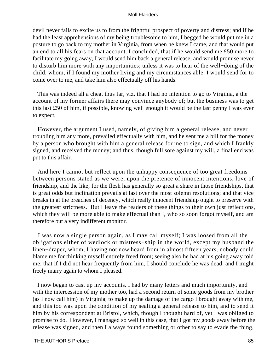devil never fails to excite us to from the frightful prospect of poverty and distress; and if he had the least apprehensions of my being troublesome to him, I begged he would put me in a posture to go back to my mother in Virginia, from when he knew I came, and that would put an end to all his fears on that account. I concluded, that if he would send me £50 more to facilitate my going away, I would send him back a general release, and would promise never to disturb him more with any importunities; unless it was to hear of the well−doing of the child, whom, if I found my mother living and my circumstances able, I would send for to come over to me, and take him also effectually off his hands.

 This was indeed all a cheat thus far, viz. that I had no intention to go to Virginia, a the account of my former affairs there may convince anybody of; but the business was to get this last £50 of him, if possible, knowing well enough it would be the last penny I was ever to expect.

 However, the argument I used, namely, of giving him a general release, and never troubling him any more, prevailed effectually with him, and he sent me a bill for the money by a person who brought with him a general release for me to sign, and which I frankly signed, and received the money; and thus, though full sore against my will, a final end was put to this affair.

 And here I cannot but reflect upon the unhappy consequence of too great freedoms between persons stated as we were, upon the pretence of innocent intentions, love of friendship, and the like; for the flesh has generally so great a share in those friendships, that is great odds but inclination prevails at last over the most solemn resolutions; and that vice breaks in at the breaches of decency, which really innocent friendship ought to preserve with the greatest strictness. But I leave the readers of these things to their own just reflections, which they will be more able to make effectual than I, who so soon forgot myself, and am therefore but a very indifferent monitor.

 I was now a single person again, as I may call myself; I was loosed from all the obligations either of wedlock or mistress−ship in the world, except my husband the linen−draper, whom, I having not now heard from in almost fifteen years, nobody could blame me for thinking myself entirely freed from; seeing also he had at his going away told me, that if I did not hear frequently from him, I should conclude he was dead, and I might freely marry again to whom I pleased.

 I now began to cast up my accounts. I had by many letters and much importunity, and with the intercession of my mother too, had a second return of some goods from my brother (as I now call him) in Virginia, to make up the damage of the cargo I brought away with me, and this too was upon the condition of my sealing a general release to him, and to send it him by his correspondent at Bristol, which, though I thought hard of, yet I was obliged to promise to do. However, I managed so well in this case, that I got my goods away before the release was signed, and then I always found something or other to say to evade the thing,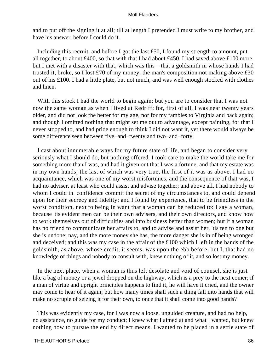and to put off the signing it at all; till at length I pretended I must write to my brother, and have his answer, before I could do it.

Including this recruit, and before I got the last £50, I found my strength to amount, put all together, to about £400, so that with that I had about £450. I had saved above £100 more, but I met with a disaster with that, which was this – that a goldsmith in whose hands I had trusted it, broke, so I lost £70 of my money, the man's composition not making above £30 out of his £100. I had a little plate, but not much, and was well enough stocked with clothes and linen.

With this stock I had the world to begin again; but you are to consider that I was not now the same woman as when I lived at Redriff; for, first of all, I was near twenty years older, and did not look the better for my age, nor for my rambles to Virginia and back again; and though I omitted nothing that might set me out to advantage, except painting, for that I never stooped to, and had pride enough to think I did not want it, yet there would always be some difference seen between five−and−twenty and two−and−forty.

 I cast about innumerable ways for my future state of life, and began to consider very seriously what I should do, but nothing offered. I took care to make the world take me for something more than I was, and had it given out that I was a fortune, and that my estate was in my own hands; the last of which was very true, the first of it was as above. I had no acquaintance, which was one of my worst misfortunes, and the consequence of that was, I had no adviser, at least who could assist and advise together; and above all, I had nobody to whom I could in confidence commit the secret of my circumstances to, and could depend upon for their secrecy and fidelity; and I found by experience, that to be friendless in the worst condition, next to being in want that a woman can be reduced to: I say a woman, because 'tis evident men can be their own advisers, and their own directors, and know how to work themselves out of difficulties and into business better than women; but if a woman has no friend to communicate her affairs to, and to advise and assist her, 'tis ten to one but she is undone; nay, and the more money she has, the more danger she is in of being wronged and deceived; and this was my case in the affair of the £100 which I left in the hands of the goldsmith, as above, whose credit, it seems, was upon the ebb before, but I, that had no knowledge of things and nobody to consult with, knew nothing of it, and so lost my money.

 In the next place, when a woman is thus left desolate and void of counsel, she is just like a bag of money or a jewel dropped on the highway, which is a prey to the next comer; if a man of virtue and upright principles happens to find it, he will have it cried, and the owner may come to hear of it again; but how many times shall such a thing fall into hands that will make no scruple of seizing it for their own, to once that it shall come into good hands?

 This was evidently my case, for I was now a loose, unguided creature, and had no help, no assistance, no guide for my conduct; I knew what I aimed at and what I wanted, but knew nothing how to pursue the end by direct means. I wanted to be placed in a settle state of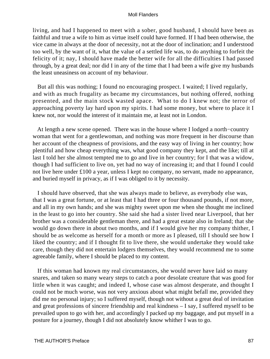living, and had I happened to meet with a sober, good husband, I should have been as faithful and true a wife to him as virtue itself could have formed. If I had been otherwise, the vice came in always at the door of necessity, not at the door of inclination; and I understood too well, by the want of it, what the value of a settled life was, to do anything to forfeit the felicity of it; nay, I should have made the better wife for all the difficulties I had passed through, by a great deal; nor did I in any of the time that I had been a wife give my husbands the least uneasiness on account of my behaviour.

 But all this was nothing; I found no encouraging prospect. I waited; I lived regularly, and with as much frugality as became my circumstances, but nothing offered, nothing presented, and the main stock wasted apace. What to do I knew not; the terror of approaching poverty lay hard upon my spirits. I had some money, but where to place it I knew not, nor would the interest of it maintain me, at least not in London.

 At length a new scene opened. There was in the house where I lodged a north−country woman that went for a gentlewoman, and nothing was more frequent in her discourse than her account of the cheapness of provisions, and the easy way of living in her country; how plentiful and how cheap everything was, what good company they kept, and the like; till at last I told her she almost tempted me to go and live in her country; for I that was a widow, though I had sufficient to live on, yet had no way of increasing it; and that I found I could not live here under £100 a year, unless I kept no company, no servant, made no appearance, and buried myself in privacy, as if I was obliged to it by necessity.

 I should have observed, that she was always made to believe, as everybody else was, that I was a great fortune, or at least that I had three or four thousand pounds, if not more, and all in my own hands; and she was mighty sweet upon me when she thought me inclined in the least to go into her country. She said she had a sister lived near Liverpool, that her brother was a considerable gentleman there, and had a great estate also in Ireland; that she would go down there in about two months, and if I would give her my company thither, I should be as welcome as herself for a month or more as I pleased, till I should see how I liked the country; and if I thought fit to live there, she would undertake they would take care, though they did not entertain lodgers themselves, they would recommend me to some agreeable family, where I should be placed to my content.

 If this woman had known my real circumstances, she would never have laid so many snares, and taken so many weary steps to catch a poor desolate creature that was good for little when it was caught; and indeed I, whose case was almost desperate, and thought I could not be much worse, was not very anxious about what might befall me, provided they did me no personal injury; so I suffered myself, though not without a great deal of invitation and great professions of sincere friendship and real kindness – I say, I suffered myself to be prevailed upon to go with her, and accordingly I packed up my baggage, and put myself in a posture for a journey, though I did not absolutely know whither I was to go.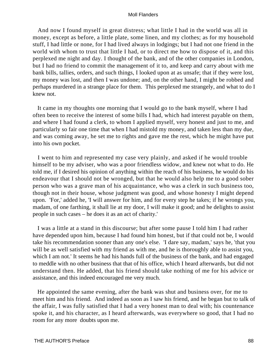And now I found myself in great distress; what little I had in the world was all in money, except as before, a little plate, some linen, and my clothes; as for my household stuff, I had little or none, for I had lived always in lodgings; but I had not one friend in the world with whom to trust that little I had, or to direct me how to dispose of it, and this perplexed me night and day. I thought of the bank, and of the other companies in London, but I had no friend to commit the management of it to, and keep and carry about with me bank bills, tallies, orders, and such things, I looked upon at as unsafe; that if they were lost, my money was lost, and then I was undone; and, on the other hand, I might be robbed and perhaps murdered in a strange place for them. This perplexed me strangely, and what to do I knew not.

 It came in my thoughts one morning that I would go to the bank myself, where I had often been to receive the interest of some bills I had, which had interest payable on them, and where I had found a clerk, to whom I applied myself, very honest and just to me, and particularly so fair one time that when I had mistold my money, and taken less than my due, and was coming away, he set me to rights and gave me the rest, which he might have put into his own pocket.

 I went to him and represented my case very plainly, and asked if he would trouble himself to be my adviser, who was a poor friendless widow, and knew not what to do. He told me, if I desired his opinion of anything within the reach of his business, he would do his endeavour that I should not be wronged, but that he would also help me to a good sober person who was a grave man of his acquaintance, who was a clerk in such business too, though not in their house, whose judgment was good, and whose honesty I might depend upon. 'For,' added he, 'I will answer for him, and for every step he takes; if he wrongs you, madam, of one farthing, it shall lie at my door, I will make it good; and he delights to assist people in such cases – he does it as an act of charity.'

 I was a little at a stand in this discourse; but after some pause I told him I had rather have depended upon him, because I had found him honest, but if that could not be, I would take his recommendation sooner than any one's else. 'I dare say, madam,' says he, 'that you will be as well satisfied with my friend as with me, and he is thoroughly able to assist you, which I am not.' It seems he had his hands full of the business of the bank, and had engaged to meddle with no other business that that of his office, which I heard afterwards, but did not understand then. He added, that his friend should take nothing of me for his advice or assistance, and this indeed encouraged me very much.

 He appointed the same evening, after the bank was shut and business over, for me to meet him and his friend. And indeed as soon as I saw his friend, and he began but to talk of the affair, I was fully satisfied that I had a very honest man to deal with; his countenance spoke it, and his character, as I heard afterwards, was everywhere so good, that I had no room for any more doubts upon me.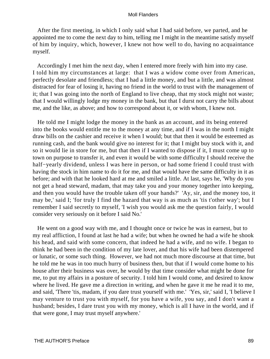After the first meeting, in which I only said what I had said before, we parted, and he appointed me to come the next day to him, telling me I might in the meantime satisfy myself of him by inquiry, which, however, I knew not how well to do, having no acquaintance myself.

 Accordingly I met him the next day, when I entered more freely with him into my case. I told him my circumstances at large: that I was a widow come over from American, perfectly desolate and friendless; that I had a little money, and but a little, and was almost distracted for fear of losing it, having no friend in the world to trust with the management of it; that I was going into the north of England to live cheap, that my stock might not waste; that I would willingly lodge my money in the bank, but that I durst not carry the bills about me, and the like, as above; and how to correspond about it, or with whom, I knew not.

 He told me I might lodge the money in the bank as an account, and its being entered into the books would entitle me to the money at any time, and if I was in the north I might draw bills on the cashier and receive it when I would; but that then it would be esteemed as running cash, and the bank would give no interest for it; that I might buy stock with it, and so it would lie in store for me, but that then if I wanted to dispose if it, I must come up to town on purpose to transfer it, and even it would be with some difficulty I should receive the half−yearly dividend, unless I was here in person, or had some friend I could trust with having the stock in him name to do it for me, and that would have the same difficulty in it as before; and with that he looked hard at me and smiled a little. At last, says he, 'Why do you not get a head steward, madam, that may take you and your money together into keeping, and then you would have the trouble taken off your hands?' 'Ay, sir, and the money too, it may be,' said I; 'for truly I find the hazard that way is as much as 'tis t'other way'; but I remember I said secretly to myself, 'I wish you would ask me the question fairly, I would consider very seriously on it before I said No.'

 He went on a good way with me, and I thought once or twice he was in earnest, but to my real affliction, I found at last he had a wife; but when he owned he had a wife he shook his head, and said with some concern, that indeed he had a wife, and no wife. I began to think he had been in the condition of my late lover, and that his wife had been distempered or lunatic, or some such thing. However, we had not much more discourse at that time, but he told me he was in too much hurry of business then, but that if I would come home to his house after their business was over, he would by that time consider what might be done for me, to put my affairs in a posture of security. I told him I would come, and desired to know where he lived. He gave me a direction in writing, and when he gave it me he read it to me, and said, 'There 'tis, madam, if you dare trust yourself with me.' 'Yes, sir,' said I, 'I believe I may venture to trust you with myself, for you have a wife, you say, and I don't want a husband; besides, I dare trust you with my money, which is all I have in the world, and if that were gone, I may trust myself anywhere.'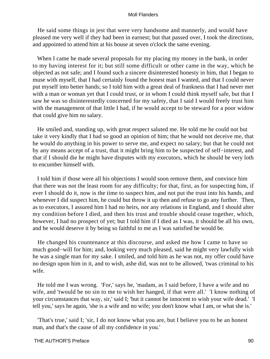He said some things in jest that were very handsome and mannerly, and would have pleased me very well if they had been in earnest; but that passed over, I took the directions, and appointed to attend him at his house at seven o'clock the same evening.

When I came he made several proposals for my placing my money in the bank, in order to my having interest for it; but still some difficult or other came in the way, which he objected as not safe; and I found such a sincere disinterested honesty in him, that I began to muse with myself, that I had certainly found the honest man I wanted, and that I could never put myself into better hands; so I told him with a great deal of frankness that I had never met with a man or woman yet that I could trust, or in whom I could think myself safe, but that I saw he was so disinterestedly concerned for my safety, that I said I would freely trust him with the management of that little I had, if he would accept to be steward for a poor widow that could give him no salary.

 He smiled and, standing up, with great respect saluted me. He told me he could not but take it very kindly that I had so good an opinion of him; that he would not deceive me, that he would do anything in his power to serve me, and expect no salary; but that he could not by any means accept of a trust, that it might bring him to be suspected of self−interest, and that if I should die he might have disputes with my executors, which he should be very loth to encumber himself with.

 I told him if those were all his objections I would soon remove them, and convince him that there was not the least room for any difficulty; for that, first, as for suspecting him, if ever I should do it, now is the time to suspect him, and not put the trust into his hands, and whenever I did suspect him, he could but throw it up then and refuse to go any further. Then, as to executors, I assured him I had no heirs, nor any relations in England, and I should alter my condition before I died, and then his trust and trouble should cease together, which, however, I had no prospect of yet; but I told him if I died as I was, it should be all his own, and he would deserve it by being so faithful to me as I was satisfied he would be.

 He changed his countenance at this discourse, and asked me how I came to have so much good−will for him; and, looking very much pleased, said he might very lawfully wish he was a single man for my sake. I smiled, and told him as he was not, my offer could have no design upon him in it, and to wish, ashe did, was not to be allowed, 'twas criminal to his wife.

 He told me I was wrong. 'For,' says he, 'madam, as I said before, I have a wife and no wife, and 'twould be no sin to me to wish her hanged, if that were all.' 'I know nothing of your circumstances that way, sir,' said I; 'but it cannot be innocent to wish your wife dead.' 'I tell you,' says he again, 'she is a wife and no wife; you don't know what I am, or what she is.'

 'That's true,' said I; 'sir, I do not know what you are, but I believe you to be an honest man, and that's the cause of all my confidence in you.'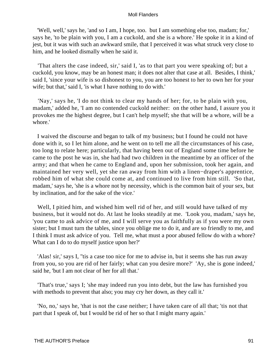'Well, well,' says he, 'and so I am, I hope, too. but I am something else too, madam; for,' says he, 'to be plain with you, I am a cuckold, and she is a whore.' He spoke it in a kind of jest, but it was with such an awkward smile, that I perceived it was what struck very close to him, and he looked dismally when he said it.

 'That alters the case indeed, sir,' said I, 'as to that part you were speaking of; but a cuckold, you know, may be an honest man; it does not alter that case at all. Besides, I think,' said I, 'since your wife is so dishonest to you, you are too honest to her to own her for your wife; but that,' said I, 'is what I have nothing to do with.'

 'Nay,' says he, 'I do not think to clear my hands of her; for, to be plain with you, madam,' added he, 'I am no contended cuckold neither: on the other hand, I assure you it provokes me the highest degree, but I can't help myself; she that will be a whore, will be a whore.'

 I waived the discourse and began to talk of my business; but I found he could not have done with it, so I let him alone, and he went on to tell me all the circumstances of his case, too long to relate here; particularly, that having been out of England some time before he came to the post he was in, she had had two children in the meantime by an officer of the army; and that when he came to England and, upon her submission, took her again, and maintained her very well, yet she ran away from him with a linen−draper's apprentice, robbed him of what she could come at, and continued to live from him still. 'So that, madam,' says he, 'she is a whore not by necessity, which is the common bait of your sex, but by inclination, and for the sake of the vice.'

 Well, I pitied him, and wished him well rid of her, and still would have talked of my business, but it would not do. At last he looks steadily at me. 'Look you, madam,' says he, 'you came to ask advice of me, and I will serve you as faithfully as if you were my own sister; but I must turn the tables, since you oblige me to do it, and are so friendly to me, and I think I must ask advice of you. Tell me, what must a poor abused fellow do with a whore? What can I do to do myself justice upon her?'

 'Alas! sir,' says I, ''tis a case too nice for me to advise in, but it seems she has run away from you, so you are rid of her fairly; what can you desire more?' 'Ay, she is gone indeed,' said he, 'but I am not clear of her for all that.'

 'That's true,' says I; 'she may indeed run you into debt, but the law has furnished you with methods to prevent that also; you may cry her down, as they call it.'

 'No, no,' says he, 'that is not the case neither; I have taken care of all that; 'tis not that part that I speak of, but I would be rid of her so that I might marry again.'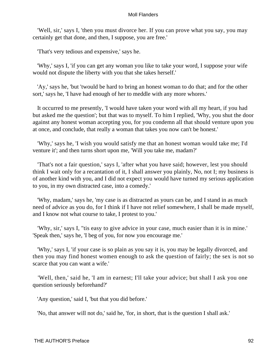'Well, sir,' says I, 'then you must divorce her. If you can prove what you say, you may certainly get that done, and then, I suppose, you are free.'

'That's very tedious and expensive,' says he.

 'Why,' says I, 'if you can get any woman you like to take your word, I suppose your wife would not dispute the liberty with you that she takes herself.'

 'Ay,' says he, 'but 'twould be hard to bring an honest woman to do that; and for the other sort,' says he, 'I have had enough of her to meddle with any more whores.'

 It occurred to me presently, 'I would have taken your word with all my heart, if you had but asked me the question'; but that was to myself. To him I replied, 'Why, you shut the door against any honest woman accepting you, for you condemn all that should venture upon you at once, and conclude, that really a woman that takes you now can't be honest.'

 'Why,' says he, 'I wish you would satisfy me that an honest woman would take me; I'd venture it'; and then turns short upon me, 'Will you take me, madam?'

 'That's not a fair question,' says I, 'after what you have said; however, lest you should think I wait only for a recantation of it, I shall answer you plainly, No, not I; my business is of another kind with you, and I did not expect you would have turned my serious application to you, in my own distracted case, into a comedy.'

 'Why, madam,' says he, 'my case is as distracted as yours can be, and I stand in as much need of advice as you do, for I think if I have not relief somewhere, I shall be made myself, and I know not what course to take, I protest to you.'

 'Why, sir,' says I, ''tis easy to give advice in your case, much easier than it is in mine.' 'Speak then,' says he, 'I beg of you, for now you encourage me.'

 'Why,' says I, 'if your case is so plain as you say it is, you may be legally divorced, and then you may find honest women enough to ask the question of fairly; the sex is not so scarce that you can want a wife.'

'Well, then,' said he, 'I am in earnest; I'll take your advice; but shall I ask you one question seriously beforehand?'

'Any question,' said I, 'but that you did before.'

'No, that answer will not do,' said he, 'for, in short, that is the question I shall ask.'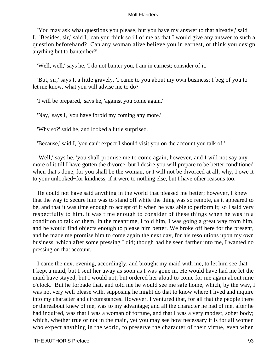'You may ask what questions you please, but you have my answer to that already,' said I. 'Besides, sir,' said I, 'can you think so ill of me as that I would give any answer to such a question beforehand? Can any woman alive believe you in earnest, or think you design anything but to banter her?'

'Well, well,' says he, 'I do not banter you, I am in earnest; consider of it.'

 'But, sir,' says I, a little gravely, 'I came to you about my own business; I beg of you to let me know, what you will advise me to do?'

'I will be prepared,' says he, 'against you come again.'

'Nay,' says I, 'you have forbid my coming any more.'

'Why so?' said he, and looked a little surprised.

'Because,' said I, 'you can't expect I should visit you on the account you talk of.'

 'Well,' says he, 'you shall promise me to come again, however, and I will not say any more of it till I have gotten the divorce, but I desire you will prepare to be better conditioned when that's done, for you shall be the woman, or I will not be divorced at all; why, I owe it to your unlooked−for kindness, if it were to nothing else, but I have other reasons too.'

 He could not have said anything in the world that pleased me better; however, I knew that the way to secure him was to stand off while the thing was so remote, as it appeared to be, and that it was time enough to accept of it when he was able to perform it; so I said very respectfully to him, it was time enough to consider of these things when he was in a condition to talk of them; in the meantime, I told him, I was going a great way from him, and he would find objects enough to please him better. We broke off here for the present, and he made me promise him to come again the next day, for his resolutions upon my own business, which after some pressing I did; though had he seen farther into me, I wanted no pressing on that account.

 I came the next evening, accordingly, and brought my maid with me, to let him see that I kept a maid, but I sent her away as soon as I was gone in. He would have had me let the maid have stayed, but I would not, but ordered her aloud to come for me again about nine o'clock. But he forbade that, and told me he would see me safe home, which, by the way, I was not very well please with, supposing he might do that to know where I lived and inquire into my character and circumstances. However, I ventured that, for all that the people there or thereabout knew of me, was to my advantage; and all the character he had of me, after he had inquired, was that I was a woman of fortune, and that I was a very modest, sober body; which, whether true or not in the main, yet you may see how necessary it is for all women who expect anything in the world, to preserve the character of their virtue, even when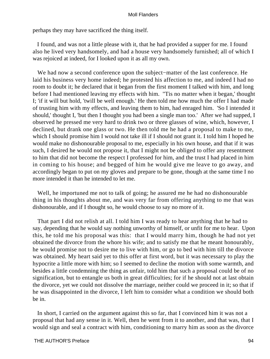perhaps they may have sacrificed the thing itself.

 I found, and was not a little please with it, that he had provided a supper for me. I found also he lived very handsomely, and had a house very handsomely furnished; all of which I was rejoiced at indeed, for I looked upon it as all my own.

 We had now a second conference upon the subject−matter of the last conference. He laid his business very home indeed; he protested his affection to me, and indeed I had no room to doubt it; he declared that it began from the first moment I talked with him, and long before I had mentioned leaving my effects with him. ''Tis no matter when it began,' thought I; 'if it will but hold, 'twill be well enough.' He then told me how much the offer I had made of trusting him with my effects, and leaving them to him, had enraged him. 'So I intended it should,' thought I, 'but then I thought you had been a single man too.' After we had supped, I observed he pressed me very hard to drink two or three glasses of wine, which, however, I declined, but drank one glass or two. He then told me he had a proposal to make to me, which I should promise him I would not take ill if I should not grant it. I told him I hoped he would make no dishonourable proposal to me, especially in his own house, and that if it was such, I desired he would not propose it, that I might not be obliged to offer any resentment to him that did not become the respect I professed for him, and the trust I had placed in him in coming to his house; and begged of him he would give me leave to go away, and accordingly began to put on my gloves and prepare to be gone, though at the same time I no more intended it than he intended to let me.

 Well, he importuned me not to talk of going; he assured me he had no dishonourable thing in his thoughts about me, and was very far from offering anything to me that was dishonourable, and if I thought so, he would choose to say no more of it.

 That part I did not relish at all. I told him I was ready to hear anything that he had to say, depending that he would say nothing unworthy of himself, or unfit for me to hear. Upon this, he told me his proposal was this: that I would marry him, though he had not yet obtained the divorce from the whore his wife; and to satisfy me that he meant honourably, he would promise not to desire me to live with him, or go to bed with him till the divorce was obtained. My heart said yet to this offer at first word, but it was necessary to play the hypocrite a little more with him; so I seemed to decline the motion with some warmth, and besides a little condemning the thing as unfair, told him that such a proposal could be of no signification, but to entangle us both in great difficulties; for if he should not at last obtain the divorce, yet we could not dissolve the marriage, neither could we proceed in it; so that if he was disappointed in the divorce, I left him to consider what a condition we should both be in.

 In short, I carried on the argument against this so far, that I convinced him it was not a proposal that had any sense in it. Well, then he went from it to another, and that was, that I would sign and seal a contract with him, conditioning to marry him as soon as the divorce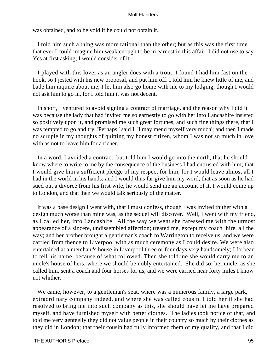was obtained, and to be void if he could not obtain it.

 I told him such a thing was more rational than the other; but as this was the first time that ever I could imagine him weak enough to be in earnest in this affair, I did not use to say Yes at first asking; I would consider of it.

 I played with this lover as an angler does with a trout. I found I had him fast on the hook, so I jested with his new proposal, and put him off. I told him he knew little of me, and bade him inquire about me; I let him also go home with me to my lodging, though I would not ask him to go in, for I told him it was not decent.

 In short, I ventured to avoid signing a contract of marriage, and the reason why I did it was because the lady that had invited me so earnestly to go with her into Lancashire insisted so positively upon it, and promised me such great fortunes, and such fine things there, that I was tempted to go and try. 'Perhaps,' said I, 'I may mend myself very much'; and then I made no scruple in my thoughts of quitting my honest citizen, whom I was not so much in love with as not to leave him for a richer.

 In a word, I avoided a contract; but told him I would go into the north, that he should know where to write to me by the consequence of the business I had entrusted with him; that I would give him a sufficient pledge of my respect for him, for I would leave almost all I had in the world in his hands; and I would thus far give him my word, that as soon as he had sued out a divorce from his first wife, he would send me an account of it, I would come up to London, and that then we would talk seriously of the matter.

 It was a base design I went with, that I must confess, though I was invited thither with a design much worse than mine was, as the sequel will discover. Well, I went with my friend, as I called her, into Lancashire. All the way we went she caressed me with the utmost appearance of a sincere, undissembled affection; treated me, except my coach−hire, all the way; and her brother brought a gentleman's coach to Warrington to receive us, and we were carried from thence to Liverpool with as much ceremony as I could desire. We were also entertained at a merchant's house in Liverpool three or four days very handsomely; I forbear to tell his name, because of what followed. Then she told me she would carry me to an uncle's house of hers, where we should be nobly entertained. She did so; her uncle, as she called him, sent a coach and four horses for us, and we were carried near forty miles I know not whither.

 We came, however, to a gentleman's seat, where was a numerous family, a large park, extraordinary company indeed, and where she was called cousin. I told her if she had resolved to bring me into such company as this, she should have let me have prepared myself, and have furnished myself with better clothes. The ladies took notice of that, and told me very genteelly they did not value people in their country so much by their clothes as they did in London; that their cousin had fully informed them of my quality, and that I did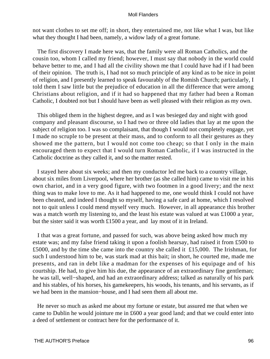not want clothes to set me off; in short, they entertained me, not like what I was, but like what they thought I had been, namely, a widow lady of a great fortune.

 The first discovery I made here was, that the family were all Roman Catholics, and the cousin too, whom I called my friend; however, I must say that nobody in the world could behave better to me, and I had all the civility shown me that I could have had if I had been of their opinion. The truth is, I had not so much principle of any kind as to be nice in point of religion, and I presently learned to speak favourably of the Romish Church; particularly, I told them I saw little but the prejudice of education in all the difference that were among Christians about religion, and if it had so happened that my father had been a Roman Catholic, I doubted not but I should have been as well pleased with their religion as my own.

 This obliged them in the highest degree, and as I was besieged day and night with good company and pleasant discourse, so I had two or three old ladies that lay at me upon the subject of religion too. I was so complaisant, that though I would not completely engage, yet I made no scruple to be present at their mass, and to conform to all their gestures as they showed me the pattern, but I would not come too cheap; so that I only in the main encouraged them to expect that I would turn Roman Catholic, if I was instructed in the Catholic doctrine as they called it, and so the matter rested.

 I stayed here about six weeks; and then my conductor led me back to a country village, about six miles from Liverpool, where her brother (as she called him) came to visit me in his own chariot, and in a very good figure, with two footmen in a good livery; and the next thing was to make love to me. As it had happened to me, one would think I could not have been cheated, and indeed I thought so myself, having a safe card at home, which I resolved not to quit unless I could mend myself very much. However, in all appearance this brother was a match worth my listening to, and the least his estate was valued at was £1000 a year, but the sister said it was worth £1500 a year, and lay most of it in Ireland.

 I that was a great fortune, and passed for such, was above being asked how much my estate was; and my false friend taking it upon a foolish hearsay, had raised it from £500 to £5000, and by the time she came into the country she called it £15,000. The Irishman, for such I understood him to be, was stark mad at this bait; in short, he courted me, made me presents, and ran in debt like a madman for the expenses of his equipage and of his courtship. He had, to give him his due, the appearance of an extraordinary fine gentleman; he was tall, well−shaped, and had an extraordinary address; talked as naturally of his park and his stables, of his horses, his gamekeepers, his woods, his tenants, and his servants, as if we had been in the mansion−house, and I had seen them all about me.

 He never so much as asked me about my fortune or estate, but assured me that when we came to Dublin he would jointure me in £600 a year good land; and that we could enter into a deed of settlement or contract here for the performance of it.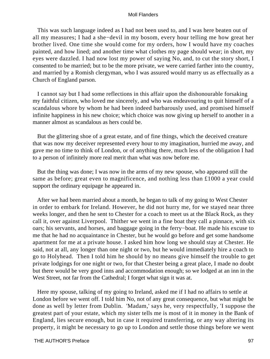This was such language indeed as I had not been used to, and I was here beaten out of all my measures; I had a she−devil in my bosom, every hour telling me how great her brother lived. One time she would come for my orders, how I would have my coaches painted, and how lined; and another time what clothes my page should wear; in short, my eyes were dazzled. I had now lost my power of saying No, and, to cut the story short, I consented to be married; but to be the more private, we were carried farther into the country, and married by a Romish clergyman, who I was assured would marry us as effectually as a Church of England parson.

 I cannot say but I had some reflections in this affair upon the dishonourable forsaking my faithful citizen, who loved me sincerely, and who was endeavouring to quit himself of a scandalous whore by whom he had been indeed barbarously used, and promised himself infinite happiness in his new choice; which choice was now giving up herself to another in a manner almost as scandalous as hers could be.

 But the glittering shoe of a great estate, and of fine things, which the deceived creature that was now my deceiver represented every hour to my imagination, hurried me away, and gave me no time to think of London, or of anything there, much less of the obligation I had to a person of infinitely more real merit than what was now before me.

 But the thing was done; I was now in the arms of my new spouse, who appeared still the same as before; great even to magnificence, and nothing less than £1000 a year could support the ordinary equipage he appeared in.

 After we had been married about a month, he began to talk of my going to West Chester in order to embark for Ireland. However, he did not hurry me, for we stayed near three weeks longer, and then he sent to Chester for a coach to meet us at the Black Rock, as they call it, over against Liverpool. Thither we went in a fine boat they call a pinnace, with six oars; his servants, and horses, and baggage going in the ferry−boat. He made his excuse to me that he had no acquaintance in Chester, but he would go before and get some handsome apartment for me at a private house. I asked him how long we should stay at Chester. He said, not at all, any longer than one night or two, but he would immediately hire a coach to go to Holyhead. Then I told him he should by no means give himself the trouble to get private lodgings for one night or two, for that Chester being a great place, I made no doubt but there would be very good inns and accommodation enough; so we lodged at an inn in the West Street, not far from the Cathedral; I forget what sign it was at.

 Here my spouse, talking of my going to Ireland, asked me if I had no affairs to settle at London before we went off. I told him No, not of any great consequence, but what might be done as well by letter from Dublin. 'Madam,' says he, very respectfully, 'I suppose the greatest part of your estate, which my sister tells me is most of it in money in the Bank of England, lies secure enough, but in case it required transferring, or any way altering its property, it might be necessary to go up to London and settle those things before we went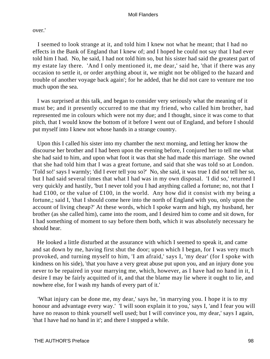over.'

 I seemed to look strange at it, and told him I knew not what he meant; that I had no effects in the Bank of England that I knew of; and I hoped he could not say that I had ever told him I had. No, he said, I had not told him so, but his sister had said the greatest part of my estate lay there. 'And I only mentioned it, me dear,' said he, 'that if there was any occasion to settle it, or order anything about it, we might not be obliged to the hazard and trouble of another voyage back again'; for he added, that he did not care to venture me too much upon the sea.

 I was surprised at this talk, and began to consider very seriously what the meaning of it must be; and it presently occurred to me that my friend, who called him brother, had represented me in colours which were not my due; and I thought, since it was come to that pitch, that I would know the bottom of it before I went out of England, and before I should put myself into I knew not whose hands in a strange country.

 Upon this I called his sister into my chamber the next morning, and letting her know the discourse her brother and I had been upon the evening before, I conjured her to tell me what she had said to him, and upon what foot it was that she had made this marriage. She owned that she had told him that I was a great fortune, and said that she was told so at London. 'Told so!' says I warmly; 'did I ever tell you so?' No, she said, it was true I did not tell her so, but I had said several times that what I had was in my own disposal. 'I did so,' returned I very quickly and hastily, 'but I never told you I had anything called a fortune; no, not that I had £100, or the value of £100, in the world. Any how did it consist with my being a fortune,; said I, 'that I should come here into the north of England with you, only upon the account of living cheap?' At these words, which I spoke warm and high, my husband, her brother (as she called him), came into the room, and I desired him to come and sit down, for I had something of moment to say before them both, which it was absolutely necessary he should hear.

 He looked a little disturbed at the assurance with which I seemed to speak it, and came and sat down by me, having first shut the door; upon which I began, for I was very much provoked, and turning myself to him, 'I am afraid,' says I, 'my dear' (for I spoke with kindness on his side), 'that you have a very great abuse put upon you, and an injury done you never to be repaired in your marrying me, which, however, as I have had no hand in it, I desire I may be fairly acquitted of it, and that the blame may lie where it ought to lie, and nowhere else, for I wash my hands of every part of it.'

 'What injury can be done me, my dear,' says he, 'in marrying you. I hope it is to my honour and advantage every way.' 'I will soon explain it to you,' says I, 'and I fear you will have no reason to think yourself well used; but I will convince you, my dear,' says I again, 'that I have had no hand in it'; and there I stopped a while.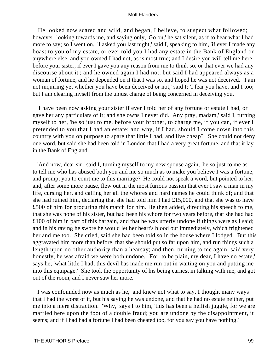He looked now scared and wild, and began, I believe, to suspect what followed; however, looking towards me, and saying only, 'Go on,' he sat silent, as if to hear what I had more to say; so I went on. 'I asked you last night,' said I, speaking to him, 'if ever I made any boast to you of my estate, or ever told you I had any estate in the Bank of England or anywhere else, and you owned I had not, as is most true; and I desire you will tell me here, before your sister, if ever I gave you any reason from me to think so, or that ever we had any discourse about it'; and he owned again I had not, but said I had appeared always as a woman of fortune, and he depended on it that I was so, and hoped he was not deceived. 'I am not inquiring yet whether you have been deceived or not,' said I; 'I fear you have, and I too; but I am clearing myself from the unjust charge of being concerned in deceiving you.

 'I have been now asking your sister if ever I told her of any fortune or estate I had, or gave her any particulars of it; and she owns I never did. Any pray, madam,' said I, turning myself to her, 'be so just to me, before your brother, to charge me, if you can, if ever I pretended to you that I had an estate; and why, if I had, should I come down into this country with you on purpose to spare that little I had, and live cheap?' She could not deny one word, but said she had been told in London that I had a very great fortune, and that it lay in the Bank of England.

 'And now, dear sir,' said I, turning myself to my new spouse again, 'be so just to me as to tell me who has abused both you and me so much as to make you believe I was a fortune, and prompt you to court me to this marriage?' He could not speak a word, but pointed to her; and, after some more pause, flew out in the most furious passion that ever I saw a man in my life, cursing her, and calling her all the whores and hard names he could think of; and that she had ruined him, declaring that she had told him I had £15,000, and that she was to have £500 of him for procuring this match for him. He then added, directing his speech to me, that she was none of his sister, but had been his whore for two years before, that she had had £100 of him in part of this bargain, and that he was utterly undone if things were as I said; and in his raving he swore he would let her heart's blood out immediately, which frightened her and me too. She cried, said she had been told so in the house where I lodged. But this aggravated him more than before, that she should put so far upon him, and run things such a length upon no other authority than a hearsay; and then, turning to me again, said very honestly, he was afraid we were both undone. 'For, to be plain, my dear, I have no estate,' says he; 'what little I had, this devil has made me run out in waiting on you and putting me into this equipage.' She took the opportunity of his being earnest in talking with me, and got out of the room, and I never saw her more.

 I was confounded now as much as he, and knew not what to say. I thought many ways that I had the worst of it, but his saying he was undone, and that he had no estate neither, put me into a mere distraction. 'Why,' says I to him, 'this has been a hellish juggle, for we are married here upon the foot of a double fraud; you are undone by the disappointment, it seems; and if I had had a fortune I had been cheated too, for you say you have nothing.'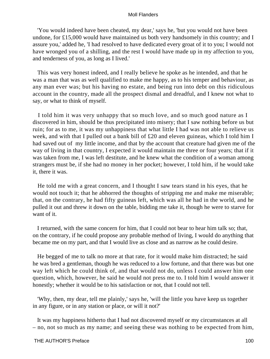'You would indeed have been cheated, my dear,' says he, 'but you would not have been undone, for £15,000 would have maintained us both very handsomely in this country; and I assure you,' added he, 'I had resolved to have dedicated every groat of it to you; I would not have wronged you of a shilling, and the rest I would have made up in my affection to you, and tenderness of you, as long as I lived.'

 This was very honest indeed, and I really believe he spoke as he intended, and that he was a man that was as well qualified to make me happy, as to his temper and behaviour, as any man ever was; but his having no estate, and being run into debt on this ridiculous account in the country, made all the prospect dismal and dreadful, and I knew not what to say, or what to think of myself.

 I told him it was very unhappy that so much love, and so much good nature as I discovered in him, should be thus precipitated into misery; that I saw nothing before us but ruin; for as to me, it was my unhappiness that what little I had was not able to relieve us week, and with that I pulled out a bank bill of £20 and eleven guineas, which I told him I had saved out of my little income, and that by the account that creature had given me of the way of living in that country, I expected it would maintain me three or four years; that if it was taken from me, I was left destitute, and he knew what the condition of a woman among strangers must be, if she had no money in her pocket; however, I told him, if he would take it, there it was.

 He told me with a great concern, and I thought I saw tears stand in his eyes, that he would not touch it; that he abhorred the thoughts of stripping me and make me miserable; that, on the contrary, he had fifty guineas left, which was all he had in the world, and he pulled it out and threw it down on the table, bidding me take it, though he were to starve for want of it.

 I returned, with the same concern for him, that I could not bear to hear him talk so; that, on the contrary, if he could propose any probable method of living, I would do anything that became me on my part, and that I would live as close and as narrow as he could desire.

 He begged of me to talk no more at that rate, for it would make him distracted; he said he was bred a gentleman, though he was reduced to a low fortune, and that there was but one way left which he could think of, and that would not do, unless I could answer him one question, which, however, he said he would not press me to. I told him I would answer it honestly; whether it would be to his satisfaction or not, that I could not tell.

 'Why, then, my dear, tell me plainly,' says he, 'will the little you have keep us together in any figure, or in any station or place, or will it not?'

 It was my happiness hitherto that I had not discovered myself or my circumstances at all – no, not so much as my name; and seeing these was nothing to be expected from him,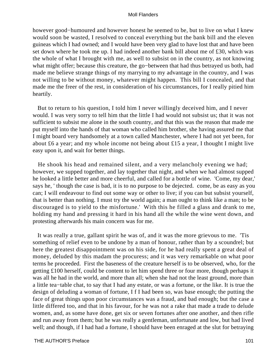however good−humoured and however honest he seemed to be, but to live on what I knew would soon be wasted, I resolved to conceal everything but the bank bill and the eleven guineas which I had owned; and I would have been very glad to have lost that and have been set down where he took me up. I had indeed another bank bill about me of £30, which was the whole of what I brought with me, as well to subsist on in the country, as not knowing what might offer; because this creature, the go−between that had thus betrayed us both, had made me believe strange things of my marrying to my advantage in the country, and I was not willing to be without money, whatever might happen. This bill I concealed, and that made me the freer of the rest, in consideration of his circumstances, for I really pitied him heartily.

 But to return to his question, I told him I never willingly deceived him, and I never would. I was very sorry to tell him that the little I had would not subsist us; that it was not sufficient to subsist me alone in the south country, and that this was the reason that made me put myself into the hands of that woman who called him brother, she having assured me that I might board very handsomely at a town called Manchester, where I had not yet been, for about £6 a year; and my whole income not being about £15 a year, I thought I might live easy upon it, and wait for better things.

 He shook his head and remained silent, and a very melancholy evening we had; however, we supped together, and lay together that night, and when we had almost supped he looked a little better and more cheerful, and called for a bottle of wine. 'Come, my dear,' says he, ' though the case is bad, it is to no purpose to be dejected. come, be as easy as you can; I will endeavour to find out some way or other to live; if you can but subsist yourself, that is better than nothing. I must try the world again; a man ought to think like a man; to be discouraged is to yield to the misfortune.' With this he filled a glass and drank to me, holding my hand and pressing it hard in his hand all the while the wine went down, and protesting afterwards his main concern was for me.

 It was really a true, gallant spirit he was of, and it was the more grievous to me. 'Tis something of relief even to be undone by a man of honour, rather than by a scoundrel; but here the greatest disappointment was on his side, for he had really spent a great deal of money, deluded by this madam the procuress; and it was very remarkable on what poor terms he proceeded. First the baseness of the creature herself is to be observed, who, for the getting £100 herself, could be content to let him spend three or four more, though perhaps it was all he had in the world, and more than all; when she had not the least ground, more than a little tea−table chat, to say that I had any estate, or was a fortune, or the like. It is true the design of deluding a woman of fortune, I f I had been so, was base enough; the putting the face of great things upon poor circumstances was a fraud, and bad enough; but the case a little differed too, and that in his favour, for he was not a rake that made a trade to delude women, and, as some have done, get six or seven fortunes after one another, and then rifle and run away from them; but he was really a gentleman, unfortunate and low, but had lived well; and though, if I had had a fortune, I should have been enraged at the slut for betraying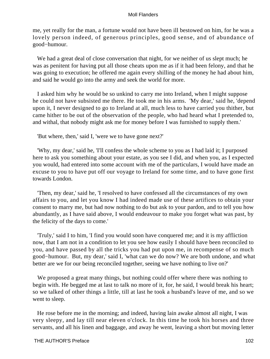me, yet really for the man, a fortune would not have been ill bestowed on him, for he was a lovely person indeed, of generous principles, good sense, and of abundance of good−humour.

 We had a great deal of close conversation that night, for we neither of us slept much; he was as penitent for having put all those cheats upon me as if it had been felony, and that he was going to execution; he offered me again every shilling of the money he had about him, and said he would go into the army and seek the world for more.

 I asked him why he would be so unkind to carry me into Ireland, when I might suppose he could not have subsisted me there. He took me in his arms. 'My dear,' said he, 'depend upon it, I never designed to go to Ireland at all, much less to have carried you thither, but came hither to be out of the observation of the people, who had heard what I pretended to, and withal, that nobody might ask me for money before I was furnished to supply them.'

'But where, then,' said I, 'were we to have gone next?'

 'Why, my dear,' said he, 'I'll confess the whole scheme to you as I had laid it; I purposed here to ask you something about your estate, as you see I did, and when you, as I expected you would, had entered into some account with me of the particulars, I would have made an excuse to you to have put off our voyage to Ireland for some time, and to have gone first towards London.

 'Then, my dear,' said he, 'I resolved to have confessed all the circumstances of my own affairs to you, and let you know I had indeed made use of these artifices to obtain your consent to marry me, but had now nothing to do but ask to your pardon, and to tell you how abundantly, as I have said above, I would endeavour to make you forget what was past, by the felicity of the days to come.'

 'Truly,' said I to him, 'I find you would soon have conquered me; and it is my affliction now, that I am not in a condition to let you see how easily I should have been reconciled to you, and have passed by all the tricks you had put upon me, in recompense of so much good−humour. But, my dear,' said I, 'what can we do now? We are both undone, and what better are we for our being reconciled together, seeing we have nothing to live on?'

 We proposed a great many things, but nothing could offer where there was nothing to begin with. He begged me at last to talk no more of it, for, he said, I would break his heart; so we talked of other things a little, till at last he took a husband's leave of me, and so we went to sleep.

 He rose before me in the morning; and indeed, having lain awake almost all night, I was very sleepy, and lay till near eleven o'clock. In this time he took his horses and three servants, and all his linen and baggage, and away he went, leaving a short but moving letter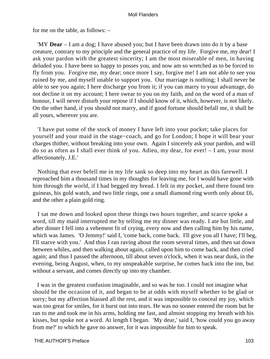for me on the table, as follows: –

 'MY **Dear** – I am a dog; I have abused you; but I have been drawn into do it by a base creature, contrary to my principle and the general practice of my life. Forgive me, my dear! I ask your pardon with the greatest sincerity; I am the most miserable of men, in having deluded you. I have been so happy to posses you, and now am so wretched as to be forced to fly from you. Forgive me, my dear; once more I say, forgive me! I am not able to see you ruined by me, and myself unable to support you. Our marriage is nothing; I shall never be able to see you again; I here discharge you from it; if you can marry to your advantage, do not decline it on my account; I here swear to you on my faith, and on the word of a man of honour, I will never disturb your repose if I should know of it, which, however, is not likely. On the other hand, if you should not marry, and if good fortune should befall me, it shall be all yours, wherever you are.

 'I have put some of the stock of money I have left into your pocket; take places for yourself and your maid in the stage−coach, and go for London; I hope it will bear your charges thither, without breaking into your own. Again I sincerely ask your pardon, and will do so as often as I shall ever think of you. Adieu, my dear, for ever! – I am, your most affectionately, J.E.'

 Nothing that ever befell me in my life sank so deep into my heart as this farewell. I reproached him a thousand times in my thoughts for leaving me, for I would have gone with him through the world, if I had begged my bread. I felt in my pocket, and there found ten guineas, his gold watch, and two little rings, one a small diamond ring worth only about £6, and the other a plain gold ring.

 I sat me down and looked upon these things two hours together, and scarce spoke a word, till my maid interrupted me by telling me my dinner was ready. I ate but little, and after dinner I fell into a vehement fit of crying, every now and then calling him by his name, which was James. 'O Jemmy!' said I, 'come back, come back. I'll give you all I have; I'll beg, I'll starve with you.' And thus I ran raving about the room several times, and then sat down between whiles, and then walking about again, called upon him to come back, and then cried again; and thus I passed the afternoon, till about seven o'clock, when it was near dusk, in the evening, being August, when, to my unspeakable surprise, he comes back into the inn, but without a servant, and comes directly up into my chamber.

 I was in the greatest confusion imaginable, and so was he too. I could not imagine what should be the occasion of it, and began to be at odds with myself whether to be glad or sorry; but my affection biassed all the rest, and it was impossible to conceal my joy, which was too great for smiles, for it burst out into tears. He was no sooner entered the room but he ran to me and took me in his arms, holding me fast, and almost stopping my breath with his kisses, but spoke not a word. At length I began. 'My dear,' said I, 'how could you go away from me?' to which he gave no answer, for it was impossible for him to speak.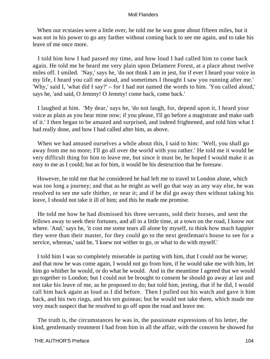When our ecstasies were a little over, he told me he was gone about fifteen miles, but it was not in his power to go any farther without coming back to see me again, and to take his leave of me once more.

 I told him how I had passed my time, and how loud I had called him to come back again. He told me he heard me very plain upon Delamere Forest, at a place about twelve miles off. I smiled. 'Nay,' says he, 'do not think I am in jest, for if ever I heard your voice in my life, I heard you call me aloud, and sometimes I thought I saw you running after me.' 'Why,' said I, 'what did I say?' – for I had not named the words to him. 'You called aloud,' says he, 'and said, O Jemmy! O Jemmy! come back, come back.'

 I laughed at him. 'My dear,' says he, 'do not laugh, for, depend upon it, I heard your voice as plain as you hear mine now; if you please, I'll go before a magistrate and make oath of it.' I then began to be amazed and surprised, and indeed frightened, and told him what I had really done, and how I had called after him, as above.

 When we had amused ourselves a while about this, I said to him: 'Well, you shall go away from me no more; I'll go all over the world with you rather.' He told me it would be very difficult thing for him to leave me, but since it must be, he hoped I would make it as easy to me as I could; but as for him, it would be his destruction that he foresaw.

 However, he told me that he considered he had left me to travel to London alone, which was too long a journey; and that as he might as well go that way as any way else, he was resolved to see me safe thither, or near it; and if he did go away then without taking his leave, I should not take it ill of him; and this he made me promise.

 He told me how he had dismissed his three servants, sold their horses, and sent the fellows away to seek their fortunes, and all in a little time, at a town on the road, I know not where. 'And,' says he, 'it cost me some tears all alone by myself, to think how much happier they were than their master, for they could go to the next gentleman's house to see for a service, whereas,' said he, 'I knew not wither to go, or what to do with myself.'

 I told him I was so completely miserable in parting with him, that I could not be worse; and that now he was come again, I would not go from him, if he would take me with him, let him go whither he would, or do what he would. And in the meantime I agreed that we would go together to London; but I could not be brought to consent he should go away at last and not take his leave of me, as he proposed to do; but told him, jesting, that if he did, I would call him back again as loud as I did before. Then I pulled out his watch and gave it him back, and his two rings, and his ten guineas; but he would not take them, which made me very much suspect that he resolved to go off upon the road and leave me.

 The truth is, the circumstances he was in, the passionate expressions of his letter, the kind, gentlemanly treatment I had from him in all the affair, with the concern he showed for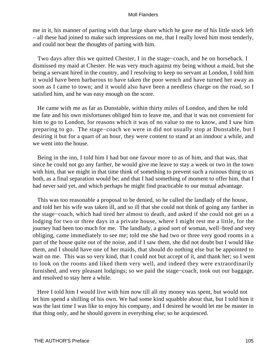me in it, his manner of parting with that large share which he gave me of his little stock left – all these had joined to make such impressions on me, that I really loved him most tenderly, and could not bear the thoughts of parting with him.

 Two days after this we quitted Chester, I in the stage−coach, and he on horseback. I dismissed my maid at Chester. He was very much against my being without a maid, but she being a servant hired in the country, and I resolving to keep no servant at London, I told him it would have been barbarous to have taken the poor wench and have turned her away as soon as I came to town; and it would also have been a needless charge on the road, so I satisfied him, and he was easy enough on the score.

 He came with me as far as Dunstable, within thirty miles of London, and then he told me fate and his own misfortunes obliged him to leave me, and that it was not convenient for him to go to London, for reasons which it was of no value to me to know, and I saw him preparing to go. The stage−coach we were in did not usually stop at Dunstable, but I desiring it but for a quart of an hour, they were content to stand at an inndoor a while, and we went into the house.

 Being in the inn, I told him I had but one favour more to as of him, and that was, that since he could not go any farther, he would give me leave to stay a week or two in the town with him, that we might in that time think of something to prevent such a ruinous thing to us both, as a final separation would be; and that I had something of moment to offer him, that I had never said yet, and which perhaps he might find practicable to our mutual advantage.

 This was too reasonable a proposal to be denied, so he called the landlady of the house, and told her his wife was taken ill, and so ill that she could not think of going any farther in the stage−coach, which had tired her almost to death, and asked if she could not get us a lodging for two or three days in a private house, where I might rest me a little, for the journey had been too much for me. The landlady, a good sort of woman, well−bred and very obliging, came immediately to see me; told me she had two or three very good rooms in a part of the house quite out of the noise, and if I saw them, she did not doubt but I would like them, and I should have one of her maids, that should do nothing else but be appointed to wait on me. This was so very kind, that I could not but accept of it, and thank her; so I went to look on the rooms and liked them very well, and indeed they were extraordinarily furnished, and very pleasant lodgings; so we paid the stage−coach, took out our baggage, and resolved to stay here a while.

 Here I told him I would live with him now till all my money was spent, but would not let him spend a shilling of his own. We had some kind squabble about that, but I told him it was the last time I was like to enjoy his company, and I desired he would let me be master in that thing only, and he should govern in everything else; so he acquiesced.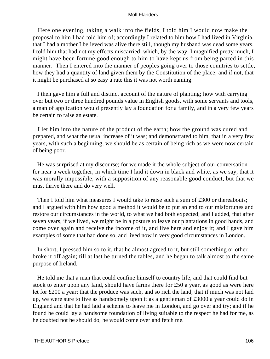Here one evening, taking a walk into the fields, I told him I would now make the proposal to him I had told him of; accordingly I related to him how I had lived in Virginia, that I had a mother I believed was alive there still, though my husband was dead some years. I told him that had not my effects miscarried, which, by the way, I magnified pretty much, I might have been fortune good enough to him to have kept us from being parted in this manner. Then I entered into the manner of peoples going over to those countries to settle, how they had a quantity of land given them by the Constitution of the place; and if not, that it might be purchased at so easy a rate this it was not worth naming.

 I then gave him a full and distinct account of the nature of planting; how with carrying over but two or three hundred pounds value in English goods, with some servants and tools, a man of application would presently lay a foundation for a family, and in a very few years be certain to raise an estate.

 I let him into the nature of the product of the earth; how the ground was cured and prepared, and what the usual increase of it was; and demonstrated to him, that in a very few years, with such a beginning, we should be as certain of being rich as we were now certain of being poor.

 He was surprised at my discourse; for we made it the whole subject of our conversation for near a week together, in which time I laid it down in black and white, as we say, that it was morally impossible, with a supposition of any reasonable good conduct, but that we must thrive there and do very well.

Then I told him what measures I would take to raise such a sum of  $\pounds 300$  or thereabouts; and I argued with him how good a method it would be to put an end to our misfortunes and restore our circumstances in the world, to what we had both expected; and I added, that after seven years, if we lived, we might be in a posture to leave our plantations in good hands, and come over again and receive the income of it, and live here and enjoy it; and I gave him examples of some that had done so, and lived now in very good circumstances in London.

 In short, I pressed him so to it, that he almost agreed to it, but still something or other broke it off again; till at last he turned the tables, and he began to talk almost to the same purpose of Ireland.

 He told me that a man that could confine himself to country life, and that could find but stock to enter upon any land, should have farms there for £50 a year, as good as were here let for £200 a year; that the produce was such, and so rich the land, that if much was not laid up, we were sure to live as handsomely upon it as a gentleman of £3000 a year could do in England and that he had laid a scheme to leave me in London, and go over and try; and if he found he could lay a handsome foundation of living suitable to the respect he had for me, as he doubted not he should do, he would come over and fetch me.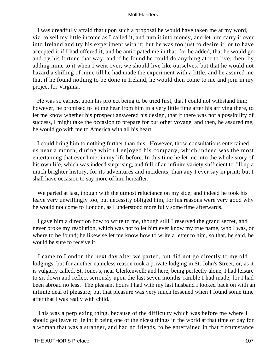I was dreadfully afraid that upon such a proposal he would have taken me at my word, viz. to sell my little income as I called it, and turn it into money, and let him carry it over into Ireland and try his experiment with it; but he was too just to desire it, or to have accepted it if I had offered it; and he anticipated me in that, for he added, that he would go and try his fortune that way, and if he found he could do anything at it to live, then, by adding mine to it when I went over, we should live like ourselves; but that he would not hazard a shilling of mine till he had made the experiment with a little, and he assured me that if he found nothing to be done in Ireland, he would then come to me and join in my project for Virginia.

 He was so earnest upon his project being to be tried first, that I could not withstand him; however, he promised to let me hear from him in a very little time after his arriving there, to let me know whether his prospect answered his design, that if there was not a possibility of success, I might take the occasion to prepare for our other voyage, and then, he assured me, he would go with me to America with all his heart.

 I could bring him to nothing further than this. However, those consultations entertained us near a month, during which I enjoyed his company, which indeed was the most entertaining that ever I met in my life before. In this time he let me into the whole story of his own life, which was indeed surprising, and full of an infinite variety sufficient to fill up a much brighter history, for its adventures and incidents, than any I ever say in print; but I shall have occasion to say more of him hereafter.

We parted at last, though with the utmost reluctance on my side; and indeed he took his leave very unwillingly too, but necessity obliged him, for his reasons were very good why he would not come to London, as I understood more fully some time afterwards.

 I gave him a direction how to write to me, though still I reserved the grand secret, and never broke my resolution, which was not to let him ever know my true name, who I was, or where to be found; he likewise let me know how to write a letter to him, so that, he said, he would be sure to receive it.

 I came to London the next day after we parted, but did not go directly to my old lodgings; but for another nameless reason took a private lodging in St. John's Street, or, as it is vulgarly called, St. Jones's, near Clerkenwell; and here, being perfectly alone, I had leisure to sit down and reflect seriously upon the last seven months' ramble I had made, for I had been abroad no less. The pleasant hours I had with my last husband I looked back on with an infinite deal of pleasure; but that pleasure was very much lessened when I found some time after that I was really with child.

 This was a perplexing thing, because of the difficulty which was before me where I should get leave to lie in; it being one of the nicest things in the world at that time of day for a woman that was a stranger, and had no friends, to be entertained in that circumstance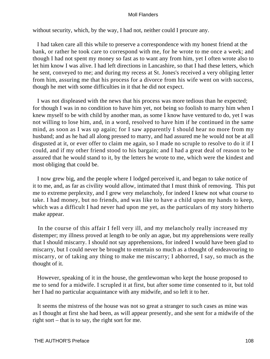without security, which, by the way, I had not, neither could I procure any.

 I had taken care all this while to preserve a correspondence with my honest friend at the bank, or rather he took care to correspond with me, for he wrote to me once a week; and though I had not spent my money so fast as to want any from him, yet I often wrote also to let him know I was alive. I had left directions in Lancashire, so that I had these letters, which he sent, conveyed to me; and during my recess at St. Jones's received a very obliging letter from him, assuring me that his process for a divorce from his wife went on with success, though he met with some difficulties in it that he did not expect.

 I was not displeased with the news that his process was more tedious than he expected; for though I was in no condition to have him yet, not being so foolish to marry him when I knew myself to be with child by another man, as some I know have ventured to do, yet I was not willing to lose him, and, in a word, resolved to have him if he continued in the same mind, as soon as I was up again; for I saw apparently I should hear no more from my husband; and as he had all along pressed to marry, and had assured me he would not be at all disgusted at it, or ever offer to claim me again, so I made no scruple to resolve to do it if I could, and if my other friend stood to his bargain; and I had a great deal of reason to be assured that he would stand to it, by the letters he wrote to me, which were the kindest and most obliging that could be.

 I now grew big, and the people where I lodged perceived it, and began to take notice of it to me, and, as far as civility would allow, intimated that I must think of removing. This put me to extreme perplexity, and I grew very melancholy, for indeed I knew not what course to take. I had money, but no friends, and was like to have a child upon my hands to keep, which was a difficult I had never had upon me yet, as the particulars of my story hitherto make appear.

 In the course of this affair I fell very ill, and my melancholy really increased my distemper; my illness proved at length to be only an ague, but my apprehensions were really that I should miscarry. I should not say apprehensions, for indeed I would have been glad to miscarry, but I could never be brought to entertain so much as a thought of endeavouring to miscarry, or of taking any thing to make me miscarry; I abhorred, I say, so much as the thought of it.

 However, speaking of it in the house, the gentlewoman who kept the house proposed to me to send for a midwife. I scrupled it at first, but after some time consented to it, but told her I had no particular acquaintance with any midwife, and so left it to her.

 It seems the mistress of the house was not so great a stranger to such cases as mine was as I thought at first she had been, as will appear presently, and she sent for a midwife of the right sort – that is to say, the right sort for me.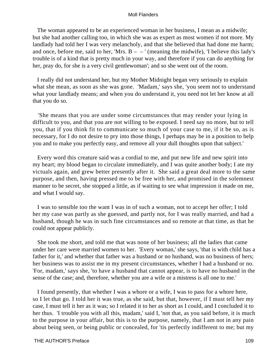The woman appeared to be an experienced woman in her business, I mean as a midwife; but she had another calling too, in which she was as expert as most women if not more. My landlady had told her I was very melancholy, and that she believed that had done me harm; and once, before me, said to her, 'Mrs.  $B - -$ ' (meaning the midwife), 'I believe this lady's trouble is of a kind that is pretty much in your way, and therefore if you can do anything for her, pray do, for she is a very civil gentlewoman'; and so she went out of the room.

 I really did not understand her, but my Mother Midnight began very seriously to explain what she mean, as soon as she was gone. 'Madam,' says she, 'you seem not to understand what your landlady means; and when you do understand it, you need not let her know at all that you do so.

 'She means that you are under some circumstances that may render your lying in difficult to you, and that you are not willing to be exposed. I need say no more, but to tell you, that if you think fit to communicate so much of your case to me, if it be so, as is necessary, for I do not desire to pry into those things, I perhaps may be in a position to help you and to make you perfectly easy, and remove all your dull thoughts upon that subject.'

 Every word this creature said was a cordial to me, and put new life and new spirit into my heart; my blood began to circulate immediately, and I was quite another body; I ate my victuals again, and grew better presently after it. She said a great deal more to the same purpose, and then, having pressed me to be free with her, and promised in the solemnest manner to be secret, she stopped a little, as if waiting to see what impression it made on me, and what I would say.

 I was to sensible too the want I was in of such a woman, not to accept her offer; I told her my case was partly as she guessed, and partly not, for I was really married, and had a husband, though he was in such fine circumstances and so remote at that time, as that he could not appear publicly.

 She took me short, and told me that was none of her business; all the ladies that came under her care were married women to her. 'Every woman,' she says, 'that is with child has a father for it,' and whether that father was a husband or no husband, was no business of hers; her business was to assist me in my present circumstances, whether I had a husband or no. 'For, madam,' says she, 'to have a husband that cannot appear, is to have no husband in the sense of the case; and, therefore, whether you are a wife or a mistress is all one to me.'

 I found presently, that whether I was a whore or a wife, I was to pass for a whore here, so I let that go. I told her it was true, as she said, but that, however, if I must tell her my case, I must tell it her as it was; so I related it to her as short as I could, and I concluded it to her thus. 'I trouble you with all this, madam,' said I, 'not that, as you said before, it is much to the purpose in your affair, but this is to the purpose, namely, that I am not in any pain about being seen, or being public or concealed, for 'tis perfectly indifferent to me; but my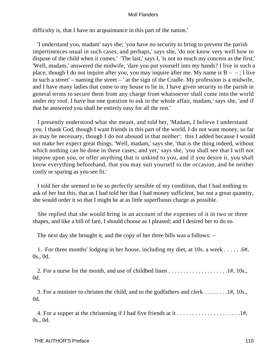difficulty is, that I have no acquaintance in this part of the nation.'

 'I understand you, madam' says she; 'you have no security to bring to prevent the parish impertinences usual in such cases, and perhaps,' says she, 'do not know very well how to dispose of the child when it comes.' 'The last,' says I, 'is not so much my concern as the first.' 'Well, madam,' answered the midwife, 'dare you put yourself into my hands? I live in such a place; though I do not inquire after you, you may inquire after me. My name is  $B - -$ ; I live in such a street' – naming the street – ' at the sign of the Cradle. My profession is a midwife, and I have many ladies that come to my house to lie in. I have given security to the parish in general terms to secure them from any charge from whatsoever shall come into the world under my roof. I have but one question to ask in the whole affair, madam,' says she, 'and if that be answered you shall be entirely easy for all the rest.'

 I presently understood what she meant, and told her, 'Madam, I believe I understand you. I thank God, though I want friends in this part of the world, I do not want money, so far as may be necessary, though I do not abound in that neither': this I added because I would not make her expect great things. 'Well, madam,' says she, 'that is the thing indeed, without which nothing can be done in these cases; and yet,' says she, 'you shall see that I will not impose upon you, or offer anything that is unkind to you, and if you desire it, you shall know everything beforehand, that you may suit yourself to the occasion, and be neither costly or sparing as you see fit.'

 I told her she seemed to be so perfectly sensible of my condition, that I had nothing to ask of her but this, that as I had told her that I had money sufficient, but not a great quantity, she would order it so that I might be at as little superfluous charge as possible.

 She replied that she would bring in an account of the expenses of it in two or three shapes, and like a bill of fare, I should choose as I pleased; and I desired her to do so.

The next day she brought it, and the copy of her three bills was a follows: –

 1. For three months' lodging in her house, including my diet, at 10s. a week . . . . . .6#, 0s., 0d.

 2. For a nurse for the month, and use of childbed linen . . . . . . . . . . . . . . . . . . . .1#, 10s., 0d.

 3. For a minister to christen the child, and to the godfathers and clerk . . . . . . . .1#, 10s., 0d.

 4. For a supper at the christening if I had five friends at it . . . . . . . . . . . . . . . . . . . . .1#, 0s., 0d.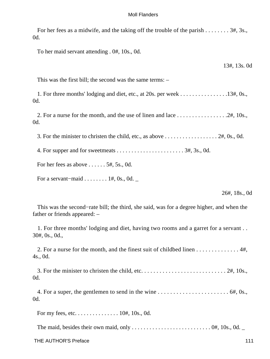For her fees as a midwife, and the taking off the trouble of the parish . . . . . . . . 3#, 3s., 0d.

To her maid servant attending . 0#, 10s., 0d.

13#, 13s. 0d

This was the first bill; the second was the same terms: –

 1. For three months' lodging and diet, etc., at 20s. per week . . . . . . . . . . . . . . . .13#, 0s., 0d.

2. For a nurse for the month, and the use of linen and lace  $\dots \dots \dots \dots \dots \dots \dots \dots \dots \dots \dots \dots \dots$ 0d.

3. For the minister to christen the child, etc., as above  $\dots \dots \dots \dots \dots \dots \dots$  2#, 0s., 0d.

4. For supper and for sweetmeats . . . . . . . . . . . . . . . . . . . . . . . 3#, 3s., 0d.

For her fees as above  $\dots \dots 5#$ , 5s., 0d.

For a servant−maid . . . . . . . . 1#, 0s., 0d. *\_*

26#, 18s., 0d

 This was the second−rate bill; the third, she said, was for a degree higher, and when the father or friends appeared: –

 1. For three months' lodging and diet, having two rooms and a garret for a servant . . 30#, 0s., 0d.,

2. For a nurse for the month, and the finest suit of childbed linen  $\dots \dots \dots \dots$  . 4#, 4s., 0d.

 3. For the minister to christen the child, etc. . . . . . . . . . . . . . . . . . . . . . . . . . . . 2#, 10s., 0d.

 4. For a super, the gentlemen to send in the wine . . . . . . . . . . . . . . . . . . . . . . . 6#, 0s., 0d.

For my fees, etc. . . . . . . . . . . . . . . 10#, 10s., 0d.

The maid, besides their own maid, only . . . . . . . . . . . . . . . . . . . . . . . . . . . 0#, 10s., 0d. *\_*

THE AUTHOR'S Preface 111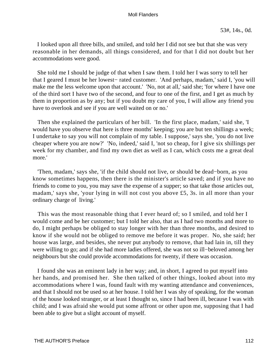I looked upon all three bills, and smiled, and told her I did not see but that she was very reasonable in her demands, all things considered, and for that I did not doubt but her accommodations were good.

 She told me I should be judge of that when I saw them. I told her I was sorry to tell her that I geared I must be her lowest− rated customer. 'And perhaps, madam,' said I, 'you will make me the less welcome upon that account.' 'No, not at all,' said she; 'for where I have one of the third sort I have two of the second, and four to one of the first, and I get as much by them in proportion as by any; but if you doubt my care of you, I will allow any friend you have to overlook and see if you are well waited on or no.'

 Then she explained the particulars of her bill. 'In the first place, madam,' said she, 'I would have you observe that here is three months' keeping; you are but ten shillings a week; I undertake to say you will not complain of my table. I suppose,' says she, 'you do not live cheaper where you are now?' 'No, indeed,' said I, 'not so cheap, for I give six shillings per week for my chamber, and find my own diet as well as I can, which costs me a great deal more.'

 'Then, madam,' says she, 'if the child should not live, or should be dead−born, as you know sometimes happens, then there is the minister's article saved; and if you have no friends to come to you, you may save the expense of a supper; so that take those articles out, madam,' says she, 'your lying in will not cost you above £5, 3s. in all more than your ordinary charge of living.'

 This was the most reasonable thing that I ever heard of; so I smiled, and told her I would come and be her customer; but I told her also, that as I had two months and more to do, I might perhaps be obliged to stay longer with her than three months, and desired to know if she would not be obliged to remove me before it was proper. No, she said; her house was large, and besides, she never put anybody to remove, that had lain in, till they were willing to go; and if she had more ladies offered, she was not so ill−beloved among her neighbours but she could provide accommodations for twenty, if there was occasion.

 I found she was an eminent lady in her way; and, in short, I agreed to put myself into her hands, and promised her. She then talked of other things, looked about into my accommodations where I was, found fault with my wanting attendance and conveniences, and that I should not be used so at her house. I told her I was shy of speaking, for the woman of the house looked stranger, or at least I thought so, since I had been ill, because I was with child; and I was afraid she would put some affront or other upon me, supposing that I had been able to give but a slight account of myself.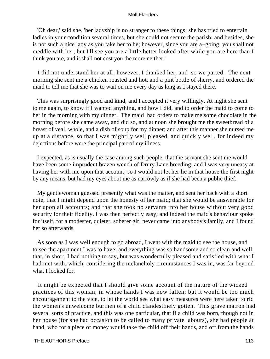'Oh dear,' said she, 'her ladyship is no stranger to these things; she has tried to entertain ladies in your condition several times, but she could not secure the parish; and besides, she is not such a nice lady as you take her to be; however, since you are a−going, you shall not meddle with her, but I'll see you are a little better looked after while you are here than I think you are, and it shall not cost you the more neither.'

 I did not understand her at all; however, I thanked her, and so we parted. The next morning she sent me a chicken roasted and hot, and a pint bottle of sherry, and ordered the maid to tell me that she was to wait on me every day as long as I stayed there.

 This was surprisingly good and kind, and I accepted it very willingly. At night she sent to me again, to know if I wanted anything, and how I did, and to order the maid to come to her in the morning with my dinner. The maid had orders to make me some chocolate in the morning before she came away, and did so, and at noon she brought me the sweetbread of a breast of veal, whole, and a dish of soup for my dinner; and after this manner she nursed me up at a distance, so that I was mightily well pleased, and quickly well, for indeed my dejections before were the principal part of my illness.

 I expected, as is usually the case among such people, that the servant she sent me would have been some imprudent brazen wench of Drury Lane breeding, and I was very uneasy at having her with me upon that account; so I would not let her lie in that house the first night by any means, but had my eyes about me as narrowly as if she had been a public thief.

 My gentlewoman guessed presently what was the matter, and sent her back with a short note, that I might depend upon the honesty of her maid; that she would be answerable for her upon all accounts; and that she took no servants into her house without very good security for their fidelity. I was then perfectly easy; and indeed the maid's behaviour spoke for itself, for a modester, quieter, soberer girl never came into anybody's family, and I found her so afterwards.

 As soon as I was well enough to go abroad, I went with the maid to see the house, and to see the apartment I was to have; and everything was so handsome and so clean and well, that, in short, I had nothing to say, but was wonderfully pleased and satisfied with what I had met with, which, considering the melancholy circumstances I was in, was far beyond what I looked for.

 It might be expected that I should give some account of the nature of the wicked practices of this woman, in whose hands I was now fallen; but it would be too much encouragement to the vice, to let the world see what easy measures were here taken to rid the women's unwelcome burthen of a child clandestinely gotten. This grave matron had several sorts of practice, and this was one particular, that if a child was born, though not in her house (for she had occasion to be called to many private labours), she had people at hand, who for a piece of money would take the child off their hands, and off from the hands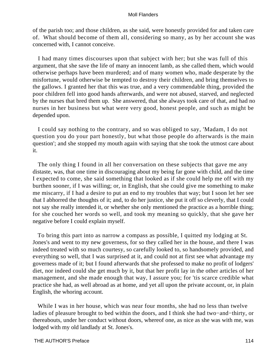of the parish too; and those children, as she said, were honestly provided for and taken care of. What should become of them all, considering so many, as by her account she was concerned with, I cannot conceive.

 I had many times discourses upon that subject with her; but she was full of this argument, that she save the life of many an innocent lamb, as she called them, which would otherwise perhaps have been murdered; and of many women who, made desperate by the misfortune, would otherwise be tempted to destroy their children, and bring themselves to the gallows. I granted her that this was true, and a very commendable thing, provided the poor children fell into good hands afterwards, and were not abused, starved, and neglected by the nurses that bred them up. She answered, that she always took care of that, and had no nurses in her business but what were very good, honest people, and such as might be depended upon.

 I could say nothing to the contrary, and so was obliged to say, 'Madam, I do not question you do your part honestly, but what those people do afterwards is the main question'; and she stopped my mouth again with saying that she took the utmost care about it.

 The only thing I found in all her conversation on these subjects that gave me any distaste, was, that one time in discouraging about my being far gone with child, and the time I expected to come, she said something that looked as if she could help me off with my burthen sooner, if I was willing; or, in English, that she could give me something to make me miscarry, if I had a desire to put an end to my troubles that way; but I soon let her see that I abhorred the thoughts of it; and, to do her justice, she put it off so cleverly, that I could not say she really intended it, or whether she only mentioned the practice as a horrible thing; for she couched her words so well, and took my meaning so quickly, that she gave her negative before I could explain myself.

 To bring this part into as narrow a compass as possible, I quitted my lodging at St. Jones's and went to my new governess, for so they called her in the house, and there I was indeed treated with so much courtesy, so carefully looked to, so handsomely provided, and everything so well, that I was surprised at it, and could not at first see what advantage my governess made of it; but I found afterwards that she professed to make no profit of lodgers' diet, nor indeed could she get much by it, but that her profit lay in the other articles of her management, and she made enough that way, I assure you; for 'tis scarce credible what practice she had, as well abroad as at home, and yet all upon the private account, or, in plain English, the whoring account.

While I was in her house, which was near four months, she had no less than twelve ladies of pleasure brought to bed within the doors, and I think she had two−and−thirty, or thereabouts, under her conduct without doors, whereof one, as nice as she was with me, was lodged with my old landlady at St. Jones's.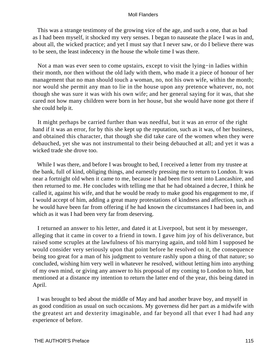This was a strange testimony of the growing vice of the age, and such a one, that as bad as I had been myself, it shocked my very senses. I began to nauseate the place I was in and, about all, the wicked practice; and yet I must say that I never saw, or do I believe there was to be seen, the least indecency in the house the whole time I was there.

 Not a man was ever seen to come upstairs, except to visit the lying−in ladies within their month, nor then without the old lady with them, who made it a piece of honour of her management that no man should touch a woman, no, not his own wife, within the month; nor would she permit any man to lie in the house upon any pretence whatever, no, not though she was sure it was with his own wife; and her general saying for it was, that she cared not how many children were born in her house, but she would have none got there if she could help it.

 It might perhaps be carried further than was needful, but it was an error of the right hand if it was an error, for by this she kept up the reputation, such as it was, of her business, and obtained this character, that though she did take care of the women when they were debauched, yet she was not instrumental to their being debauched at all; and yet it was a wicked trade she drove too.

 While I was there, and before I was brought to bed, I received a letter from my trustee at the bank, full of kind, obliging things, and earnestly pressing me to return to London. It was near a fortnight old when it came to me, because it had been first sent into Lancashire, and then returned to me. He concludes with telling me that he had obtained a decree, I think he called it, against his wife, and that he would be ready to make good his engagement to me, if I would accept of him, adding a great many protestations of kindness and affection, such as he would have been far from offering if he had known the circumstances I had been in, and which as it was I had been very far from deserving.

 I returned an answer to his letter, and dated it at Liverpool, but sent it by messenger, alleging that it came in cover to a friend in town. I gave him joy of his deliverance, but raised some scruples at the lawfulness of his marrying again, and told him I supposed he would consider very seriously upon that point before he resolved on it, the consequence being too great for a man of his judgment to venture rashly upon a thing of that nature; so concluded, wishing him very well in whatever he resolved, without letting him into anything of my own mind, or giving any answer to his proposal of my coming to London to him, but mentioned at a distance my intention to return the latter end of the year, this being dated in April.

 I was brought to bed about the middle of May and had another brave boy, and myself in as good condition as usual on such occasions. My governess did her part as a midwife with the greatest art and dexterity imaginable, and far beyond all that ever I had had any experience of before.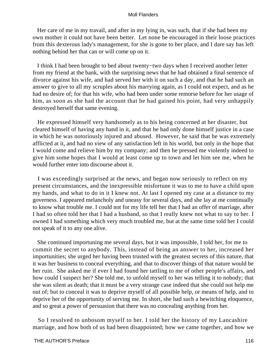Her care of me in my travail, and after in my lying in, was such, that if she had been my own mother it could not have been better. Let none be encouraged in their loose practices from this dexterous lady's management, for she is gone to her place, and I dare say has left nothing behind her that can or will come up on it.

 I think I had been brought to bed about twenty−two days when I received another letter from my friend at the bank, with the surprising news that he had obtained a final sentence of divorce against his wife, and had served her with it on such a day, and that he had such an answer to give to all my scruples about his marrying again, as I could not expect, and as he had no desire of; for that his wife, who had been under some remorse before for her usage of him, as soon as she had the account that he had gained his point, had very unhappily destroyed herself that same evening.

 He expressed himself very handsomely as to his being concerned at her disaster, but cleared himself of having any hand in it, and that he had only done himself justice in a case in which he was notoriously injured and abused. However, he said that he was extremely afflicted at it, and had no view of any satisfaction left in his world, but only in the hope that I would come and relieve him by my company; and then he pressed me violently indeed to give him some hopes that I would at least come up to town and let him see me, when he would further enter into discourse about it.

 I was exceedingly surprised at the news, and began now seriously to reflect on my present circumstances, and the inexpressible misfortune it was to me to have a child upon my hands, and what to do in it I knew not. At last I opened my case at a distance to my governess. I appeared melancholy and uneasy for several days, and she lay at me continually to know what trouble me. I could not for my life tell her that I had an offer of marriage, after I had so often told her that I had a husband, so that I really knew not what to say to her. I owned I had something which very much troubled me, but at the same time told her I could not speak of it to any one alive.

 She continued importuning me several days, but it was impossible, I told her, for me to commit the secret to anybody. This, instead of being an answer to her, increased her importunities; she urged her having been trusted with the greatest secrets of this nature, that it was her business to conceal everything, and that to discover things of that nature would be her ruin. She asked me if ever I had found her tattling to me of other people's affairs, and how could I suspect her? She told me, to unfold myself to her was telling it to nobody; that she was silent as death; that it must be a very strange case indeed that she could not help me out of; but to conceal it was to deprive myself of all possible help, or means of help, and to deprive her of the opportunity of serving me. In short, she had such a bewitching eloquence, and so great a power of persuasion that there was no concealing anything from her.

 So I resolved to unbosom myself to her. I told her the history of my Lancashire marriage, and how both of us had been disappointed; how we came together, and how we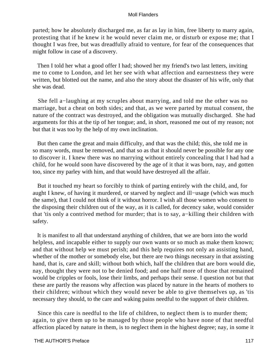parted; how he absolutely discharged me, as far as lay in him, free liberty to marry again, protesting that if he knew it he would never claim me, or disturb or expose me; that I thought I was free, but was dreadfully afraid to venture, for fear of the consequences that might follow in case of a discovery.

 Then I told her what a good offer I had; showed her my friend's two last letters, inviting me to come to London, and let her see with what affection and earnestness they were written, but blotted out the name, and also the story about the disaster of his wife, only that she was dead.

 She fell a−laughing at my scruples about marrying, and told me the other was no marriage, but a cheat on both sides; and that, as we were parted by mutual consent, the nature of the contract was destroyed, and the obligation was mutually discharged. She had arguments for this at the tip of her tongue; and, in short, reasoned me out of my reason; not but that it was too by the help of my own inclination.

 But then came the great and main difficulty, and that was the child; this, she told me in so many words, must be removed, and that so as that it should never be possible for any one to discover it. I knew there was no marrying without entirely concealing that I had had a child, for he would soon have discovered by the age of it that it was born, nay, and gotten too, since my parley with him, and that would have destroyed all the affair.

 But it touched my heart so forcibly to think of parting entirely with the child, and, for aught I knew, of having it murdered, or starved by neglect and ill−usage (which was much the same), that I could not think of it without horror. I wish all those women who consent to the disposing their children out of the way, as it is called, for decency sake, would consider that 'tis only a contrived method for murder; that is to say, a−killing their children with safety.

 It is manifest to all that understand anything of children, that we are born into the world helpless, and incapable either to supply our own wants or so much as make them known; and that without help we must perish; and this help requires not only an assisting hand, whether of the mother or somebody else, but there are two things necessary in that assisting hand, that is, care and skill; without both which, half the children that are born would die, nay, thought they were not to be denied food; and one half more of those that remained would be cripples or fools, lose their limbs, and perhaps their sense. I question not but that these are partly the reasons why affection was placed by nature in the hearts of mothers to their children; without which they would never be able to give themselves up, as 'tis necessary they should, to the care and waking pains needful to the support of their children.

 Since this care is needful to the life of children, to neglect them is to murder them; again, to give them up to be managed by those people who have none of that needful affection placed by nature in them, is to neglect them in the highest degree; nay, in some it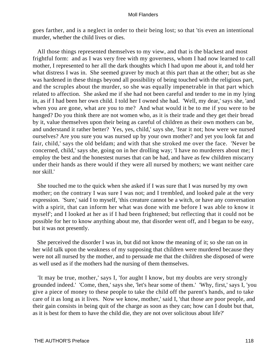goes farther, and is a neglect in order to their being lost; so that 'tis even an intentional murder, whether the child lives or dies.

 All those things represented themselves to my view, and that is the blackest and most frightful form: and as I was very free with my governess, whom I had now learned to call mother, I represented to her all the dark thoughts which I had upon me about it, and told her what distress I was in. She seemed graver by much at this part than at the other; but as she was hardened in these things beyond all possibility of being touched with the religious part, and the scruples about the murder, so she was equally impenetrable in that part which related to affection. She asked me if she had not been careful and tender to me in my lying in, as if I had been her own child. I told her I owned she had. 'Well, my dear,' says she, 'and when you are gone, what are you to me? And what would it be to me if you were to be hanged? Do you think there are not women who, as it is their trade and they get their bread by it, value themselves upon their being as careful of children as their own mothers can be, and understand it rather better? Yes, yes, child,' says she, 'fear it not; how were we nursed ourselves? Are you sure you was nursed up by your own mother? and yet you look fat and fair, child,' says the old beldam; and with that she stroked me over the face. 'Never be concerned, child,' says she, going on in her drolling way; 'I have no murderers about me; I employ the best and the honestest nurses that can be had, and have as few children miscarry under their hands as there would if they were all nursed by mothers; we want neither care nor skill.'

 She touched me to the quick when she asked if I was sure that I was nursed by my own mother; on the contrary I was sure I was not; and I trembled, and looked pale at the very expression. 'Sure,' said I to myself, 'this creature cannot be a witch, or have any conversation with a spirit, that can inform her what was done with me before I was able to know it myself'; and I looked at her as if I had been frightened; but reflecting that it could not be possible for her to know anything about me, that disorder went off, and I began to be easy, but it was not presently.

 She perceived the disorder I was in, but did not know the meaning of it; so she ran on in her wild talk upon the weakness of my supposing that children were murdered because they were not all nursed by the mother, and to persuade me that the children she disposed of were as well used as if the mothers had the nursing of them themselves.

 'It may be true, mother,' says I, 'for aught I know, but my doubts are very strongly grounded indeed.' 'Come, then,' says she, 'let's hear some of them.' 'Why, first,' says I, 'you give a piece of money to these people to take the child off the parent's hands, and to take care of it as long as it lives. Now we know, mother,' said I, 'that those are poor people, and their gain consists in being quit of the charge as soon as they can; how can I doubt but that, as it is best for them to have the child die, they are not over solicitous about life?'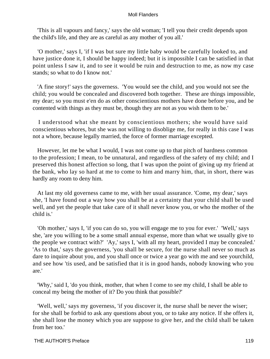'This is all vapours and fancy,' says the old woman; 'I tell you their credit depends upon the child's life, and they are as careful as any mother of you all.'

 'O mother,' says I, 'if I was but sure my little baby would be carefully looked to, and have justice done it, I should be happy indeed; but it is impossible I can be satisfied in that point unless I saw it, and to see it would be ruin and destruction to me, as now my case stands; so what to do I know not.'

 'A fine story!' says the governess. 'You would see the child, and you would not see the child; you would be concealed and discovered both together. These are things impossible, my dear; so you must e'en do as other conscientious mothers have done before you, and be contented with things as they must be, though they are not as you wish them to be.'

 I understood what she meant by conscientious mothers; she would have said conscientious whores, but she was not willing to disoblige me, for really in this case I was not a whore, because legally married, the force of former marriage excepted.

 However, let me be what I would, I was not come up to that pitch of hardness common to the profession; I mean, to be unnatural, and regardless of the safety of my child; and I preserved this honest affection so long, that I was upon the point of giving up my friend at the bank, who lay so hard at me to come to him and marry him, that, in short, there was hardly any room to deny him.

 At last my old governess came to me, with her usual assurance. 'Come, my dear,' says she, 'I have found out a way how you shall be at a certainty that your child shall be used well, and yet the people that take care of it shall never know you, or who the mother of the child is.'

 'Oh mother,' says I, 'if you can do so, you will engage me to you for ever.' 'Well,' says she, 'are you willing to be a some small annual expense, more than what we usually give to the people we contract with?' 'Ay,' says I, 'with all my heart, provided I may be concealed.' 'As to that,' says the governess, 'you shall be secure, for the nurse shall never so much as dare to inquire about you, and you shall once or twice a year go with me and see yourchild, and see how 'tis used, and be satisfied that it is in good hands, nobody knowing who you are.'

 'Why,' said I, 'do you think, mother, that when I come to see my child, I shall be able to conceal my being the mother of it? Do you think that possible?'

 'Well, well,' says my governess, 'if you discover it, the nurse shall be never the wiser; for she shall be forbid to ask any questions about you, or to take any notice. If she offers it, she shall lose the money which you are suppose to give her, and the child shall be taken from her too.'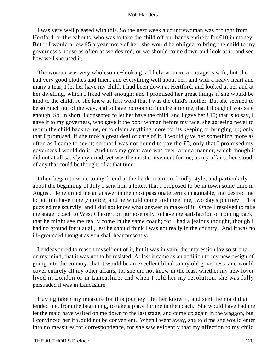I was very well pleased with this. So the next week a countrywoman was brought from Hertford, or thereabouts, who was to take the child off our hands entirely for £10 in money. But if I would allow £5 a year more of her, she would be obliged to bring the child to my governess's house as often as we desired, or we should come down and look at it, and see how well she used it.

 The woman was very wholesome−looking, a likely woman, a cottager's wife, but she had very good clothes and linen, and everything well about her; and with a heavy heart and many a tear, I let her have my child. I had been down at Hertford, and looked at her and at her dwelling, which I liked well enough; and I promised her great things if she would be kind to the child, so she knew at first word that I was the child's mother. But she seemed to be so much out of the way, and to have no room to inquire after me, that I thought I was safe enough. So, in short, I consented to let her have the child, and I gave her £10; that is to say, I gave it to my governess, who gave it the poor woman before my face, she agreeing never to return the child back to me, or to claim anything more for its keeping or bringing up; only that I promised, if she took a great deal of care of it, I would give her something more as often as I came to see it; so that I was not bound to pay the £5, only that I promised my governess I would do it. And thus my great care was over, after a manner, which though it did not at all satisfy my mind, yet was the most convenient for me, as my affairs then stood, of any that could be thought of at that time.

 I then began to write to my friend at the bank in a more kindly style, and particularly about the beginning of July I sent him a letter, that I proposed to be in town some time in August. He returned me an answer in the most passionate terms imaginable, and desired me to let him have timely notice, and he would come and meet me, two day's journey. This puzzled me scurvily, and I did not know what answer to make of it. Once I resolved to take the stage−coach to West Chester, on purpose only to have the satisfaction of coming back, that he might see me really come in the same coach; for I had a jealous thought, though I had no ground for it at all, lest he should think I was not really in the country. And it was no ill−grounded thought as you shall hear presently.

 I endeavoured to reason myself out of it, but it was in vain; the impression lay so strong on my mind, that it was not to be resisted. At last it came as an addition to my new design of going into the country, that it would be an excellent blind to my old governess, and would cover entirely all my other affairs, for she did not know in the least whether my new lover lived in London or in Lancashire; and when I told her my resolution, she was fully persuaded it was in Lancashire.

 Having taken my measure for this journey I let her know it, and sent the maid that tended me, from the beginning, to take a place for me in the coach. She would have had me let the maid have waited on me down to the last stage, and come up again in the waggon, but I convinced her it would not be convenient. When I went away, she told me she would enter into no measures for correspondence, for she saw evidently that my affection to my child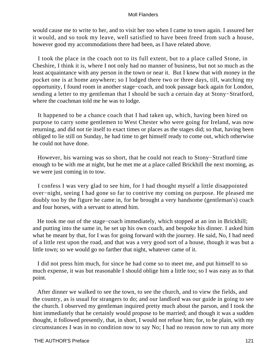would cause me to write to her, and to visit her too when I came to town again. I assured her it would, and so took my leave, well satisfied to have been freed from such a house, however good my accommodations there had been, as I have related above.

 I took the place in the coach not to its full extent, but to a place called Stone, in Cheshire, I think it is, where I not only had no manner of business, but not so much as the least acquaintance with any person in the town or near it. But I knew that with money in the pocket one is at home anywhere; so I lodged there two or three days, till, watching my opportunity, I found room in another stage−coach, and took passage back again for London, sending a letter to my gentleman that I should be such a certain day at Stony−Stratford, where the coachman told me he was to lodge.

 It happened to be a chance coach that I had taken up, which, having been hired on purpose to carry some gentlemen to West Chester who were going for Ireland, was now returning, and did not tie itself to exact times or places as the stages did; so that, having been obliged to lie still on Sunday, he had time to get himself ready to come out, which otherwise he could not have done.

 However, his warning was so short, that he could not reach to Stony−Stratford time enough to be with me at night, but he met me at a place called Brickhill the next morning, as we were just coming in to tow.

 I confess I was very glad to see him, for I had thought myself a little disappointed over−night, seeing I had gone so far to contrive my coming on purpose. He pleased me doubly too by the figure he came in, for he brought a very handsome (gentleman's) coach and four horses, with a servant to attend him.

He took me out of the stage–coach immediately, which stopped at an inn in Brickhill; and putting into the same in, he set up his own coach, and bespoke his dinner. I asked him what he meant by that, for I was for going forward with the journey. He said, No, I had need of a little rest upon the road, and that was a very good sort of a house, though it was but a little town; so we would go no farther that night, whatever came of it.

 I did not press him much, for since he had come so to meet me, and put himself to so much expense, it was but reasonable I should oblige him a little too; so I was easy as to that point.

 After dinner we walked to see the town, to see the church, and to view the fields, and the country, as is usual for strangers to do; and our landlord was our guide in going to see the church. I observed my gentleman inquired pretty much about the parson, and I took the hint immediately that he certainly would propose to be married; and though it was a sudden thought, it followed presently, that, in short, I would not refuse him; for, to be plain, with my circumstances I was in no condition now to say No; I had no reason now to run any more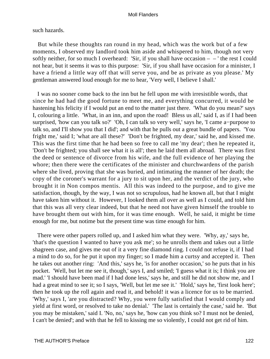# such hazards.

 But while these thoughts ran round in my head, which was the work but of a few moments, I observed my landlord took him aside and whispered to him, though not very softly neither, for so much I overheard: 'Sir, if you shall have occasion  $-$  – ' the rest I could not hear, but it seems it was to this purpose: 'Sir, if you shall have occasion for a minister, I have a friend a little way off that will serve you, and be as private as you please.' My gentleman answered loud enough for me to hear, 'Very well, I believe I shall.'

 I was no sooner come back to the inn but he fell upon me with irresistible words, that since he had had the good fortune to meet me, and everything concurred, it would be hastening his felicity if I would put an end to the matter just there. 'What do you mean?' says I, colouring a little. 'What, in an inn, and upon the road! Bless us all,' said I, as if I had been surprised, 'how can you talk so?' 'Oh, I can talk so very well,' says he, 'I came a−purpose to talk so, and I'll show you that I did'; and with that he pulls out a great bundle of papers. 'You fright me,' said I; 'what are all these?' 'Don't be frighted, my dear,' said he, and kissed me. This was the first time that he had been so free to call me 'my dear'; then he repeated it, 'Don't be frighted; you shall see what it is all'; then he laid them all abroad. There was first the deed or sentence of divorce from his wife, and the full evidence of her playing the whore; then there were the certificates of the minister and churchwardens of the parish where she lived, proving that she was buried, and intimating the manner of her death; the copy of the coroner's warrant for a jury to sit upon her, and the verdict of the jury, who brought it in Non compos mentis. All this was indeed to the purpose, and to give me satisfaction, though, by the way, I was not so scrupulous, had he known all, but that I might have taken him without it. However, I looked them all over as well as I could, and told him that this was all very clear indeed, but that he need not have given himself the trouble to have brought them out with him, for it was time enough. Well, he said, it might be time enough for me, but notime but the present time was time enough for him.

 There were other papers rolled up, and I asked him what they were. 'Why, ay,' says he, 'that's the question I wanted to have you ask me'; so he unrolls them and takes out a little shagreen case, and gives me out of it a very fine diamond ring. I could not refuse it, if I had a mind to do so, for he put it upon my finger; so I made him a curtsy and accepted it. Then he takes out another ring: 'And this,' says he, 'is for another occasion,' so he puts that in his pocket. 'Well, but let me see it, though,' says I, and smiled; 'I guess what it is; I think you are mad.' 'I should have been mad if I had done less,' says he, and still he did not show me, and I had a great mind to see it; so I says, 'Well, but let me see it.' 'Hold,' says he, 'first look here'; then he took up the roll again and read it, and behold! it was a licence for us to be married. 'Why,' says I, 'are you distracted? Why, you were fully satisfied that I would comply and yield at first word, or resolved to take no denial.' 'The last is certainly the case,' said he. 'But you may be mistaken,' said I. 'No, no,' says he, 'how can you think so? I must not be denied, I can't be denied'; and with that he fell to kissing me so violently, I could not get rid of him.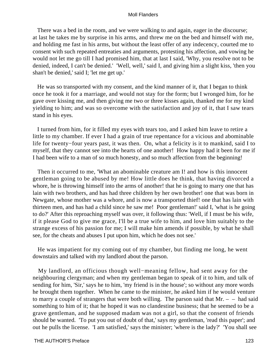There was a bed in the room, and we were walking to and again, eager in the discourse; at last he takes me by surprise in his arms, and threw me on the bed and himself with me, and holding me fast in his arms, but without the least offer of any indecency, courted me to consent with such repeated entreaties and arguments, protesting his affection, and vowing he would not let me go till I had promised him, that at last I said, 'Why, you resolve not to be denied, indeed, I can't be denied.' 'Well, well,' said I, and giving him a slight kiss, 'then you shan't be denied,' said I; 'let me get up.'

 He was so transported with my consent, and the kind manner of it, that I began to think once he took it for a marriage, and would not stay for the form; but I wronged him, for he gave over kissing me, and then giving me two or three kisses again, thanked me for my kind yielding to him; and was so overcome with the satisfaction and joy of it, that I saw tears stand in his eyes.

 I turned from him, for it filled my eyes with tears too, and I asked him leave to retire a little to my chamber. If ever I had a grain of true repentance for a vicious and abominable life for twenty−four years past, it was then. On, what a felicity is it to mankind, said I to myself, that they cannot see into the hearts of one another! How happy had it been for me if I had been wife to a man of so much honesty, and so much affection from the beginning!

 Then it occurred to me, 'What an abominable creature am I! and how is this innocent gentleman going to be abused by me! How little does he think, that having divorced a whore, he is throwing himself into the arms of another! that he is going to marry one that has lain with two brothers, and has had three children by her own brother! one that was born in Newgate, whose mother was a whore, and is now a transported thief! one that has lain with thirteen men, and has had a child since he saw me! Poor gentleman!' said I, 'what is he going to do?' After this reproaching myself was over, it following thus: 'Well, if I must be his wife, if it please God to give me grace, I'll be a true wife to him, and love him suitably to the strange excess of his passion for me; I will make him amends if possible, by what he shall see, for the cheats and abuses I put upon him, which he does not see.'

 He was impatient for my coming out of my chamber, but finding me long, he went downstairs and talked with my landlord about the parson.

 My landlord, an officious though well−meaning fellow, had sent away for the neighbouring clergyman; and when my gentleman began to speak of it to him, and talk of sending for him, 'Sir,' says he to him, 'my friend is in the house'; so without any more words he brought them together. When he came to the minister, he asked him if he would venture to marry a couple of strangers that were both willing. The parson said that  $Mr. - -$  had said something to him of it; that he hoped it was no clandestine business; that he seemed to be a grave gentleman, and he supposed madam was not a girl, so that the consent of friends should be wanted. 'To put you out of doubt of that,' says my gentleman, 'read this paper'; and out he pulls the license. 'I am satisfied,' says the minister; 'where is the lady?' 'You shall see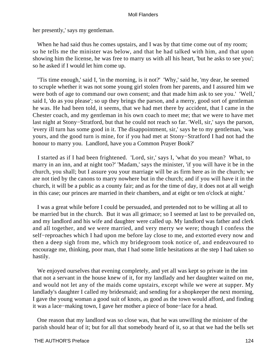her presently,' says my gentleman.

 When he had said thus he comes upstairs, and I was by that time come out of my room; so he tells me the minister was below, and that he had talked with him, and that upon showing him the license, he was free to marry us with all his heart, 'but he asks to see you'; so he asked if I would let him come up.

 ''Tis time enough,' said I, 'in the morning, is it not?' 'Why,' said he, 'my dear, he seemed to scruple whether it was not some young girl stolen from her parents, and I assured him we were both of age to command our own consent; and that made him ask to see you.' 'Well,' said I, 'do as you please'; so up they brings the parson, and a merry, good sort of gentleman he was. He had been told, it seems, that we had met there by accident, that I came in the Chester coach, and my gentleman in his own coach to meet me; that we were to have met last night at Stony−Stratford, but that he could not reach so far. 'Well, sir,' says the parson, 'every ill turn has some good in it. The disappointment, sir,' says he to my gentleman, 'was yours, and the good turn is mine, for if you had met at Stony−Stratford I had not had the honour to marry you. Landlord, have you a Common Prayer Book?'

 I started as if I had been frightened. 'Lord, sir,' says I, 'what do you mean? What, to marry in an inn, and at night too?' 'Madam,' says the minister, 'if you will have it be in the church, you shall; but I assure you your marriage will be as firm here as in the church; we are not tied by the canons to marry nowhere but in the church; and if you will have it in the church, it will be a public as a county fair; and as for the time of day, it does not at all weigh in this case; our princes are married in their chambers, and at eight or ten o'clock at night.'

 I was a great while before I could be persuaded, and pretended not to be willing at all to be married but in the church. But it was all grimace; so I seemed at last to be prevailed on, and my landlord and his wife and daughter were called up. My landlord was father and clerk and all together, and we were married, and very merry we were; though I confess the self−reproaches which I had upon me before lay close to me, and extorted every now and then a deep sigh from me, which my bridegroom took notice of, and endeavoured to encourage me, thinking, poor man, that I had some little hesitations at the step I had taken so hastily.

We enjoyed ourselves that evening completely, and yet all was kept so private in the inn that not a servant in the house knew of it, for my landlady and her daughter waited on me, and would not let any of the maids come upstairs, except while we were at supper. My landlady's daughter I called my bridesmaid; and sending for a shopkeeper the next morning, I gave the young woman a good suit of knots, as good as the town would afford, and finding it was a lace−making town, I gave her mother a piece of bone−lace for a head.

 One reason that my landlord was so close was, that he was unwilling the minister of the parish should hear of it; but for all that somebody heard of it, so at that we had the bells set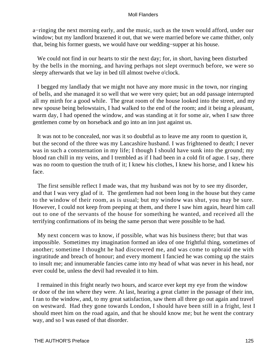a−ringing the next morning early, and the music, such as the town would afford, under our window; but my landlord brazened it out, that we were married before we came thither, only that, being his former guests, we would have our wedding−supper at his house.

 We could not find in our hearts to stir the next day; for, in short, having been disturbed by the bells in the morning, and having perhaps not slept overmuch before, we were so sleepy afterwards that we lay in bed till almost twelve o'clock.

 I begged my landlady that we might not have any more music in the town, nor ringing of bells, and she managed it so well that we were very quiet; but an odd passage interrupted all my mirth for a good while. The great room of the house looked into the street, and my new spouse being belowstairs, I had walked to the end of the room; and it being a pleasant, warm day, I had opened the window, and was standing at it for some air, when I saw three gentlemen come by on horseback and go into an inn just against us.

 It was not to be concealed, nor was it so doubtful as to leave me any room to question it, but the second of the three was my Lancashire husband. I was frightened to death; I never was in such a consternation in my life; I though I should have sunk into the ground; my blood ran chill in my veins, and I trembled as if I had been in a cold fit of ague. I say, there was no room to question the truth of it; I knew his clothes, I knew his horse, and I knew his face.

 The first sensible reflect I made was, that my husband was not by to see my disorder, and that I was very glad of it. The gentlemen had not been long in the house but they came to the window of their room, as is usual; but my window was shut, you may be sure. However, I could not keep from peeping at them, and there I saw him again, heard him call out to one of the servants of the house for something he wanted, and received all the terrifying confirmations of its being the same person that were possible to be had.

 My next concern was to know, if possible, what was his business there; but that was impossible. Sometimes my imagination formed an idea of one frightful thing, sometimes of another; sometime I thought he had discovered me, and was come to upbraid me with ingratitude and breach of honour; and every moment I fancied he was coming up the stairs to insult me; and innumerable fancies came into my head of what was never in his head, nor ever could be, unless the devil had revealed it to him.

 I remained in this fright nearly two hours, and scarce ever kept my eye from the window or door of the inn where they were. At last, hearing a great clatter in the passage of their inn, I ran to the window, and, to my great satisfaction, saw them all three go out again and travel on westward. Had they gone towards London, I should have been still in a fright, lest I should meet him on the road again, and that he should know me; but he went the contrary way, and so I was eased of that disorder.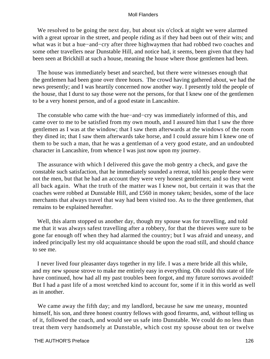We resolved to be going the next day, but about six o'clock at night we were alarmed with a great uproar in the street, and people riding as if they had been out of their wits; and what was it but a hue−and−cry after three highwaymen that had robbed two coaches and some other travellers near Dunstable Hill, and notice had, it seems, been given that they had been seen at Brickhill at such a house, meaning the house where those gentlemen had been.

 The house was immediately beset and searched, but there were witnesses enough that the gentlemen had been gone over three hours. The crowd having gathered about, we had the news presently; and I was heartily concerned now another way. I presently told the people of the house, that I durst to say those were not the persons, for that I knew one of the gentlemen to be a very honest person, and of a good estate in Lancashire.

The constable who came with the hue−and−cry was immediately informed of this, and came over to me to be satisfied from my own mouth, and I assured him that I saw the three gentlemen as I was at the window; that I saw them afterwards at the windows of the room they dined in; that I saw them afterwards take horse, and I could assure him I knew one of them to be such a man, that he was a gentleman of a very good estate, and an undoubted character in Lancashire, from whence I was just now upon my journey.

 The assurance with which I delivered this gave the mob gentry a check, and gave the constable such satisfaction, that he immediately sounded a retreat, told his people these were not the men, but that he had an account they were very honest gentlemen; and so they went all back again. What the truth of the matter was I knew not, but certain it was that the coaches were robbed at Dunstable Hill, and £560 in money taken; besides, some of the lace merchants that always travel that way had been visited too. As to the three gentlemen, that remains to be explained hereafter.

 Well, this alarm stopped us another day, though my spouse was for travelling, and told me that it was always safest travelling after a robbery, for that the thieves were sure to be gone far enough off when they had alarmed the country; but I was afraid and uneasy, and indeed principally lest my old acquaintance should be upon the road still, and should chance to see me.

 I never lived four pleasanter days together in my life. I was a mere bride all this while, and my new spouse strove to make me entirely easy in everything. Oh could this state of life have continued, how had all my past troubles been forgot, and my future sorrows avoided! But I had a past life of a most wretched kind to account for, some if it in this world as well as in another.

 We came away the fifth day; and my landlord, because he saw me uneasy, mounted himself, his son, and three honest country fellows with good firearms, and, without telling us of it, followed the coach, and would see us safe into Dunstable. We could do no less than treat them very handsomely at Dunstable, which cost my spouse about ten or twelve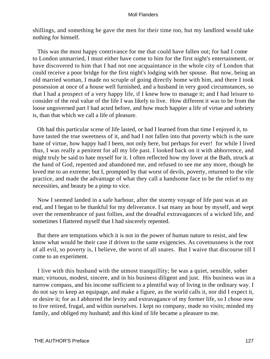shillings, and something he gave the men for their time too, but my landlord would take nothing for himself.

 This was the most happy contrivance for me that could have fallen out; for had I come to London unmarried, I must either have come to him for the first night's entertainment, or have discovered to him that I had not one acquaintance in the whole city of London that could receive a poor bridge for the first night's lodging with her spouse. But now, being an old married woman, I made no scruple of going directly home with him, and there I took possession at once of a house well furnished, and a husband in very good circumstances, so that I had a prospect of a very happy life, if I knew how to manage it; and I had leisure to consider of the real value of the life I was likely to live. How different it was to be from the loose ungoverned part I had acted before, and how much happier a life of virtue and sobriety is, than that which we call a life of pleasure.

 Oh had this particular scene of life lasted, or had I learned from that time I enjoyed it, to have tasted the true sweetness of it, and had I not fallen into that poverty which is the sure bane of virtue, how happy had I been, not only here, but perhaps for ever! for while I lived thus, I was really a penitent for all my life past. I looked back on it with abhorrence, and might truly be said to hate myself for it. I often reflected how my lover at the Bath, struck at the hand of God, repented and abandoned me, and refused to see me any more, though he loved me to an extreme; but I, prompted by that worst of devils, poverty, returned to the vile practice, and made the advantage of what they call a handsome face to be the relief to my necessities, and beauty be a pimp to vice.

 Now I seemed landed in a safe harbour, after the stormy voyage of life past was at an end, and I began to be thankful for my deliverance. I sat many an hour by myself, and wept over the remembrance of past follies, and the dreadful extravagances of a wicked life, and sometimes I flattered myself that I had sincerely repented.

 But there are temptations which it is not in the power of human nature to resist, and few know what would be their case if driven to the same exigencies. As covetousness is the root of all evil, so poverty is, I believe, the worst of all snares. But I waive that discourse till I come to an experiment.

 I live with this husband with the utmost tranquillity; he was a quiet, sensible, sober man; virtuous, modest, sincere, and in his business diligent and just. His business was in a narrow compass, and his income sufficient to a plentiful way of living in the ordinary way. I do not say to keep an equipage, and make a figure, as the world calls it, nor did I expect it, or desire it; for as I abhorred the levity and extravagance of my former life, so I chose now to live retired, frugal, and within ourselves. I kept no company, made no visits; minded my family, and obliged my husband; and this kind of life became a pleasure to me.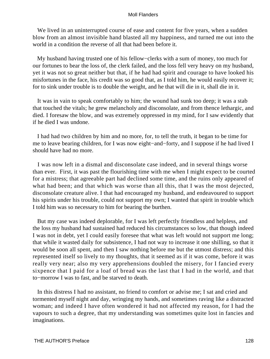We lived in an uninterrupted course of ease and content for five years, when a sudden blow from an almost invisible hand blasted all my happiness, and turned me out into the world in a condition the reverse of all that had been before it.

 My husband having trusted one of his fellow−clerks with a sum of money, too much for our fortunes to bear the loss of, the clerk failed, and the loss fell very heavy on my husband, yet it was not so great neither but that, if he had had spirit and courage to have looked his misfortunes in the face, his credit was so good that, as I told him, he would easily recover it; for to sink under trouble is to double the weight, and he that will die in it, shall die in it.

 It was in vain to speak comfortably to him; the wound had sunk too deep; it was a stab that touched the vitals; he grew melancholy and disconsolate, and from thence lethargic, and died. I foresaw the blow, and was extremely oppressed in my mind, for I saw evidently that if he died I was undone.

 I had had two children by him and no more, for, to tell the truth, it began to be time for me to leave bearing children, for I was now eight−and−forty, and I suppose if he had lived I should have had no more.

 I was now left in a dismal and disconsolate case indeed, and in several things worse than ever. First, it was past the flourishing time with me when I might expect to be courted for a mistress; that agreeable part had declined some time, and the ruins only appeared of what had been; and that which was worse than all this, that I was the most dejected, disconsolate creature alive. I that had encouraged my husband, and endeavoured to support his spirits under his trouble, could not support my own; I wanted that spirit in trouble which I told him was so necessary to him for bearing the burthen.

 But my case was indeed deplorable, for I was left perfectly friendless and helpless, and the loss my husband had sustained had reduced his circumstances so low, that though indeed I was not in debt, yet I could easily foresee that what was left would not support me long; that while it wasted daily for subsistence, I had not way to increase it one shilling, so that it would be soon all spent, and then I saw nothing before me but the utmost distress; and this represented itself so lively to my thoughts, that it seemed as if it was come, before it was really very near; also my very apprehensions doubled the misery, for I fancied every sixpence that I paid for a loaf of bread was the last that I had in the world, and that to−morrow I was to fast, and be starved to death.

 In this distress I had no assistant, no friend to comfort or advise me; I sat and cried and tormented myself night and day, wringing my hands, and sometimes raving like a distracted woman; and indeed I have often wondered it had not affected my reason, for I had the vapours to such a degree, that my understanding was sometimes quite lost in fancies and imaginations.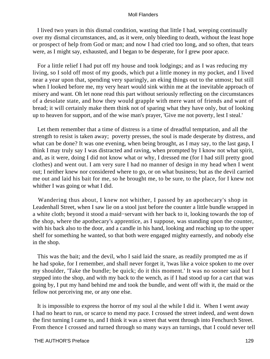I lived two years in this dismal condition, wasting that little I had, weeping continually over my dismal circumstances, and, as it were, only bleeding to death, without the least hope or prospect of help from God or man; and now I had cried too long, and so often, that tears were, as I might say, exhausted, and I began to be desperate, for I grew poor apace.

 For a little relief I had put off my house and took lodgings; and as I was reducing my living, so I sold off most of my goods, which put a little money in my pocket, and I lived near a year upon that, spending very sparingly, an eking things out to the utmost; but still when I looked before me, my very heart would sink within me at the inevitable approach of misery and want. Oh let none read this part without seriously reflecting on the circumstances of a desolate state, and how they would grapple with mere want of friends and want of bread; it will certainly make them think not of sparing what they have only, but of looking up to heaven for support, and of the wise man's prayer, 'Give me not poverty, lest I steal.'

 Let them remember that a time of distress is a time of dreadful temptation, and all the strength to resist is taken away; poverty presses, the soul is made desperate by distress, and what can be done? It was one evening, when being brought, as I may say, to the last gasp, I think I may truly say I was distracted and raving, when prompted by I know not what spirit, and, as it were, doing I did not know what or why, I dressed me (for I had still pretty good clothes) and went out. I am very sure I had no manner of design in my head when I went out; I neither knew nor considered where to go, or on what business; but as the devil carried me out and laid his bait for me, so he brought me, to be sure, to the place, for I knew not whither I was going or what I did.

 Wandering thus about, I knew not whither, I passed by an apothecary's shop in Leadenhall Street, when I saw lie on a stool just before the counter a little bundle wrapped in a white cloth; beyond it stood a maid−servant with her back to it, looking towards the top of the shop, where the apothecary's apprentice, as I suppose, was standing upon the counter, with his back also to the door, and a candle in his hand, looking and reaching up to the upper shelf for something he wanted, so that both were engaged mighty earnestly, and nobody else in the shop.

 This was the bait; and the devil, who I said laid the snare, as readily prompted me as if he had spoke, for I remember, and shall never forget it, 'twas like a voice spoken to me over my shoulder, 'Take the bundle; be quick; do it this moment.' It was no sooner said but I stepped into the shop, and with my back to the wench, as if I had stood up for a cart that was going by, I put my hand behind me and took the bundle, and went off with it, the maid or the fellow not perceiving me, or any one else.

 It is impossible to express the horror of my soul al the while I did it. When I went away I had no heart to run, or scarce to mend my pace. I crossed the street indeed, and went down the first turning I came to, and I think it was a street that went through into Fenchurch Street. From thence I crossed and turned through so many ways an turnings, that I could never tell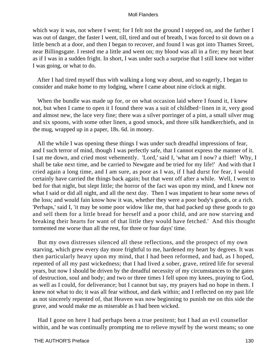which way it was, not where I went; for I felt not the ground I stepped on, and the farther I was out of danger, the faster I went, till, tired and out of breath, I was forced to sit down on a little bench at a door, and then I began to recover, and found I was got into Thames Street, near Billingsgate. I rested me a little and went on; my blood was all in a fire; my heart beat as if I was in a sudden fright. In short, I was under such a surprise that I still knew not wither I was going, or what to do.

 After I had tired myself thus with walking a long way about, and so eagerly, I began to consider and make home to my lodging, where I came about nine o'clock at night.

When the bundle was made up for, or on what occasion laid where I found it, I knew not, but when I came to open it I found there was a suit of childbed−linen in it, very good and almost new, the lace very fine; there was a silver porringer of a pint, a small silver mug and six spoons, with some other linen, a good smock, and three silk handkerchiefs, and in the mug, wrapped up in a paper, 18s. 6d. in money.

 All the while I was opening these things I was under such dreadful impressions of fear, and I such terror of mind, though I was perfectly safe, that I cannot express the manner of it. I sat me down, and cried most vehemently. 'Lord,' said I, 'what am I now? a thief! Why, I shall be take next time, and be carried to Newgate and be tried for my life!' And with that I cried again a long time, and I am sure, as poor as I was, if I had durst for fear, I would certainly have carried the things back again; but that went off after a while. Well, I went to bed for that night, but slept little; the horror of the fact was upon my mind, and I knew not what I said or did all night, and all the next day. Then I was impatient to hear some news of the loss; and would fain know how it was, whether they were a poor body's goods, or a rich. 'Perhaps,' said I, 'it may be some poor widow like me, that had packed up these goods to go and sell them for a little bread for herself and a poor child, and are now starving and breaking their hearts for want of that little they would have fetched.' And this thought tormented me worse than all the rest, for three or four days' time.

 But my own distresses silenced all these reflections, and the prospect of my own starving, which grew every day more frightful to me, hardened my heart by degrees. It was then particularly heavy upon my mind, that I had been reformed, and had, as I hoped, repented of all my past wickedness; that I had lived a sober, grave, retired life for several years, but now I should be driven by the dreadful necessity of my circumstances to the gates of destruction, soul and body; and two or three times I fell upon my knees, praying to God, as well as I could, for deliverance; but I cannot but say, my prayers had no hope in them. I knew not what to do; it was all fear without, and dark within; and I reflected on my past life as not sincerely repented of, that Heaven was now beginning to punish me on this side the grave, and would make me as miserable as I had been wicked.

 Had I gone on here I had perhaps been a true penitent; but I had an evil counsellor within, and he was continually prompting me to relieve myself by the worst means; so one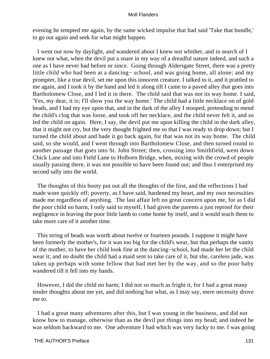evening he tempted me again, by the same wicked impulse that had said 'Take that bundle,' to go out again and seek for what might happen.

 I went out now by daylight, and wandered about I knew not whither, and in search of I knew not what, when the devil put a snare in my way of a dreadful nature indeed, and such a one as I have never had before or since. Going through Aldersgate Street, there was a pretty little child who had been at a dancing− school, and was going home, all alone; and my prompter, like a true devil, set me upon this innocent creature. I talked to it, and it prattled to me again, and I took it by the hand and led it along till I came to a paved alley that goes into Bartholomew Close, and I led it in there. The child said that was not its way home. I said, 'Yes, my dear, it is; I'll show you the way home.' The child had a little necklace on of gold beads, and I had my eye upon that, and in the dark of the alley I stooped, pretending to mend the child's clog that was loose, and took off her necklace, and the child never felt it, and so led the child on again. Here, I say, the devil put me upon killing the child in the dark alley, that it might not cry, but the very thought frighted me so that I was ready to drop down; but I turned the child about and bade it go back again, for that was not its way home. The child said, so she would, and I went through into Bartholomew Close, and then turned round to another passage that goes into St. John Street; then, crossing into Smithfield, went down Chick Lane and into Field Lane to Holborn Bridge, when, mixing with the crowd of people usually passing there, it was not possible to have been found out; and thus I enterprised my second sally into the world.

 The thoughts of this booty put out all the thoughts of the first, and the reflections I had made wore quickly off; poverty, as I have said, hardened my heart, and my own necessities made me regardless of anything. The last affair left no great concern upon me, for as I did the poor child no harm, I only said to myself, I had given the parents a just reproof for their negligence in leaving the poor little lamb to come home by itself, and it would teach them to take more care of it another time.

 This string of beads was worth about twelve or fourteen pounds. I suppose it might have been formerly the mother's, for it was too big for the child's wear, but that perhaps the vanity of the mother, to have her child look fine at the dancing−school, had made her let the child wear it; and no doubt the child had a maid sent to take care of it, but she, careless jade, was taken up perhaps with some fellow that had met her by the way, and so the poor baby wandered till it fell into my hands.

 However, I did the child no harm; I did not so much as fright it, for I had a great many tender thoughts about me yet, and did nothing but what, as I may say, mere necessity drove me to.

 I had a great many adventures after this, but I was young in the business, and did not know how to manage, otherwise than as the devil put things into my head; and indeed he was seldom backward to me. One adventure I had which was very lucky to me. I was going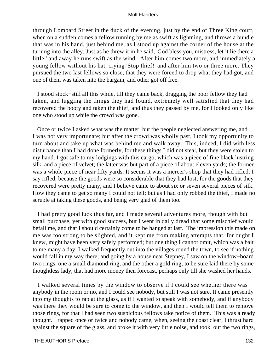through Lombard Street in the duck of the evening, just by the end of Three King court, when on a sudden comes a fellow running by me as swift as lightning, and throws a bundle that was in his hand, just behind me, as I stood up against the corner of the house at the turning into the alley. Just as he threw it in he said, 'God bless you, mistress, let it lie there a little,' and away he runs swift as the wind. After him comes two more, and immediately a young fellow without his hat, crying 'Stop thief!' and after him two or three more. They pursued the two last fellows so close, that they were forced to drop what they had got, and one of them was taken into the bargain, and other got off free.

 I stood stock−still all this while, till they came back, dragging the poor fellow they had taken, and lugging the things they had found, extremely well satisfied that they had recovered the booty and taken the thief; and thus they passed by me, for I looked only like one who stood up while the crowd was gone.

 Once or twice I asked what was the matter, but the people neglected answering me, and I was not very importunate; but after the crowd was wholly past, I took my opportunity to turn about and take up what was behind me and walk away. This, indeed, I did with less disturbance than I had done formerly, for these things I did not steal, but they were stolen to my hand. I got safe to my lodgings with this cargo, which was a piece of fine black lustring silk, and a piece of velvet; the latter was but part of a piece of about eleven yards; the former was a whole piece of near fifty yards. It seems it was a mercer's shop that they had rifled. I say rifled, because the goods were so considerable that they had lost; for the goods that they recovered were pretty many, and I believe came to about six or seven several pieces of silk. How they came to get so many I could not tell; but as I had only robbed the thief, I made no scruple at taking these goods, and being very glad of them too.

 I had pretty good luck thus far, and I made several adventures more, though with but small purchase, yet with good success, but I went in daily dread that some mischief would befall me, and that I should certainly come to be hanged at last. The impression this made on me was too strong to be slighted, and it kept me from making attempts that, for ought I knew, might have been very safely performed; but one thing I cannot omit, which was a bait to me many a day. I walked frequently out into the villages round the town, to see if nothing would fall in my way there; and going by a house near Stepney, I saw on the window−board two rings, one a small diamond ring, and the other a gold ring, to be sure laid there by some thoughtless lady, that had more money then forecast, perhaps only till she washed her hands.

 I walked several times by the window to observe if I could see whether there was anybody in the room or no, and I could see nobody, but still I was not sure. It came presently into my thoughts to rap at the glass, as if I wanted to speak with somebody, and if anybody was there they would be sure to come to the window, and then I would tell them to remove those rings, for that I had seen two suspicious fellows take notice of them. This was a ready thought. I rapped once or twice and nobody came, when, seeing the coast clear, I thrust hard against the square of the glass, and broke it with very little noise, and took out the two rings,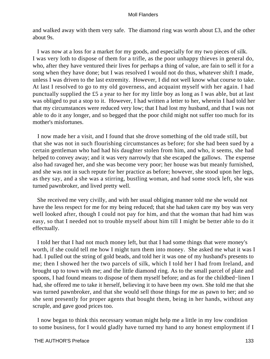and walked away with them very safe. The diamond ring was worth about £3, and the other about 9s.

 I was now at a loss for a market for my goods, and especially for my two pieces of silk. I was very loth to dispose of them for a trifle, as the poor unhappy thieves in general do, who, after they have ventured their lives for perhaps a thing of value, are fain to sell it for a song when they have done; but I was resolved I would not do thus, whatever shift I made, unless I was driven to the last extremity. However, I did not well know what course to take. At last I resolved to go to my old governess, and acquaint myself with her again. I had punctually supplied the £5 a year to her for my little boy as long as I was able, but at last was obliged to put a stop to it. However, I had written a letter to her, wherein I had told her that my circumstances were reduced very low; that I had lost my husband, and that I was not able to do it any longer, and so begged that the poor child might not suffer too much for its mother's misfortunes.

 I now made her a visit, and I found that she drove something of the old trade still, but that she was not in such flourishing circumstances as before; for she had been sued by a certain gentleman who had had his daughter stolen from him, and who, it seems, she had helped to convey away; and it was very narrowly that she escaped the gallows. The expense also had ravaged her, and she was become very poor; her house was but meanly furnished, and she was not in such repute for her practice as before; however, she stood upon her legs, as they say, and a she was a stirring, bustling woman, and had some stock left, she was turned pawnbroker, and lived pretty well.

 She received me very civilly, and with her usual obliging manner told me she would not have the less respect for me for my being reduced; that she had taken care my boy was very well looked after, though I could not pay for him, and that the woman that had him was easy, so that I needed not to trouble myself about him till I might be better able to do it effectually.

 I told her that I had not much money left, but that I had some things that were money's worth, if she could tell me how I might turn them into money. She asked me what it was I had. I pulled out the string of gold beads, and told her it was one of my husband's presents to me; then I showed her the two parcels of silk, which I told her I had from Ireland, and brought up to town with me; and the little diamond ring. As to the small parcel of plate and spoons, I had found means to dispose of them myself before; and as for the childbed−linen I had, she offered me to take it herself, believing it to have been my own. She told me that she was turned pawnbroker, and that she would sell those things for me as pawn to her; and so she sent presently for proper agents that bought them, being in her hands, without any scruple, and gave good prices too.

 I now began to think this necessary woman might help me a little in my low condition to some business, for I would gladly have turned my hand to any honest employment if I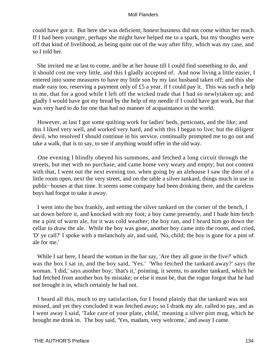could have got it. But here she was deficient; honest business did not come within her reach. If I had been younger, perhaps she might have helped me to a spark, but my thoughts were off that kind of livelihood, as being quite out of the way after fifty, which was my case, and so I told her.

 She invited me at last to come, and be at her house till I could find something to do, and it should cost me very little, and this I gladly accepted of. And now living a little easier, I entered into some measures to have my little son by my last husband taken off; and this she made easy too, reserving a payment only of £5 a year, if I could pay it. This was such a help to me, that for a good while I left off the wicked trade that I had so newlytaken up; and gladly I would have got my bread by the help of my needle if I could have got work, but that was very hard to do for one that had no manner of acquaintance in the world.

 However, at last I got some quilting work for ladies' beds, petticoats, and the like; and this I liked very well, and worked very hard, and with this I began to live; but the diligent devil, who resolved I should continue in his service, continually prompted me to go out and take a walk, that is to say, to see if anything would offer in the old way.

 One evening I blindly obeyed his summons, and fetched a long circuit through the streets, but met with no purchase, and came home very weary and empty; but not content with that, I went out the next evening too, when going by an alehouse I saw the door of a little room open, next the very street, and on the table a silver tankard, things much in use in public−houses at that time. It seems some company had been drinking there, and the careless boys had forgot to take it away.

 I went into the box frankly, and setting the silver tankard on the corner of the bench, I sat down before it, and knocked with my foot; a boy came presently, and I bade him fetch me a pint of warm ale, for it was cold weather; the boy ran, and I heard him go down the cellar to draw the ale. While the boy was gone, another boy came into the room, and cried, 'D' ye call?' I spoke with a melancholy air, and said, 'No, child; the boy is gone for a pint of ale for me.'

While I sat here, I heard the woman in the bar say, 'Are they all gone in the five?' which was the box I sat in, and the boy said, 'Yes.' 'Who fetched the tankard away?' says the woman. 'I did,' says another boy; 'that's it,' pointing, it seems, to another tankard, which he had fetched from another box by mistake; or else it must be, that the rogue forgot that he had not brought it in, which certainly he had not.

 I heard all this, much to my satisfaction, for I found plainly that the tankard was not missed, and yet they concluded it was fetched away; so I drank my ale, called to pay, and as I went away I said, 'Take care of your plate, child,' meaning a silver pint mug, which he brought me drink in. The boy said, 'Yes, madam, very welcome,' and away I came.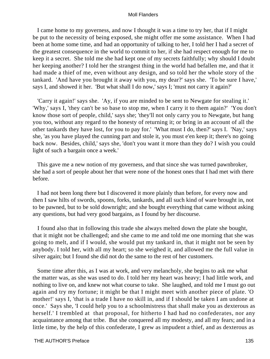I came home to my governess, and now I thought it was a time to try her, that if I might be put to the necessity of being exposed, she might offer me some assistance. When I had been at home some time, and had an opportunity of talking to her, I told her I had a secret of the greatest consequence in the world to commit to her, if she had respect enough for me to keep it a secret. She told me she had kept one of my secrets faithfully; why should I doubt her keeping another? I told her the strangest thing in the world had befallen me, and that it had made a thief of me, even without any design, and so told her the whole story of the tankard. 'And have you brought it away with you, my dear?' says she. 'To be sure I have,' says I, and showed it her. 'But what shall I do now,' says I; 'must not carry it again?'

 'Carry it again!' says she. 'Ay, if you are minded to be sent to Newgate for stealing it.' 'Why,' says I, 'they can't be so base to stop me, when I carry it to them again?' 'You don't know those sort of people, child,' says she; 'they'll not only carry you to Newgate, but hang you too, without any regard to the honesty of returning it; or bring in an account of all the other tankards they have lost, for you to pay for.' 'What must I do, then?' says I. 'Nay,' says she, 'as you have played the cunning part and stole it, you must e'en keep it; there's no going back now. Besides, child,' says she, 'don't you want it more than they do? I wish you could light of such a bargain once a week.'

 This gave me a new notion of my governess, and that since she was turned pawnbroker, she had a sort of people about her that were none of the honest ones that I had met with there before.

 I had not been long there but I discovered it more plainly than before, for every now and then I saw hilts of swords, spoons, forks, tankards, and all such kind of ware brought in, not to be pawned, but to be sold downright; and she bought everything that came without asking any questions, but had very good bargains, as I found by her discourse.

 I found also that in following this trade she always melted down the plate she bought, that it might not be challenged; and she came to me and told me one morning that she was going to melt, and if I would, she would put my tankard in, that it might not be seen by anybody. I told her, with all my heart; so she weighed it, and allowed me the full value in silver again; but I found she did not do the same to the rest of her customers.

 Some time after this, as I was at work, and very melancholy, she begins to ask me what the matter was, as she was used to do. I told her my heart was heavy; I had little work, and nothing to live on, and knew not what course to take. She laughed, and told me I must go out again and try my fortune; it might be that I might meet with another piece of plate. 'O mother!' says I, 'that is a trade I have no skill in, and if I should be taken I am undone at once.' Says she, 'I could help you to a schoolmistress that shall make you as dexterous as herself.' I trembled at that proposal, for hitherto I had had no confederates, nor any acquaintance among that tribe. But she conquered all my modesty, and all my fears; and in a little time, by the help of this confederate, I grew as impudent a thief, and as dexterous as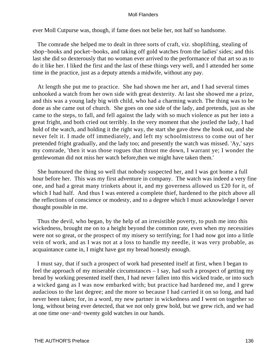ever Moll Cutpurse was, though, if fame does not belie her, not half so handsome.

 The comrade she helped me to dealt in three sorts of craft, viz. shoplifting, stealing of shop−books and pocket−books, and taking off gold watches from the ladies' sides; and this last she did so dexterously that no woman ever arrived to the performance of that art so as to do it like her. I liked the first and the last of these things very well, and I attended her some time in the practice, just as a deputy attends a midwife, without any pay.

 At length she put me to practice. She had shown me her art, and I had several times unhooked a watch from her own side with great dexterity. At last she showed me a prize, and this was a young lady big with child, who had a charming watch. The thing was to be done as she came out of church. She goes on one side of the lady, and pretends, just as she came to the steps, to fall, and fell against the lady with so much violence as put her into a great fright, and both cried out terribly. In the very moment that she jostled the lady, I had hold of the watch, and holding it the right way, the start she gave drew the hook out, and she never felt it. I made off immediately, and left my schoolmistress to come out of her pretended fright gradually, and the lady too; and presently the watch was missed. 'Ay,' says my comrade, 'then it was those rogues that thrust me down, I warrant ye; I wonder the gentlewoman did not miss her watch before,then we might have taken them.'

 She humoured the thing so well that nobody suspected her, and I was got home a full hour before her. This was my first adventure in company. The watch was indeed a very fine one, and had a great many trinkets about it, and my governess allowed us £20 for it, of which I had half. And thus I was entered a complete thief, hardened to the pitch above all the reflections of conscience or modesty, and to a degree which I must acknowledge I never thought possible in me.

 Thus the devil, who began, by the help of an irresistible poverty, to push me into this wickedness, brought me on to a height beyond the common rate, even when my necessities were not so great, or the prospect of my misery so terrifying; for I had now got into a little vein of work, and as I was not at a loss to handle my needle, it was very probable, as acquaintance came in, I might have got my bread honestly enough.

 I must say, that if such a prospect of work had presented itself at first, when I began to feel the approach of my miserable circumstances – I say, had such a prospect of getting my bread by working presented itself then, I had never fallen into this wicked trade, or into such a wicked gang as I was now embarked with; but practice had hardened me, and I grew audacious to the last degree; and the more so because I had carried it on so long, and had never been taken; for, in a word, my new partner in wickedness and I went on together so long, without being ever detected, that we not only grew bold, but we grew rich, and we had at one time one−and−twenty gold watches in our hands.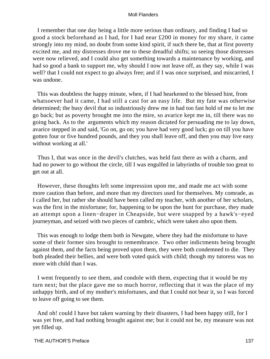I remember that one day being a little more serious than ordinary, and finding I had so good a stock beforehand as I had, for I had near £200 in money for my share, it came strongly into my mind, no doubt from some kind spirit, if such there be, that at first poverty excited me, and my distresses drove me to these dreadful shifts; so seeing those distresses were now relieved, and I could also get something towards a maintenance by working, and had so good a bank to support me, why should I now not leave off, as they say, while I was well? that I could not expect to go always free; and if I was once surprised, and miscarried, I was undone.

 This was doubtless the happy minute, when, if I had hearkened to the blessed hint, from whatsoever had it came, I had still a cast for an easy life. But my fate was otherwise determined; the busy devil that so industriously drew me in had too fast hold of me to let me go back; but as poverty brought me into the mire, so avarice kept me in, till there was no going back. As to the arguments which my reason dictated for persuading me to lay down, avarice stepped in and said, 'Go on, go on; you have had very good luck; go on till you have gotten four or five hundred pounds, and they you shall leave off, and then you may live easy without working at all.'

 Thus I, that was once in the devil's clutches, was held fast there as with a charm, and had no power to go without the circle, till I was engulfed in labyrinths of trouble too great to get out at all.

 However, these thoughts left some impression upon me, and made me act with some more caution than before, and more than my directors used for themselves. My comrade, as I called her, but rather she should have been called my teacher, with another of her scholars, was the first in the misfortune; for, happening to be upon the hunt for purchase, they made an attempt upon a linen−draper in Cheapside, but were snapped by a hawk's−eyed journeyman, and seized with two pieces of cambric, which were taken also upon them.

 This was enough to lodge them both in Newgate, where they had the misfortune to have some of their former sins brought to remembrance. Two other indictments being brought against them, and the facts being proved upon them, they were both condemned to die. They both pleaded their bellies, and were both voted quick with child; though my tutoress was no more with child than I was.

 I went frequently to see them, and condole with them, expecting that it would be my turn next; but the place gave me so much horror, reflecting that it was the place of my unhappy birth, and of my mother's misfortunes, and that I could not bear it, so I was forced to leave off going to see them.

 And oh! could I have but taken warning by their disasters, I had been happy still, for I was yet free, and had nothing brought against me; but it could not be, my measure was not yet filled up.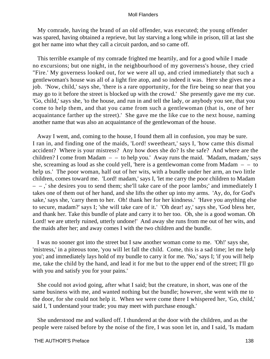My comrade, having the brand of an old offender, was executed; the young offender was spared, having obtained a reprieve, but lay starving a long while in prison, till at last she got her name into what they call a circuit pardon, and so came off.

 This terrible example of my comrade frighted me heartily, and for a good while I made no excursions; but one night, in the neighbourhood of my governess's house, they cried "Fire.' My governess looked out, for we were all up, and cried immediately that such a gentlewoman's house was all of a light fire atop, and so indeed it was. Here she gives me a job. 'Now, child,' says she, 'there is a rare opportunity, for the fire being so near that you may go to it before the street is blocked up with the crowd.' She presently gave me my cue. 'Go, child,' says she, 'to the house, and run in and tell the lady, or anybody you see, that you come to help them, and that you came from such a gentlewoman (that is, one of her acquaintance farther up the street).' She gave me the like cue to the next house, naming another name that was also an acquaintance of the gentlewoman of the house.

 Away I went, and, coming to the house, I found them all in confusion, you may be sure. I ran in, and finding one of the maids, 'Lord! sweetheart,' says I, 'how came this dismal accident? Where is your mistress? Any how does she do? Is she safe? And where are the children? I come from Madam – – to help you.' Away runs the maid. 'Madam, madam,' says she, screaming as loud as she could yell, 'here is a gentlewoman come from Madam  $- -$  to help us.' The poor woman, half out of her wits, with a bundle under her arm, an two little children, comes toward me. 'Lord! madam,' says I, 'let me carry the poor children to Madam – – ,' she desires you to send them; she'll take care of the poor lambs;' and immediately I takes one of them out of her hand, and she lifts the other up into my arms. 'Ay, do, for God's sake,' says she, 'carry them to her. Oh! thank her for her kindness.' 'Have you anything else to secure, madam?' says I; 'she will take care of it.' 'Oh dear! ay,' says she, 'God bless her, and thank her. Take this bundle of plate and carry it to her too. Oh, she is a good woman. Oh Lord! we are utterly ruined, utterly undone!' And away she runs from me out of her wits, and the maids after her; and away comes I with the two children and the bundle.

 I was no sooner got into the street but I saw another woman come to me. 'Oh!' says she, 'mistress,' in a piteous tone, 'you will let fall the child. Come, this is a sad time; let me help you'; and immediately lays hold of my bundle to carry it for me. 'No,' says I; 'if you will help me, take the child by the hand, and lead it for me but to the upper end of the street; I'll go with you and satisfy you for your pains.'

 She could not aviod going, after what I said; but the creature, in short, was one of the same business with me, and wanted nothing but the bundle; however, she went with me to the door, for she could not help it. When we were come there I whispered her, 'Go, child,' said I, 'I understand your trade; you may meet with purchase enough.'

 She understood me and walked off. I thundered at the door with the children, and as the people were raised before by the noise of the fire, I was soon let in, and I said, 'Is madam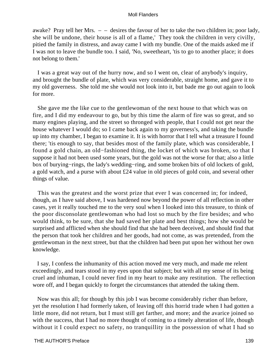awake? Pray tell her Mrs.  $-$  – desires the favour of her to take the two children in; poor lady, she will be undone, their house is all of a flame,' They took the children in very civilly, pitied the family in distress, and away came I with my bundle. One of the maids asked me if I was not to leave the bundle too. I said, 'No, sweetheart, 'tis to go to another place; it does not belong to them.'

 I was a great way out of the hurry now, and so I went on, clear of anybody's inquiry, and brought the bundle of plate, which was very considerable, straight home, and gave it to my old governess. She told me she would not look into it, but bade me go out again to look for more.

 She gave me the like cue to the gentlewoman of the next house to that which was on fire, and I did my endeavour to go, but by this time the alarm of fire was so great, and so many engines playing, and the street so thronged with people, that I could not get near the house whatever I would do; so I came back again to my governess's, and taking the bundle up into my chamber, I began to examine it. It is with horror that I tell what a treasure I found there; 'tis enough to say, that besides most of the family plate, which was considerable, I found a gold chain, an old−fashioned thing, the locket of which was broken, so that I suppose it had not been used some years, but the gold was not the worse for that; also a little box of burying−rings, the lady's wedding−ring, and some broken bits of old lockets of gold, a gold watch, and a purse with about £24 value in old pieces of gold coin, and several other things of value.

 This was the greatest and the worst prize that ever I was concerned in; for indeed, though, as I have said above, I was hardened now beyond the power of all reflection in other cases, yet it really touched me to the very soul when I looked into this treasure, to think of the poor disconsolate gentlewoman who had lost so much by the fire besides; and who would think, to be sure, that she had saved her plate and best things; how she would be surprised and afflicted when she should find that she had been deceived, and should find that the person that took her children and her goods, had not come, as was pretended, from the gentlewoman in the next street, but that the children had been put upon her without her own knowledge.

 I say, I confess the inhumanity of this action moved me very much, and made me relent exceedingly, and tears stood in my eyes upon that subject; but with all my sense of its being cruel and inhuman, I could never find in my heart to make any restitution. The reflection wore off, and I began quickly to forget the circumstances that attended the taking them.

 Now was this all; for though by this job I was become considerably richer than before, yet the resolution I had formerly taken, of leaving off this horrid trade when I had gotten a little more, did not return, but I must still get farther, and more; and the avarice joined so with the success, that I had no more thought of coming to a timely alteration of life, though without it I could expect no safety, no tranquillity in the possession of what I had so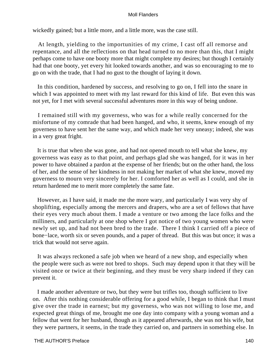wickedly gained; but a little more, and a little more, was the case still.

 At length, yielding to the importunities of my crime, I cast off all remorse and repentance, and all the reflections on that head turned to no more than this, that I might perhaps come to have one booty more that might complete my desires; but though I certainly had that one booty, yet every hit looked towards another, and was so encouraging to me to go on with the trade, that I had no gust to the thought of laying it down.

 In this condition, hardened by success, and resolving to go on, I fell into the snare in which I was appointed to meet with my last reward for this kind of life. But even this was not yet, for I met with several successful adventures more in this way of being undone.

 I remained still with my governess, who was for a while really concerned for the misfortune of my comrade that had been hanged, and who, it seems, knew enough of my governess to have sent her the same way, and which made her very uneasy; indeed, she was in a very great fright.

 It is true that when she was gone, and had not opened mouth to tell what she knew, my governess was easy as to that point, and perhaps glad she was hanged, for it was in her power to have obtained a pardon at the expense of her friends; but on the other hand, the loss of her, and the sense of her kindness in not making her market of what she knew, moved my governess to mourn very sincerely for her. I comforted her as well as I could, and she in return hardened me to merit more completely the same fate.

 However, as I have said, it made me the more wary, and particularly I was very shy of shoplifting, especially among the mercers and drapers, who are a set of fellows that have their eyes very much about them. I made a venture or two among the lace folks and the milliners, and particularly at one shop where I got notice of two young women who were newly set up, and had not been bred to the trade. There I think I carried off a piece of bone−lace, worth six or seven pounds, and a paper of thread. But this was but once; it was a trick that would not serve again.

 It was always reckoned a safe job when we heard of a new shop, and especially when the people were such as were not bred to shops. Such may depend upon it that they will be visited once or twice at their beginning, and they must be very sharp indeed if they can prevent it.

 I made another adventure or two, but they were but trifles too, though sufficient to live on. After this nothing considerable offering for a good while, I began to think that I must give over the trade in earnest; but my governess, who was not willing to lose me, and expected great things of me, brought me one day into company with a young woman and a fellow that went for her husband, though as it appeared afterwards, she was not his wife, but they were partners, it seems, in the trade they carried on, and partners in something else. In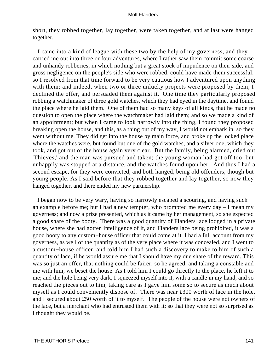short, they robbed together, lay together, were taken together, and at last were hanged together.

 I came into a kind of league with these two by the help of my governess, and they carried me out into three or four adventures, where I rather saw them commit some coarse and unhandy robberies, in which nothing but a great stock of impudence on their side, and gross negligence on the people's side who were robbed, could have made them successful. so I resolved from that time forward to be very cautious how I adventured upon anything with them; and indeed, when two or three unlucky projects were proposed by them, I declined the offer, and persuaded them against it. One time they particularly proposed robbing a watchmaker of three gold watches, which they had eyed in the daytime, and found the place where he laid them. One of them had so many keys of all kinds, that he made no question to open the place where the watchmaker had laid them; and so we made a kind of an appointment; but when I came to look narrowly into the thing, I found they proposed breaking open the house, and this, as a thing out of my way, I would not embark in, so they went without me. They did get into the house by main force, and broke up the locked place where the watches were, but found but one of the gold watches, and a silver one, which they took, and got out of the house again very clear. But the family, being alarmed, cried out 'Thieves,' and the man was pursued and taken; the young woman had got off too, but unhappily was stopped at a distance, and the watches found upon her. And thus I had a second escape, for they were convicted, and both hanged, being old offenders, though but young people. As I said before that they robbed together and lay together, so now they hanged together, and there ended my new partnership.

 I began now to be very wary, having so narrowly escaped a scouring, and having such an example before me; but I had a new tempter, who prompted me every day – I mean my governess; and now a prize presented, which as it came by her management, so she expected a good share of the booty. There was a good quantity of Flanders lace lodged in a private house, where she had gotten intelligence of it, and Flanders lace being prohibited, it was a good booty to any custom−house officer that could come at it. I had a full account from my governess, as well of the quantity as of the very place where it was concealed, and I went to a custom−house officer, and told him I had such a discovery to make to him of such a quantity of lace, if he would assure me that I should have my due share of the reward. This was so just an offer, that nothing could be fairer; so he agreed, and taking a constable and me with him, we beset the house. As I told him I could go directly to the place, he left it to me; and the hole being very dark, I squeezed myself into it, with a candle in my hand, and so reached the pieces out to him, taking care as I gave him some so to secure as much about myself as I could conveniently dispose of. There was near £300 worth of lace in the hole, and I secured about £50 worth of it to myself. The people of the house were not owners of the lace, but a merchant who had entrusted them with it; so that they were not so surprised as I thought they would be.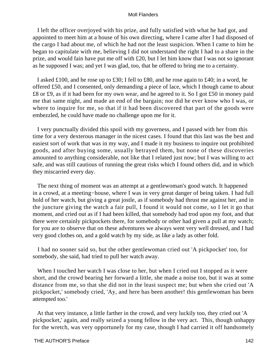I left the officer overjoyed with his prize, and fully satisfied with what he had got, and appointed to meet him at a house of his own directing, where I came after I had disposed of the cargo I had about me, of which he had not the least suspicion. When I came to him he began to capitulate with me, believing I did not understand the right I had to a share in the prize, and would fain have put me off with £20, but I let him know that I was not so ignorant as he supposed I was; and yet I was glad, too, that he offered to bring me to a certainty.

 I asked £100, and he rose up to £30; I fell to £80, and he rose again to £40; in a word, he offered £50, and I consented, only demanding a piece of lace, which I though came to about £8 or £9, as if it had been for my own wear, and he agreed to it. So I got £50 in money paid me that same night, and made an end of the bargain; nor did he ever know who I was, or where to inquire for me, so that if it had been discovered that part of the goods were embezzled, he could have made no challenge upon me for it.

 I very punctually divided this spoil with my governess, and I passed with her from this time for a very dexterous manager in the nicest cases. I found that this last was the best and easiest sort of work that was in my way, and I made it my business to inquire out prohibited goods, and after buying some, usually betrayed them, but none of these discoveries amounted to anything considerable, not like that I related just now; but I was willing to act safe, and was still cautious of running the great risks which I found others did, and in which they miscarried every day.

 The next thing of moment was an attempt at a gentlewoman's good watch. It happened in a crowd, at a meeting−house, where I was in very great danger of being taken. I had full hold of her watch, but giving a great jostle, as if somebody had thrust me against her, and in the juncture giving the watch a fair pull, I found it would not come, so I let it go that moment, and cried out as if I had been killed, that somebody had trod upon my foot, and that there were certainly pickpockets there, for somebody or other had given a pull at my watch; for you are to observe that on these adventures we always went very well dressed, and I had very good clothes on, and a gold watch by my side, as like a lady as other fold.

 I had no sooner said so, but the other gentlewoman cried out 'A pickpocket' too, for somebody, she said, had tried to pull her watch away.

When I touched her watch I was close to her, but when I cried out I stopped as it were short, and the crowd bearing her forward a little, she made a noise too, but it was at some distance from me, so that she did not in the least suspect me; but when she cried out 'A pickpocket,' somebody cried, 'Ay, and here has been another! this gentlewoman has been attempted too.'

 At that very instance, a little farther in the crowd, and very luckily too, they cried out 'A pickpocket,' again, and really seized a young fellow in the very act. This, though unhappy for the wretch, was very opportunely for my case, though I had carried it off handsomely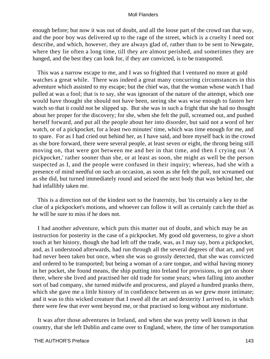enough before; but now it was out of doubt, and all the loose part of the crowd ran that way, and the poor boy was delivered up to the rage of the street, which is a cruelty I need not describe, and which, however, they are always glad of, rather than to be sent to Newgate, where they lie often a long time, till they are almost perished, and sometimes they are hanged, and the best they can look for, if they are convicted, is to be transported.

 This was a narrow escape to me, and I was so frighted that I ventured no more at gold watches a great while. There was indeed a great many concurring circumstances in this adventure which assisted to my escape; but the chief was, that the woman whose watch I had pulled at was a fool; that is to say, she was ignorant of the nature of the attempt, which one would have thought she should not have been, seeing she was wise enough to fasten her watch so that it could not be slipped up. But she was in such a fright that she had no thought about her proper for the discovery; for she, when she felt the pull, screamed out, and pushed herself forward, and put all the people about her into disorder, but said not a word of her watch, or of a pickpocket, for a least two minutes' time, which was time enough for me, and to spare. For as I had cried out behind her, as I have said, and bore myself back in the crowd as she bore forward, there were several people, at least seven or eight, the throng being still moving on, that were got between me and her in that time, and then I crying out 'A pickpocket,' rather sooner than she, or at least as soon, she might as well be the person suspected as I, and the people were confused in their inquiry; whereas, had she with a presence of mind needful on such an occasion, as soon as she felt the pull, not screamed out as she did, but turned immediately round and seized the next body that was behind her, she had infallibly taken me.

 This is a direction not of the kindest sort to the fraternity, but 'tis certainly a key to the clue of a pickpocket's motions, and whoever can follow it will as certainly catch the thief as he will be sure to miss if he does not.

 I had another adventure, which puts this matter out of doubt, and which may be an instruction for posterity in the case of a pickpocket. My good old governess, to give a short touch at her history, though she had left off the trade, was, as I may say, born a pickpocket, and, as I understood afterwards, had run through all the several degrees of that art, and yet had never been taken but once, when she was so grossly detected, that she was convicted and ordered to be transported; but being a woman of a rare tongue, and withal having money in her pocket, she found means, the ship putting into Ireland for provisions, to get on shore there, where she lived and practised her old trade for some years; when falling into another sort of bad company, she turned midwife and procuress, and played a hundred pranks there, which she gave me a little history of in confidence between us as we grew more intimate; and it was to this wicked creature that I owed all the art and dexterity I arrived to, in which there were few that ever went beyond me, or that practised so long without any misfortune.

 It was after those adventures in Ireland, and when she was pretty well known in that country, that she left Dublin and came over to England, where, the time of her transportation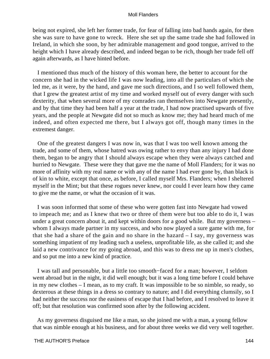being not expired, she left her former trade, for fear of falling into bad hands again, for then she was sure to have gone to wreck. Here she set up the same trade she had followed in Ireland, in which she soon, by her admirable management and good tongue, arrived to the height which I have already described, and indeed began to be rich, though her trade fell off again afterwards, as I have hinted before.

 I mentioned thus much of the history of this woman here, the better to account for the concern she had in the wicked life I was now leading, into all the particulars of which she led me, as it were, by the hand, and gave me such directions, and I so well followed them, that I grew the greatest artist of my time and worked myself out of every danger with such dexterity, that when several more of my comrades ran themselves into Newgate presently, and by that time they had been half a year at the trade, I had now practised upwards of five years, and the people at Newgate did not so much as know me; they had heard much of me indeed, and often expected me there, but I always got off, though many times in the extremest danger.

 One of the greatest dangers I was now in, was that I was too well known among the trade, and some of them, whose hatred was owing rather to envy than any injury I had done them, began to be angry that I should always escape when they were always catched and hurried to Newgate. These were they that gave me the name of Moll Flanders; for it was no more of affinity with my real name or with any of the name I had ever gone by, than black is of kin to white, except that once, as before, I called myself Mrs. Flanders; when I sheltered myself in the Mint; but that these rogues never knew, nor could I ever learn how they came to give me the name, or what the occasion of it was.

 I was soon informed that some of these who were gotten fast into Newgate had vowed to impeach me; and as I knew that two or three of them were but too able to do it, I was under a great concern about it, and kept within doors for a good while. But my governess – whom I always made partner in my success, and who now played a sure game with me, for that she had a share of the gain and no share in the hazard – I say, my governess was something impatient of my leading such a useless, unprofitable life, as she called it; and she laid a new contrivance for my going abroad, and this was to dress me up in men's clothes, and so put me into a new kind of practice.

 I was tall and personable, but a little too smooth−faced for a man; however, I seldom went abroad but in the night, it did well enough; but it was a long time before I could behave in my new clothes – I mean, as to my craft. It was impossible to be so nimble, so ready, so dexterous at these things in a dress so contrary to nature; and I did everything clumsily, so I had neither the success nor the easiness of escape that I had before, and I resolved to leave it off; but that resolution was confirmed soon after by the following accident.

 As my governess disguised me like a man, so she joined me with a man, a young fellow that was nimble enough at his business, and for about three weeks we did very well together.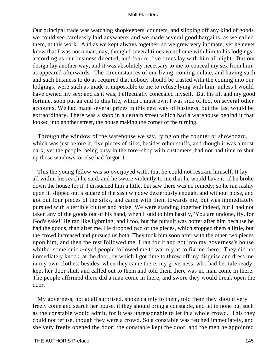Our principal trade was watching shopkeepers' counters, and slipping off any kind of goods we could see carelessly laid anywhere, and we made several good bargains, as we called them, at this work. And as we kept always together, so we grew very intimate, yet he never knew that I was not a man, nay, though I several times went home with him to his lodgings, according as our business directed, and four or five times lay with him all night. But our design lay another way, and it was absolutely necessary to me to conceal my sex from him, as appeared afterwards. The circumstances of our living, coming in late, and having such and such business to do as required that nobody should be trusted with the coming into our lodgings, were such as made it impossible to me to refuse lying with him, unless I would have owned my sex; and as it was, I effectually concealed myself. But his ill, and my good fortune, soon put an end to this life, which I must own I was sick of too, on several other accounts. We had made several prizes in this new way of business, but the last would be extraordinary. There was a shop in a certain street which had a warehouse behind it that looked into another street, the house making the corner of the turning.

 Through the window of the warehouse we say, lying on the counter or showboard, which was just before it, five pieces of silks, besides other stuffs, and though it was almost dark, yet the people, being busy in the fore−shop with customers, had not had time to shut up those windows, or else had forgot it.

 This the young fellow was so overjoyed with, that he could not restrain himself. It lay all within his reach he said, and he swore violently to me that he would have it, if he broke down the house for it. I dissuaded him a little, but saw there was no remedy; so he ran rashly upon it, slipped out a square of the sash window dexterously enough, and without noise, and got out four pieces of the silks, and came with them towards me, but was immediately pursued with a terrible clutter and noise. We were standing together indeed, but I had not taken any of the goods out of his hand, when I said to him hastily, 'You are undone, fly, for God's sake!' He ran like lightning, and I too, but the pursuit was hotter after him because he had the goods, than after me. He dropped two of the pieces, which stopped them a little, but the crowd increased and pursued us both. They took him soon after with the other two pieces upon him, and then the rest followed me. I ran for it and got into my governess's house whither some quick−eyed people followed me to warmly as to fix me there. They did not immediately knock, at the door, by which I got time to throw off my disguise and dress me in my own clothes; besides, when they came there, my governess, who had her tale ready, kept her door shut, and called out to them and told them there was no man come in there. The people affirmed there did a man come in there, and swore they would break open the door.

 My governess, not at all surprised, spoke calmly to them, told them they should very freely come and search her house, if they should bring a constable, and let in none but such as the constable would admit, for it was unreasonable to let in a whole crowd. This they could not refuse, though they were a crowd. So a constable was fetched immediately, and she very freely opened the door; the constable kept the door, and the men he appointed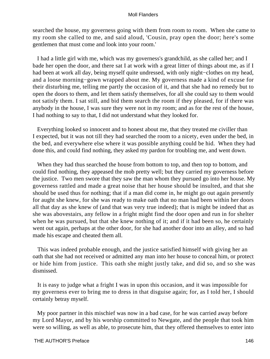searched the house, my governess going with them from room to room. When she came to my room she called to me, and said aloud, 'Cousin, pray open the door; here's some gentlemen that must come and look into your room.'

 I had a little girl with me, which was my governess's grandchild, as she called her; and I bade her open the door, and there sat I at work with a great litter of things about me, as if I had been at work all day, being myself quite undressed, with only night−clothes on my head, and a loose morning−gown wrapped about me. My governess made a kind of excuse for their disturbing me, telling me partly the occasion of it, and that she had no remedy but to open the doors to them, and let them satisfy themselves, for all she could say to them would not satisfy them. I sat still, and bid them search the room if they pleased, for if there was anybody in the house, I was sure they were not in my room; and as for the rest of the house, I had nothing to say to that, I did not understand what they looked for.

 Everything looked so innocent and to honest about me, that they treated me civiller than I expected, but it was not till they had searched the room to a nicety, even under the bed, in the bed, and everywhere else where it was possible anything could be hid. When they had done this, and could find nothing, they asked my pardon for troubling me, and went down.

 When they had thus searched the house from bottom to top, and then top to bottom, and could find nothing, they appeased the mob pretty well; but they carried my governess before the justice. Two men swore that they saw the man whom they pursued go into her house. My governess rattled and made a great noise that her house should be insulted, and that she should be used thus for nothing; that if a man did come in, he might go out again presently for aught she knew, for she was ready to make oath that no man had been within her doors all that day as she knew of (and that was very true indeed); that is might be indeed that as she was abovestairs, any fellow in a fright might find the door open and run in for shelter when he was pursued, but that she knew nothing of it; and if it had been so, he certainly went out again, perhaps at the other door, for she had another door into an alley, and so had made his escape and cheated them all.

 This was indeed probable enough, and the justice satisfied himself with giving her an oath that she had not received or admitted any man into her house to conceal him, or protect or hide him from justice. This oath she might justly take, and did so, and so she was dismissed.

 It is easy to judge what a fright I was in upon this occasion, and it was impossible for my governess ever to bring me to dress in that disguise again; for, as I told her, I should certainly betray myself.

 My poor partner in this mischief was now in a bad case, for he was carried away before my Lord Mayor, and by his worship committed to Newgate, and the people that took him were so willing, as well as able, to prosecute him, that they offered themselves to enter into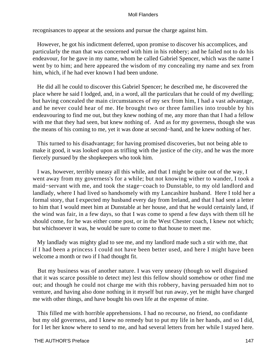recognisances to appear at the sessions and pursue the charge against him.

 However, he got his indictment deferred, upon promise to discover his accomplices, and particularly the man that was concerned with him in his robbery; and he failed not to do his endeavour, for he gave in my name, whom he called Gabriel Spencer, which was the name I went by to him; and here appeared the wisdom of my concealing my name and sex from him, which, if he had ever known I had been undone.

 He did all he could to discover this Gabriel Spencer; he described me, he discovered the place where he said I lodged, and, in a word, all the particulars that he could of my dwelling; but having concealed the main circumstances of my sex from him, I had a vast advantage, and he never could hear of me. He brought two or three families into trouble by his endeavouring to find me out, but they knew nothing of me, any more than that I had a fellow with me that they had seen, but knew nothing of. And as for my governess, though she was the means of his coming to me, yet it was done at second−hand, and he knew nothing of her.

 This turned to his disadvantage; for having promised discoveries, but not being able to make it good, it was looked upon as trifling with the justice of the city, and he was the more fiercely pursued by the shopkeepers who took him.

 I was, however, terribly uneasy all this while, and that I might be quite out of the way, I went away from my governess's for a while; but not knowing wither to wander, I took a maid−servant with me, and took the stage−coach to Dunstable, to my old landlord and landlady, where I had lived so handsomely with my Lancashire husband. Here I told her a formal story, that I expected my husband every day from Ireland, and that I had sent a letter to him that I would meet him at Dunstable at her house, and that he would certainly land, if the wind was fair, in a few days, so that I was come to spend a few days with them till he should come, for he was either come post, or in the West Chester coach, I knew not which; but whichsoever it was, he would be sure to come to that house to meet me.

 My landlady was mighty glad to see me, and my landlord made such a stir with me, that if I had been a princess I could not have been better used, and here I might have been welcome a month or two if I had thought fit.

 But my business was of another nature. I was very uneasy (though so well disguised that it was scarce possible to detect me) lest this fellow should somehow or other find me out; and though he could not charge me with this robbery, having persuaded him not to venture, and having also done nothing in it myself but run away, yet he might have charged me with other things, and have bought his own life at the expense of mine.

 This filled me with horrible apprehensions. I had no recourse, no friend, no confidante but my old governess, and I knew no remedy but to put my life in her hands, and so I did, for I let her know where to send to me, and had several letters from her while I stayed here.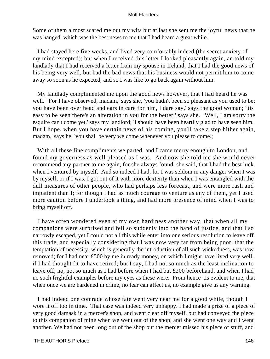Some of them almost scared me out my wits but at last she sent me the joyful news that he was hanged, which was the best news to me that I had heard a great while.

 I had stayed here five weeks, and lived very comfortably indeed (the secret anxiety of my mind excepted); but when I received this letter I looked pleasantly again, an told my landlady that I had received a letter from my spouse in Ireland, that I had the good news of his being very well, but had the bad news that his business would not permit him to come away so soon as he expected, and so I was like to go back again without him.

 My landlady complimented me upon the good news however, that I had heard he was well. 'For I have observed, madam,' says she, 'you hadn't been so pleasant as you used to be; you have been over head and ears in care for him, I dare say,' says the good woman; ''tis easy to be seen there's an alteration in you for the better,' says she. 'Well, I am sorry the esquire can't come yet,' says my landlord; 'I should have been heartily glad to have seen him. But I hope, when you have certain news of his coming, you'll take a step hither again, madam,' says he; 'you shall be very welcome whenever you please to come.;

 With all these fine compliments we parted, and I came merry enough to London, and found my governess as well pleased as I was. And now she told me she would never recommend any partner to me again, for she always found, she said, that I had the best luck when I ventured by myself. And so indeed I had, for I was seldom in any danger when I was by myself, or if I was, I got out of it with more dexterity than when I was entangled with the dull measures of other people, who had perhaps less forecast, and were more rash and impatient than I; for though I had as much courage to venture as any of them, yet I used more caution before I undertook a thing, and had more presence of mind when I was to bring myself off.

 I have often wondered even at my own hardiness another way, that when all my companions were surprised and fell so suddenly into the hand of justice, and that I so narrowly escaped, yet I could not all this while enter into one serious resolution to leave off this trade, and especially considering that I was now very far from being poor; that the temptation of necessity, which is generally the introduction of all such wickedness, was now removed; for I had near £500 by me in ready money, on which I might have lived very well, if I had thought fit to have retired; but I say, I had not so much as the least inclination to leave off; no, not so much as I had before when I had but £200 beforehand, and when I had no such frightful examples before my eyes as these were. From hence 'tis evident to me, that when once we are hardened in crime, no fear can affect us, no example give us any warning.

 I had indeed one comrade whose fate went very near me for a good while, though I wore it off too in time. That case was indeed very unhappy. I had made a prize of a piece of very good damask in a mercer's shop, and went clear off myself, but had conveyed the piece to this companion of mine when we went out of the shop, and she went one way and I went another. We had not been long out of the shop but the mercer missed his piece of stuff, and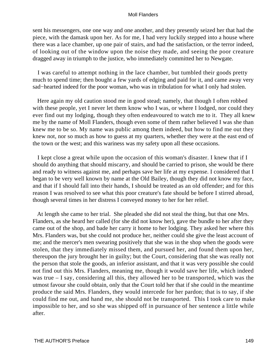sent his messengers, one one way and one another, and they presently seized her that had the piece, with the damask upon her. As for me, I had very luckily stepped into a house where there was a lace chamber, up one pair of stairs, and had the satisfaction, or the terror indeed, of looking out of the window upon the noise they made, and seeing the poor creature dragged away in triumph to the justice, who immediately committed her to Newgate.

 I was careful to attempt nothing in the lace chamber, but tumbled their goods pretty much to spend time; then bought a few yards of edging and paid for it, and came away very sad−hearted indeed for the poor woman, who was in tribulation for what I only had stolen.

 Here again my old caution stood me in good stead; namely, that though I often robbed with these people, yet I never let them know who I was, or where I lodged, nor could they ever find out my lodging, though they often endeavoured to watch me to it. They all knew me by the name of Moll Flanders, though even some of them rather believed I was she than knew me to be so. My name was public among them indeed, but how to find me out they knew not, nor so much as how to guess at my quarters, whether they were at the east end of the town or the west; and this wariness was my safety upon all these occasions.

 I kept close a great while upon the occasion of this woman's disaster. I knew that if I should do anything that should miscarry, and should be carried to prison, she would be there and ready to witness against me, and perhaps save her life at my expense. I considered that I began to be very well known by name at the Old Bailey, though they did not know my face, and that if I should fall into their hands, I should be treated as an old offender; and for this reason I was resolved to see what this poor creature's fate should be before I stirred abroad, though several times in her distress I conveyed money to her for her relief.

 At length she came to her trial. She pleaded she did not steal the thing, but that one Mrs. Flanders, as she heard her called (for she did not know her), gave the bundle to her after they came out of the shop, and bade her carry it home to her lodging. They asked her where this Mrs. Flanders was, but she could not produce her, neither could she give the least account of me; and the mercer's men swearing positively that she was in the shop when the goods were stolen, that they immediately missed them, and pursued her, and found them upon her, thereupon the jury brought her in guilty; but the Court, considering that she was really not the person that stole the goods, an inferior assistant, and that it was very possible she could not find out this Mrs. Flanders, meaning me, though it would save her life, which indeed was true – I say, considering all this, they allowed her to be transported, which was the utmost favour she could obtain, only that the Court told her that if she could in the meantime produce the said Mrs. Flanders, they would intercede for her pardon; that is to say, if she could find me out, and hand me, she should not be transported. This I took care to make impossible to her, and so she was shipped off in pursuance of her sentence a little while after.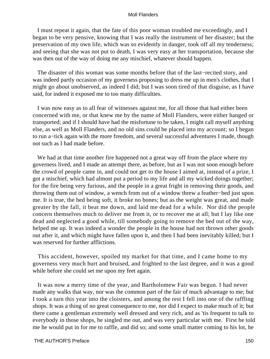I must repeat it again, that the fate of this poor woman troubled me exceedingly, and I began to be very pensive, knowing that I was really the instrument of her disaster; but the preservation of my own life, which was so evidently in danger, took off all my tenderness; and seeing that she was not put to death, I was very easy at her transportation, because she was then out of the way of doing me any mischief, whatever should happen.

 The disaster of this woman was some months before that of the last−recited story, and was indeed partly occasion of my governess proposing to dress me up in men's clothes, that I might go about unobserved, as indeed I did; but I was soon tired of that disguise, as I have said, for indeed it exposed me to too many difficulties.

 I was now easy as to all fear of witnesses against me, for all those that had either been concerned with me, or that knew me by the name of Moll Flanders, were either hanged or transported; and if I should have had the misfortune to be taken, I might call myself anything else, as well as Moll Flanders, and no old sins could be placed into my account; so I began to run a−tick again with the more freedom, and several successful adventures I made, though not such as I had made before.

 We had at that time another fire happened not a great way off from the place where my governess lived, and I made an attempt there, as before, but as I was not soon enough before the crowd of people came in, and could not get to the house I aimed at, instead of a prize, I got a mischief, which had almost put a period to my life and all my wicked doings together; for the fire being very furious, and the people in a great fright in removing their goods, and throwing them out of window, a wench from out of a window threw a feather−bed just upon me. It is true, the bed being soft, it broke no bones; but as the weight was great, and made greater by the fall, it beat me down, and laid me dead for a while. Nor did the people concern themselves much to deliver me from it, or to recover me at all; but I lay like one dead and neglected a good while, till somebody going to remove the bed out of the way, helped me up. It was indeed a wonder the people in the house had not thrown other goods out after it, and which might have fallen upon it, and then I had been inevitably killed; but I was reserved for further afflictions.

 This accident, however, spoiled my market for that time, and I came home to my governess very much hurt and bruised, and frighted to the last degree, and it was a good while before she could set me upon my feet again.

 It was now a merry time of the year, and Bartholomew Fair was begun. I had never made any walks that way, nor was the common part of the fair of much advantage to me; but I took a turn this year into the cloisters, and among the rest I fell into one of the raffling shops. It was a thing of no great consequence to me, nor did I expect to make much of it; but there came a gentleman extremely well dressed and very rich, and as 'tis frequent to talk to everybody in those shops, he singled me out, and was very particular with me. First he told me he would put in for me to raffle, and did so; and some small matter coming to his lot, he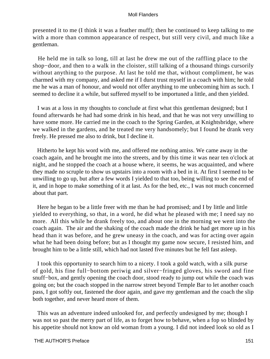presented it to me (I think it was a feather muff); then he continued to keep talking to me with a more than common appearance of respect, but still very civil, and much like a gentleman.

 He held me in talk so long, till at last he drew me out of the raffling place to the shop−door, and then to a walk in the cloister, still talking of a thousand things cursorily without anything to the purpose. At last he told me that, without compliment, he was charmed with my company, and asked me if I durst trust myself in a coach with him; he told me he was a man of honour, and would not offer anything to me unbecoming him as such. I seemed to decline it a while, but suffered myself to be importuned a little, and then yielded.

 I was at a loss in my thoughts to conclude at first what this gentleman designed; but I found afterwards he had had some drink in his head, and that he was not very unwilling to have some more. He carried me in the coach to the Spring Garden, at Knightsbridge, where we walked in the gardens, and he treated me very handsomely; but I found he drank very freely. He pressed me also to drink, but I decline it.

 Hitherto he kept his word with me, and offered me nothing amiss. We came away in the coach again, and he brought me into the streets, and by this time it was near ten o'clock at night, and he stopped the coach at a house where, it seems, he was acquainted, and where they made no scruple to show us upstairs into a room with a bed in it. At first I seemed to be unwilling to go up, but after a few words I yielded to that too, being willing to see the end of it, and in hope to make something of it at last. As for the bed, etc., I was not much concerned about that part.

 Here he began to be a little freer with me than he had promised; and I by little and little yielded to everything, so that, in a word, he did what he pleased with me; I need say no more. All this while he drank freely too, and about one in the morning we went into the coach again. The air and the shaking of the coach made the drink he had get more up in his head than it was before, and he grew uneasy in the coach, and was for acting over again what he had been doing before; but as I thought my game now secure, I resisted him, and brought him to be a little still, which had not lasted five minutes but he fell fast asleep.

 I took this opportunity to search him to a nicety. I took a gold watch, with a silk purse of gold, his fine full−bottom periwig and silver−fringed gloves, his sword and fine snuff−box, and gently opening the coach door, stood ready to jump out while the coach was going on; but the coach stopped in the narrow street beyond Temple Bar to let another coach pass, I got softly out, fastened the door again, and gave my gentleman and the coach the slip both together, and never heard more of them.

 This was an adventure indeed unlooked for, and perfectly undesigned by me; though I was not so past the merry part of life, as to forget how to behave, when a fop so blinded by his appetite should not know an old woman from a young. I did not indeed look so old as I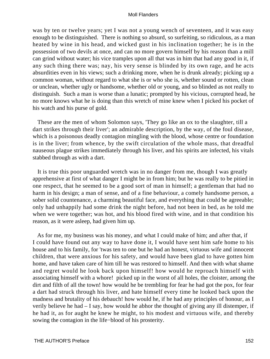was by ten or twelve years; yet I was not a young wench of seventeen, and it was easy enough to be distinguished. There is nothing so absurd, so surfeiting, so ridiculous, as a man heated by wine in his head, and wicked gust in his inclination together; he is in the possession of two devils at once, and can no more govern himself by his reason than a mill can grind without water; his vice tramples upon all that was in him that had any good in it, if any such thing there was; nay, his very sense is blinded by its own rage, and he acts absurdities even in his views; such a drinking more, when he is drunk already; picking up a common woman, without regard to what she is or who she is, whether sound or rotten, clean or unclean, whether ugly or handsome, whether old or young, and so blinded as not really to distinguish. Such a man is worse than a lunatic; prompted by his vicious, corrupted head, he no more knows what he is doing than this wretch of mine knew when I picked his pocket of his watch and his purse of gold.

 These are the men of whom Solomon says, 'They go like an ox to the slaughter, till a dart strikes through their liver'; an admirable description, by the way, of the foul disease, which is a poisonous deadly contagion mingling with the blood, whose centre or foundation is in the liver; from whence, by the swift circulation of the whole mass, that dreadful nauseous plague strikes immediately through his liver, and his spirits are infected, his vitals stabbed through as with a dart.

 It is true this poor unguarded wretch was in no danger from me, though I was greatly apprehensive at first of what danger I might be in from him; but he was really to be pitied in one respect, that he seemed to be a good sort of man in himself; a gentleman that had no harm in his design; a man of sense, and of a fine behaviour, a comely handsome person, a sober solid countenance, a charming beautiful face, and everything that could be agreeable; only had unhappily had some drink the night before, had not been in bed, as he told me when we were together; was hot, and his blood fired with wine, and in that condition his reason, as it were asleep, had given him up.

 As for me, my business was his money, and what I could make of him; and after that, if I could have found out any way to have done it, I would have sent him safe home to his house and to his family, for 'twas ten to one but he had an honest, virtuous wife and innocent children, that were anxious for his safety, and would have been glad to have gotten him home, and have taken care of him till he was restored to himself. And then with what shame and regret would he look back upon himself! how would he reproach himself with associating himself with a whore! picked up in the worst of all holes, the cloister, among the dirt and filth of all the town! how would he be trembling for fear he had got the pox, for fear a dart had struck through his liver, and hate himself every time he looked back upon the madness and brutality of his debauch! how would he, if he had any principles of honour, as I verily believe he had – I say, how would he abhor the thought of giving any ill distemper, if he had it, as for aught he knew he might, to his modest and virtuous wife, and thereby sowing the contagion in the life−blood of his prosterity.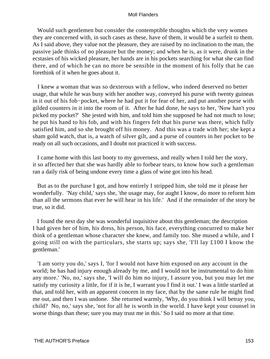Would such gentlemen but consider the contemptible thoughts which the very women they are concerned with, in such cases as these, have of them, it would be a surfeit to them. As I said above, they value not the pleasure, they are raised by no inclination to the man, the passive jade thinks of no pleasure but the money; and when he is, as it were, drunk in the ecstasies of his wicked pleasure, her hands are in his pockets searching for what she can find there, and of which he can no more be sensible in the moment of his folly that he can forethink of it when he goes about it.

 I knew a woman that was so dexterous with a fellow, who indeed deserved no better usage, that while he was busy with her another way, conveyed his purse with twenty guineas in it out of his fob−pocket, where he had put it for fear of her, and put another purse with gilded counters in it into the room of it. After he had done, he says to her, 'Now han't you picked my pocket?' She jested with him, and told him she supposed he had not much to lose; he put his hand to his fob, and with his fingers felt that his purse was there, which fully satisfied him, and so she brought off his money. And this was a trade with her; she kept a sham gold watch, that is, a watch of silver gilt, and a purse of counters in her pocket to be ready on all such occasions, and I doubt not practiced it with success.

 I came home with this last booty to my governess, and really when I told her the story, it so affected her that she was hardly able to forbear tears, to know how such a gentleman ran a daily risk of being undone every time a glass of wine got into his head.

 But as to the purchase I got, and how entirely I stripped him, she told me it please her wonderfully. 'Nay child,' says she, 'the usage may, for aught I know, do more to reform him than all the sermons that ever he will hear in his life.' And if the remainder of the story be true, so it did.

 I found the next day she was wonderful inquisitive about this gentleman; the description I had given her of him, his dress, his person, his face, everything concurred to make her think of a gentleman whose character she knew, and family too. She mused a while, and I going still on with the particulars, she starts up; says she, 'I'll lay £100 I know the gentleman.'

 'I am sorry you do,' says I, 'for I would not have him exposed on any account in the world; he has had injury enough already by me, and I would not be instrumental to do him any more.' 'No, no,' says she, 'I will do him no injury, I assure you, but you may let me satisfy my curiosity a little, for if it is he, I warrant you I find it out.' I was a little startled at that, and told her, with an apparent concern in my face, that by the same rule he might find me out, and then I was undone. She returned warmly, 'Why, do you think I will betray you, child? No, no,' says she, 'not for all he is worth in the world. I have kept your counsel in worse things than these; sure you may trust me in this.' So I said no more at that time.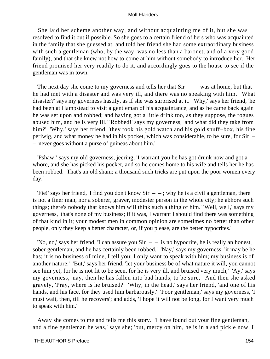She laid her scheme another way, and without acquainting me of it, but she was resolved to find it out if possible. So she goes to a certain friend of hers who was acquainted in the family that she guessed at, and told her friend she had some extraordinary business with such a gentleman (who, by the way, was no less than a baronet, and of a very good family), and that she knew not how to come at him without somebody to introduce her. Her friend promised her very readily to do it, and accordingly goes to the house to see if the gentleman was in town.

The next day she come to my governess and tells her that  $Sir - -$  was at home, but that he had met with a disaster and was very ill, and there was no speaking with him. 'What disaster?' says my governess hastily, as if she was surprised at it. 'Why,' says her friend, 'he had been at Hampstead to visit a gentleman of his acquaintance, and as he came back again he was set upon and robbed; and having got a little drink too, as they suppose, the rogues abused him, and he is very ill.' 'Robbed!' says my governess, 'and what did they take from him?' 'Why,' says her friend, 'they took his gold watch and his gold snuff−box, his fine periwig, and what money he had in his pocket, which was considerable, to be sure, for Sir – – never goes without a purse of guineas about him.'

 'Pshaw!' says my old governess, jeering, 'I warrant you he has got drunk now and got a whore, and she has picked his pocket, and so he comes home to his wife and tells her he has been robbed. That's an old sham; a thousand such tricks are put upon the poor women every day.'

'Fie!' says her friend, 'I find you don't know  $Sir - -$ ; why he is a civil a gentleman, there is not a finer man, nor a soberer, graver, modester person in the whole city; he abhors such things; there's nobody that knows him will think such a thing of him.' 'Well, well,' says my governess, 'that's none of my business; if it was, I warrant I should find there was something of that kind in it; your modest men in common opinion are sometimes no better than other people, only they keep a better character, or, if you please, are the better hypocrites.'

'No, no,' says her friend, 'I can assure you Sir  $-$  – is no hypocrite, he is really an honest, sober gentleman, and he has certainly been robbed.' 'Nay,' says my governess, 'it may be he has; it is no business of mine, I tell you; I only want to speak with him; my business is of another nature.' 'But,' says her friend, 'let your business be of what nature it will, you cannot see him yet, for he is not fit to be seen, for he is very ill, and bruised very much,' 'Ay,' says my governess, 'nay, then he has fallen into bad hands, to be sure,' And then she asked gravely, 'Pray, where is he bruised?' 'Why, in the head,' says her friend, 'and one of his hands, and his face, for they used him barbarously.' 'Poor gentleman,' says my governess, 'I must wait, then, till he recovers'; and adds, 'I hope it will not be long, for I want very much to speak with him.'

 Away she comes to me and tells me this story. 'I have found out your fine gentleman, and a fine gentleman he was,' says she; 'but, mercy on him, he is in a sad pickle now. I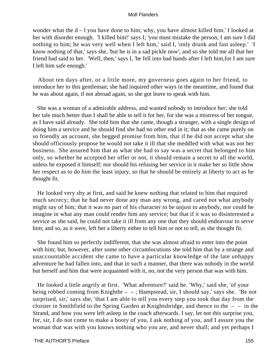wonder what the  $d - 1$  you have done to him; why, you have almost killed him.' I looked at her with disorder enough. 'I killed him!' says I; 'you must mistake the person; I am sure I did nothing to him; he was very well when I left him,' said I, 'only drunk and fast asleep.' 'I know nothing of that,' says she, 'but he is in a sad pickle now'; and so she told me all that her friend had said to her. 'Well, then,' says I, 'he fell into bad hands after I left him,for I am sure I left him safe enough.'

 About ten days after, or a little more, my governess goes again to her friend, to introduce her to this gentleman; she had inquired other ways in the meantime, and found that he was about again, if not abroad again, so she got leave to speak with him.

 She was a woman of a admirable address, and wanted nobody to introduce her; she told her tale much better than I shall be able to tell it for her, for she was a mistress of her tongue, as I have said already. She told him that she came, though a stranger, with a single design of doing him a service and he should find she had no other end in it; that as she came purely on so friendly an account, she begged promise from him, that if he did not accept what she should officiously propose he would not take it ill that she meddled with what was not her business. She assured him that as what she had to say was a secret that belonged to him only, so whether he accepted her offer or not, it should remain a secret to all the world, unless he exposed it himself; nor should his refusing her service in it make her so little show her respect as to do him the least injury, so that he should be entirely at liberty to act as he thought fit.

 He looked very shy at first, and said he knew nothing that related to him that required much secrecy; that he had never done any man any wrong, and cared not what anybody might say of him; that it was no part of his character to be unjust to anybody, nor could he imagine in what any man could render him any service; but that if it was so disinterested a service as she said, he could not take it ill from any one that they should endeavour to serve him; and so, as it were, left her a liberty either to tell him or not to tell, as she thought fit.

 She found him so perfectly indifferent, that she was almost afraid to enter into the point with him; but, however, after some other circumlocutions she told him that by a strange and unaccountable accident she came to have a particular knowledge of the late unhappy adventure he had fallen into, and that in such a manner, that there was nobody in the world but herself and him that were acquainted with it, no, not the very person that was with him.

 He looked a little angrily at first. 'What adventure?' said he. 'Why,' said she, 'of your being robbed coming from Knightbr – – ; Hampstead, sir, I should say,' says she. 'Be not surprised, sir,' says she, 'that I am able to tell you every step you took that day from the cloister in Smithfield to the Spring Garden at Knightsbridge, and thence to the  $-$  – in the Strand, and how you were left asleep in the coach afterwards. I say, let not this surprise you, for, sir, I do not come to make a booty of you, I ask nothing of you, and I assure you the woman that was with you knows nothing who you are, and never shall; and yet perhaps I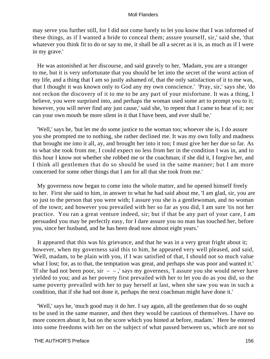may serve you further still, for I did not come barely to let you know that I was informed of these things, as if I wanted a bride to conceal them; assure yourself, sir,' said she, 'that whatever you think fit to do or say to me, it shall be all a secret as it is, as much as if I were in my grave.'

 He was astonished at her discourse, and said gravely to her, 'Madam, you are a stranger to me, but it is very unfortunate that you should be let into the secret of the worst action of my life, and a thing that I am so justly ashamed of, that the only satisfaction of it to me was, that I thought it was known only to God any my own conscience.' 'Pray, sir,' says she, 'do not reckon the discovery of it to me to be any part of your misfortune. It was a thing, I believe, you were surprised into, and perhaps the woman used some art to prompt you to it; however, you will never find any just cause,' said she, 'to repent that I came to hear of it; nor can your own mouth be more silent in it that I have been, and ever shall be.'

 'Well,' says he, 'but let me do some justice to the woman too; whoever she is, I do assure you she prompted me to nothing, she rather declined me. It was my own folly and madness that brought me into it all, ay, and brought her into it too; I must give her her due so far. As to what she took from me, I could expect no less from her in the condition I was in, and to this hour I know not whether she robbed me or the coachman; if she did it, I forgive her, and I think all gentlemen that do so should be used in the same manner; but I am more concerned for some other things that I am for all that she took from me.'

 My governess now began to come into the whole matter, and he opened himself freely to her. First she said to him, in answer to what he had said about me, 'I am glad, sir, you are so just to the person that you were with; I assure you she is a gentlewoman, and no woman of the town; and however you prevailed with her so far as you did, I am sure 'tis not her practice. You ran a great venture indeed, sir; but if that be any part of your care, I am persuaded you may be perfectly easy, for I dare assure you no man has touched her, before you, since her husband, and he has been dead now almost eight years.'

 It appeared that this was his grievance, and that he was in a very great fright about it; however, when my governess said this to him, he appeared very well pleased, and said, 'Well, madam, to be plain with you, if I was satisfied of that, I should not so much value what I lost; for, as to that, the temptation was great, and perhaps she was poor and wanted it.' 'If she had not been poor, sir  $-$ , says my governess, 'I assure you she would never have yielded to you; and as her poverty first prevailed with her to let you do as you did, so the same poverty prevailed with her to pay herself at last, when she saw you was in such a condition, that if she had not done it, perhaps the next coachman might have done it.'

 'Well,' says he, 'much good may it do her. I say again, all the gentlemen that do so ought to be used in the same manner, and then they would be cautious of themselves. I have no more concern about it, but on the score which you hinted at before, madam.' Here he entered into some freedoms with her on the subject of what passed between us, which are not so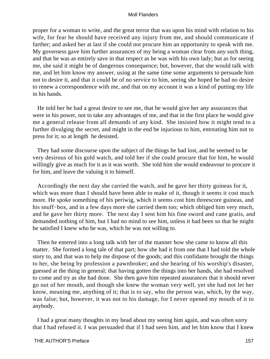proper for a woman to write, and the great terror that was upon his mind with relation to his wife, for fear he should have received any injury from me, and should communicate if farther; and asked her at last if she could not procure him an opportunity to speak with me. My governess gave him further assurances of my being a woman clear from any such thing, and that he was as entirely save in that respect as he was with his own lady; but as for seeing me, she said it might be of dangerous consequence; but, however, that she would talk with me, and let him know my answer, using at the same time some arguments to persuade him not to desire it, and that it could be of no service to him, seeing she hoped he had no desire to renew a correspondence with me, and that on my account it was a kind of putting my life in his hands.

 He told her he had a great desire to see me, that he would give her any assurances that were in his power, not to take any advantages of me, and that in the first place he would give me a general release from all demands of any kind. She insisted how it might tend to a further divulging the secret, and might in the end be injurious to him, entreating him not to press for it; so at length he desisted.

 They had some discourse upon the subject of the things he had lost, and he seemed to be very desirous of his gold watch, and told her if she could procure that for him, he would willingly give as much for it as it was worth. She told him she would endeavour to procure it for him, and leave the valuing it to himself.

 Accordingly the next day she carried the watch, and he gave her thirty guineas for it, which was more than I should have been able to make of it, though it seems it cost much more. He spoke something of his periwig, which it seems cost him threescore guineas, and his snuff−box, and in a few days more she carried them too; which obliged him very much, and he gave her thirty more. The next day I sent him his fine sword and cane gratis, and demanded nothing of him, but I had no mind to see him, unless it had been so that he might be satisfied I knew who he was, which he was not willing to.

 Then he entered into a long talk with her of the manner how she came to know all this matter. She formed a long tale of that part; how she had it from one that I had told the whole story to, and that was to help me dispose of the goods; and this confidante brought the things to her, she being by profession a pawnbroker; and she hearing of his worship's disaster, guessed at the thing in general; that having gotten the things into her hands, she had resolved to come and try as she had done. She then gave him repeated assurances that it should never go out of her mouth, and though she knew the woman very well, yet she had not let her know, meaning me, anything of it; that is to say, who the person was, which, by the way, was false; but, however, it was not to his damage, for I never opened my mouth of it to anybody.

 I had a great many thoughts in my head about my seeing him again, and was often sorry that I had refused it. I was persuaded that if I had seen him, and let him know that I knew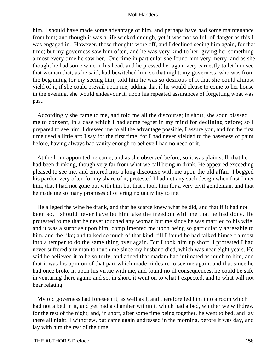him, I should have made some advantage of him, and perhaps have had some maintenance from him; and though it was a life wicked enough, yet it was not so full of danger as this I was engaged in. However, those thoughts wore off, and I declined seeing him again, for that time; but my governess saw him often, and he was very kind to her, giving her something almost every time he saw her. One time in particular she found him very merry, and as she thought he had some wine in his head, and he pressed her again very earnestly to let him see that woman that, as he said, had bewitched him so that night, my governess, who was from the beginning for my seeing him, told him he was so desirous of it that she could almost yield of it, if she could prevail upon me; adding that if he would please to come to her house in the evening, she would endeavour it, upon his repeated assurances of forgetting what was past.

 Accordingly she came to me, and told me all the discourse; in short, she soon biassed me to consent, in a case which I had some regret in my mind for declining before; so I prepared to see him. I dressed me to all the advantage possible, I assure you, and for the first time used a little art; I say for the first time, for I had never yielded to the baseness of paint before, having always had vanity enough to believe I had no need of it.

 At the hour appointed he came; and as she observed before, so it was plain still, that he had been drinking, though very far from what we call being in drink. He appeared exceeding pleased to see me, and entered into a long discourse with me upon the old affair. I begged his pardon very often for my share of it, protested I had not any such design when first I met him, that I had not gone out with him but that I took him for a very civil gentleman, and that he made me so many promises of offering no uncivility to me.

 He alleged the wine he drank, and that he scarce knew what he did, and that if it had not been so, I should never have let him take the freedom with me that he had done. He protested to me that he never touched any woman but me since he was married to his wife, and it was a surprise upon him; complimented me upon being so particularly agreeable to him, and the like; and talked so much of that kind, till I found he had talked himself almost into a temper to do the same thing over again. But I took him up short. I protested I had never suffered any man to touch me since my husband died, which was near eight years. He said he believed it to be so truly; and added that madam had intimated as much to him, and that it was his opinion of that part which made hi desire to see me again; and that since he had once broke in upon his virtue with me, and found no ill consequences, he could be safe in venturing there again; and so, in short, it went on to what I expected, and to what will not bear relating.

 My old governess had foreseen it, as well as I, and therefore led him into a room which had not a bed in it, and yet had a chamber within it which had a bed, whither we withdrew for the rest of the night; and, in short, after some time being together, he went to bed, and lay there all night. I withdrew, but came again undressed in the morning, before it was day, and lay with him the rest of the time.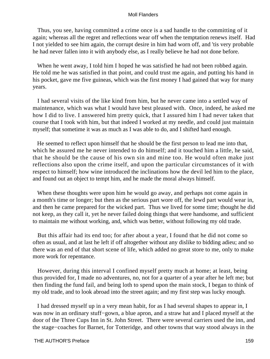Thus, you see, having committed a crime once is a sad handle to the committing of it again; whereas all the regret and reflections wear off when the temptation renews itself. Had I not yielded to see him again, the corrupt desire in him had worn off, and 'tis very probable he had never fallen into it with anybody else, as I really believe he had not done before.

 When he went away, I told him I hoped he was satisfied he had not been robbed again. He told me he was satisfied in that point, and could trust me again, and putting his hand in his pocket, gave me five guineas, which was the first money I had gained that way for many years.

 I had several visits of the like kind from him, but he never came into a settled way of maintenance, which was what I would have best pleased with. Once, indeed, he asked me how I did to live. I answered him pretty quick, that I assured him I had never taken that course that I took with him, but that indeed I worked at my needle, and could just maintain myself; that sometime it was as much as I was able to do, and I shifted hard enough.

 He seemed to reflect upon himself that he should be the first person to lead me into that, which he assured me he never intended to do himself; and it touched him a little, he said, that he should be the cause of his own sin and mine too. He would often make just reflections also upon the crime itself, and upon the particular circumstances of it with respect to himself; how wine introduced the inclinations how the devil led him to the place, and found out an object to tempt him, and he made the moral always himself.

When these thoughts were upon him he would go away, and perhaps not come again in a month's time or longer; but then as the serious part wore off, the lewd part would wear in, and then he came prepared for the wicked part. Thus we lived for some time; thought he did not keep, as they call it, yet he never failed doing things that were handsome, and sufficient to maintain me without working, and, which was better, without following my old trade.

 But this affair had its end too; for after about a year, I found that he did not come so often as usual, and at last he left if off altogether without any dislike to bidding adieu; and so there was an end of that short scene of life, which added no great store to me, only to make more work for repentance.

 However, during this interval I confined myself pretty much at home; at least, being thus provided for, I made no adventures, no, not for a quarter of a year after he left me; but then finding the fund fail, and being loth to spend upon the main stock, I began to think of my old trade, and to look abroad into the street again; and my first step was lucky enough.

 I had dressed myself up in a very mean habit, for as I had several shapes to appear in, I was now in an ordinary stuff−gown, a blue apron, and a straw hat and I placed myself at the door of the Three Cups Inn in St. John Street. There were several carriers used the inn, and the stage−coaches for Barnet, for Totteridge, and other towns that way stood always in the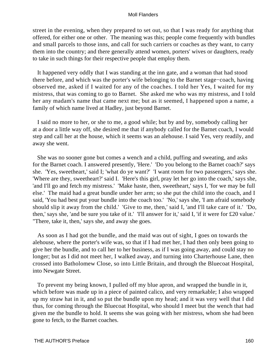street in the evening, when they prepared to set out, so that I was ready for anything that offered, for either one or other. The meaning was this; people come frequently with bundles and small parcels to those inns, and call for such carriers or coaches as they want, to carry them into the country; and there generally attend women, porters' wives or daughters, ready to take in such things for their respective people that employ them.

 It happened very oddly that I was standing at the inn gate, and a woman that had stood there before, and which was the porter's wife belonging to the Barnet stage−coach, having observed me, asked if I waited for any of the coaches. I told her Yes, I waited for my mistress, that was coming to go to Barnet. She asked me who was my mistress, and I told her any madam's name that came next me; but as it seemed, I happened upon a name, a family of which name lived at Hadley, just beyond Barnet.

 I said no more to her, or she to me, a good while; but by and by, somebody calling her at a door a little way off, she desired me that if anybody called for the Barnet coach, I would step and call her at the house, which it seems was an alehouse. I said Yes, very readily, and away she went.

 She was no sooner gone but comes a wench and a child, puffing and sweating, and asks for the Barnet coach. I answered presently, 'Here.' 'Do you belong to the Barnet coach?' says she. 'Yes, sweetheart,' said I; 'what do ye want?' 'I want room for two passengers,' says she. 'Where are they, sweetheart?' said I. 'Here's this girl, pray let her go into the coach,' says she, 'and I'll go and fetch my mistress.' 'Make haste, then, sweetheart,' says I, 'for we may be full else.' The maid had a great bundle under her arm; so she put the child into the coach, and I said, 'You had best put your bundle into the coach too.' 'No,' says she, 'I am afraid somebody should slip it away from the child.' 'Give to me, then,' said I, 'and I'll take care of it.' 'Do, then,' says she, 'and be sure you take of it.' 'I'll answer for it,' said I, 'if it were for £20 value.' "There, take it, then,' says she, and away she goes.

 As soon as I had got the bundle, and the maid was out of sight, I goes on towards the alehouse, where the porter's wife was, so that if I had met her, I had then only been going to give her the bundle, and to call her to her business, as if I was going away, and could stay no longer; but as I did not meet her, I walked away, and turning into Charterhouse Lane, then crossed into Batholomew Close, so into Little Britain, and through the Bluecoat Hospital, into Newgate Street.

 To prevent my being known, I pulled off my blue apron, and wrapped the bundle in it, which before was made up in a piece of painted calico, and very remarkable; I also wrapped up my straw hat in it, and so put the bundle upon my head; and it was very well that I did thus, for coming through the Bluecoat Hospital, who should I meet but the wench that had given me the bundle to hold. It seems she was going with her mistress, whom she had been gone to fetch, to the Barnet coaches.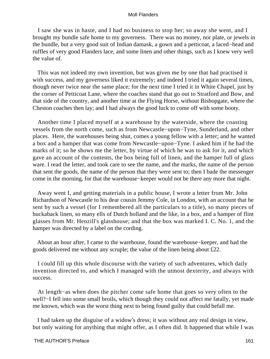I saw she was in haste, and I had no business to stop her; so away she went, and I brought my bundle safe home to my governess. There was no money, nor plate, or jewels in the bundle, but a very good suit of Indian damask, a gown and a petticoat, a laced−head and ruffles of very good Flanders lace, and some linen and other things, such as I knew very well the value of.

 This was not indeed my own invention, but was given me by one that had practised it with success, and my governess liked it extremely; and indeed I tried it again several times, though never twice near the same place; for the next time I tried it in White Chapel, just by the corner of Petticoat Lane, where the coaches stand that go out to Stratford and Bow, and that side of the country, and another time at the Flying Horse, without Bishopgate, where the Cheston coaches then lay; and I had always the good luck to come off with some booty.

 Another time I placed myself at a warehouse by the waterside, where the coasting vessels from the north come, such as from Newcastle−upon−Tyne, Sunderland, and other places. Here, the warehouses being shut, comes a young fellow with a letter; and he wanted a box and a hamper that was come from Newcastle−upon−Tyne. I asked him if he had the marks of it; so he shows me the letter, by virtue of which he was to ask for it, and which gave an account of the contents, the box being full of linen, and the hamper full of glass ware. I read the letter, and took care to see the name, and the marks, the name of the person that sent the goods, the name of the person that they were sent to; then I bade the messenger come in the morning, for that the warehouse−keeper would not be there any more that night.

 Away went I, and getting materials in a public house, I wrote a letter from Mr. John Richardson of Newcastle to his dear cousin Jemmy Cole, in London, with an account that he sent by such a vessel (for I remembered all the particulars to a title), so many pieces of huckaback linen, so many ells of Dutch holland and the like, in a box, and a hamper of flint glasses from Mr. Henzill's glasshouse; and that the box was marked I. C. No. 1, and the hamper was directed by a label on the cording.

 About an hour after, I came to the warehouse, found the warehouse−keeper, and had the goods delivered me without any scruple; the value of the linen being about £22.

 I could fill up this whole discourse with the variety of such adventures, which daily invention directed to, and which I managed with the utmost dexterity, and always with success.

 At length−as when does the pitcher come safe home that goes so very often to the well?–I fell into some small broils, which though they could not affect me fatally, yet made me known, which was the worst thing next to being found guilty that could befall me.

 I had taken up the disguise of a widow's dress; it was without any real design in view, but only waiting for anything that might offer, as I often did. It happened that while I was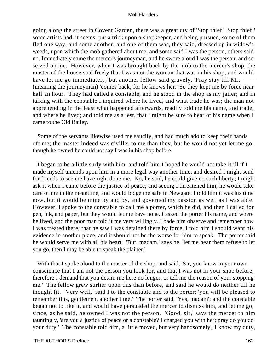going along the street in Covent Garden, there was a great cry of 'Stop thief! Stop thief!' some artists had, it seems, put a trick upon a shopkeeper, and being pursued, some of them fled one way, and some another; and one of them was, they said, dressed up in widow's weeds, upon which the mob gathered about me, and some said I was the person, others said no. Immediately came the mercer's journeyman, and he swore aloud I was the person, and so seized on me. However, when I was brought back by the mob to the mercer's shop, the master of the house said freely that I was not the woman that was in his shop, and would have let me go immediately; but another fellow said gravely, 'Pray stay till Mr. – – ' (meaning the journeyman) 'comes back, for he knows her.' So they kept me by force near half an hour. They had called a constable, and he stood in the shop as my jailer; and in talking with the constable I inquired where he lived, and what trade he was; the man not apprehending in the least what happened afterwards, readily told me his name, and trade, and where he lived; and told me as a jest, that I might be sure to hear of his name when I came to the Old Bailey.

 Some of the servants likewise used me saucily, and had much ado to keep their hands off me; the master indeed was civiller to me than they, but he would not yet let me go, though he owned he could not say I was in his shop before.

 I began to be a little surly with him, and told him I hoped he would not take it ill if I made myself amends upon him in a more legal way another time; and desired I might send for friends to see me have right done me. No, he said, he could give no such liberty; I might ask it when I came before the justice of peace; and seeing I threatened him, he would take care of me in the meantime, and would lodge me safe in Newgate. I told him it was his time now, but it would be mine by and by, and governed my passion as well as I was able. However, I spoke to the constable to call me a porter, which he did, and then I called for pen, ink, and paper, but they would let me have none. I asked the porter his name, and where he lived, and the poor man told it me very willingly. I bade him observe and remember how I was treated there; that he saw I was detained there by force. I told him I should want his evidence in another place, and it should not be the worse for him to speak. The porter said he would serve me with all his heart. 'But, madam,' says he, 'let me hear them refuse to let you go, then I may be able to speak the plainer.'

With that I spoke aloud to the master of the shop, and said, 'Sir, you know in your own conscience that I am not the person you look for, and that I was not in your shop before, therefore I demand that you detain me here no longer, or tell me the reason of your stopping me.' The fellow grew surlier upon this than before, and said he would do neither till he thought fit. 'Very well,' said I to the constable and to the porter; 'you will be pleased to remember this, gentlemen, another time.' The porter said, 'Yes, madam'; and the constable began not to like it, and would have persuaded the mercer to dismiss him, and let me go, since, as he said, he owned I was not the person. 'Good, sir,' says the mercer to him tauntingly, 'are you a justice of peace or a constable? I charged you with her; pray do you do your duty.' The constable told him, a little moved, but very handsomely, 'I know my duty,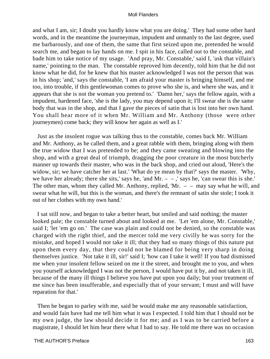and what I am, sir; I doubt you hardly know what you are doing.' They had some other hard words, and in the meantime the journeyman, impudent and unmanly to the last degree, used me barbarously, and one of them, the same that first seized upon me, pretended he would search me, and began to lay hands on me. I spit in his face, called out to the constable, and bade him to take notice of my usage. 'And pray, Mr. Constable,' said I, 'ask that villain's name,' pointing to the man. The constable reproved him decently, told him that he did not know what he did, for he knew that his master acknowledged I was not the person that was in his shop; 'and,' says the constable, 'I am afraid your master is bringing himself, and me too, into trouble, if this gentlewoman comes to prove who she is, and where she was, and it appears that she is not the woman you pretend to.' 'Damn her,' says the fellow again, with a impudent, hardened face, 'she is the lady, you may depend upon it; I'll swear she is the same body that was in the shop, and that I gave the pieces of satin that is lost into her own hand. You shall hear more of it when Mr. William and Mr. Anthony (those were other journeymen) come back; they will know her again as well as I.'

 Just as the insolent rogue was talking thus to the constable, comes back Mr. William and Mr. Anthony, as he called them, and a great rabble with them, bringing along with them the true widow that I was pretended to be; and they came sweating and blowing into the shop, and with a great deal of triumph, dragging the poor creature in the most butcherly manner up towards their master, who was in the back shop, and cried out aloud, 'Here's the widow, sir; we have catcher her at last.' 'What do ye mean by that?' says the master. 'Why, we have her already; there she sits,' says he, 'and  $Mr. - -$ ,' says he, 'can swear this is she.' The other man, whom they called Mr. Anthony, replied, 'Mr.  $-$  – may say what he will, and swear what he will, but this is the woman, and there's the remnant of satin she stole; I took it out of her clothes with my own hand.'

 I sat still now, and began to take a better heart, but smiled and said nothing; the master looked pale; the constable turned about and looked at me. 'Let 'em alone, Mr. Constable,' said I; 'let 'em go on.' The case was plain and could not be denied, so the constable was charged with the right thief, and the mercer told me very civilly he was sorry for the mistake, and hoped I would not take it ill; that they had so many things of this nature put upon them every day, that they could not be blamed for being very sharp in doing themselves justice. 'Not take it ill, sir!' said I; 'how can I take it well! If you had dismissed me when your insolent fellow seized on me it the street, and brought me to you, and when you yourself acknowledged I was not the person, I would have put it by, and not taken it ill, because of the many ill things I believe you have put upon you daily; but your treatment of me since has been insufferable, and especially that of your servant; I must and will have reparation for that.'

 Then be began to parley with me, said he would make me any reasonable satisfaction, and would fain have had me tell him what it was I expected. I told him that I should not be my own judge, the law should decide it for me; and as I was to be carried before a magistrate, I should let him hear there what I had to say. He told me there was no occasion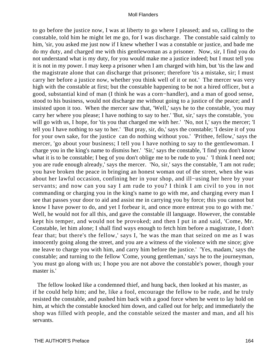to go before the justice now, I was at liberty to go where I pleased; and so, calling to the constable, told him he might let me go, for I was discharge. The constable said calmly to him, 'sir, you asked me just now if I knew whether I was a constable or justice, and bade me do my duty, and charged me with this gentlewoman as a prisoner. Now, sir, I find you do not understand what is my duty, for you would make me a justice indeed; but I must tell you it is not in my power. I may keep a prisoner when I am charged with him, but 'tis the law and the magistrate alone that can discharge that prisoner; therefore 'tis a mistake, sir; I must carry her before a justice now, whether you think well of it or not.' The mercer was very high with the constable at first; but the constable happening to be not a hired officer, but a good, substantial kind of man (I think he was a corn−handler), and a man of good sense, stood to his business, would not discharge me without going to a justice of the peace; and I insisted upon it too. When the mercer saw that, 'Well,' says he to the constable, 'you may carry her where you please; I have nothing to say to her.' 'But, sir,' says the constable, 'you will go with us, I hope, for 'tis you that charged me with her.' 'No, not I,' says the mercer; 'I tell you I have nothing to say to her.' 'But pray, sir, do,' says the constable; 'I desire it of you for your own sake, for the justice can do nothing without you.' 'Prithee, fellow,' says the mercer, 'go about your business; I tell you I have nothing to say to the gentlewoman. I charge you in the king's name to dismiss her.' 'Sir,' says the constable, 'I find you don't know what it is to be constable; I beg of you don't oblige me to be rude to you.' 'I think I need not; you are rude enough already,' says the mercer. 'No, sir,' says the constable, 'I am not rude; you have broken the peace in bringing an honest woman out of the street, when she was about her lawful occasion, confining her in your shop, and ill−using her here by your servants; and now can you say I am rude to you? I think I am civil to you in not commanding or charging you in the king's name to go with me, and charging every man I see that passes your door to aid and assist me in carrying you by force; this you cannot but know I have power to do, and yet I forbear it, and once more entreat you to go with me.' Well, he would not for all this, and gave the constable ill language. However, the constable kept his temper, and would not be provoked; and then I put in and said, 'Come, Mr. Constable, let him alone; I shall find ways enough to fetch him before a magistrate, I don't fear that; but there's the fellow,' says I, 'he was the man that seized on me as I was innocently going along the street, and you are a witness of the violence with me since; give me leave to charge you with him, and carry him before the justice.' 'Yes, madam,' says the constable; and turning to the fellow 'Come, young gentleman,' says he to the journeyman, 'you must go along with us; I hope you are not above the constable's power, though your master is.'

 The fellow looked like a condemned thief, and hung back, then looked at his master, as if he could help him; and he, like a fool, encourage the fellow to be rude, and he truly resisted the constable, and pushed him back with a good force when he went to lay hold on him, at which the constable knocked him down, and called out for help; and immediately the shop was filled with people, and the constable seized the master and man, and all his servants.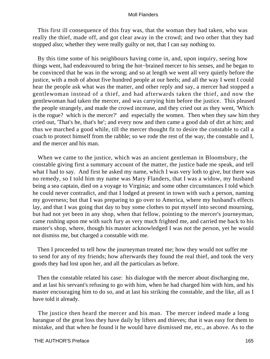This first ill consequence of this fray was, that the woman they had taken, who was really the thief, made off, and got clear away in the crowd; and two other that they had stopped also; whether they were really guilty or not, that I can say nothing to.

 By this time some of his neighbours having come in, and, upon inquiry, seeing how things went, had endeavoured to bring the hot−brained mercer to his senses, and he began to be convinced that he was in the wrong; and so at length we went all very quietly before the justice, with a mob of about five hundred people at our heels; and all the way I went I could hear the people ask what was the matter, and other reply and say, a mercer had stopped a gentlewoman instead of a thief, and had afterwards taken the thief, and now the gentlewoman had taken the mercer, and was carrying him before the justice. This pleased the people strangely, and made the crowd increase, and they cried out as they went, 'Which is the rogue? which is the mercer?' and especially the women. Then when they saw him they cried out, 'That's he, that's he'; and every now and then came a good dab of dirt at him; and thus we marched a good while, till the mercer thought fit to desire the constable to call a coach to protect himself from the rabble; so we rode the rest of the way, the constable and I, and the mercer and his man.

 When we came to the justice, which was an ancient gentleman in Bloomsbury, the constable giving first a summary account of the matter, the justice bade me speak, and tell what I had to say. And first he asked my name, which I was very loth to give, but there was no remedy, so I told him my name was Mary Flanders, that I was a widow, my husband being a sea captain, died on a voyage to Virginia; and some other circumstances I told which he could never contradict, and that I lodged at present in town with such a person, naming my governess; but that I was preparing to go over to America, where my husband's effects lay, and that I was going that day to buy some clothes to put myself into second mourning, but had not yet been in any shop, when that fellow, pointing to the mercer's journeyman, came rushing upon me with such fury as very much frighted me, and carried me back to his master's shop, where, though his master acknowledged I was not the person, yet he would not dismiss me, but charged a constable with me.

 Then I proceeded to tell how the journeyman treated me; how they would not suffer me to send for any of my friends; how afterwards they found the real thief, and took the very goods they had lost upon her, and all the particulars as before.

 Then the constable related his case: his dialogue with the mercer about discharging me, and at last his servant's refusing to go with him, when he had charged him with him, and his master encouraging him to do so, and at last his striking the constable, and the like, all as I have told it already.

 The justice then heard the mercer and his man. The mercer indeed made a long harangue of the great loss they have daily by lifters and thieves; that it was easy for them to mistake, and that when he found it he would have dismissed me, etc., as above. As to the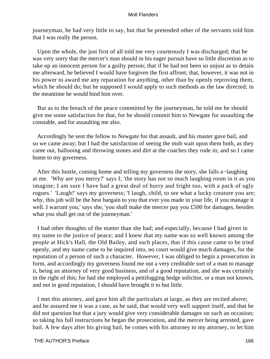journeyman, he had very little to say, but that he pretended other of the servants told him that I was really the person.

 Upon the whole, the just first of all told me very courteously I was discharged; that he was very sorry that the mercer's man should in his eager pursuit have so little discretion as to take up an innocent person for a guilty person; that if he had not been so unjust as to detain me afterward, he believed I would have forgiven the first affront; that, however, it was not in his power to award me any reparation for anything, other than by openly reproving them, which he should do; but he supposed I would apply to such methods as the law directed; in the meantime he would bind him over.

 But as to the breach of the peace committed by the journeyman, he told me he should give me some satisfaction for that, for he should commit him to Newgate for assaulting the constable, and for assaulting me also.

 Accordingly he sent the fellow to Newgate for that assault, and his master gave bail, and so we came away; but I had the satisfaction of seeing the mob wait upon them both, as they came out, hallooing and throwing stones and dirt at the coaches they rode in; and so I came home to my governess.

 After this hustle, coming home and telling my governess the story, she falls a−laughing at me. 'Why are you merry?' says I; 'the story has not so much laughing room in it as you imagine; I am sure I have had a great deal of hurry and fright too, with a pack of ugly rogues.' 'Laugh!' says my governess; 'I laugh, child, to see what a lucky creature you are; why, this job will be the best bargain to you that ever you made in your life, if you manage it well. I warrant you,' says she, 'you shall make the mercer pay you £500 for damages, besides what you shall get out of the journeyman.'

 I had other thoughts of the matter than she had; and especially, because I had given in my name to the justice of peace; and I knew that my name was so well known among the people at Hick's Hall, the Old Bailey, and such places, that if this cause came to be tried openly, and my name came to be inquired into, no court would give much damages, for the reputation of a person of such a character. However, I was obliged to begin a prosecution in form, and accordingly my governess found me out a very creditable sort of a man to manage it, being an attorney of very good business, and of a good reputation, and she was certainly in the right of this; for had she employed a pettifogging hedge solicitor, or a man not known, and not in good reputation, I should have brought it to but little.

 I met this attorney, and gave him all the particulars at large, as they are recited above; and he assured me it was a case, as he said, that would very well support itself, and that he did not question but that a jury would give very considerable damages on such an occasion; so taking his full instructions he began the prosecution, and the mercer being arrested, gave bail. A few days after his giving bail, he comes with his attorney to my attorney, to let him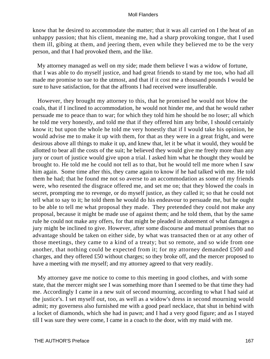know that he desired to accommodate the matter; that it was all carried on I the heat of an unhappy passion; that his client, meaning me, had a sharp provoking tongue, that I used them ill, gibing at them, and jeering them, even while they believed me to be the very person, and that I had provoked them, and the like.

 My attorney managed as well on my side; made them believe I was a widow of fortune, that I was able to do myself justice, and had great friends to stand by me too, who had all made me promise to sue to the utmost, and that if it cost me a thousand pounds I would be sure to have satisfaction, for that the affronts I had received were insufferable.

 However, they brought my attorney to this, that he promised he would not blow the coals, that if I inclined to accommodation, he would not hinder me, and that he would rather persuade me to peace than to war; for which they told him he should be no loser; all which he told me very honestly, and told me that if they offered him any bribe, I should certainly know it; but upon the whole he told me very honestly that if I would take his opinion, he would advise me to make it up with them, for that as they were in a great fright, and were desirous above all things to make it up, and knew that, let it be what it would, they would be allotted to bear all the costs of the suit; he believed they would give me freely more than any jury or court of justice would give upon a trial. I asked him what he thought they would be brought to. He told me he could not tell as to that, but he would tell me more when I saw him again. Some time after this, they came again to know if he had talked with me. He told them he had; that he found me not so averse to an accommodation as some of my friends were, who resented the disgrace offered me, and set me on; that they blowed the coals in secret, prompting me to revenge, or do myself justice, as they called it; so that he could not tell what to say to it; he told them he would do his endeavour to persuade me, but he ought to be able to tell me what proposal they made. They pretended they could not make any proposal, because it might be made use of against them; and he told them, that by the same rule he could not make any offers, for that might be pleaded in abatement of what damages a jury might be inclined to give. However, after some discourse and mutual promises that no advantage should be taken on either side, by what was transacted then or at any other of those meetings, they came to a kind of a treaty; but so remote, and so wide from one another, that nothing could be expected from it; for my attorney demanded £500 and charges, and they offered £50 without charges; so they broke off, and the mercer proposed to have a meeting with me myself; and my attorney agreed to that very readily.

 My attorney gave me notice to come to this meeting in good clothes, and with some state, that the mercer might see I was something more than I seemed to be that time they had me. Accordingly I came in a new suit of second mourning, according to what I had said at the justice's. I set myself out, too, as well as a widow's dress in second mourning would admit; my governess also furnished me with a good pearl necklace, that shut in behind with a locket of diamonds, which she had in pawn; and I had a very good figure; and as I stayed till I was sure they were come, I came in a coach to the door, with my maid with me.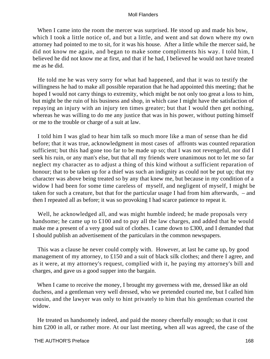When I came into the room the mercer was surprised. He stood up and made his bow, which I took a little notice of, and but a little, and went and sat down where my own attorney had pointed to me to sit, for it was his house. After a little while the mercer said, he did not know me again, and began to make some compliments his way. I told him, I believed he did not know me at first, and that if he had, I believed he would not have treated me as he did.

 He told me he was very sorry for what had happened, and that it was to testify the willingness he had to make all possible reparation that he had appointed this meeting; that he hoped I would not carry things to extremity, which might be not only too great a loss to him, but might be the ruin of his business and shop, in which case I might have the satisfaction of repaying an injury with an injury ten times greater; but that I would then get nothing, whereas he was willing to do me any justice that was in his power, without putting himself or me to the trouble or charge of a suit at law.

 I told him I was glad to hear him talk so much more like a man of sense than he did before; that it was true, acknowledgment in most cases of affronts was counted reparation sufficient; but this had gone too far to be made up so; that I was not revengeful, nor did I seek his ruin, or any man's else, but that all my friends were unanimous not to let me so far neglect my character as to adjust a thing of this kind without a sufficient reparation of honour; that to be taken up for a thief was such an indignity as could not be put up; that my character was above being treated so by any that knew me, but because in my condition of a widow I had been for some time careless of myself, and negligent of myself, I might be taken for such a creature, but that for the particular usage I had from him afterwards, – and then I repeated all as before; it was so provoking I had scarce patience to repeat it.

 Well, he acknowledged all, and was might humble indeed; he made proposals very handsome; he came up to £100 and to pay all the law charges, and added that he would make me a present of a very good suit of clothes. I came down to £300, and I demanded that I should publish an advertisement of the particulars in the common newspapers.

 This was a clause he never could comply with. However, at last he came up, by good management of my attorney, to £150 and a suit of black silk clothes; and there I agree, and as it were, at my attorney's request, complied with it, he paying my attorney's bill and charges, and gave us a good supper into the bargain.

 When I came to receive the money, I brought my governess with me, dressed like an old duchess, and a gentleman very well dressed, who we pretended courted me, but I called him cousin, and the lawyer was only to hint privately to him that his gentleman courted the widow.

 He treated us handsomely indeed, and paid the money cheerfully enough; so that it cost him £200 in all, or rather more. At our last meeting, when all was agreed, the case of the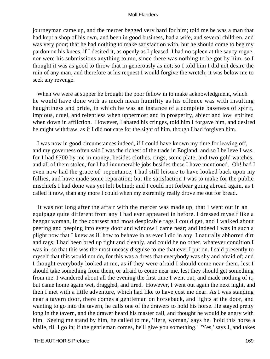journeyman came up, and the mercer begged very hard for him; told me he was a man that had kept a shop of his own, and been in good business, had a wife, and several children, and was very poor; that he had nothing to make satisfaction with, but he should come to beg my pardon on his knees, if I desired it, as openly as I pleased. I had no spleen at the saucy rogue, nor were his submissions anything to me, since there was nothing to be got by him, so I thought it was as good to throw that in generously as not; so I told him I did not desire the ruin of any man, and therefore at his request I would forgive the wretch; it was below me to seek any revenge.

When we were at supper he brought the poor fellow in to make acknowledgment, which he would have done with as much mean humility as his offence was with insulting haughtiness and pride, in which he was an instance of a complete baseness of spirit, impious, cruel, and relentless when uppermost and in prosperity, abject and low−spirited when down in affliction. However, I abated his cringes, told him I forgave him, and desired he might withdraw, as if I did not care for the sight of him, though I had forgiven him.

 I was now in good circumstances indeed, if I could have known my time for leaving off, and my governess often said I was the richest of the trade in England; and so I believe I was, for I had £700 by me in money, besides clothes, rings, some plate, and two gold watches, and all of them stolen, for I had innumerable jobs besides these I have mentioned. Oh! had I even now had the grace of repentance, I had still leisure to have looked back upon my follies, and have made some reparation; but the satisfaction I was to make for the public mischiefs I had done was yet left behind; and I could not forbear going abroad again, as I called it now, than any more I could when my extremity really drove me out for bread.

 It was not long after the affair with the mercer was made up, that I went out in an equipage quite different from any I had ever appeared in before. I dressed myself like a beggar woman, in the coarsest and most despicable rags I could get, and I walked about peering and peeping into every door and window I came near; and indeed I was in such a plight now that I knew as ill how to behave in as ever I did in any. I naturally abhorred dirt and rags; I had been bred up tight and cleanly, and could be no other, whatever condition I was in; so that this was the most uneasy disguise to me that ever I put on. I said presently to myself that this would not do, for this was a dress that everybody was shy and afraid of; and I thought everybody looked at me, as if they were afraid I should come near them, lest I should take something from them, or afraid to come near me, lest they should get something from me. I wandered about all the evening the first time I went out, and made nothing of it, but came home again wet, draggled, and tired. However, I went out again the next night, and then I met with a little adventure, which had like to have cost me dear. As I was standing near a tavern door, there comes a gentleman on horseback, and lights at the door, and wanting to go into the tavern, he calls one of the drawers to hold his horse. He stayed pretty long in the tavern, and the drawer heard his master call, and thought he would be angry with him. Seeing me stand by him, he called to me, 'Here, woman,' says he, 'hold this horse a while, till I go in; if the gentleman comes, he'll give you something.' 'Yes,' says I, and takes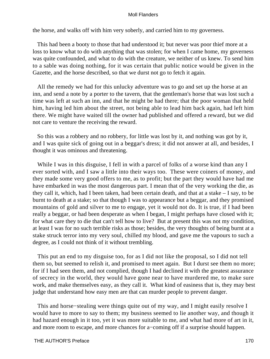the horse, and walks off with him very soberly, and carried him to my governess.

 This had been a booty to those that had understood it; but never was poor thief more at a loss to know what to do with anything that was stolen; for when I came home, my governess was quite confounded, and what to do with the creature, we neither of us knew. To send him to a sable was doing nothing, for it was certain that public notice would be given in the Gazette, and the horse described, so that we durst not go to fetch it again.

 All the remedy we had for this unlucky adventure was to go and set up the horse at an inn, and send a note by a porter to the tavern, that the gentleman's horse that was lost such a time was left at such an inn, and that he might be had there; that the poor woman that held him, having led him about the street, not being able to lead him back again, had left him there. We might have waited till the owner had published and offered a reward, but we did not care to venture the receiving the reward.

 So this was a robbery and no robbery, for little was lost by it, and nothing was got by it, and I was quite sick of going out in a beggar's dress; it did not answer at all, and besides, I thought it was ominous and threatening.

While I was in this disguise, I fell in with a parcel of folks of a worse kind than any I ever sorted with, and I saw a little into their ways too. These were coiners of money, and they made some very good offers to me, as to profit; but the part they would have had me have embarked in was the most dangerous part. I mean that of the very working the die, as they call it, which, had I been taken, had been certain death, and that at a stake – I say, to be burnt to death at a stake; so that though I was to appearance but a beggar, and they promised mountains of gold and silver to me to engage, yet it would not do. It is true, if I had been really a beggar, or had been desperate as when I began, I might perhaps have closed with it; for what care they to die that can't tell how to live? But at present this was not my condition, at least I was for no such terrible risks as those; besides, the very thoughts of being burnt at a stake struck terror into my very soul, chilled my blood, and gave me the vapours to such a degree, as I could not think of it without trembling.

 This put an end to my disguise too, for as I did not like the proposal, so I did not tell them so, but seemed to relish it, and promised to meet again. But I durst see them no more; for if I had seen them, and not complied, though I had declined it with the greatest assurance of secrecy in the world, they would have gone near to have murdered me, to make sure work, and make themselves easy, as they call it. What kind of easiness that is, they may best judge that understand how easy men are that can murder people to prevent danger.

 This and horse−stealing were things quite out of my way, and I might easily resolve I would have to more to say to them; my business seemed to lie another way, and though it had hazard enough in it too, yet it was more suitable to me, and what had more of art in it, and more room to escape, and more chances for a−coming off if a surprise should happen.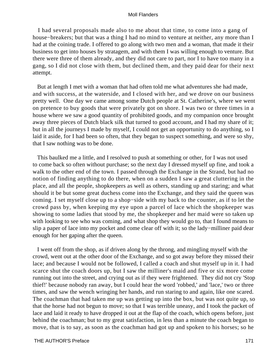I had several proposals made also to me about that time, to come into a gang of house−breakers; but that was a thing I had no mind to venture at neither, any more than I had at the coining trade. I offered to go along with two men and a woman, that made it their business to get into houses by stratagem, and with them I was willing enough to venture. But there were three of them already, and they did not care to part, nor I to have too many in a gang, so I did not close with them, but declined them, and they paid dear for their next attempt.

 But at length I met with a woman that had often told me what adventures she had made, and with success, at the waterside, and I closed with her, and we drove on our business pretty well. One day we came among some Dutch people at St. Catherine's, where we went on pretence to buy goods that were privately got on shore. I was two or three times in a house where we saw a good quantity of prohibited goods, and my companion once brought away three pieces of Dutch black silk that turned to good account, and I had my share of it; but in all the journeys I made by myself, I could not get an opportunity to do anything, so I laid it aside, for I had been so often, that they began to suspect something, and were so shy, that I saw nothing was to be done.

 This baulked me a little, and I resolved to push at something or other, for I was not used to come back so often without purchase; so the next day I dressed myself up fine, and took a walk to the other end of the town. I passed through the Exchange in the Strand, but had no notion of finding anything to do there, when on a sudden I saw a great cluttering in the place, and all the people, shopkeepers as well as others, standing up and staring; and what should it be but some great duchess come into the Exchange, and they said the queen was coming. I set myself close up to a shop−side with my back to the counter, as if to let the crowd pass by, when keeping my eye upon a parcel of lace which the shopkeeper was showing to some ladies that stood by me, the shopkeeper and her maid were so taken up with looking to see who was coming, and what shop they would go to, that I found means to slip a paper of lace into my pocket and come clear off with it; so the lady−milliner paid dear enough for her gaping after the queen.

 I went off from the shop, as if driven along by the throng, and mingling myself with the crowd, went out at the other door of the Exchange, and so got away before they missed their lace; and because I would not be followed, I called a coach and shut myself up in it. I had scarce shut the coach doors up, but I saw the milliner's maid and five or six more come running out into the street, and crying out as if they were frightened. They did not cry 'Stop thief!' because nobody ran away, but I could hear the word 'robbed,' and 'lace,' two or three times, and saw the wench wringing her hands, and run staring to and again, like one scared. The coachman that had taken me up was getting up into the box, but was not quite up, so that the horse had not begun to move; so that I was terrible uneasy, and I took the packet of lace and laid it ready to have dropped it out at the flap of the coach, which opens before, just behind the coachman; but to my great satisfaction, in less than a minute the coach began to move, that is to say, as soon as the coachman had got up and spoken to his horses; so he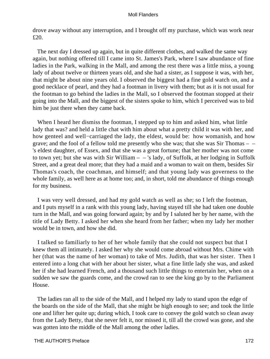drove away without any interruption, and I brought off my purchase, which was work near £20.

 The next day I dressed up again, but in quite different clothes, and walked the same way again, but nothing offered till I came into St. James's Park, where I saw abundance of fine ladies in the Park, walking in the Mall, and among the rest there was a little miss, a young lady of about twelve or thirteen years old, and she had a sister, as I suppose it was, with her, that might be about nine years old. I observed the biggest had a fine gold watch on, and a good necklace of pearl, and they had a footman in livery with them; but as it is not usual for the footman to go behind the ladies in the Mall, so I observed the footman stopped at their going into the Mall, and the biggest of the sisters spoke to him, which I perceived was to bid him be just there when they came back.

 When I heard her dismiss the footman, I stepped up to him and asked him, what little lady that was? and held a little chat with him about what a pretty child it was with her, and how genteel and well−carriaged the lady, the eldest, would be: how womanish, and how grave; and the fool of a fellow told me presently who she was; that she was Sir Thomas – – 's eldest daughter, of Essex, and that she was a great fortune; that her mother was not come to town yet; but she was with Sir William  $-$  - 's lady, of Suffolk, at her lodging in Suffolk Street, and a great deal more; that they had a maid and a woman to wait on them, besides Sir Thomas's coach, the coachman, and himself; and that young lady was governess to the whole family, as well here as at home too; and, in short, told me abundance of things enough for my business.

 I was very well dressed, and had my gold watch as well as she; so I left the footman, and I puts myself in a rank with this young lady, having stayed till she had taken one double turn in the Mall, and was going forward again; by and by I saluted her by her name, with the title of Lady Betty. I asked her when she heard from her father; when my lady her mother would be in town, and how she did.

 I talked so familiarly to her of her whole family that she could not suspect but that I knew them all intimately. I asked her why she would come abroad without Mrs. Chime with her (that was the name of her woman) to take of Mrs. Judith, that was her sister. Then I entered into a long chat with her about her sister, what a fine little lady she was, and asked her if she had learned French, and a thousand such little things to entertain her, when on a sudden we saw the guards come, and the crowd ran to see the king go by to the Parliament House.

 The ladies ran all to the side of the Mall, and I helped my lady to stand upon the edge of the boards on the side of the Mall, that she might be high enough to see; and took the little one and lifter her quite up; during which, I took care to convey the gold watch so clean away from the Lady Betty, that she never felt it, nor missed it, till all the crowd was gone, and she was gotten into the middle of the Mall among the other ladies.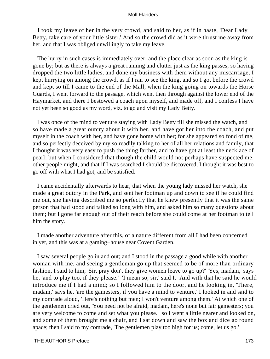I took my leave of her in the very crowd, and said to her, as if in haste, 'Dear Lady Betty, take care of your little sister.' And so the crowd did as it were thrust me away from her, and that I was obliged unwillingly to take my leave.

 The hurry in such cases is immediately over, and the place clear as soon as the king is gone by; but as there is always a great running and clutter just as the king passes, so having dropped the two little ladies, and done my business with them without any miscarriage, I kept hurrying on among the crowd, as if I ran to see the king, and so I got before the crowd and kept so till I came to the end of the Mall, when the king going on towards the Horse Guards, I went forward to the passage, which went then through against the lower end of the Haymarket, and there I bestowed a coach upon myself, and made off, and I confess I have not yet been so good as my word, viz. to go and visit my Lady Betty.

 I was once of the mind to venture staying with Lady Betty till she missed the watch, and so have made a great outcry about it with her, and have got her into the coach, and put myself in the coach with her, and have gone home with her; for she appeared so fond of me, and so perfectly deceived by my so readily talking to her of all her relations and family, that I thought it was very easy to push the thing farther, and to have got at least the necklace of pearl; but when I considered that though the child would not perhaps have suspected me, other people might, and that if I was searched I should be discovered, I thought it was best to go off with what I had got, and be satisfied.

 I came accidentally afterwards to hear, that when the young lady missed her watch, she made a great outcry in the Park, and sent her footman up and down to see if he could find me out, she having described me so perfectly that he knew presently that it was the same person that had stood and talked so long with him, and asked him so many questions about them; but I gone far enough out of their reach before she could come at her footman to tell him the story.

 I made another adventure after this, of a nature different from all I had been concerned in yet, and this was at a gaming−house near Covent Garden.

 I saw several people go in and out; and I stood in the passage a good while with another woman with me, and seeing a gentleman go up that seemed to be of more than ordinary fashion, I said to him, 'Sir, pray don't they give women leave to go up?' 'Yes, madam,' says he, 'and to play too, if they please.' 'I mean so, sir,' said I. And with that he said he would introduce me if I had a mind; so I followed him to the door, and he looking in, 'There, madam,' says he, 'are the gamesters, if you have a mind to venture.' I looked in and said to my comrade aloud, 'Here's nothing but men; I won't venture among them.' At which one of the gentlemen cried out, 'You need not be afraid, madam, here's none but fair gamesters; you are very welcome to come and set what you please.' so I went a little nearer and looked on, and some of them brought me a chair, and I sat down and saw the box and dice go round apace; then I said to my comrade, 'The gentlemen play too high for us; come, let us go.'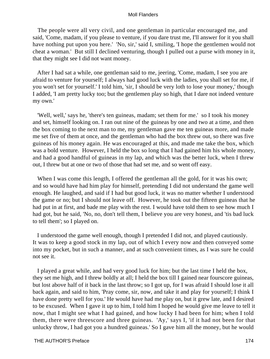The people were all very civil, and one gentleman in particular encouraged me, and said, 'Come, madam, if you please to venture, if you dare trust me, I'll answer for it you shall have nothing put upon you here.' 'No, sir,' said I, smiling, 'I hope the gentlemen would not cheat a woman.' But still I declined venturing, though I pulled out a purse with money in it, that they might see I did not want money.

 After I had sat a while, one gentleman said to me, jeering, 'Come, madam, I see you are afraid to venture for yourself; I always had good luck with the ladies, you shall set for me, if you won't set for yourself.' I told him, 'sir, I should be very loth to lose your money,' though I added, 'I am pretty lucky too; but the gentlemen play so high, that I dare not indeed venture my own.'

 'Well, well,' says he, 'there's ten guineas, madam; set them for me.' so I took his money and set, himself looking on. I ran out nine of the guineas by one and two at a time, and then the box coming to the next man to me, my gentleman gave me ten guineas more, and made me set five of them at once, and the gentleman who had the box threw out, so there was five guineas of his money again. He was encouraged at this, and made me take the box, which was a bold venture. However, I held the box so long that I had gained him his whole money, and had a good handful of guineas in my lap, and which was the better luck, when I threw out, I threw but at one or two of those that had set me, and so went off easy.

When I was come this length, I offered the gentleman all the gold, for it was his own; and so would have had him play for himself, pretending I did not understand the game well enough. He laughed, and said if I had but good luck, it was no matter whether I understood the game or no; but I should not leave off. However, he took out the fifteen guineas that he had put in at first, and bade me play with the rest. I would have told them to see how much I had got, but he said, 'No, no, don't tell them, I believe you are very honest, and 'tis bad luck to tell them'; so I played on.

 I understood the game well enough, though I pretended I did not, and played cautiously. It was to keep a good stock in my lap, out of which I every now and then conveyed some into my pocket, but in such a manner, and at such convenient times, as I was sure he could not see it.

 I played a great while, and had very good luck for him; but the last time I held the box, they set me high, and I threw boldly at all; I held the box till I gained near fourscore guineas, but lost above half of it back in the last throw; so I got up, for I was afraid I should lose it all back again, and said to him, 'Pray come, sir, now, and take it and play for yourself; I think I have done pretty well for you.' He would have had me play on, but it grew late, and I desired to be excused. When I gave it up to him, I told him I hoped he would give me leave to tell it now, that I might see what I had gained, and how lucky I had been for him; when I told them, there were threescore and three guineas. 'Ay,' says I, 'if it had not been for that unlucky throw, I had got you a hundred guineas.' So I gave him all the money, but he would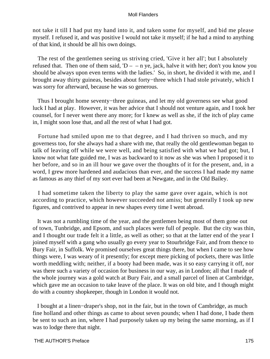not take it till I had put my hand into it, and taken some for myself, and bid me please myself. I refused it, and was positive I would not take it myself; if he had a mind to anything of that kind, it should be all his own doings.

 The rest of the gentlemen seeing us striving cried, 'Give it her all'; but I absolutely refused that. Then one of them said,  $D - n$  ye, jack, halve it with her; don't you know you should be always upon even terms with the ladies.' So, in short, he divided it with me, and I brought away thirty guineas, besides about forty−three which I had stole privately, which I was sorry for afterward, because he was so generous.

 Thus I brought home seventy−three guineas, and let my old governess see what good luck I had at play. However, it was her advice that I should not venture again, and I took her counsel, for I never went there any more; for I knew as well as she, if the itch of play came in, I might soon lose that, and all the rest of what I had got.

 Fortune had smiled upon me to that degree, and I had thriven so much, and my governess too, for she always had a share with me, that really the old gentlewoman began to talk of leaving off while we were well, and being satisfied with what we had got; but, I know not what fate guided me, I was as backward to it now as she was when I proposed it to her before, and so in an ill hour we gave over the thoughts of it for the present, and, in a word, I grew more hardened and audacious than ever, and the success I had made my name as famous as any thief of my sort ever had been at Newgate, and in the Old Bailey.

 I had sometime taken the liberty to play the same gave over again, which is not according to practice, which however succeeded not amiss; but generally I took up new figures, and contrived to appear in new shapes every time I went abroad.

 It was not a rumbling time of the year, and the gentlemen being most of them gone out of town, Tunbridge, and Epsom, and such places were full of people. But the city was thin, and I thought our trade felt it a little, as well as other; so that at the latter end of the year I joined myself with a gang who usually go every year to Stourbridge Fair, and from thence to Bury Fair, in Suffolk. We promised ourselves great things there, but when I came to see how things were, I was weary of it presently; for except mere picking of pockets, there was little worth meddling with; neither, if a booty had been made, was it so easy carrying it off, nor was there such a variety of occasion for business in our way, as in London; all that I made of the whole journey was a gold watch at Bury Fair, and a small parcel of linen at Cambridge, which gave me an occasion to take leave of the place. It was on old bite, and I though might do with a country shopkeeper, though in London it would not.

 I bought at a linen−draper's shop, not in the fair, but in the town of Cambridge, as much fine holland and other things as came to about seven pounds; when I had done, I bade them be sent to such an inn, where I had purposely taken up my being the same morning, as if I was to lodge there that night.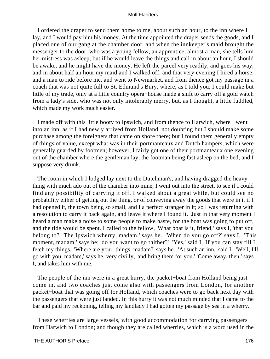I ordered the draper to send them home to me, about such an hour, to the inn where I lay, and I would pay him his money. At the time appointed the draper sends the goods, and I placed one of our gang at the chamber door, and when the innkeeper's maid brought the messenger to the door, who was a young fellow, an apprentice, almost a man, she tells him her mistress was asleep, but if he would leave the things and call in about an hour, I should be awake, and he might have the money. He left the parcel very readily, and goes his way, and in about half an hour my maid and I walked off, and that very evening I hired a horse, and a man to ride before me, and went to Newmarket, and from thence got my passage in a coach that was not quite full to St. Edmund's Bury, where, as I told you, I could make but little of my trade, only at a little country opera−house made a shift to carry off a gold watch from a lady's side, who was not only intolerably merry, but, as I thought, a little fuddled, which made my work much easier.

 I made off with this little booty to Ipswich, and from thence to Harwich, where I went into an inn, as if I had newly arrived from Holland, not doubting but I should make some purchase among the foreigners that came on shore there; but I found them generally empty of things of value, except what was in their portmanteaux and Dutch hampers, which were generally guarded by footmen; however, I fairly got one of their portmanteaux one evening out of the chamber where the gentleman lay, the footman being fast asleep on the bed, and I suppose very drunk.

 The room in which I lodged lay next to the Dutchman's, and having dragged the heavy thing with much ado out of the chamber into mine, I went out into the street, to see if I could find any possibility of carrying it off. I walked about a great while, but could see no probability either of getting out the thing, or of conveying away the goods that were in it if I had opened it, the town being so small, and I a perfect stranger in it; so I was returning with a resolution to carry it back again, and leave it where I found it. Just in that very moment I heard a man make a noise to some people to make haste, for the boat was going to put off, and the tide would be spent. I called to the fellow, 'What boat is it, friend,' says I, 'that you belong to?' 'The Ipswich wherry, madam,' says he. 'When do you go off?' says I. 'This moment, madam,' says he; 'do you want to go thither?' 'Yes,' said I, 'if you can stay till I fetch my things.' 'Where are your things, madam?' says he. 'At such an inn,' said I. 'Well, I'll go with you, madam,' says he, very civilly, 'and bring them for you.' 'Come away, then,' says I, and takes him with me.

 The people of the inn were in a great hurry, the packet−boat from Holland being just come in, and two coaches just come also with passengers from London, for another packet−boat that was going off for Holland, which coaches were to go back next day with the passengers that were just landed. In this hurry it was not much minded that I came to the bar and paid my reckoning, telling my landlady I had gotten my passage by sea in a wherry.

 These wherries are large vessels, with good accommodation for carrying passengers from Harwich to London; and though they are called wherries, which is a word used in the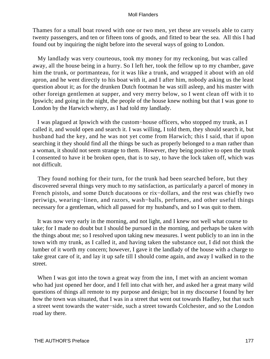Thames for a small boat rowed with one or two men, yet these are vessels able to carry twenty passengers, and ten or fifteen tons of goods, and fitted to bear the sea. All this I had found out by inquiring the night before into the several ways of going to London.

 My landlady was very courteous, took my money for my reckoning, but was called away, all the house being in a hurry. So I left her, took the fellow up to my chamber, gave him the trunk, or portmanteau, for it was like a trunk, and wrapped it about with an old apron, and he went directly to his boat with it, and I after him, nobody asking us the least question about it; as for the drunken Dutch footman he was still asleep, and his master with other foreign gentlemen at supper, and very merry below, so I went clean off with it to Ipswich; and going in the night, the people of the house knew nothing but that I was gone to London by the Harwich wherry, as I had told my landlady.

 I was plagued at Ipswich with the custom−house officers, who stopped my trunk, as I called it, and would open and search it. I was willing, I told them, they should search it, but husband had the key, and he was not yet come from Harwich; this I said, that if upon searching it they should find all the things be such as properly belonged to a man rather than a woman, it should not seem strange to them. However, they being positive to open the trunk I consented to have it be broken open, that is to say, to have the lock taken off, which was not difficult.

 They found nothing for their turn, for the trunk had been searched before, but they discovered several things very much to my satisfaction, as particularly a parcel of money in French pistols, and some Dutch ducatoons or rix−dollars, and the rest was chiefly two periwigs, wearing−linen, and razors, wash−balls, perfumes, and other useful things necessary for a gentleman, which all passed for my husband's, and so I was quit to them.

 It was now very early in the morning, and not light, and I knew not well what course to take; for I made no doubt but I should be pursued in the morning, and perhaps be taken with the things about me; so I resolved upon taking new measures. I went publicly to an inn in the town with my trunk, as I called it, and having taken the substance out, I did not think the lumber of it worth my concern; however, I gave it the landlady of the house with a charge to take great care of it, and lay it up safe till I should come again, and away I walked in to the street.

When I was got into the town a great way from the inn, I met with an ancient woman who had just opened her door, and I fell into chat with her, and asked her a great many wild questions of things all remote to my purpose and design; but in my discourse I found by her how the town was situated, that I was in a street that went out towards Hadley, but that such a street went towards the water−side, such a street towards Colchester, and so the London road lay there.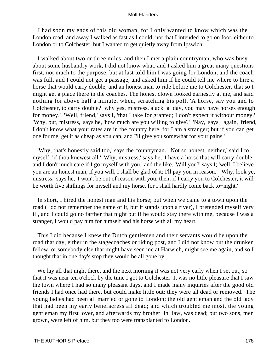I had soon my ends of this old woman, for I only wanted to know which was the London road, and away I walked as fast as I could; not that I intended to go on foot, either to London or to Colchester, but I wanted to get quietly away from Ipswich.

 I walked about two or three miles, and then I met a plain countryman, who was busy about some husbandry work, I did not know what, and I asked him a great many questions first, not much to the purpose, but at last told him I was going for London, and the coach was full, and I could not get a passage, and asked him if he could tell me where to hire a horse that would carry double, and an honest man to ride before me to Colchester, that so I might get a place there in the coaches. The honest clown looked earnestly at me, and said nothing for above half a minute, when, scratching his poll, 'A horse, say you and to Colchester, to carry double? why yes, mistress, alack−a−day, you may have horses enough for money.' 'Well, friend,' says I, 'that I take for granted; I don't expect it without money.' 'Why, but, mistress,' says he, 'how much are you willing to give?' 'Nay,' says I again, 'friend, I don't know what your rates are in the country here, for I am a stranger; but if you can get one for me, get it as cheap as you can, and I'll give you somewhat for your pains.'

 'Why, that's honestly said too,' says the countryman. 'Not so honest, neither,' said I to myself, 'if thou knewest all.' 'Why, mistress,' says he, 'I have a horse that will carry double, and I don't much care if I go myself with you,' and the like. 'Will you?' says I; 'well, I believe you are an honest man; if you will, I shall be glad of it; I'll pay you in reason.' 'Why, look ye, mistress,' says he, 'I won't be out of reason with you, then; if I carry you to Colchester, it will be worth five shillings for myself and my horse, for I shall hardly come back to−night.'

 In short, I hired the honest man and his horse; but when we came to a town upon the road (I do not remember the name of it, but it stands upon a river), I pretended myself very ill, and I could go no farther that night but if he would stay there with me, because I was a stranger, I would pay him for himself and his horse with all my heart.

 This I did because I knew the Dutch gentlemen and their servants would be upon the road that day, either in the stagecoaches or riding post, and I did not know but the drunken fellow, or somebody else that might have seen me at Harwich, might see me again, and so I thought that in one day's stop they would be all gone by.

We lay all that night there, and the next morning it was not very early when I set out, so that it was near ten o'clock by the time I got to Colchester. It was no little pleasure that I saw the town where I had so many pleasant days, and I made many inquiries after the good old friends I had once had there, but could make little out; they were all dead or removed. The young ladies had been all married or gone to London; the old gentleman and the old lady that had been my early benefacress all dead; and which troubled me most, the young gentleman my first lover, and afterwards my brother−in−law, was dead; but two sons, men grown, were left of him, but they too were transplanted to London.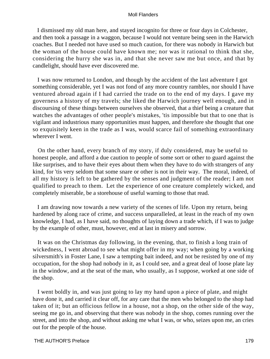I dismissed my old man here, and stayed incognito for three or four days in Colchester, and then took a passage in a waggon, because I would not venture being seen in the Harwich coaches. But I needed not have used so much caution, for there was nobody in Harwich but the woman of the house could have known me; nor was it rational to think that she, considering the hurry she was in, and that she never saw me but once, and that by candlelight, should have ever discovered me.

 I was now returned to London, and though by the accident of the last adventure I got something considerable, yet I was not fond of any more country rambles, nor should I have ventured abroad again if I had carried the trade on to the end of my days. I gave my governess a history of my travels; she liked the Harwich journey well enough, and in discoursing of these things between ourselves she observed, that a thief being a creature that watches the advantages of other people's mistakes, 'tis impossible but that to one that is vigilant and industrious many opportunities must happen, and therefore she thought that one so exquisitely keen in the trade as I was, would scarce fail of something extraordinary wherever I went.

 On the other hand, every branch of my story, if duly considered, may be useful to honest people, and afford a due caution to people of some sort or other to guard against the like surprises, and to have their eyes about them when they have to do with strangers of any kind, for 'tis very seldom that some snare or other is not in their way. The moral, indeed, of all my history is left to be gathered by the senses and judgment of the reader; I am not qualified to preach to them. Let the experience of one creature completely wicked, and completely miserable, be a storehouse of useful warning to those that read.

 I am drawing now towards a new variety of the scenes of life. Upon my return, being hardened by along race of crime, and success unparalleled, at least in the reach of my own knowledge, I had, as I have said, no thoughts of laying down a trade which, if I was to judge by the example of other, must, however, end at last in misery and sorrow.

 It was on the Christmas day following, in the evening, that, to finish a long train of wickedness, I went abroad to see what might offer in my way; when going by a working silversmith's in Foster Lane, I saw a tempting bait indeed, and not be resisted by one of my occupation, for the shop had nobody in it, as I could see, and a great deal of loose plate lay in the window, and at the seat of the man, who usually, as I suppose, worked at one side of the shop.

 I went boldly in, and was just going to lay my hand upon a piece of plate, and might have done it, and carried it clear off, for any care that the men who belonged to the shop had taken of it; but an officious fellow in a house, not a shop, on the other side of the way, seeing me go in, and observing that there was nobody in the shop, comes running over the street, and into the shop, and without asking me what I was, or who, seizes upon me, an cries out for the people of the house.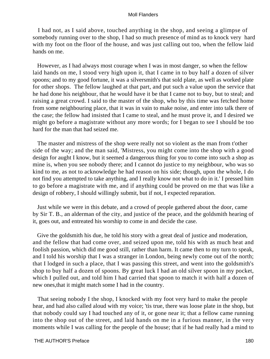I had not, as I said above, touched anything in the shop, and seeing a glimpse of somebody running over to the shop, I had so much presence of mind as to knock very hard with my foot on the floor of the house, and was just calling out too, when the fellow laid hands on me.

 However, as I had always most courage when I was in most danger, so when the fellow laid hands on me, I stood very high upon it, that I came in to buy half a dozen of silver spoons; and to my good fortune, it was a silversmith's that sold plate, as well as worked plate for other shops. The fellow laughed at that part, and put such a value upon the service that he had done his neighbour, that he would have it be that I came not to buy, but to steal; and raising a great crowd. I said to the master of the shop, who by this time was fetched home from some neighbouring place, that it was in vain to make noise, and enter into talk there of the case; the fellow had insisted that I came to steal, and he must prove it, and I desired we might go before a magistrate without any more words; for I began to see I should be too hard for the man that had seized me.

 The master and mistress of the shop were really not so violent as the man from t'other side of the way; and the man said, 'Mistress, you might come into the shop with a good design for aught I know, but it seemed a dangerous thing for you to come into such a shop as mine is, when you see nobody there; and I cannot do justice to my neighbour, who was so kind to me, as not to acknowledge he had reason on his side; though, upon the whole, I do not find you attempted to take anything, and I really know not what to do in it.' I pressed him to go before a magistrate with me, and if anything could be proved on me that was like a design of robbery, I should willingly submit, but if not, I expected reparation.

 Just while we were in this debate, and a crowd of people gathered about the door, came by Sir T. B., an alderman of the city, and justice of the peace, and the goldsmith hearing of it, goes out, and entreated his worship to come in and decide the case.

 Give the goldsmith his due, he told his story with a great deal of justice and moderation, and the fellow that had come over, and seized upon me, told his with as much heat and foolish passion, which did me good still, rather than harm. It came then to my turn to speak, and I told his worship that I was a stranger in London, being newly come out of the north; that I lodged in such a place, that I was passing this street, and went into the goldsmith's shop to buy half a dozen of spoons. By great luck I had an old silver spoon in my pocket, which I pulled out, and told him I had carried that spoon to match it with half a dozen of new ones,that it might match some I had in the country.

 That seeing nobody I the shop, I knocked with my foot very hard to make the people hear, and had also called aloud with my voice; 'tis true, there was loose plate in the shop, but that nobody could say I had touched any of it, or gone near it; that a fellow came running into the shop out of the street, and laid hands on me in a furious manner, in the very moments while I was calling for the people of the house; that if he had really had a mind to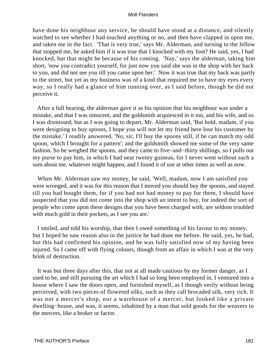have done his neighbour any service, he should have stood at a distance, and silently watched to see whether I had touched anything or no, and then have clapped in upon me, and taken me in the fact. 'That is very true,' says Mr. Alderman, and turning to the fellow that stopped me, he asked him if it was true that I knocked with my foot? He said, yes, I had knocked, but that might be because of his coming. 'Nay,' says the alderman, taking him short, 'now you contradict yourself, for just now you said she was in the shop with her back to you, and did not see you till you came upon her.' Now it was true that my back was partly to the street, but yet as my business was of a kind that required me to have my eyes every way, so I really had a glance of him running over, as I said before, though he did not perceive it.

 After a full hearing, the alderman gave it as his opinion that his neighbour was under a mistake, and that I was innocent, and the goldsmith acquiesced in it too, and his wife, and so I was dismissed; but as I was going to depart, Mr. Alderman said, 'But hold, madam, if you were designing to buy spoons, I hope you will not let my friend here lose his customer by the mistake.' I readily answered, 'No, sir, I'll buy the spoons still, if he can match my odd spoon, which I brought for a pattern'; and the goldsmith showed me some of the very same fashion. So he weighed the spoons, and they came to five−and−thirty shillings, so I pulls out my purse to pay him, in which I had near twenty guineas, for I never went without such a sum about me, whatever might happen, and I found it of use at other times as well as now.

 When Mr. Alderman saw my money, he said, 'Well, madam, now I am satisfied you were wronged, and it was for this reason that I moved you should buy the spoons, and stayed till you had bought them, for if you had not had money to pay for them, I should have suspected that you did not come into the shop with an intent to buy, for indeed the sort of people who come upon these designs that you have been charged with, are seldom troubled with much gold in their pockets, as I see you are.'

 I smiled, and told his worship, that then I owed something of his favour to my money, but I hoped he saw reason also in the justice he had done me before. He said, yes, he had, but this had confirmed his opinion, and he was fully satisfied now of my having been injured. So I came off with flying colours, though from an affair in which I was at the very brink of destruction.

 It was but three days after this, that not at all made cautious by my former danger, as I used to be, and still pursuing the art which I had so long been employed in, I ventured into a house where I saw the doors open, and furnished myself, as I though verily without being perceived, with two pieces of flowered silks, such as they call brocaded silk, very rich. It was not a mercer's shop, nor a warehouse of a mercer, but looked like a private dwelling−house, and was, it seems, inhabited by a man that sold goods for the weavers to the mercers, like a broker or factor.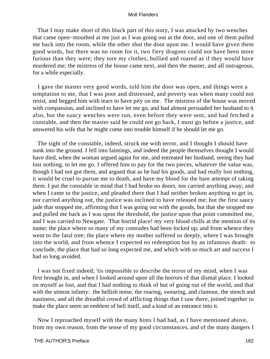That I may make short of this black part of this story, I was attacked by two wenches that came open−mouthed at me just as I was going out at the door, and one of them pulled me back into the room, while the other shut the door upon me. I would have given them good words, but there was no room for it, two fiery dragons could not have been more furious than they were; they tore my clothes, bullied and roared as if they would have murdered me; the mistress of the house came next, and then the master, and all outrageous, for a while especially.

 I gave the master very good words, told him the door was open, and things were a temptation to me, that I was poor and distressed, and poverty was when many could not resist, and begged him with tears to have pity on me. The mistress of the house was moved with compassion, and inclined to have let me go, and had almost persuaded her husband to it also, but the saucy wenches were run, even before they were sent, and had fetched a constable, and then the master said he could not go back, I must go before a justice, and answered his wife that he might come into trouble himself if he should let me go.

 The sight of the constable, indeed, struck me with terror, and I thought I should have sunk into the ground. I fell into faintings, and indeed the people themselves thought I would have died, when the woman argued again for me, and entreated her husband, seeing they had lost nothing, to let me go. I offered him to pay for the two pieces, whatever the value was, though I had not got them, and argued that as he had his goods, and had really lost nothing, it would be cruel to pursue me to death, and have my blood for the bare attempt of taking them. I put the constable in mind that I had broke no doors, nor carried anything away; and when I came to the justice, and pleaded there that I had neither broken anything to get in, nor carried anything out, the justice was inclined to have released me; but the first saucy jade that stopped me, affirming that I was going out with the goods, but that she stopped me and pulled me back as I was upon the threshold, the justice upon that point committed me, and I was carried to Newgate. That horrid place! my very blood chills at the mention of its name; the place where so many of my comrades had been locked up, and from whence they went to the fatal tree; the place where my mother suffered so deeply, where I was brought into the world, and from whence I expected no redemption but by an infamous death: to conclude, the place that had so long expected me, and which with so much art and success I had so long avoided.

 I was not fixed indeed; 'tis impossible to describe the terror of my mind, when I was first brought in, and when I looked around upon all the horrors of that dismal place. I looked on myself as lost, and that I had nothing to think of but of going out of the world, and that with the utmost infamy: the hellish noise, the roaring, swearing, and clamour, the stench and nastiness, and all the dreadful crowd of afflicting things that I saw there, joined together to make the place seem an emblem of hell itself, and a kind of an entrance into it.

 Now I reproached myself with the many hints I had had, as I have mentioned above, from my own reason, from the sense of my good circumstances, and of the many dangers I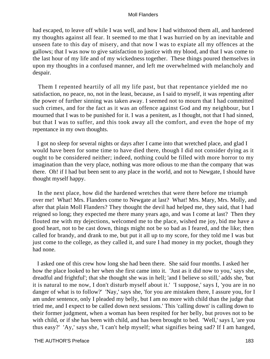had escaped, to leave off while I was well, and how I had withstood them all, and hardened my thoughts against all fear. It seemed to me that I was hurried on by an inevitable and unseen fate to this day of misery, and that now I was to expiate all my offences at the gallows; that I was now to give satisfaction to justice with my blood, and that I was come to the last hour of my life and of my wickedness together. These things poured themselves in upon my thoughts in a confused manner, and left me overwhelmed with melancholy and despair.

 Them I repented heartily of all my life past, but that repentance yielded me no satisfaction, no peace, no, not in the least, because, as I said to myself, it was repenting after the power of further sinning was taken away. I seemed not to mourn that I had committed such crimes, and for the fact as it was an offence against God and my neighbour, but I mourned that I was to be punished for it. I was a penitent, as I thought, not that I had sinned, but that I was to suffer, and this took away all the comfort, and even the hope of my repentance in my own thoughts.

 I got no sleep for several nights or days after I came into that wretched place, and glad I would have been for some time to have died there, though I did not consider dying as it ought to be considered neither; indeed, nothing could be filled with more horror to my imagination than the very place, nothing was more odious to me than the company that was there. Oh! if I had but been sent to any place in the world, and not to Newgate, I should have thought myself happy.

 In the next place, how did the hardened wretches that were there before me triumph over me! What! Mrs. Flanders come to Newgate at last? What! Mrs. Mary, Mrs. Molly, and after that plain Moll Flanders? They thought the devil had helped me, they said, that I had reigned so long; they expected me there many years ago, and was I come at last? Then they flouted me with my dejections, welcomed me to the place, wished me joy, bid me have a good heart, not to be cast down, things might not be so bad as I feared, and the like; then called for brandy, and drank to me, but put it all up to my score, for they told me I was but just come to the college, as they called it, and sure I had money in my pocket, though they had none.

 I asked one of this crew how long she had been there. She said four months. I asked her how the place looked to her when she first came into it. 'Just as it did now to you,' says she, dreadful and frightful'; that she thought she was in hell; 'and I believe so still,' adds she, 'but it is natural to me now, I don't disturb myself about it.' 'I suppose,' says I, 'you are in no danger of what is to follow?' 'Nay,' says she, 'for you are mistaken there, I assure you, for I am under sentence, only I pleaded my belly, but I am no more with child than the judge that tried me, and I expect to be called down next sessions.' This 'calling down' is calling down to their former judgment, when a woman has been respited for her belly, but proves not to be with child, or if she has been with child, and has been brought to bed. 'Well,' says I, 'are you thus easy?' 'Ay,' says she, 'I can't help myself; what signifies being sad? If I am hanged,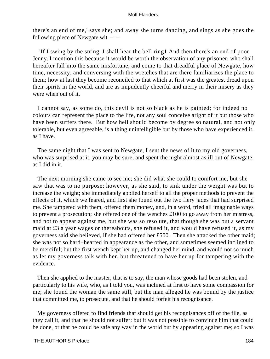there's an end of me,' says she; and away she turns dancing, and sings as she goes the following piece of Newgate wit  $-$ 

 'If I swing by the string I shall hear the bell ring1 And then there's an end of poor Jenny.'I mention this because it would be worth the observation of any prisoner, who shall hereafter fall into the same misfortune, and come to that dreadful place of Newgate, how time, necessity, and conversing with the wretches that are there familiarizes the place to them; how at last they become reconciled to that which at first was the greatest dread upon their spirits in the world, and are as impudently cheerful and merry in their misery as they were when out of it.

 I cannot say, as some do, this devil is not so black as he is painted; for indeed no colours can represent the place to the life, not any soul conceive aright of it but those who have been suffers there. But how hell should become by degree so natural, and not only tolerable, but even agreeable, is a thing unintelligible but by those who have experienced it, as I have.

 The same night that I was sent to Newgate, I sent the news of it to my old governess, who was surprised at it, you may be sure, and spent the night almost as ill out of Newgate, as I did in it.

 The next morning she came to see me; she did what she could to comfort me, but she saw that was to no purpose; however, as she said, to sink under the weight was but to increase the weight; she immediately applied herself to all the proper methods to prevent the effects of it, which we feared, and first she found out the two fiery jades that had surprised me. She tampered with them, offered them money, and, in a word, tried all imaginable ways to prevent a prosecution; she offered one of the wenches £100 to go away from her mistress, and not to appear against me, but she was so resolute, that though she was but a servant maid at £3 a year wages or thereabouts, she refused it, and would have refused it, as my governess said she believed, if she had offered her £500. Then she attacked the other maid; she was not so hard−hearted in appearance as the other, and sometimes seemed inclined to be merciful; but the first wench kept her up, and changed her mind, and would not so much as let my governess talk with her, but threatened to have her up for tampering with the evidence.

 Then she applied to the master, that is to say, the man whose goods had been stolen, and particularly to his wife, who, as I told you, was inclined at first to have some compassion for me; she found the woman the same still, but the man alleged he was bound by the justice that committed me, to prosecute, and that he should forfeit his recognisance.

 My governess offered to find friends that should get his recognisances off of the file, as they call it, and that he should not suffer; but it was not possible to convince him that could be done, or that he could be safe any way in the world but by appearing against me; so I was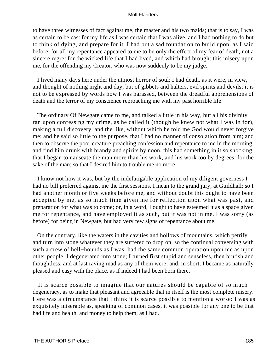to have three witnesses of fact against me, the master and his two maids; that is to say, I was as certain to be cast for my life as I was certain that I was alive, and I had nothing to do but to think of dying, and prepare for it. I had but a sad foundation to build upon, as I said before, for all my repentance appeared to me to be only the effect of my fear of death, not a sincere regret for the wicked life that I had lived, and which had brought this misery upon me, for the offending my Creator, who was now suddenly to be my judge.

 I lived many days here under the utmost horror of soul; I had death, as it were, in view, and thought of nothing night and day, but of gibbets and halters, evil spirits and devils; it is not to be expressed by words how I was harassed, between the dreadful apprehensions of death and the terror of my conscience reproaching me with my past horrible life.

 The ordinary Of Newgate came to me, and talked a little in his way, but all his divinity ran upon confessing my crime, as he called it (though he knew not what I was in for), making a full discovery, and the like, without which he told me God would never forgive me; and he said so little to the purpose, that I had no manner of consolation from him; and then to observe the poor creature preaching confession and repentance to me in the morning, and find him drunk with brandy and spirits by noon, this had something in it so shocking, that I began to nauseate the man more than his work, and his work too by degrees, for the sake of the man; so that I desired him to trouble me no more.

 I know not how it was, but by the indefatigable application of my diligent governess I had no bill preferred against me the first sessions, I mean to the grand jury, at Guildhall; so I had another month or five weeks before me, and without doubt this ought to have been accepted by me, as so much time given me for reflection upon what was past, and preparation for what was to come; or, in a word, I ought to have esteemed it as a space given me for repentance, and have employed it as such, but it was not in me. I was sorry (as before) for being in Newgate, but had very few signs of repentance about me.

 On the contrary, like the waters in the cavities and hollows of mountains, which petrify and turn into stone whatever they are suffered to drop on, so the continual conversing with such a crew of hell−hounds as I was, had the same common operation upon me as upon other people. I degenerated into stone; I turned first stupid and senseless, then brutish and thoughtless, and at last raving mad as any of them were; and, in short, I became as naturally pleased and easy with the place, as if indeed I had been born there.

 It is scarce possible to imagine that our natures should be capable of so much degeneracy, as to make that pleasant and agreeable that in itself is the most complete misery. Here was a circumstance that I think it is scarce possible to mention a worse: I was as exquisitely miserable as, speaking of common cases, it was possible for any one to be that had life and health, and money to help them, as I had.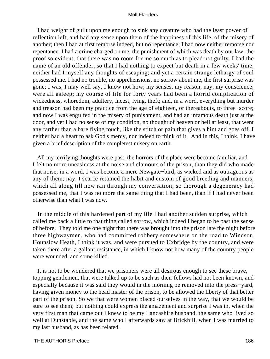I had weight of guilt upon me enough to sink any creature who had the least power of reflection left, and had any sense upon them of the happiness of this life, of the misery of another; then I had at first remorse indeed, but no repentance; I had now neither remorse nor repentance. I had a crime charged on me, the punishment of which was death by our law; the proof so evident, that there was no room for me so much as to plead not guilty. I had the name of an old offender, so that I had nothing to expect but death in a few weeks' time, neither had I myself any thoughts of escaping; and yet a certain strange lethargy of soul possessed me. I had no trouble, no apprehensions, no sorrow about me, the first surprise was gone; I was, I may well say, I know not how; my senses, my reason, nay, my conscience, were all asleep; my course of life for forty years had been a horrid complication of wickedness, whoredom, adultery, incest, lying, theft; and, in a word, everything but murder and treason had been my practice from the age of eighteen, or thereabouts, to three−score; and now I was engulfed in the misery of punishment, and had an infamous death just at the door, and yet I had no sense of my condition, no thought of heaven or hell at least, that went any farther than a bare flying touch, like the stitch or pain that gives a hint and goes off. I neither had a heart to ask God's mercy, nor indeed to think of it. And in this, I think, I have given a brief description of the completest misery on earth.

 All my terrifying thoughts were past, the horrors of the place were become familiar, and I felt no more uneasiness at the noise and clamours of the prison, than they did who made that noise; in a word, I was become a mere Newgate−bird, as wicked and as outrageous as any of them; nay, I scarce retained the habit and custom of good breeding and manners, which all along till now ran through my conversation; so thorough a degeneracy had possessed me, that I was no more the same thing that I had been, than if I had never been otherwise than what I was now.

 In the middle of this hardened part of my life I had another sudden surprise, which called me back a little to that thing called sorrow, which indeed I began to be past the sense of before. They told me one night that there was brought into the prison late the night before three highwaymen, who had committed robbery somewhere on the road to Windsor, Hounslow Heath, I think it was, and were pursued to Uxbridge by the country, and were taken there after a gallant resistance, in which I know not how many of the country people were wounded, and some killed.

 It is not to be wondered that we prisoners were all desirous enough to see these brave, topping gentlemen, that were talked up to be such as their fellows had not been known, and especially because it was said they would in the morning be removed into the press−yard, having given money to the head master of the prison, to be allowed the liberty of that better part of the prison. So we that were women placed ourselves in the way, that we would be sure to see them; but nothing could express the amazement and surprise I was in, when the very first man that came out I knew to be my Lancashire husband, the same who lived so well at Dunstable, and the same who I afterwards saw at Brickhill, when I was married to my last husband, as has been related.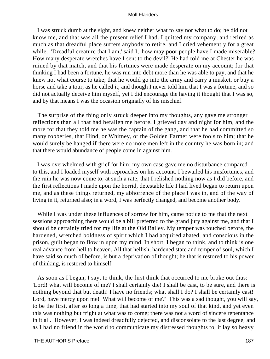I was struck dumb at the sight, and knew neither what to say nor what to do; he did not know me, and that was all the present relief I had. I quitted my company, and retired as much as that dreadful place suffers anybody to retire, and I cried vehemently for a great while. 'Dreadful creature that I am,' said I, 'how may poor people have I made miserable? How many desperate wretches have I sent to the devil?' He had told me at Chester he was ruined by that match, and that his fortunes were made desperate on my account; for that thinking I had been a fortune, he was run into debt more than he was able to pay, and that he knew not what course to take; that he would go into the army and carry a musket, or buy a horse and take a tour, as he called it; and though I never told him that I was a fortune, and so did not actually deceive him myself, yet I did encourage the having it thought that I was so, and by that means I was the occasion originally of his mischief.

 The surprise of the thing only struck deeper into my thoughts, any gave me stronger reflections than all that had befallen me before. I grieved day and night for him, and the more for that they told me he was the captain of the gang, and that he had committed so many robberies, that Hind, or Whitney, or the Golden Farmer were fools to him; that he would surely be hanged if there were no more men left in the country he was born in; and that there would abundance of people come in against him.

 I was overwhelmed with grief for him; my own case gave me no disturbance compared to this, and I loaded myself with reproaches on his account. I bewailed his misfortunes, and the ruin he was now come to, at such a rate, that I relished nothing now as I did before, and the first reflections I made upon the horrid, detestable life I had lived began to return upon me, and as these things returned, my abhorrence of the place I was in, and of the way of living in it, returned also; in a word, I was perfectly changed, and become another body.

 While I was under these influences of sorrow for him, came notice to me that the next sessions approaching there would be a bill preferred to the grand jury against me, and that I should be certainly tried for my life at the Old Bailey. My temper was touched before, the hardened, wretched boldness of spirit which I had acquired abated, and conscious in the prison, guilt began to flow in upon my mind. In short, I began to think, and to think is one real advance from hell to heaven. All that hellish, hardened state and temper of soul, which I have said so much of before, is but a deprivation of thought; he that is restored to his power of thinking, is restored to himself.

 As soon as I began, I say, to think, the first think that occurred to me broke out thus: 'Lord! what will become of me? I shall certainly die! I shall be cast, to be sure, and there is nothing beyond that but death! I have no friends; what shall I do? I shall be certainly cast! Lord, have mercy upon me! What will become of me?' This was a sad thought, you will say, to be the first, after so long a time, that had started into my soul of that kind, and yet even this was nothing but fright at what was to come; there was not a word of sincere repentance in it all. However, I was indeed dreadfully dejected, and disconsolate to the last degree; and as I had no friend in the world to communicate my distressed thoughts to, it lay so heavy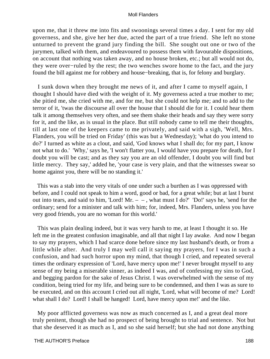upon me, that it threw me into fits and swoonings several times a day. I sent for my old governess, and she, give her her due, acted the part of a true friend. She left no stone unturned to prevent the grand jury finding the bill. She sought out one or two of the jurymen, talked with them, and endeavoured to possess them with favourable dispositions, on account that nothing was taken away, and no house broken, etc.; but all would not do, they were over−ruled by the rest; the two wenches swore home to the fact, and the jury found the bill against me for robbery and house−breaking, that is, for felony and burglary.

 I sunk down when they brought me news of it, and after I came to myself again, I thought I should have died with the weight of it. My governess acted a true mother to me; she pitied me, she cried with me, and for me, but she could not help me; and to add to the terror of it, 'twas the discourse all over the house that I should die for it. I could hear them talk it among themselves very often, and see them shake their heads and say they were sorry for it, and the like, as is usual in the place. But still nobody came to tell me their thoughts, till at last one of the keepers came to me privately, and said with a sigh, 'Well, Mrs. Flanders, you will be tried on Friday' (this was but a Wednesday); 'what do you intend to do?' I turned as white as a clout, and said, 'God knows what I shall do; for my part, I know not what to do.' 'Why,' says he, 'I won't flatter you, I would have you prepare for death, for I doubt you will be cast; and as they say you are an old offender, I doubt you will find but little mercy. They say,' added he, 'your case is very plain, and that the witnesses swear so home against you, there will be no standing it.'

 This was a stab into the very vitals of one under such a burthen as I was oppressed with before, and I could not speak to him a word, good or bad, for a great while; but at last I burst out into tears, and said to him, 'Lord! Mr.  $-$  –, what must I do?' 'Do!' says he, 'send for the ordinary; send for a minister and talk with him; for, indeed, Mrs. Flanders, unless you have very good friends, you are no woman for this world.'

 This was plain dealing indeed, but it was very harsh to me, at least I thought it so. He left me in the greatest confusion imaginable, and all that night I lay awake. And now I began to say my prayers, which I had scarce done before since my last husband's death, or from a little while after. And truly I may well call it saying my prayers, for I was in such a confusion, and had such horror upon my mind, that though I cried, and repeated several times the ordinary expression of 'Lord, have mercy upon me!' I never brought myself to any sense of my being a miserable sinner, as indeed I was, and of confessing my sins to God, and begging pardon for the sake of Jesus Christ. I was overwhelmed with the sense of my condition, being tried for my life, and being sure to be condemned, and then I was as sure to be executed, and on this account I cried out all night, 'Lord, what will become of me? Lord! what shall I do? Lord! I shall be hanged! Lord, have mercy upon me!' and the like.

 My poor afflicted governess was now as much concerned as I, and a great deal more truly penitent, though she had no prospect of being brought to trial and sentence. Not but that she deserved it as much as I, and so she said herself; but she had not done anything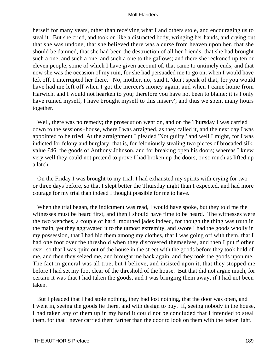herself for many years, other than receiving what I and others stole, and encouraging us to steal it. But she cried, and took on like a distracted body, wringing her hands, and crying out that she was undone, that she believed there was a curse from heaven upon her, that she should be damned, that she had been the destruction of all her friends, that she had brought such a one, and such a one, and such a one to the gallows; and there she reckoned up ten or eleven people, some of which I have given account of, that came to untimely ends; and that now she was the occasion of my ruin, for she had persuaded me to go on, when I would have left off. I interrupted her there. 'No, mother, no,' said I, 'don't speak of that, for you would have had me left off when I got the mercer's money again, and when I came home from Harwich, and I would not hearken to you; therefore you have not been to blame; it is I only have ruined myself, I have brought myself to this misery'; and thus we spent many hours together.

 Well, there was no remedy; the prosecution went on, and on the Thursday I was carried down to the sessions−house, where I was arraigned, as they called it, and the next day I was appointed to be tried. At the arraignment I pleaded 'Not guilty,' and well I might, for I was indicted for felony and burglary; that is, for feloniously stealing two pieces of brocaded silk, value £46, the goods of Anthony Johnson, and for breaking open his doors; whereas I knew very well they could not pretend to prove I had broken up the doors, or so much as lifted up a latch.

 On the Friday I was brought to my trial. I had exhausted my spirits with crying for two or three days before, so that I slept better the Thursday night than I expected, and had more courage for my trial than indeed I thought possible for me to have.

 When the trial began, the indictment was read, I would have spoke, but they told me the witnesses must be heard first, and then I should have time to be heard. The witnesses were the two wenches, a couple of hard−mouthed jades indeed, for though the thing was truth in the main, yet they aggravated it to the utmost extremity, and swore I had the goods wholly in my possession, that I had hid them among my clothes, that I was going off with them, that I had one foot over the threshold when they discovered themselves, and then I put t' other over, so that I was quite out of the house in the street with the goods before they took hold of me, and then they seized me, and brought me back again, and they took the goods upon me. The fact in general was all true, but I believe, and insisted upon it, that they stopped me before I had set my foot clear of the threshold of the house. But that did not argue much, for certain it was that I had taken the goods, and I was bringing them away, if I had not been taken.

 But I pleaded that I had stole nothing, they had lost nothing, that the door was open, and I went in, seeing the goods lie there, and with design to buy. If, seeing nobody in the house, I had taken any of them up in my hand it could not be concluded that I intended to steal them, for that I never carried them farther than the door to look on them with the better light.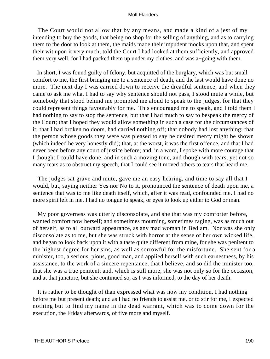The Court would not allow that by any means, and made a kind of a jest of my intending to buy the goods, that being no shop for the selling of anything, and as to carrying them to the door to look at them, the maids made their impudent mocks upon that, and spent their wit upon it very much; told the Court I had looked at them sufficiently, and approved them very well, for I had packed them up under my clothes, and was a−going with them.

 In short, I was found guilty of felony, but acquitted of the burglary, which was but small comfort to me, the first bringing me to a sentence of death, and the last would have done no more. The next day I was carried down to receive the dreadful sentence, and when they came to ask me what I had to say why sentence should not pass, I stood mute a while, but somebody that stood behind me prompted me aloud to speak to the judges, for that they could represent things favourably for me. This encouraged me to speak, and I told them I had nothing to say to stop the sentence, but that I had much to say to bespeak the mercy of the Court; that I hoped they would allow something in such a case for the circumstances of it; that I had broken no doors, had carried nothing off; that nobody had lost anything; that the person whose goods they were was pleased to say he desired mercy might be shown (which indeed he very honestly did); that, at the worst, it was the first offence, and that I had never been before any court of justice before; and, in a word, I spoke with more courage that I thought I could have done, and in such a moving tone, and though with tears, yet not so many tears as to obstruct my speech, that I could see it moved others to tears that heard me.

 The judges sat grave and mute, gave me an easy hearing, and time to say all that I would, but, saying neither Yes nor No to it, pronounced the sentence of death upon me, a sentence that was to me like death itself, which, after it was read, confounded me. I had no more spirit left in me, I had no tongue to speak, or eyes to look up either to God or man.

 My poor governess was utterly disconsolate, and she that was my comforter before, wanted comfort now herself; and sometimes mourning, sometimes raging, was as much out of herself, as to all outward appearance, as any mad woman in Bedlam. Nor was she only disconsolate as to me, but she was struck with horror at the sense of her own wicked life, and began to look back upon it with a taste quite different from mine, for she was penitent to the highest degree for her sins, as well as sorrowful for the misfortune. She sent for a minister, too, a serious, pious, good man, and applied herself with such earnestness, by his assistance, to the work of a sincere repentance, that I believe, and so did the minister too, that she was a true penitent; and, which is still more, she was not only so for the occasion, and at that juncture, but she continued so, as I was informed, to the day of her death.

 It is rather to be thought of than expressed what was now my condition. I had nothing before me but present death; and as I had no friends to assist me, or to stir for me, I expected nothing but to find my name in the dead warrant, which was to come down for the execution, the Friday afterwards, of five more and myself.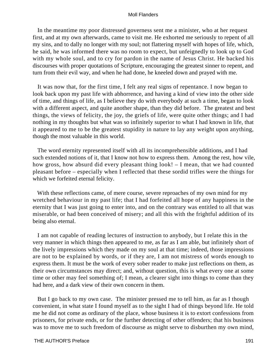In the meantime my poor distressed governess sent me a minister, who at her request first, and at my own afterwards, came to visit me. He exhorted me seriously to repent of all my sins, and to dally no longer with my soul; not flattering myself with hopes of life, which, he said, he was informed there was no room to expect, but unfeignedly to look up to God with my whole soul, and to cry for pardon in the name of Jesus Christ. He backed his discourses with proper quotations of Scripture, encouraging the greatest sinner to repent, and turn from their evil way, and when he had done, he kneeled down and prayed with me.

 It was now that, for the first time, I felt any real signs of repentance. I now began to look back upon my past life with abhorrence, and having a kind of view into the other side of time, and things of life, as I believe they do with everybody at such a time, began to look with a different aspect, and quite another shape, than they did before. The greatest and best things, the views of felicity, the joy, the griefs of life, were quite other things; and I had nothing in my thoughts but what was so infinitely superior to what I had known in life, that it appeared to me to be the greatest stupidity in nature to lay any weight upon anything, though the most valuable in this world.

 The word eternity represented itself with all its incomprehensible additions, and I had such extended notions of it, that I know not how to express them. Among the rest, how vile, how gross, how absurd did every pleasant thing look! – I mean, that we had counted pleasant before – especially when I reflected that these sordid trifles were the things for which we forfeited eternal felicity.

 With these reflections came, of mere course, severe reproaches of my own mind for my wretched behaviour in my past life; that I had forfeited all hope of any happiness in the eternity that I was just going to enter into, and on the contrary was entitled to all that was miserable, or had been conceived of misery; and all this with the frightful addition of its being also eternal.

 I am not capable of reading lectures of instruction to anybody, but I relate this in the very manner in which things then appeared to me, as far as I am able, but infinitely short of the lively impressions which they made on my soul at that time; indeed, those impressions are not to be explained by words, or if they are, I am not mistress of words enough to express them. It must be the work of every sober reader to make just reflections on them, as their own circumstances may direct; and, without question, this is what every one at some time or other may feel something of; I mean, a clearer sight into things to come than they had here, and a dark view of their own concern in them.

 But I go back to my own case. The minister pressed me to tell him, as far as I though convenient, in what state I found myself as to the sight I had of things beyond life. He told me he did not come as ordinary of the place, whose business it is to extort confessions from prisoners, for private ends, or for the further detecting of other offenders; that his business was to move me to such freedom of discourse as might serve to disburthen my own mind,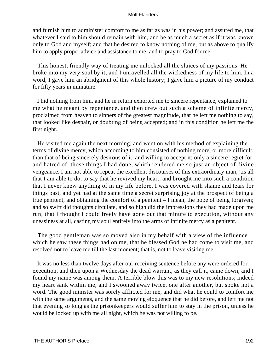and furnish him to administer comfort to me as far as was in his power; and assured me, that whatever I said to him should remain with him, and be as much a secret as if it was known only to God and myself; and that he desired to know nothing of me, but as above to qualify him to apply proper advice and assistance to me, and to pray to God for me.

 This honest, friendly way of treating me unlocked all the sluices of my passions. He broke into my very soul by it; and I unravelled all the wickedness of my life to him. In a word, I gave him an abridgment of this whole history; I gave him a picture of my conduct for fifty years in miniature.

 I hid nothing from him, and he in return exhorted me to sincere repentance, explained to me what he meant by repentance, and then drew out such a scheme of infinite mercy, proclaimed from heaven to sinners of the greatest magnitude, that he left me nothing to say, that looked like despair, or doubting of being accepted; and in this condition he left me the first night.

 He visited me again the next morning, and went on with his method of explaining the terms of divine mercy, which according to him consisted of nothing more, or more difficult, than that of being sincerely desirous of it, and willing to accept it; only a sincere regret for, and hatred of, those things I had done, which rendered me so just an object of divine vengeance. I am not able to repeat the excellent discourses of this extraordinary man; 'tis all that I am able to do, to say that he revived my heart, and brought me into such a condition that I never knew anything of in my life before. I was covered with shame and tears for things past, and yet had at the same time a secret surprising joy at the prospect of being a true penitent, and obtaining the comfort of a penitent – I mean, the hope of being forgiven; and so swift did thoughts circulate, and so high did the impressions they had made upon me run, that I thought I could freely have gone out that minute to execution, without any uneasiness at all, casting my soul entirely into the arms of infinite mercy as a penitent.

 The good gentleman was so moved also in my behalf with a view of the influence which he saw these things had on me, that he blessed God he had come to visit me, and resolved not to leave me till the last moment; that is, not to leave visiting me.

 It was no less than twelve days after our receiving sentence before any were ordered for execution, and then upon a Wednesday the dead warrant, as they call it, came down, and I found my name was among them. A terrible blow this was to my new resolutions; indeed my heart sank within me, and I swooned away twice, one after another, but spoke not a word. The good minister was sorely afflicted for me, and did what he could to comfort me with the same arguments, and the same moving eloquence that he did before, and left me not that evening so long as the prisonkeepers would suffer him to stay in the prison, unless he would be locked up with me all night, which he was not willing to be.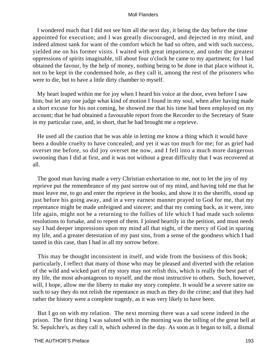I wondered much that I did not see him all the next day, it being the day before the time appointed for execution; and I was greatly discouraged, and dejected in my mind, and indeed almost sank for want of the comfort which he had so often, and with such success, yielded me on his former visits. I waited with great impatience, and under the greatest oppressions of spirits imaginable, till about four o'clock he came to my apartment; for I had obtained the favour, by the help of money, nothing being to be done in that place without it, not to be kept in the condemned hole, as they call it, among the rest of the prisoners who were to die, but to have a little dirty chamber to myself.

 My heart leaped within me for joy when I heard his voice at the door, even before I saw him; but let any one judge what kind of motion I found in my soul, when after having made a short excuse for his not coming, he showed me that his time had been employed on my account; that he had obtained a favourable report from the Recorder to the Secretary of State in my particular case, and, in short, that he had brought me a reprieve.

 He used all the caution that he was able in letting me know a thing which it would have been a double cruelty to have concealed; and yet it was too much for me; for as grief had overset me before, so did joy overset me now, and I fell into a much more dangerous swooning than I did at first, and it was not without a great difficulty that I was recovered at all.

 The good man having made a very Christian exhortation to me, not to let the joy of my reprieve put the remembrance of my past sorrow out of my mind, and having told me that he must leave me, to go and enter the reprieve in the books, and show it to the sheriffs, stood up just before his going away, and in a very earnest manner prayed to God for me, that my repentance might be made unfeigned and sincere; and that my coming back, as it were, into life again, might not be a returning to the follies of life which I had made such solemn resolutions to forsake, and to repent of them. I joined heartily in the petition, and must needs say I had deeper impressions upon my mind all that night, of the mercy of God in sparing my life, and a greater detestation of my past sins, from a sense of the goodness which I had tasted in this case, than I had in all my sorrow before.

 This may be thought inconsistent in itself, and wide from the business of this book; particularly, I reflect that many of those who may be pleased and diverted with the relation of the wild and wicked part of my story may not relish this, which is really the best part of my life, the most advantageous to myself, and the most instructive to others. Such, however, will, I hope, allow me the liberty to make my story complete. It would be a severe satire on such to say they do not relish the repentance as much as they do the crime; and that they had rather the history were a complete tragedy, as it was very likely to have been.

 But I go on with my relation. The next morning there was a sad scene indeed in the prison. The first thing I was saluted with in the morning was the tolling of the great bell at St. Sepulchre's, as they call it, which ushered in the day. As soon as it began to toll, a dismal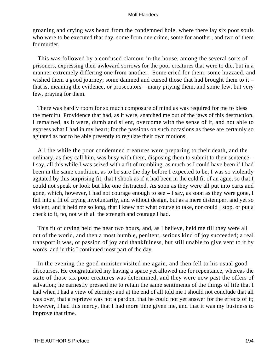groaning and crying was heard from the condemned hole, where there lay six poor souls who were to be executed that day, some from one crime, some for another, and two of them for murder.

 This was followed by a confused clamour in the house, among the several sorts of prisoners, expressing their awkward sorrows for the poor creatures that were to die, but in a manner extremely differing one from another. Some cried for them; some huzzaed, and wished them a good journey; some damned and cursed those that had brought them to it – that is, meaning the evidence, or prosecutors – many pitying them, and some few, but very few, praying for them.

 There was hardly room for so much composure of mind as was required for me to bless the merciful Providence that had, as it were, snatched me out of the jaws of this destruction. I remained, as it were, dumb and silent, overcome with the sense of it, and not able to express what I had in my heart; for the passions on such occasions as these are certainly so agitated as not to be able presently to regulate their own motions.

 All the while the poor condemned creatures were preparing to their death, and the ordinary, as they call him, was busy with them, disposing them to submit to their sentence – I say, all this while I was seized with a fit of trembling, as much as I could have been if I had been in the same condition, as to be sure the day before I expected to be; I was so violently agitated by this surprising fit, that I shook as if it had been in the cold fit of an ague, so that I could not speak or look but like one distracted. As soon as they were all put into carts and gone, which, however, I had not courage enough to see – I say, as soon as they were gone, I fell into a fit of crying involuntarily, and without design, but as a mere distemper, and yet so violent, and it held me so long, that I knew not what course to take, nor could I stop, or put a check to it, no, not with all the strength and courage I had.

 This fit of crying held me near two hours, and, as I believe, held me till they were all out of the world, and then a most humble, penitent, serious kind of joy succeeded; a real transport it was, or passion of joy and thankfulness, but still unable to give vent to it by words, and in this I continued most part of the day.

 In the evening the good minister visited me again, and then fell to his usual good discourses. He congratulated my having a space yet allowed me for repentance, whereas the state of those six poor creatures was determined, and they were now past the offers of salvation; he earnestly pressed me to retain the same sentiments of the things of life that I had when I had a view of eternity; and at the end of all told me I should not conclude that all was over, that a reprieve was not a pardon, that he could not yet answer for the effects of it; however, I had this mercy, that I had more time given me, and that it was my business to improve that time.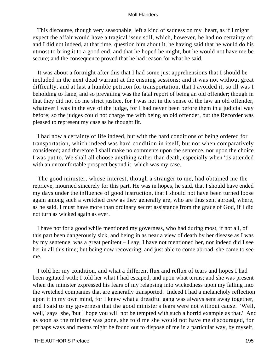This discourse, though very seasonable, left a kind of sadness on my heart, as if I might expect the affair would have a tragical issue still, which, however, he had no certainty of; and I did not indeed, at that time, question him about it, he having said that he would do his utmost to bring it to a good end, and that he hoped he might, but he would not have me be secure; and the consequence proved that he had reason for what he said.

 It was about a fortnight after this that I had some just apprehensions that I should be included in the next dead warrant at the ensuing sessions; and it was not without great difficulty, and at last a humble petition for transportation, that I avoided it, so ill was I beholding to fame, and so prevailing was the fatal report of being an old offender; though in that they did not do me strict justice, for I was not in the sense of the law an old offender, whatever I was in the eye of the judge, for I had never been before them in a judicial way before; so the judges could not charge me with being an old offender, but the Recorder was pleased to represent my case as he thought fit.

 I had now a certainty of life indeed, but with the hard conditions of being ordered for transportation, which indeed was hard condition in itself, but not when comparatively considered; and therefore I shall make no comments upon the sentence, nor upon the choice I was put to. We shall all choose anything rather than death, especially when 'tis attended with an uncomfortable prospect beyond it, which was my case.

 The good minister, whose interest, though a stranger to me, had obtained me the reprieve, mourned sincerely for this part. He was in hopes, he said, that I should have ended my days under the influence of good instruction, that I should not have been turned loose again among such a wretched crew as they generally are, who are thus sent abroad, where, as he said, I must have more than ordinary secret assistance from the grace of God, if I did not turn as wicked again as ever.

 I have not for a good while mentioned my governess, who had during most, if not all, of this part been dangerously sick, and being in as near a view of death by her disease as I was by my sentence, was a great penitent – I say, I have not mentioned her, nor indeed did I see her in all this time; but being now recovering, and just able to come abroad, she came to see me.

 I told her my condition, and what a different flux and reflux of tears and hopes I had been agitated with; I told her what I had escaped, and upon what terms; and she was present when the minister expressed his fears of my relapsing into wickedness upon my falling into the wretched companies that are generally transported. Indeed I had a melancholy reflection upon it in my own mind, for I knew what a dreadful gang was always sent away together, and I said to my governess that the good minister's fears were not without cause. 'Well, well,' says she, 'but I hope you will not be tempted with such a horrid example as that.' And as soon as the minister was gone, she told me she would not have me discouraged, for perhaps ways and means might be found out to dispose of me in a particular way, by myself,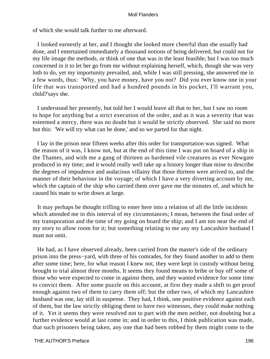of which she would talk further to me afterward.

 I looked earnestly at her, and I thought she looked more cheerful than she usually had done, and I entertained immediately a thousand notions of being delivered, but could not for my life image the methods, or think of one that was in the least feasible; but I was too much concerned in it to let her go from me without explaining herself, which, though she was very loth to do, yet my importunity prevailed, and, while I was still pressing, she answered me in a few words, thus: 'Why, you have money, have you not? Did you ever know one in your life that was transported and had a hundred pounds in his pocket, I'll warrant you, child?'says she.

 I understood her presently, but told her I would leave all that to her, but I saw no room to hope for anything but a strict execution of the order, and as it was a severity that was esteemed a mercy, there was no doubt but it would be strictly observed. She said no more but this: 'We will try what can be done,' and so we parted for that night.

 I lay in the prison near fifteen weeks after this order for transportation was signed. What the reason of it was, I know not, but at the end of this time I was put on board of a ship in the Thames, and with me a gang of thirteen as hardened vile creatures as ever Newgate produced in my time; and it would really well take up a history longer than mine to describe the degrees of impudence and audacious villainy that those thirteen were arrived to, and the manner of their behaviour in the voyage; of which I have a very diverting account by me, which the captain of the ship who carried them over gave me the minutes of, and which he caused his mate to write down at large.

 It may perhaps be thought trifling to enter here into a relation of all the little incidents which attended me in this interval of my circumstances; I mean, between the final order of my transporation and the time of my going on board the ship; and I am too near the end of my story to allow room for it; but something relating to me any my Lancashire husband I must not omit.

 He had, as I have observed already, been carried from the master's side of the ordinary prison into the press−yard, with three of his comrades, for they found another to add to them after some time; here, for what reason I knew not, they were kept in custody without being brought to trial almost three months. It seems they found means to bribe or buy off some of those who were expected to come in against them, and they wanted evidence for some time to convict them. After some puzzle on this account, at first they made a shift to get proof enough against two of them to carry them off; but the other two, of which my Lancashire husband was one, lay still in suspense. They had, I think, one positive evidence against each of them, but the law strictly obliging them to have two witnesses, they could make nothing of it. Yet it seems they were resolved not to part with the men neither, not doubting but a further evidence would at last come in; and in order to this, I think publication was made, that such prisoners being taken, any one that had been robbed by them might come to the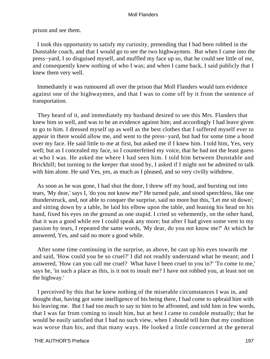prison and see them.

 I took this opportunity to satisfy my curiosity, pretending that I had been robbed in the Dunstable coach, and that I would go to see the two highwaymen. But when I came into the press−yard, I so disguised myself, and muffled my face up so, that he could see little of me, and consequently knew nothing of who I was; and when I came back, I said publicly that I knew them very well.

 Immediately it was rumoured all over the prison that Moll Flanders would turn evidence against one of the highwaymen, and that I was to come off by it from the sentence of transportation.

 They heard of it, and immediately my husband desired to see this Mrs. Flanders that knew him so well, and was to be an evidence against him; and accordingly I had leave given to go to him. I dressed myself up as well as the best clothes that I suffered myself ever to appear in there would allow me, and went to the press−yard, but had for some time a hood over my face. He said little to me at first, but asked me if I knew him. I told him, Yes, very well; but as I concealed my face, so I counterfeited my voice, that he had not the least guess at who I was. He asked me where I had seen him. I told him between Dunstable and Brickhill; but turning to the keeper that stood by, I asked if I might not be admitted to talk with him alone. He said Yes, yes, as much as I pleased, and so very civilly withdrew.

 As soon as he was gone, I had shut the door, I threw off my hood, and bursting out into tears, 'My dear,' says I, 'do you not know me?' He turned pale, and stood speechless, like one thunderstruck, and, not able to conquer the surprise, said no more but this, 'Let me sit down'; and sitting down by a table, he laid his elbow upon the table, and leaning his head on his hand, fixed his eyes on the ground as one stupid. I cried so vehemently, on the other hand, that it was a good while ere I could speak any more; but after I had given some vent to my passion by tears, I repeated the same words, 'My dear, do you not know me?' At which he answered, Yes, and said no more a good while.

 After some time continuing in the surprise, as above, he cast up his eyes towards me and said, 'How could you be so cruel?' I did not readily understand what he meant; and I answered, 'How can you call me cruel? What have I been cruel to you in?' 'To come to me,' says he, 'in such a place as this, is it not to insult me? I have not robbed you, at least not on the highway.'

 I perceived by this that he knew nothing of the miserable circumstances I was in, and thought that, having got some intelligence of his being there, I had come to upbraid him with his leaving me. But I had too much to say to him to be affronted, and told him in few words, that I was far from coming to insult him, but at best I came to condole mutually; that he would be easily satisfied that I had no such view, when I should tell him that my condition was worse than his, and that many ways. He looked a little concerned at the general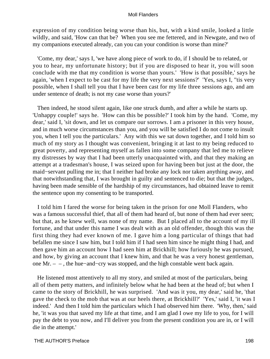expression of my condition being worse than his, but, with a kind smile, looked a little wildly, and said, 'How can that be? When you see me fettered, and in Newgate, and two of my companions executed already, can you can your condition is worse than mine?'

 'Come, my dear,' says I, 'we have along piece of work to do, if I should be to related, or you to hear, my unfortunate history; but if you are disposed to hear it, you will soon conclude with me that my condition is worse than yours.' 'How is that possible,' says he again, 'when I expect to be cast for my life the very next sessions?' 'Yes, says I, ''tis very possible, when I shall tell you that I have been cast for my life three sessions ago, and am under sentence of death; is not my case worse than yours?'

 Then indeed, he stood silent again, like one struck dumb, and after a while he starts up. 'Unhappy couple!' says he. 'How can this be possible?' I took him by the hand. 'Come, my dear,' said I, 'sit down, and let us compare our sorrows. I am a prisoner in this very house, and in much worse circumstances than you, and you will be satisfied I do not come to insult you, when I tell you the particulars.' Any with this we sat down together, and I told him so much of my story as I thought was convenient, bringing it at last to my being reduced to great poverty, and representing myself as fallen into some company that led me to relieve my distresses by way that I had been utterly unacquainted with, and that they making an attempt at a tradesman's house, I was seized upon for having been but just at the door, the maid−servant pulling me in; that I neither had broke any lock nor taken anything away, and that notwithstanding that, I was brought in guilty and sentenced to die; but that the judges, having been made sensible of the hardship of my circumstances, had obtained leave to remit the sentence upon my consenting to be transported.

 I told him I fared the worse for being taken in the prison for one Moll Flanders, who was a famous successful thief, that all of them had heard of, but none of them had ever seen; but that, as he knew well, was none of my name. But I placed all to the account of my ill fortune, and that under this name I was dealt with as an old offender, though this was the first thing they had ever known of me. I gave him a long particular of things that had befallen me since I saw him, but I told him if I had seen him since he might thing I had, and then gave him an account how I had seen him at Brickhill; how furiously he was pursued, and how, by giving an account that I knew him, and that he was a very honest gentleman, one Mr. – – , the hue−and−cry was stopped, and the high constable went back again.

 He listened most attentively to all my story, and smiled at most of the particulars, being all of them petty matters, and infinitely below what he had been at the head of; but when I came to the story of Brickhill, he was surprised. 'And was it you, my dear,' said he, 'that gave the check to the mob that was at our heels there, at Brickhill?' 'Yes,' said I, 'it was I indeed.' And then I told him the particulars which I had observed him there. 'Why, then,' said he, 'it was you that saved my life at that time, and I am glad I owe my life to you, for I will pay the debt to you now, and I'll deliver you from the present condition you are in, or I will die in the attempt.'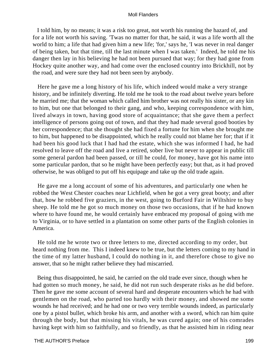I told him, by no means; it was a risk too great, not worth his running the hazard of, and for a life not worth his saving. 'Twas no matter for that, he said, it was a life worth all the world to him; a life that had given him a new life; 'for,' says he, 'I was never in real danger of being taken, but that time, till the last minute when I was taken.' Indeed, he told me his danger then lay in his believing he had not been pursued that way; for they had gone from Hockey quite another way, and had come over the enclosed country into Brickhill, not by the road, and were sure they had not been seen by anybody.

 Here he gave me a long history of his life, which indeed would make a very strange history, and be infinitely diverting. He told me he took to the road about twelve years before he married me; that the woman which called him brother was not really his sister, or any kin to him, but one that belonged to their gang, and who, keeping correspondence with him, lived always in town, having good store of acquaintance; that she gave them a perfect intelligence of persons going out of town, and that they had made several good booties by her correspondence; that she thought she had fixed a fortune for him when she brought me to him, but happened to be disappointed, which he really could not blame her for; that if it had been his good luck that I had had the estate, which she was informed I had, he had resolved to leave off the road and live a retired, sober live but never to appear in public till some general pardon had been passed, or till he could, for money, have got his name into some particular pardon, that so he might have been perfectly easy; but that, as it had proved otherwise, he was obliged to put off his equipage and take up the old trade again.

 He gave me a long account of some of his adventures, and particularly one when he robbed the West Chester coaches near Lichfield, when he got a very great booty; and after that, how he robbed five graziers, in the west, going to Burford Fair in Wiltshire to buy sheep. He told me he got so much money on those two occasions, that if he had known where to have found me, he would certainly have embraced my proposal of going with me to Virginia, or to have settled in a plantation on some other parts of the English colonies in America.

 He told me he wrote two or three letters to me, directed according to my order, but heard nothing from me. This I indeed knew to be true, but the letters coming to my hand in the time of my latter husband, I could do nothing in it, and therefore chose to give no answer, that so he might rather believe they had miscarried.

 Being thus disappointed, he said, he carried on the old trade ever since, though when he had gotten so much money, he said, he did not run such desperate risks as he did before. Then he gave me some account of several hard and desperate encounters which he had with gentlemen on the road, who parted too hardly with their money, and showed me some wounds he had received; and he had one or two very terrible wounds indeed, as particularly one by a pistol bullet, which broke his arm, and another with a sword, which ran him quite through the body, but that missing his vitals, he was cured again; one of his comrades having kept with him so faithfully, and so friendly, as that he assisted him in riding near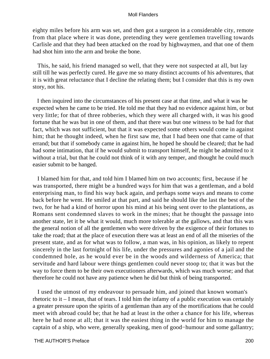eighty miles before his arm was set, and then got a surgeon in a considerable city, remote from that place where it was done, pretending they were gentlemen travelling towards Carlisle and that they had been attacked on the road by highwaymen, and that one of them had shot him into the arm and broke the bone.

 This, he said, his friend managed so well, that they were not suspected at all, but lay still till he was perfectly cured. He gave me so many distinct accounts of his adventures, that it is with great reluctance that I decline the relating them; but I consider that this is my own story, not his.

 I then inquired into the circumstances of his present case at that time, and what it was he expected when he came to be tried. He told me that they had no evidence against him, or but very little; for that of three robberies, which they were all charged with, it was his good fortune that he was but in one of them, and that there was but one witness to be had for that fact, which was not sufficient, but that it was expected some others would come in against him; that he thought indeed, when he first saw me, that I had been one that came of that errand; but that if somebody came in against him, he hoped he should be cleared; that he had had some intimation, that if he would submit to transport himself, he might be admitted to it without a trial, but that he could not think of it with any temper, and thought he could much easier submit to be hanged.

 I blamed him for that, and told him I blamed him on two accounts; first, because if he was transported, there might be a hundred ways for him that was a gentleman, and a bold enterprising man, to find his way back again, and perhaps some ways and means to come back before he went. He smiled at that part, and said he should like the last the best of the two, for he had a kind of horror upon his mind at his being sent over to the plantations, as Romans sent condemned slaves to work in the mines; that he thought the passage into another state, let it be what it would, much more tolerable at the gallows, and that this was the general notion of all the gentlemen who were driven by the exigence of their fortunes to take the road; that at the place of execution there was at least an end of all the miseries of the present state, and as for what was to follow, a man was, in his opinion, as likely to repent sincerely in the last fortnight of his life, under the pressures and agonies of a jail and the condemned hole, as he would ever be in the woods and wilderness of America; that servitude and hard labour were things gentlemen could never stoop to; that it was but the way to force them to be their own executioners afterwards, which was much worse; and that therefore he could not have any patience when he did but think of being transported.

 I used the utmost of my endeavour to persuade him, and joined that known woman's rhetoric to it – I mean, that of tears. I told him the infamy of a public execution was certainly a greater pressure upon the spirits of a gentleman than any of the mortifications that he could meet with abroad could be; that he had at least in the other a chance for his life, whereas here he had none at all; that it was the easiest thing in the world for him to manage the captain of a ship, who were, generally speaking, men of good−humour and some gallantry;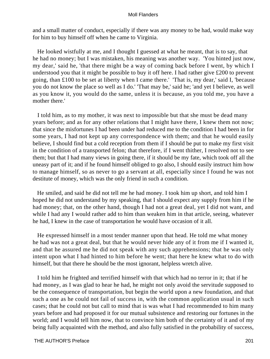and a small matter of conduct, especially if there was any money to be had, would make way for him to buy himself off when he came to Virginia.

 He looked wistfully at me, and I thought I guessed at what he meant, that is to say, that he had no money; but I was mistaken, his meaning was another way. 'You hinted just now, my dear,' said he, 'that there might be a way of coming back before I went, by which I understood you that it might be possible to buy it off here. I had rather give £200 to prevent going, than £100 to be set at liberty when I came there.' 'That is, my dear,' said I, 'because you do not know the place so well as I do.' 'That may be,' said he; 'and yet I believe, as well as you know it, you would do the same, unless it is because, as you told me, you have a mother there.'

 I told him, as to my mother, it was next to impossible but that she must be dead many years before; and as for any other relations that I might have there, I knew them not now; that since the misfortunes I had been under had reduced me to the condition I had been in for some years, I had not kept up any correspondence with them; and that he would easily believe, I should find but a cold reception from them if I should be put to make my first visit in the condition of a transported felon; that therefore, if I went thither, I resolved not to see them; but that I had many views in going there, if it should be my fate, which took off all the uneasy part of it; and if he found himself obliged to go also, I should easily instruct him how to manage himself, so as never to go a servant at all, especially since I found he was not destitute of money, which was the only friend in such a condition.

 He smiled, and said he did not tell me he had money. I took him up short, and told him I hoped he did not understand by my speaking, that I should expect any supply from him if he had money; that, on the other hand, though I had not a great deal, yet I did not want, and while I had any I would rather add to him than weaken him in that article, seeing, whatever he had, I knew in the case of transportation he would have occasion of it all.

 He expressed himself in a most tender manner upon that head. He told me what money he had was not a great deal, but that he would never hide any of it from me if I wanted it, and that he assured me he did not speak with any such apprehensions; that he was only intent upon what I had hinted to him before he went; that here he knew what to do with himself, but that there he should be the most ignorant, helpless wretch alive.

 I told him he frighted and terrified himself with that which had no terror in it; that if he had money, as I was glad to hear he had, he might not only avoid the servitude supposed to be the consequence of transportation, but begin the world upon a new foundation, and that such a one as he could not fail of success in, with the common application usual in such cases; that he could not but call to mind that is was what I had recommended to him many years before and had proposed it for our mutual subsistence and restoring our fortunes in the world; and I would tell him now, that to convince him both of the certainty of it and of my being fully acquainted with the method, and also fully satisfied in the probability of success,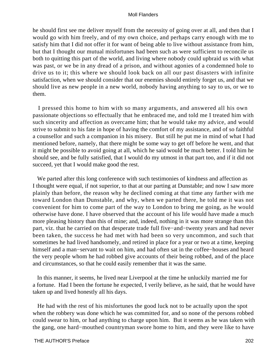he should first see me deliver myself from the necessity of going over at all, and then that I would go with him freely, and of my own choice, and perhaps carry enough with me to satisfy him that I did not offer it for want of being able to live without assistance from him, but that I thought our mutual misfortunes had been such as were sufficient to reconcile us both to quitting this part of the world, and living where nobody could upbraid us with what was past, or we be in any dread of a prison, and without agonies of a condemned hole to drive us to it; this where we should look back on all our past disasters with infinite satisfaction, when we should consider that our enemies should entirely forget us, and that we should live as new people in a new world, nobody having anything to say to us, or we to them.

 I pressed this home to him with so many arguments, and answered all his own passionate objections so effectually that he embraced me, and told me I treated him with such sincerity and affection as overcame him; that he would take my advice, and would strive to submit to his fate in hope of having the comfort of my assistance, and of so faithful a counsellor and such a companion in his misery. But still he put me in mind of what I had mentioned before, namely, that there might be some way to get off before he went, and that it might be possible to avoid going at all, which he said would be much better. I told him he should see, and be fully satisfied, that I would do my utmost in that part too, and if it did not succeed, yet that I would make good the rest.

 We parted after this long conference with such testimonies of kindness and affection as I thought were equal, if not superior, to that at our parting at Dunstable; and now I saw more plainly than before, the reason why he declined coming at that time any farther with me toward London than Dunstable, and why, when we parted there, he told me it was not convenient for him to come part of the way to London to bring me going, as he would otherwise have done. I have observed that the account of his life would have made a much more pleasing history than this of mine; and, indeed, nothing in it was more strange than this part, viz. that he carried on that desperate trade full five−and−twenty years and had never been taken, the success he had met with had been so very uncommon, and such that sometimes he had lived handsomely, and retired in place for a year or two at a time, keeping himself and a man−servant to wait on him, and had often sat in the coffee−houses and heard the very people whom he had robbed give accounts of their being robbed, and of the place and circumstances, so that he could easily remember that it was the same.

 In this manner, it seems, he lived near Liverpool at the time he unluckily married me for a fortune. Had I been the fortune he expected, I verily believe, as he said, that he would have taken up and lived honestly all his days.

 He had with the rest of his misfortunes the good luck not to be actually upon the spot when the robbery was done which he was committed for, and so none of the persons robbed could swear to him, or had anything to charge upon him. But it seems as he was taken with the gang, one hard−mouthed countryman swore home to him, and they were like to have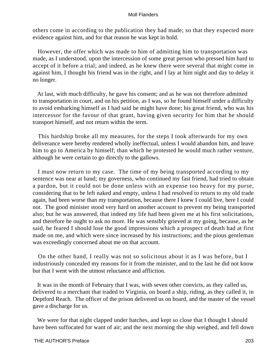others come in according to the publication they had made; so that they expected more evidence against him, and for that reason he was kept in hold.

 However, the offer which was made to him of admitting him to transportation was made, as I understood, upon the intercession of some great person who pressed him hard to accept of it before a trial; and indeed, as he knew there were several that might come in against him, I thought his friend was in the right, and I lay at him night and day to delay it no longer.

 At last, with much difficulty, he gave his consent; and as he was not therefore admitted to transportation in court, and on his petition, as I was, so he found himself under a difficulty to avoid embarking himself as I had said he might have done; his great friend, who was his intercessor for the favour of that grant, having given security for him that he should transport himself, and not return within the term.

 This hardship broke all my measures, for the steps I took afterwards for my own deliverance were hereby rendered wholly ineffectual, unless I would abandon him, and leave him to go to America by himself; than which he protested he would much rather venture, although he were certain to go directly to the gallows.

 I must now return to my case. The time of my being transported according to my sentence was near at hand; my governess, who continued my fast friend, had tried to obtain a pardon, but it could not be done unless with an expense too heavy for my purse, considering that to be left naked and empty, unless I had resolved to return to my old trade again, had been worse than my transportation, because there I knew I could live, here I could not. The good minister stood very hard on another account to prevent my being transported also; but he was answered, that indeed my life had been given me at his first solicitations, and therefore he ought to ask no more. He was sensibly grieved at my going, because, as he said, he feared I should lose the good impressions which a prospect of death had at first made on me, and which were since increased by his instructions; and the pious gentleman was exceedingly concerned about me on that account.

 On the other hand, I really was not so solicitous about it as I was before, but I industriously concealed my reasons for it from the minister, and to the last he did not know but that I went with the utmost reluctance and affliction.

 It was in the month of February that I was, with seven other convicts, as they called us, delivered to a merchant that traded to Virginia, on board a ship, riding, as they called it, in Deptford Reach. The officer of the prison delivered us on board, and the master of the vessel gave a discharge for us.

We were for that night clapped under hatches, and kept so close that I thought I should have been suffocated for want of air; and the next morning the ship weighed, and fell down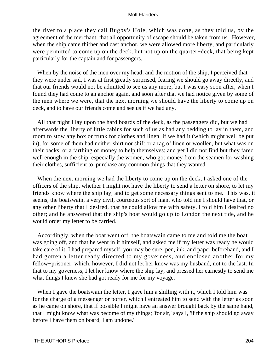the river to a place they call Bugby's Hole, which was done, as they told us, by the agreement of the merchant, that all opportunity of escape should be taken from us. However, when the ship came thither and cast anchor, we were allowed more liberty, and particularly were permitted to come up on the deck, but not up on the quarter−deck, that being kept particularly for the captain and for passengers.

When by the noise of the men over my head, and the motion of the ship, I perceived that they were under sail, I was at first greatly surprised, fearing we should go away directly, and that our friends would not be admitted to see us any more; but I was easy soon after, when I found they had come to an anchor again, and soon after that we had notice given by some of the men where we were, that the next morning we should have the liberty to come up on deck, and to have our friends come and see us if we had any.

 All that night I lay upon the hard boards of the deck, as the passengers did, but we had afterwards the liberty of little cabins for such of us as had any bedding to lay in them, and room to stow any box or trunk for clothes and linen, if we had it (which might well be put in), for some of them had neither shirt nor shift or a rag of linen or woollen, but what was on their backs, or a farthing of money to help themselves; and yet I did not find but they fared well enough in the ship, especially the women, who got money from the seamen for washing their clothes, sufficient to purchase any common things that they wanted.

 When the next morning we had the liberty to come up on the deck, I asked one of the officers of the ship, whether I might not have the liberty to send a letter on shore, to let my friends know where the ship lay, and to get some necessary things sent to me. This was, it seems, the boatswain, a very civil, courteous sort of man, who told me I should have that, or any other liberty that I desired, that he could allow me with safety. I told him I desired no other; and he answered that the ship's boat would go up to London the next tide, and he would order my letter to be carried.

 Accordingly, when the boat went off, the boatswain came to me and told me the boat was going off, and that he went in it himself, and asked me if my letter was ready he would take care of it. I had prepared myself, you may be sure, pen, ink, and paper beforehand, and I had gotten a letter ready directed to my governess, and enclosed another for my fellow−prisoner, which, however, I did not let her know was my husband, not to the last. In that to my governess, I let her know where the ship lay, and pressed her earnestly to send me what things I knew she had got ready for me for my voyage.

When I gave the boatswain the letter, I gave him a shilling with it, which I told him was for the charge of a messenger or porter, which I entreated him to send with the letter as soon as he came on shore, that if possible I might have an answer brought back by the same hand, that I might know what was become of my things; 'for sir,' says I, 'if the ship should go away before I have them on board, I am undone.'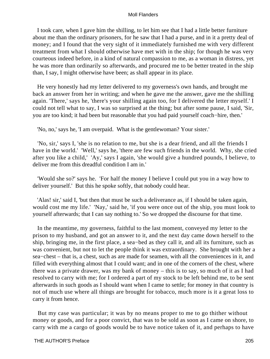I took care, when I gave him the shilling, to let him see that I had a little better furniture about me than the ordinary prisoners, for he saw that I had a purse, and in it a pretty deal of money; and I found that the very sight of it immediately furnished me with very different treatment from what I should otherwise have met with in the ship; for though he was very courteous indeed before, in a kind of natural compassion to me, as a woman in distress, yet he was more than ordinarily so afterwards, and procured me to be better treated in the ship than, I say, I might otherwise have been; as shall appear in its place.

 He very honestly had my letter delivered to my governess's own hands, and brought me back an answer from her in writing; and when he gave me the answer, gave me the shilling again. 'There,' says he, 'there's your shilling again too, for I delivered the letter myself.' I could not tell what to say, I was so surprised at the thing; but after some pause, I said, 'Sir, you are too kind; it had been but reasonable that you had paid yourself coach−hire, then.'

'No, no,' says he, 'I am overpaid. What is the gentlewoman? Your sister.'

 'No, sir,' says I, 'she is no relation to me, but she is a dear friend, and all the friends I have in the world.' 'Well,' says he, 'there are few such friends in the world. Why, she cried after you like a child,' 'Ay,' says I again, 'she would give a hundred pounds, I believe, to deliver me from this dreadful condition I am in.'

 'Would she so?' says he. 'For half the money I believe I could put you in a way how to deliver yourself.' But this he spoke softly, that nobody could hear.

 'Alas! sir,' said I, 'but then that must be such a deliverance as, if I should be taken again, would cost me my life.' 'Nay,' said he, 'if you were once out of the ship, you must look to yourself afterwards; that I can say nothing to.' So we dropped the discourse for that time.

 In the meantime, my governess, faithful to the last moment, conveyed my letter to the prison to my husband, and got an answer to it, and the next day came down herself to the ship, bringing me, in the first place, a sea−bed as they call it, and all its furniture, such as was convenient, but not to let the people think it was extraordinary. She brought with her a sea−chest – that is, a chest, such as are made for seamen, with all the conveniences in it, and filled with everything almost that I could want; and in one of the corners of the chest, where there was a private drawer, was my bank of money – this is to say, so much of it as I had resolved to carry with me; for I ordered a part of my stock to be left behind me, to be sent afterwards in such goods as I should want when I came to settle; for money in that country is not of much use where all things are brought for tobacco, much more is it a great loss to carry it from hence.

 But my case was particular; it was by no means proper to me to go thither without money or goods, and for a poor convict, that was to be sold as soon as I came on shore, to carry with me a cargo of goods would be to have notice taken of it, and perhaps to have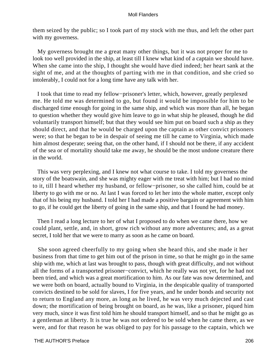them seized by the public; so I took part of my stock with me thus, and left the other part with my governess.

 My governess brought me a great many other things, but it was not proper for me to look too well provided in the ship, at least till I knew what kind of a captain we should have. When she came into the ship, I thought she would have died indeed; her heart sank at the sight of me, and at the thoughts of parting with me in that condition, and she cried so intolerably, I could not for a long time have any talk with her.

 I took that time to read my fellow−prisoner's letter, which, however, greatly perplexed me. He told me was determined to go, but found it would be impossible for him to be discharged time enough for going in the same ship, and which was more than all, he began to question whether they would give him leave to go in what ship he pleased, though he did voluntarily transport himself; but that they would see him put on board such a ship as they should direct, and that he would be charged upon the captain as other convict prisoners were; so that he began to be in despair of seeing me till he came to Virginia, which made him almost desperate; seeing that, on the other hand, if I should not be there, if any accident of the sea or of mortality should take me away, he should be the most undone creature there in the world.

 This was very perplexing, and I knew not what course to take. I told my governess the story of the boatswain, and she was mighty eager with me treat with him; but I had no mind to it, till I heard whether my husband, or fellow−prisoner, so she called him, could be at liberty to go with me or no. At last I was forced to let her into the whole matter, except only that of his being my husband. I told her I had made a positive bargain or agreement with him to go, if he could get the liberty of going in the same ship, and that I found he had money.

 Then I read a long lecture to her of what I proposed to do when we came there, how we could plant, settle, and, in short, grow rich without any more adventures; and, as a great secret, I told her that we were to marry as soon as he came on board.

 She soon agreed cheerfully to my going when she heard this, and she made it her business from that time to get him out of the prison in time, so that he might go in the same ship with me, which at last was brought to pass, though with great difficulty, and not without all the forms of a transported prisoner−convict, which he really was not yet, for he had not been tried, and which was a great mortification to him. As our fate was now determined, and we were both on board, actually bound to Virginia, in the despicable quality of transported convicts destined to be sold for slaves, I for five years, and he under bonds and security not to return to England any more, as long as he lived, he was very much dejected and cast down; the mortification of being brought on board, as he was, like a prisoner, piqued him very much, since it was first told him he should transport himself, and so that he might go as a gentleman at liberty. It is true he was not ordered to be sold when he came there, as we were, and for that reason he was obliged to pay for his passage to the captain, which we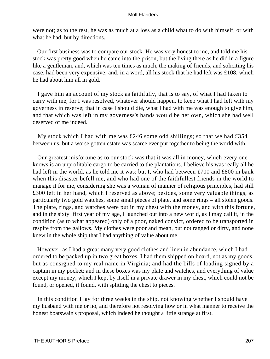were not; as to the rest, he was as much at a loss as a child what to do with himself, or with what he had, but by directions.

 Our first business was to compare our stock. He was very honest to me, and told me his stock was pretty good when he came into the prison, but the living there as he did in a figure like a gentleman, and, which was ten times as much, the making of friends, and soliciting his case, had been very expensive; and, in a word, all his stock that he had left was £108, which he had about him all in gold.

 I gave him an account of my stock as faithfully, that is to say, of what I had taken to carry with me, for I was resolved, whatever should happen, to keep what I had left with my governess in reserve; that in case I should die, what I had with me was enough to give him, and that which was left in my governess's hands would be her own, which she had well deserved of me indeed.

My stock which I had with me was £246 some odd shillings; so that we had £354 between us, but a worse gotten estate was scarce ever put together to being the world with.

 Our greatest misfortune as to our stock was that it was all in money, which every one knows is an unprofitable cargo to be carried to the plantations. I believe his was really all he had left in the world, as he told me it was; but I, who had between £700 and £800 in bank when this disaster befell me, and who had one of the faithfullest friends in the world to manage it for me, considering she was a woman of manner of religious principles, had still £300 left in her hand, which I reserved as above; besides, some very valuable things, as particularly two gold watches, some small pieces of plate, and some rings – all stolen goods. The plate, rings, and watches were put in my chest with the money, and with this fortune, and in the sixty−first year of my age, I launched out into a new world, as I may call it, in the condition (as to what appeared) only of a poor, naked convict, ordered to be transported in respite from the gallows. My clothes were poor and mean, but not ragged or dirty, and none knew in the whole ship that I had anything of value about me.

 However, as I had a great many very good clothes and linen in abundance, which I had ordered to be packed up in two great boxes, I had them shipped on board, not as my goods, but as consigned to my real name in Virginia; and had the bills of loading signed by a captain in my pocket; and in these boxes was my plate and watches, and everything of value except my money, which I kept by itself in a private drawer in my chest, which could not be found, or opened, if found, with splitting the chest to pieces.

In this condition I lay for three weeks in the ship, not knowing whether I should have my husband with me or no, and therefore not resolving how or in what manner to receive the honest boatswain's proposal, which indeed he thought a little strange at first.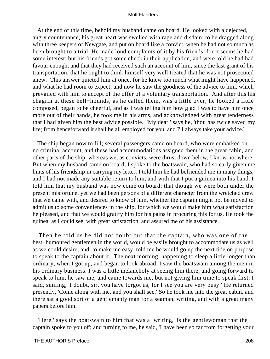At the end of this time, behold my husband came on board. He looked with a dejected, angry countenance, his great heart was swelled with rage and disdain; to be dragged along with three keepers of Newgate, and put on board like a convict, when he had not so much as been brought to a trial. He made loud complaints of it by his friends, for it seems he had some interest; but his friends got some check in their application, and were told he had had favour enough, and that they had received such an account of him, since the last grant of his transportation, that he ought to think himself very well treated that he was not prosecuted anew. This answer quieted him at once, for he knew too much what might have happened, and what he had room to expect; and now he saw the goodness of the advice to him, which prevailed with him to accept of the offer of a voluntary transportation. And after this his chagrin at these hell−hounds, as he called them, was a little over, he looked a little composed, began to be cheerful, and as I was telling him how glad I was to have him once more out of their hands, he took me in his arms, and acknowledged with great tenderness that I had given him the best advice possible. 'My dear,' says he, 'thou has twice saved my life; from henceforward it shall be all employed for you, and I'll always take your advice.'

 The ship began now to fill; several passengers came on board, who were embarked on no criminal account, and these had accommodations assigned them in the great cabin, and other parts of the ship, whereas we, as convicts, were thrust down below, I know not where. But when my husband came on board, I spoke to the boatswain, who had so early given me hints of his friendship in carrying my letter. I told him he had befriended me in many things, and I had not made any suitable return to him, and with that I put a guinea into his hand. I told him that my husband was now come on board; that though we were both under the present misfortune, yet we had been persons of a different character from the wretched crew that we came with, and desired to know of him, whether the captain might not be moved to admit us to some conveniences in the ship, for which we would make him what satisfaction he pleased, and that we would gratify him for his pains in procuring this for us. He took the guinea, as I could see, with great satisfaction, and assured me of his assistance.

 Then he told us he did not doubt but that the captain, who was one of the best−humoured gentlemen in the world, would be easily brought to accommodate us as well as we could desire, and, to make me easy, told me he would go up the next tide on purpose to speak to the captain about it. The next morning, happening to sleep a little longer than ordinary, when I got up, and began to look abroad, I saw the boatswain among the men in his ordinary business. I was a little melancholy at seeing him there, and going forward to speak to him, he saw me, and came towards me, but not giving him time to speak first, I said, smiling, 'I doubt, sir, you have forgot us, for I see you are very busy.' He returned presently, 'Come along with me, and you shall see.' So he took me into the great cabin, and there sat a good sort of a gentlemanly man for a seaman, writing, and with a great many papers before him.

 'Here,' says the boatswain to him that was a−writing, 'is the gentlewoman that the captain spoke to you of'; and turning to me, he said, 'I have been so far from forgetting your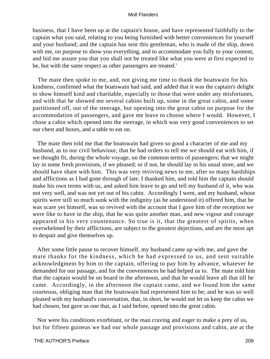business, that I have been up at the captain's house, and have represented faithfully to the captain what you said, relating to you being furnished with better conveniences for yourself and your husband; and the captain has sent this gentleman, who is made of the ship, down with me, on purpose to show you everything, and to accommodate you fully to your content, and bid me assure you that you shall not be treated like what you were at first expected to be, but with the same respect as other passengers are treated.'

 The mate then spoke to me, and, not giving me time to thank the boatswain for his kindness, confirmed what the boatswain had said, and added that it was the captain's delight to show himself kind and charitable, especially to those that were under any misfortunes, and with that he showed me several cabins built up, some in the great cabin, and some partitioned off, out of the steerage, but opening into the great cabin on purpose for the accommodation of passengers, and gave me leave to choose where I would. However, I chose a cabin which opened into the steerage, in which was very good conveniences to set our chest and boxes, and a table to eat on.

 The mate then told me that the boatswain had given so good a character of me and my husband, as to our civil behaviour, that he had orders to tell me we should eat with him, if we thought fit, during the whole voyage, on the common terms of passengers; that we might lay in some fresh provisions, if we pleased; or if not, he should lay in his usual store, and we should have share with him. This was very reviving news to me, after so many hardships and afflictions as I had gone through of late. I thanked him, and told him the captain should make his own terms with us, and asked him leave to go and tell my husband of it, who was not very well, and was not yet out of his cabin. Accordingly I went, and my husband, whose spirits were still so much sunk with the indignity (as he understood it) offered him, that he was scare yet himself, was so revived with the account that I gave him of the reception we were like to have in the ship, that he was quite another man, and new vigour and courage appeared in his very countenance. So true is it, that the greatest of spirits, when overwhelmed by their afflictions, are subject to the greatest dejections, and are the most apt to despair and give themselves up.

 After some little pause to recover himself, my husband came up with me, and gave the mate thanks for the kindness, which he had expressed to us, and sent suitable acknowledgment by him to the captain, offering to pay him by advance, whatever he demanded for our passage, and for the conveniences he had helped us to. The mate told him that the captain would be on board in the afternoon, and that he would leave all that till he came. Accordingly, in the afternoon the captain came, and we found him the same courteous, obliging man that the boatswain had represented him to be; and he was so well pleased with my husband's conversation, that, in short, he would not let us keep the cabin we had chosen, but gave us one that, as I said before, opened into the great cabin.

 Nor were his conditions exorbitant, or the man craving and eager to make a prey of us, but for fifteen guineas we had our whole passage and provisions and cabin, ate at the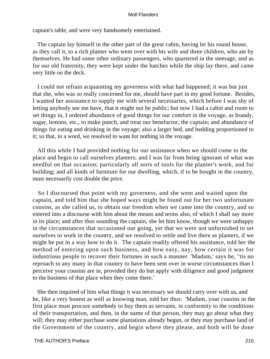captain's table, and were very handsomely entertained.

 The captain lay himself in the other part of the great cabin, having let his round house, as they call it, to a rich planter who went over with his wife and three children, who ate by themselves. He had some other ordinary passengers, who quartered in the steerage, and as for our old fraternity, they were kept under the hatches while the ship lay there, and came very little on the deck.

 I could not refrain acquainting my governess with what had happened; it was but just that she, who was so really concerned for me, should have part in my good fortune. Besides, I wanted her assistance to supply me with several necessaries, which before I was shy of letting anybody see me have, that it might not be public; but now I had a cabin and room to set things in, I ordered abundance of good things for our comfort in the voyage, as brandy, sugar, lemons, etc., to make punch, and treat our benefactor, the captain; and abundance of things for eating and drinking in the voyage; also a larger bed, and bedding proportioned to it; so that, in a word, we resolved to want for nothing in the voyage.

 All this while I had provided nothing for our assistance when we should come to the place and begin to call ourselves planters; and I was far from being ignorant of what was needful on that occasion; particularly all sorts of tools for the planter's work, and for building; and all kinds of furniture for our dwelling, which, if to be bought in the country, must necessarily cost double the price.

 So I discoursed that point with my governess, and she went and waited upon the captain, and told him that she hoped ways might be found out for her two unfortunate cousins, as she called us, to obtain our freedom when we came into the country, and so entered into a discourse with him about the means and terms also, of which I shall say more in its place; and after thus sounding the captain, she let him know, though we were unhappy in the circumstances that occasioned our going, yet that we were not unfurnished to set ourselves to work in the country, and we resolved to settle and live there as planters, if we might be put in a way how to do it. The captain readily offered his assistance, told her the method of entering upon such business, and how easy, nay, how certain it was for industrious people to recover their fortunes in such a manner. 'Madam,' says he, ''tis no reproach to any many in that country to have been sent over in worse circumstances than I perceive your cousins are in, provided they do but apply with diligence and good judgment to the business of that place when they come there.'

 She then inquired of him what things it was necessary we should carry over with us, and he, like a very honest as well as knowing man, told her thus: 'Madam, your cousins in the first place must procure somebody to buy them as servants, in conformity to the conditions of their transportation, and then, in the name of that person, they may go about what they will; they may either purchase some plantations already begun, or they may purchase land of the Government of the country, and begin where they please, and both will be done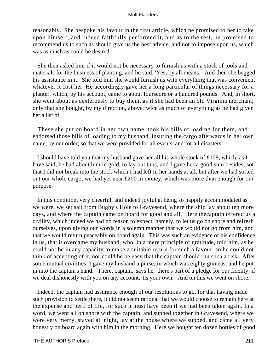reasonably.' She bespoke his favour in the first article, which he promised to her to take upon himself, and indeed faithfully performed it, and as to the rest, he promised to recommend us to such as should give us the best advice, and not to impose upon us, which was as much as could be desired.

 She then asked him if it would not be necessary to furnish us with a stock of tools and materials for the business of planting, and he said, 'Yes, by all means.' And then she begged his assistance in it. She told him she would furnish us with everything that was convenient whatever it cost her. He accordingly gave her a long particular of things necessary for a planter, which, by his account, came to about fourscore or a hundred pounds. And, in short, she went about as dexterously to buy them, as if she had been an old Virginia merchant; only that she bought, by my direction, above twice as much of everything as he had given her a list of.

 These she put on board in her own name, took his bills of loading for them, and endorsed those bills of loading to my husband, insuring the cargo afterwards in her own name, by our order; so that we were provided for all events, and for all disasters.

 I should have told you that my husband gave her all his whole stock of £108, which, as I have said, he had about him in gold, to lay out thus, and I gave her a good sum besides; sot that I did not break into the stock which I had left in her hands at all, but after we had sorted out our whole cargo, we had yet near £200 in money, which was more than enough for our purpose.

 In this condition, very cheerful, and indeed joyful at being so happily accommodated as we were, we set sail from Bugby's Hole to Gravesend, where the ship lay about ten more days, and where the captain came on board for good and all. Here thecaptain offered us a civility, which indeed we had no reason to expect, namely, to let us go on shore and refresh ourselves, upon giving our words in a solemn manner that we would not go from him, and that we would return peaceably on board again. This was such an evidence of his confidence in us, that it overcame my husband, who, in a mere principle of gratitude, told him, as he could not be in any capacity to make a suitable return for such a favour, so he could not think of accepting of it, nor could he be easy that the captain should run such a risk. After some mutual civilities, I gave my husband a purse, in which was eighty guineas, and he put in into the captain's hand. 'There, captain,' says he, 'there's part of a pledge for our fidelity; if we deal dishonestly with you on any account, 'tis your own.' And on this we went on shore.

 Indeed, the captain had assurance enough of our resolutions to go, for that having made such provision to settle there, it did not seem rational that we would choose to remain here at the expense and peril of life, for such it must have been if we had been taken again. In a word, we went all on shore with the captain, and supped together in Gravesend, where we were very merry, stayed all night, lay at the house where we supped, and came all very honestly on board again with him in the morning. Here we bought ten dozen bottles of good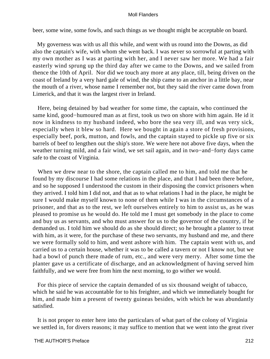beer, some wine, some fowls, and such things as we thought might be acceptable on board.

 My governess was with us all this while, and went with us round into the Downs, as did also the captain's wife, with whom she went back. I was never so sorrowful at parting with my own mother as I was at parting with her, and I never saw her more. We had a fair easterly wind sprung up the third day after we came to the Downs, and we sailed from thence the 10th of April. Nor did we touch any more at any place, till, being driven on the coast of Ireland by a very hard gale of wind, the ship came to an anchor in a little bay, near the mouth of a river, whose name I remember not, but they said the river came down from Limerick, and that it was the largest river in Ireland.

 Here, being detained by bad weather for some time, the captain, who continued the same kind, good−humoured man as at first, took us two on shore with him again. He id it now in kindness to my husband indeed, who bore the sea very ill, and was very sick, especially when it blew so hard. Here we bought in again a store of fresh provisions, especially beef, pork, mutton, and fowls, and the captain stayed to pickle up five or six barrels of beef to lengthen out the ship's store. We were here not above five days, when the weather turning mild, and a fair wind, we set sail again, and in two−and−forty days came safe to the coast of Virginia.

 When we drew near to the shore, the captain called me to him, and told me that he found by my discourse I had some relations in the place, and that I had been there before, and so he supposed I understood the custom in their disposing the convict prisoners when they arrived. I told him I did not, and that as to what relations I had in the place, he might be sure I would make myself known to none of them while I was in the circumstances of a prisoner, and that as to the rest, we left ourselves entirely to him to assist us, as he was pleased to promise us he would do. He told me I must get somebody in the place to come and buy us as servants, and who must answer for us to the governor of the country, if he demanded us. I told him we should do as she should direct; so he brought a planter to treat with him, as it were, for the purchase of these two servants, my husband and me, and there we were formally sold to him, and went ashore with him. The captain went with us, and carried us to a certain house, whether it was to be called a tavern or not I know not, but we had a bowl of punch there made of rum, etc., and were very merry. After some time the planter gave us a certificate of discharge, and an acknowledgment of having served him faithfully, and we were free from him the next morning, to go wither we would.

 For this piece of service the captain demanded of us six thousand weight of tabacco, which he said he was accountable for to his freighter, and which we immediately bought for him, and made him a present of twenty guineas besides, with which he was abundantly satisfied.

 It is not proper to enter here into the particulars of what part of the colony of Virginia we settled in, for divers reasons; it may suffice to mention that we went into the great river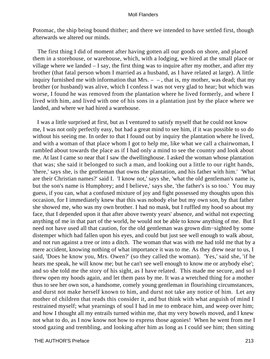Potomac, the ship being bound thither; and there we intended to have settled first, though afterwards we altered our minds.

 The first thing I did of moment after having gotten all our goods on shore, and placed them in a storehouse, or warehouse, which, with a lodging, we hired at the small place or village where we landed – I say, the first thing was to inquire after my mother, and after my brother (that fatal person whom I married as a husband, as I have related at large). A little inquiry furnished me with information that Mrs.  $-$ , that is, my mother, was dead; that my brother (or husband) was alive, which I confess I was not very glad to hear; but which was worse, I found he was removed from the plantation where he lived formerly, and where I lived with him, and lived with one of his sons in a plantation just by the place where we landed, and where we had hired a warehouse.

 I was a little surprised at first, but as I ventured to satisfy myself that he could not know me, I was not only perfectly easy, but had a great mind to see him, if it was possible to so do without his seeing me. In order to that I found out by inquiry the plantation where he lived, and with a woman of that place whom I got to help me, like what we call a chairwoman, I rambled about towards the place as if I had only a mind to see the country and look about me. At last I came so near that I saw the dwellinghouse. I asked the woman whose plantation that was; she said it belonged to such a man, and looking out a little to our right hands, 'there,' says she, is the gentleman that owns the plantation, and his father with him.' 'What are their Christian names?' said I. 'I know not,' says she, 'what the old gentleman's name is, but the son's name is Humphrey; and I believe,' says she, 'the father's is so too.' You may guess, if you can, what a confused mixture of joy and fight possessed my thoughts upon this occasion, for I immediately knew that this was nobody else but my own son, by that father she showed me, who was my own brother. I had no mask, but I ruffled my hood so about my face, that I depended upon it that after above twenty years' absence, and withal not expecting anything of me in that part of the world, he would not be able to know anything of me. But I need not have used all that caution, for the old gentleman was grown dim−sighted by some distemper which had fallen upon his eyes, and could but just see well enough to walk about, and not run against a tree or into a ditch. The woman that was with me had told me that by a mere accident, knowing nothing of what importance it was to me. As they drew near to us, I said, 'Does he know you, Mrs. Owen?' (so they called the woman). 'Yes,' said she, 'if he hears me speak, he will know me; but he can't see well enough to know me or anybody else'; and so she told me the story of his sight, as I have related. This made me secure, and so I threw open my hoods again, and let them pass by me. It was a wretched thing for a mother thus to see her own son, a handsome, comely young gentleman in flourishing circumstances, and durst not make herself known to him, and durst not take any notice of him. Let any mother of children that reads this consider it, and but think with what anguish of mind I restrained myself; what yearnings of soul I had in me to embrace him, and weep over him; and how I thought all my entrails turned within me, that my very bowels moved, and I knew not what to do, as I now know not how to express those agonies! When he went from me I stood gazing and trembling, and looking after him as long as I could see him; then sitting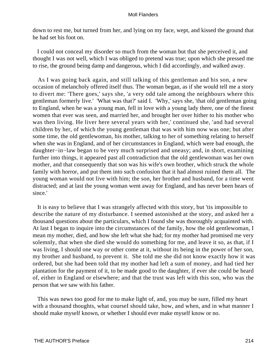down to rest me, but turned from her, and lying on my face, wept, and kissed the ground that he had set his foot on.

 I could not conceal my disorder so much from the woman but that she perceived it, and thought I was not well, which I was obliged to pretend was true; upon which she pressed me to rise, the ground being damp and dangerous, which I did accordingly, and walked away.

 As I was going back again, and still talking of this gentleman and his son, a new occasion of melancholy offered itself thus. The woman began, as if she would tell me a story to divert me: 'There goes,' says she, 'a very odd tale among the neighbours where this gentleman formerly live.' 'What was that?' said I. 'Why,' says she, 'that old gentleman going to England, when he was a young man, fell in love with a young lady there, one of the finest women that ever was seen, and married her, and brought her over hither to his mother who was then living. He liver here several years with her,' continued she, 'and had several children by her, of which the young gentleman that was with him now was one; but after some time, the old gentlewoman, his mother, talking to her of something relating to herself when she was in England, and of her circumstances in England, which were bad enough, the daughter−in−law began to be very much surprised and uneasy; and, in short, examining further into things, it appeared past all contradiction that the old gentlewoman was her own mother, and that consequently that son was his wife's own brother, which struck the whole family with horror, and put them into such confusion that it had almost ruined them all. The young woman would not live with him; the son, her brother and husband, for a time went distracted; and at last the young woman went away for England, and has never been hears of since.'

 It is easy to believe that I was strangely affected with this story, but 'tis impossible to describe the nature of my disturbance. I seemed astonished at the story, and asked her a thousand questions about the particulars, which I found she was thoroughly acquainted with. At last I began to inquire into the circumstances of the family, how the old gentlewoman, I mean my mother, died, and how she left what she had; for my mother had promised me very solemnly, that when she died she would do something for me, and leave it so, as that, if I was living, I should one way or other come at it, without its being in the power of her son, my brother and husband, to prevent it. She told me she did not know exactly how it was ordered, but she had been told that my mother had left a sum of money, and had tied her plantation for the payment of it, to be made good to the daughter, if ever she could be heard of, either in England or elsewhere; and that the trust was left with this son, who was the person that we saw with his father.

 This was news too good for me to make light of, and, you may be sure, filled my heart with a thousand thoughts, what courseI should take, how, and when, and in what manner I should make myself known, or whether I should ever make myself know or no.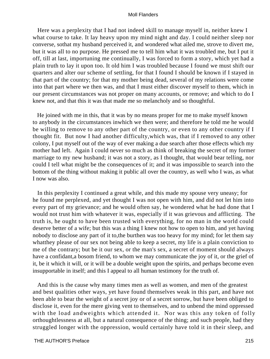Here was a perplexity that I had not indeed skill to manage myself in, neither knew I what course to take. It lay heavy upon my mind night and day. I could neither sleep nor converse, sothat my husband perceived it, and wondered what ailed me, strove to divert me, but it was all to no purpose. He pressed me to tell him what it was troubled me, but I put it off, till at last, importuning me continually, I was forced to form a story, which yet had a plain truth to lay it upon too. It old him I was troubled because I found we must shift our quarters and alter our scheme of settling, for that I found I should be known if I stayed in that part of the country; for that my mother being dead, several of my relations were come into that part where we then was, and that I must either discover myself to them, which in our present circumstances was not proper on many accounts, or remove; and which to do I knew not, and that this it was that made me so melancholy and so thoughtful.

 He joined with me in this, that it was by no means proper for me to make myself known to anybody in the circumstances inwhich we then were; and therefore he told me he would be willing to remove to any other part of the country, or even to any other country if I thought fit. But now I had another difficulty,which was, that if I removed to any other colony, I put myself out of the way of ever making a due search after those effects which my mother had left. Again I could never so much as think of breaking the secret of my former marriage to my new husband; it was not a story, as I thought, that would bear telling, nor could I tell what might be the consequences of it; and it was impossible to search into the bottom of the thing without making it public all over the country, as well who I was, as what I now was also.

 In this perplexity I continued a great while, and this made my spouse very uneasy; for he found me perplexed, and yet thought I was not open with him, and did not let him into every part of my grievance; and he would often say, he wondered what he had done that I would not trust him with whatever it was, especially if it was grievous and afflicting. The truth is, he ought to have been trusted with everything, for no man in the world could deserve better of a wife; but this was a thing I knew not how to open to him, and yet having nobody to disclose any part of it to,the burthen was too heavy for my mind; for let them say whatthey please of our sex not being able to keep a secret, my life is a plain conviction to me of the contrary; but be it our sex, or the man's sex, a secret of moment should always have a confidant,a bosom friend, to whom we may communicate the joy of it, or the grief of it, be it which it will, or it will be a double weight upon the spirits, and perhaps become even insupportable in itself; and this I appeal to all human testimony for the truth of.

 And this is the cause why many times men as well as women, and men of the greatest and best qualities other ways, yet have found themselves weak in this part, and have not been able to bear the weight of a secret joy or of a secret sorrow, but have been obliged to disclose it, even for the mere giving vent to themselves, and to unbend the mind oppressed with the load andweights which attended it. Nor was this any token of folly orthoughtlessness at all, but a natural consequence of the thing; and such people, had they struggled longer with the oppression, would certainly have told it in their sleep, and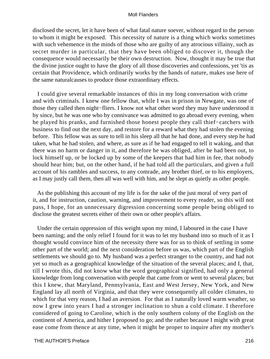disclosed the secret, let it have been of what fatal nature soever, without regard to the person to whom it might be exposed. This necessity of nature is a thing which works sometimes with such vehemence in the minds of those who are guilty of any atrocious villainy, such as secret murder in particular, that they have been obliged to discover it, though the consequence would necessarily be their own destruction. Now, thought it may be true that the divine justice ought to have the glory of all those discoveries and confessions, yet 'tis as certain that Providence, which ordinarily works by the hands of nature, makes use here of the same naturalcauses to produce those extraordinary effects.

 I could give several remarkable instances of this in my long conversation with crime and with criminals. I knew one fellow that, while I was in prison in Newgate, was one of those they called then night−fliers. I know not what other word they may have understood it by since, but he was one who by connivance was admitted to go abroad every evening, when he played his pranks, and furnished those honest people they call thief−catchers with business to find out the next day, and restore for a reward what they had stolen the evening before. This fellow was as sure to tell in his sleep all that he had done, and every step he had taken, what he had stolen, and where, as sure as if he had engaged to tell it waking, and that there was no harm or danger in it, and therefore he was obliged, after he had been out, to lock himself up, or be locked up by some of the keepers that had him in fee, that nobody should hear him; but, on the other hand, if he had told all the particulars, and given a full account of his rambles and success, to any comrade, any brother thief, or to his employers, as I may justly call them, then all was well with him, and he slept as quietly as other people.

 As the publishing this account of my life is for the sake of the just moral of very part of it, and for instruction, caution, warning, and improvement to every reader, so this will not pass, I hope, for an unnecessary digression concerning some people being obliged to disclose the greatest secrets either of their own or other people's affairs.

 Under the certain oppression of this weight upon my mind, I laboured in the case I have been naming; and the only relief I found for it was to let my husband into so much of it as I thought would convince him of the necessity there was for us to think of settling in some other part of the world; and the next consideration before us was, which part of the English settlements we should go to. My husband was a perfect stranger to the country, and had not yet so much as a geographical knowledge of the situation of the several places; and I, that, till I wrote this, did not know what the word geographical signified, had only a general knowledge from long conversation with people that came from or went to several places; but this I knew, that Maryland, Pennsylvania, East and West Jersey, New York, and New England lay all north of Virginia, and that they were consequently all colder climates, to which for that very reason, I had an aversion. For that as I naturally loved warm weather, so now I grew into years I had a stronger inclination to shun a cold climate. I therefore considered of going to Caroline, which is the only southern colony of the English on the continent of America, and hither I proposed to go; and the rather because I might with great ease come from thence at any time, when it might be proper to inquire after my mother's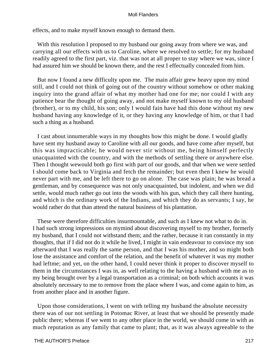effects, and to make myself known enough to demand them.

With this resolution I proposed to my husband our going away from where we was, and carrying all our effects with us to Caroline, where we resolved to settle; for my husband readily agreed to the first part, viz. that was not at all proper to stay where we was, since I had assured him we should be known there, and the rest I effectually concealed from him.

 But now I found a new difficulty upon me. The main affair grew heavy upon my mind still, and I could not think of going out of the country without somehow or other making inquiry into the grand affair of what my mother had one for me; nor could I with any patience bear the thought of going away, and not make myself known to my old husband (brother), or to my child, his son; only I would fain have had this done without my new husband having any knowledge of it, or they having any knowledge of him, or that I had such a thing as a husband.

 I cast about innumerable ways in my thoughts how this might be done. I would gladly have sent my husband away to Caroline with all our goods, and have come after myself, but this was impracticable; he would never stir without me, being himself perfectly unacquainted with the country, and with the methods of settling there or anywhere else. Then I thought wewould both go first with part of our goods, and that when we were settled I should come back to Virginia and fetch the remainder; but even then I knew he would never part with me, and be left there to go on alone. The case was plain; he was bread a gentleman, and by consequence was not only unacquainted, but indolent, and when we did settle, would much rather go out into the woods with his gun, which they call there hunting, and which is the ordinary work of the Indians, and which they do as servants; I say, he would rather do that than attend the natural business of his plantation.

 These were therefore difficulties insurmountable, and such as I knew not what to do in. I had such strong impressions on mymind about discovering myself to my brother, formerly my husband, that I could not withstand them; and the rather, because it ran constantly in my thoughts, that if I did not do it while he lived, I might in vain endeavour to convince my son afterward that I was really the same person, and that I was his mother, and so might both lose the assistance and comfort of the relation, and the benefit of whatever it was my mother had leftme; and yet, on the other hand, I could never think it proper to discover myself to them in the circumstances I was in, as well relating to the having a husband with me as to my being brought over by a legal transportation as a criminal; on both which accounts it was absolutely necessary to me to remove from the place where I was, and come again to him, as from another place and in another figure.

 Upon those considerations, I went on with telling my husband the absolute necessity there was of our not settling in Potomac River, at least that we should be presently made public there; whereas if we went to any other place in the world, we should come in with as much reputation as any family that came to plant; that, as it was always agreeable to the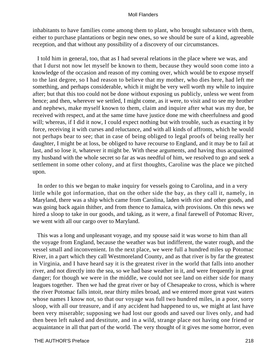inhabitants to have families come among them to plant, who brought substance with them, either to purchase plantations or begin new ones, so we should be sure of a kind, agreeable reception, and that without any possibility of a discovery of our circumstances.

 I told him in general, too, that as I had several relations in the place where we was, and that I durst not now let myself be known to them, because they would soon come into a knowledge of the occasion and reason of my coming over, which would be to expose myself to the last degree, so I had reason to believe that my mother, who dies here, had left me something, and perhaps considerable, which it might be very well worth my while to inquire after; but that this too could not be done without exposing us publicly, unless we went from hence; and then, wherever we settled, I might come, as it were, to visit and to see my brother and nephews, make myself known to them, claim and inquire after what was my due, be received with respect, and at the same time have justice done me with cheerfulness and good will; whereas, if I did it now, I could expect nothing but with trouble, such as exacting it by force, receiving it with curses and reluctance, and with all kinds of affronts, which he would not perhaps bear to see; that in case of being obliged to legal proofs of being really her daughter, I might be at loss, be obliged to have recourse to England, and it may be to fail at last, and so lose it, whatever it might be. With these arguments, and having thus acquainted my husband with the whole secret so far as was needful of him, we resolved to go and seek a settlement in some other colony, and at first thoughts, Caroline was the place we pitched upon.

 In order to this we began to make inquiry for vessels going to Carolina, and in a very little while got information, that on the other side the bay, as they call it, namely, in Maryland, there was a ship which came from Carolina, laden with rice and other goods, and was going back again thither, and from thence to Jamaica, with provisions. On this news we hired a sloop to take in our goods, and taking, as it were, a final farewell of Potomac River, we went with all our cargo over to Maryland.

 This was a long and unpleasant voyage, and my spouse said it was worse to him than all the voyage from England, because the weather was but indifferent, the water rough, and the vessel small and inconvenient. In the next place, we were full a hundred miles up Potomac River, in a part which they call Westmoreland County, and as that river is by far the greatest in Virginia, and I have heard say it is the greatest river in the world that falls into another river, and not directly into the sea, so we had base weather in it, and were frequently in great danger; for though we were in the middle, we could not see land on either side for many leagues together. Then we had the great river or bay of Chesapeake to cross, which is where the river Potomac falls intoit, near thirty miles broad, and we entered more great vast waters whose names I know not, so that our voyage was full two hundred miles, in a poor, sorry sloop, with all our treasure, and if any accident had happened to us, we might at last have been very miserable; supposing we had lost our goods and saved our lives only, and had then been left naked and destitute, and in a wild, strange place not having one friend or acquaintance in all that part of the world. The very thought of it gives me some horror, even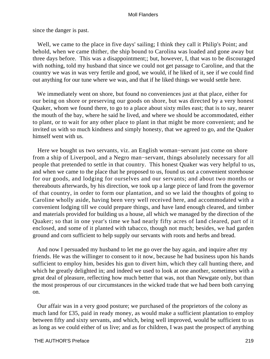since the danger is past.

Well, we came to the place in five days' sailing; I think they call it Philip's Point; and behold, when we came thither, the ship bound to Carolina was loaded and gone away but three days before. This was a disappointment;; but, however, I, that was to be discouraged with nothing, told my husband that since we could not get passage to Caroline, and that the country we was in was very fertile and good, we would, if he liked of it, see if we could find out anything for our tune where we was, and that if he liked things we would settle here.

 We immediately went on shore, but found no conveniences just at that place, either for our being on shore or preserving our goods on shore, but was directed by a very honest Quaker, whom we found there, to go to a place about sixty miles east; that is to say, nearer the mouth of the bay, where he said he lived, and where we should be accommodated, either to plant, or to wait for any other place to plant in that might be more convenient; and he invited us with so much kindness and simply honesty, that we agreed to go, and the Quaker himself went with us.

 Here we bought us two servants, viz. an English woman−servant just come on shore from a ship of Liverpool, and a Negro man−servant, things absolutely necessary for all people that pretended to settle in that country. This honest Quaker was very helpful to us, and when we came to the place that he proposed to us, found us out a convenient storehouse for our goods, and lodging for ourselves and our servants; and about two months or thereabouts afterwards, by his direction, we took up a large piece of land from the governor of that country, in order to form our plantation, and so we laid the thoughts of going to Caroline wholly aside, having been very well received here, and accommodated with a convenient lodging till we could prepare things, and have land enough cleared, and timber and materials provided for building us a house, all which we managed by the direction of the Quaker; so that in one year's time we had nearly fifty acres of land cleared, part of it enclosed, and some of it planted with tabacco, though not much; besides, we had garden ground and corn sufficient to help supply our servants with roots and herbs and bread.

 And now I persuaded my husband to let me go over the bay again, and inquire after my friends. He was the willinger to consent to it now, because he had business upon his hands sufficient to employ him, besides his gun to divert him, which they call hunting there, and which he greatly delighted in; and indeed we used to look at one another, sometimes with a great deal of pleasure, reflecting how much better that was, not than Newgate only, but than the most prosperous of our circumstances in the wicked trade that we had been both carrying on.

 Our affair was in a very good posture; we purchased of the proprietors of the colony as much land for £35, paid in ready money, as would make a sufficient plantation to employ between fifty and sixty servants, and which, being well improved, would be sufficient to us as long as we could either of us live; and as for children, I was past the prospect of anything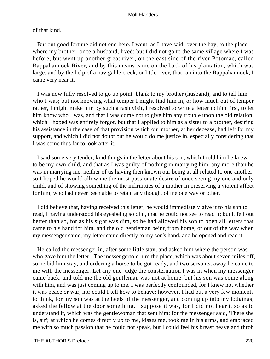### of that kind.

 But out good fortune did not end here. I went, as I have said, over the bay, to the place where my brother, once a husband, lived; but I did not go to the same village where I was before, but went up another great river, on the east side of the river Potomac, called Rappahannock River, and by this means came on the back of his plantation, which was large, and by the help of a navigable creek, or little river, that ran into the Rappahannock, I came very near it.

 I was now fully resolved to go up point−blank to my brother (husband), and to tell him who I was; but not knowing what temper I might find him in, or how much out of temper rather, I might make him by such a rash visit, I resolved to write a letter to him first, to let him know who I was, and that I was come not to give him any trouble upon the old relation, which I hoped was entirely forgot, but that I applied to him as a sister to a brother, desiring his assistance in the case of that provision which our mother, at her decease, had left for my support, and which I did not doubt but he would do me justice in, especially considering that I was come thus far to look after it.

 I said some very tender, kind things in the letter about his son, which I told him he knew to be my own child, and that as I was guilty of nothing in marrying him, any more than he was in marrying me, neither of us having then known our being at all related to one another, so I hoped he would allow me the most passionate desire of once seeing my one and only child, and of showing something of the infirmities of a mother in preserving a violent affect for him, who had never been able to retain any thought of me one way or other.

 I did believe that, having received this letter, he would immediately give it to his son to read, I having understood his eyesbeing so dim, that he could not see to read it; but it fell out better than so, for as his sight was dim, so he had allowed his son to open all letters that came to his hand for him, and the old gentleman being from home, or out of the way when my messenger came, my letter came directly to my son's hand, and he opened and read it.

 He called the messenger in, after some little stay, and asked him where the person was who gave him the letter. The messengertold him the place, which was about seven miles off, so he bid him stay, and ordering a horse to be got ready, and two servants, away he came to me with the messenger. Let any one judge the consternation I was in when my messenger came back, and told me the old gentleman was not at home, but his son was come along with him, and was just coming up to me. I was perfectly confounded, for I knew not whether it was peace or war, nor could I tell how to behave; however, I had but a very few moments to think, for my son was at the heels of the messenger, and coming up into my lodgings, asked the fellow at the door something. I suppose it was, for I did not hear it so as to understand it, which was the gentlewoman that sent him; for the messenger said, 'There she is, sir'; at which he comes directly up to me, kisses me, took me in his arms, and embraced me with so much passion that he could not speak, but I could feel his breast heave and throb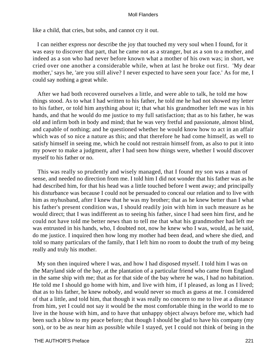like a child, that cries, but sobs, and cannot cry it out.

 I can neither express nor describe the joy that touched my very soul when I found, for it was easy to discover that part, that he came not as a stranger, but as a son to a mother, and indeed as a son who had never before known what a mother of his own was; in short, we cried over one another a considerable while, when at last he broke out first. 'My dear mother,' says he, 'are you still alive? I never expected to have seen your face.' As for me, I could say nothing a great while.

 After we had both recovered ourselves a little, and were able to talk, he told me how things stood. As to what I had written to his father, he told me he had not showed my letter to his father, or told him anything about it; that what his grandmother left me was in his hands, and that he would do me justice to my full satisfaction; that as to his father, he was old and infirm both in body and mind; that he was very fretful and passionate, almost blind, and capable of nothing; and he questioned whether he would know how to act in an affair which was of so nice a nature as this; and that therefore he had come himself, as well to satisfy himself in seeing me, which he could not restrain himself from, as also to put it into my power to make a judgment, after I had seen how things were, whether I would discover myself to his father or no.

 This was really so prudently and wisely managed, that I found my son was a man of sense, and needed no direction from me. I told him I did not wonder that his father was as he had described him, for that his head was a little touched before I went away; and principally his disturbance was because I could not be persuaded to conceal our relation and to live with him as myhusband, after I knew that he was my brother; that as he knew better than I what his father's present condition was, I should readily join with him in such measure as he would direct; that I was indifferent as to seeing his father, since I had seen him first, and he could not have told me better news than to tell me that what his grandmother had left me was entrusted in his hands, who, I doubted not, now he knew who I was, would, as he said, do me justice. I inquired then how long my mother had been dead, and where she died, and told so many particulars of the family, that I left him no room to doubt the truth of my being really and truly his mother.

 My son then inquired where I was, and how I had disposed myself. I told him I was on the Maryland side of the bay, at the plantation of a particular friend who came from England in the same ship with me; that as for that side of the bay where he was, I had no habitation. He told me I should go home with him, and live with him, if I pleased, as long as I lived; that as to his father, he knew nobody, and would never so much as guess at me. I considered of that a little, and told him, that though it was really no concern to me to live at a distance from him, yet I could not say it would be the most comfortable thing in the world to me to live in the house with him, and to have that unhappy object always before me, which had been such a blow to my peace before; that though I should be glad to have his company (my son), or to be as near him as possible while I stayed, yet I could not think of being in the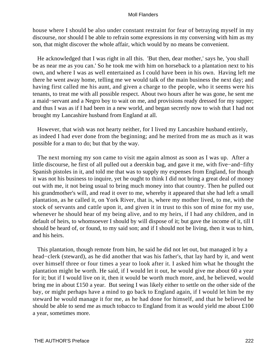house where I should be also under constant restraint for fear of betraying myself in my discourse, nor should I be able to refrain some expressions in my conversing with him as my son, that might discover the whole affair, which would by no means be convenient.

 He acknowledged that I was right in all this. 'But then, dear mother,' says he, 'you shall be as near me as you can.' So he took me with him on horseback to a plantation next to his own, and where I was as well entertained as I could have been in his own. Having left me there he went away home, telling me we would talk of the main business the next day; and having first called me his aunt, and given a charge to the people, who it seems were his tenants, to treat me with all possible respect. About two hours after he was gone, he sent me a maid−servant and a Negro boy to wait on me, and provisions ready dressed for my supper; and thus I was as if I had been in a new world, and began secretly now to wish that I had not brought my Lancashire husband from England at all.

 However, that wish was not hearty neither, for I lived my Lancashire husband entirely, as indeed I had ever done from the beginning; and he merited from me as much as it was possible for a man to do; but that by the way.

 The next morning my son came to visit me again almost as soon as I was up. After a little discourse, he first of all pulled out a deerskin bag, and gave it me, with five−and−fifty Spanish pistoles in it, and told me that was to supply my expenses from England, for though it was not his business to inquire, yet he ought to think I did not bring a great deal of money out with me, it not being usual to bring much money into that country. Then he pulled out his grandmother's will, and read it over to me, whereby it appeared that she had left a small plantation, as he called it, on York River, that is, where my mother lived, to me, with the stock of servants and cattle upon it, and given it in trust to this son of mine for my use, whenever he should hear of my being alive, and to my heirs, if I had any children, and in default of heirs, to whomsoever I should by will dispose of it; but gave the income of it, till I should be heard of, or found, to my said son; and if I should not be living, then it was to him, and his heirs.

 This plantation, though remote from him, he said he did not let out, but managed it by a head−clerk (steward), as he did another that was his father's, that lay hard by it, and went over himself three or four times a year to look after it. I asked him what he thought the plantation might be worth. He said, if I would let it out, he would give me about 60 a year for it; but if I would live on it, then it would be worth much more, and, he believed, would bring me in about £150 a year. But seeing I was likely either to settle on the other side of the bay, or might perhaps have a mind to go back to England again, if I would let him be my steward he would manage it for me, as he had done for himself, and that he believed he should be able to send me as much tobacco to England from it as would yield me about £100 a year, sometimes more.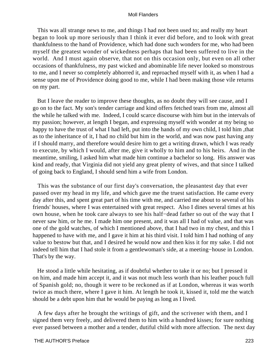This was all strange news to me, and things I had not been used to; and really my heart began to look up more seriously than I think it ever did before, and to look with great thankfulness to the hand of Providence, which had done such wonders for me, who had been myself the greatest wonder of wickedness perhaps that had been suffered to live in the world. And I must again observe, that not on this occasion only, but even on all other occasions of thankfulness, my past wicked and abominable life never looked so monstrous to me, and I never so completely abhorred it, and reproached myself with it, as when I had a sense upon me of Providence doing good to me, while I had been making those vile returns on my part.

 But I leave the reader to improve these thoughts, as no doubt they will see cause, and I go on to the fact. My son's tender carriage and kind offers fetched tears from me, almost all the while he talked with me. Indeed, I could scarce discourse with him but in the intervals of my passion; however, at length I began, and expressing myself with wonder at my being so happy to have the trust of what I had left, put into the hands of my own child, I told him, that as to the inheritance of it, I had no child but him in the world, and was now past having any if I should marry, and therefore would desire him to get a writing drawn, which I was ready to execute, by which I would, after me, give it wholly to him and to his heirs. And in the meantime, smiling, I asked him what made him continue a bachelor so long. His answer was kind and ready, that Virginia did not yield any great plenty of wives, and that since I talked of going back to England, I should send him a wife from London.

 This was the substance of our first day's conversation, the pleasantest day that ever passed over my head in my life, and which gave me the truest satisfaction. He came every day after this, and spent great part of his time with me, and carried me about to several of his friends' houses, where I was entertained with great respect. Also I dines several times at his own house, when he took care always to see his half−dead father so out of the way that I never saw him, or he me. I made him one present, and it was all I had of value, and that was one of the gold watches, of which I mentioned above, that I had two in my chest, and this I happened to have with me, and I gave it him at his third visit. I told him I had nothing of any value to bestow but that, and I desired he would now and then kiss it for my sake. I did not indeed tell him that I had stole it from a gentlewoman's side, at a meeting−house in London. That's by the way.

 He stood a little while hesitating, as if doubtful whether to take it or no; but I pressed it on him, and made him accept it, and it was not much less worth than his leather pouch full of Spanish gold; no, though it were to be reckoned as if at London, whereas it was worth twice as much there, where I gave it him. At length he took it, kissed it, told me the watch should be a debt upon him that he would be paying as long as I lived.

 A few days after he brought the writings of gift, and the scrivener with them, and I signed them very freely, and delivered them to him with a hundred kisses; for sure nothing ever passed between a mother and a tender, dutiful child with more affection. The next day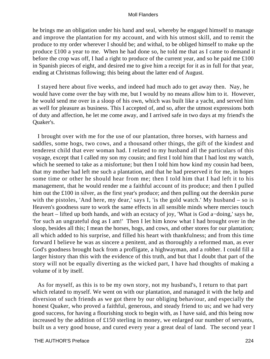he brings me an obligation under his hand and seal, whereby he engaged himself to manage and improve the plantation for my account, and with his utmost skill, and to remit the produce to my order wherever I should be; and withal, to be obliged himself to make up the produce £100 a year to me. When he had done so, he told me that as I came to demand it before the crop was off, I had a right to produce of the current year, and so he paid me £100 in Spanish pieces of eight, and desired me to give him a receipt for it as in full for that year, ending at Christmas following; this being about the latter end of August.

 I stayed here about five weeks, and indeed had much ado to get away then. Nay, he would have come over the bay with me, but I would by no means allow him to it. However, he would send me over in a sloop of his own, which was built like a yacht, and served him as well for pleasure as business. This I accepted of, and so, after the utmost expressions both of duty and affection, he let me come away, and I arrived safe in two days at my friend's the Quaker's.

 I brought over with me for the use of our plantation, three horses, with harness and saddles, some hogs, two cows, and a thousand other things, the gift of the kindest and tenderest child that ever woman had. I related to my husband all the particulars of this voyage, except that I called my son my cousin; and first I told him that I had lost my watch, which he seemed to take as a misfortune; but then I told him how kind my cousin had been, that my mother had left me such a plantation, and that he had preserved it for me, in hopes some time or other he should hear from me; then I told him that I had left it to his management, that he would render me a faithful account of its produce; and then I pulled him out the £100 in silver, as the first year's produce; and then pulling out the deerskin purse with the pistoles, 'And here, my dear,' says I, 'is the gold watch.' My husband – so is Heaven's goodness sure to work the same effects in all sensible minds where mercies touch the heart – lifted up both hands, and with an ecstacy of joy, 'What is God a−doing,' says he, 'for such an ungrateful dog as I am!' Then I let him know what I had brought over in the sloop, besides all this; I mean the horses, hogs, and cows, and other stores for our plantation; all which added to his surprise, and filled his heart with thankfulness; and from this time forward I believe he was as sincere a penitent, and as thoroughly a reformed man, as ever God's goodness brought back from a profligate, a highwayman, and a robber. I could fill a larger history than this with the evidence of this truth, and but that I doubt that part of the story will not be equally diverting as the wicked part, I have had thoughts of making a volume of it by itself.

 As for myself, as this is to be my own story, not my husband's, I return to that part which related to myself. We went on with our plantation, and managed it with the help and diversion of such friends as we got there by our obliging behaviour, and especially the honest Quaker, who proved a faithful, generous, and steady friend to us; and we had very good success, for having a flourishing stock to begin with, as I have said, and this being now increased by the addition of £150 sterling in money, we enlarged our number of servants, built us a very good house, and cured every year a great deal of land. The second year I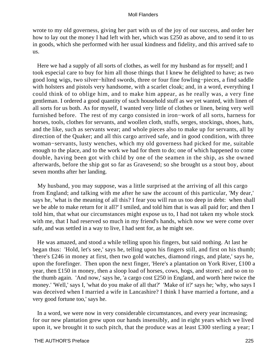wrote to my old governess, giving her part with us of the joy of our success, and order her how to lay out the money I had left with her, which was £250 as above, and to send it to us in goods, which she performed with her usual kindness and fidelity, and this arrived safe to us.

 Here we had a supply of all sorts of clothes, as well for my husband as for myself; and I took especial care to buy for him all those things that I knew he delighted to have; as two good long wigs, two silver−hilted swords, three or four fine fowling−pieces, a find saddle with holsters and pistols very handsome, with a scarlet cloak; and, in a word, everything I could think of to oblige him, and to make him appear, as he really was, a very fine gentleman. I ordered a good quantity of such household stuff as we yet wanted, with linen of all sorts for us both. As for myself, I wanted very little of clothes or linen, being very well furnished before. The rest of my cargo consisted in iron−work of all sorts, harness for horses, tools, clothes for servants, and woollen cloth, stuffs, serges, stockings, shoes, hats, and the like, such as servants wear; and whole pieces also to make up for servants, all by direction of the Quaker; and all this cargo arrived safe, and in good condition, with three woman−servants, lusty wenches, which my old governess had picked for me, suitable enough to the place, and to the work we had for them to do; one of which happened to come double, having been got with child by one of the seamen in the ship, as she owned afterwards, before the ship got so far as Gravesend; so she brought us a stout boy, about seven months after her landing.

 My husband, you may suppose, was a little surprised at the arriving of all this cargo from England; and talking with me after he saw the account of this particular, 'My dear,' says he, 'what is the meaning of all this? I fear you will run us too deep in debt: when shall we be able to make return for it all?' I smiled, and told him that is was all paid for; and then I told him, that what our circumstances might expose us to, I had not taken my whole stock with me, that I had reserved so much in my friend's hands, which now we were come over safe, and was settled in a way to live, I had sent for, as he might see.

 He was amazed, and stood a while telling upon his fingers, but said nothing. At last he began thus: 'Hold, let's see,' says he, telling upon his fingers still, and first on his thumb; 'there's £246 in money at first, then two gold watches, diamond rings, and plate,' says he, upon the forefinger. Then upon the next finger, 'Here's a plantation on York River, £100 a year, then £150 in money, then a sloop load of horses, cows, hogs, and stores'; and so on to the thumb again. 'And now,' says he, 'a cargo cost £250 in England, and worth here twice the money.' 'Well,' says I, 'what do you make of all that?' 'Make of it?' says he; 'why, who says I was deceived when I married a wife in Lancashire? I think I have married a fortune, and a very good fortune too,' says he.

 In a word, we were now in very considerable circumstances, and every year increasing; for our new plantation grew upon our hands insensibly, and in eight years which we lived upon it, we brought it to such pitch, that the produce was at least £300 sterling a year; I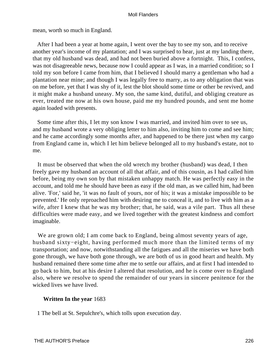mean, worth so much in England.

 After I had been a year at home again, I went over the bay to see my son, and to receive another year's income of my plantation; and I was surprised to hear, just at my landing there, that my old husband was dead, and had not been buried above a fortnight. This, I confess, was not disagreeable news, because now I could appear as I was, in a married condition; so I told my son before I came from him, that I believed I should marry a gentleman who had a plantation near mine; and though I was legally free to marry, as to any obligation that was on me before, yet that I was shy of it, lest the blot should some time or other be revived, and it might make a husband uneasy. My son, the same kind, dutiful, and obliging creature as ever, treated me now at his own house, paid me my hundred pounds, and sent me home again loaded with presents.

 Some time after this, I let my son know I was married, and invited him over to see us, and my husband wrote a very obliging letter to him also, inviting him to come and see him; and he came accordingly some months after, and happened to be there just when my cargo from England came in, which I let him believe belonged all to my husband's estate, not to me.

 It must be observed that when the old wretch my brother (husband) was dead, I then freely gave my husband an account of all that affair, and of this cousin, as I had called him before, being my own son by that mistaken unhappy match. He was perfectly easy in the account, and told me he should have been as easy if the old man, as we called him, had been alive. 'For,' said he, 'it was no fault of yours, nor of his; it was a mistake impossible to be prevented.' He only reproached him with desiring me to conceal it, and to live with him as a wife, after I knew that he was my brother; that, he said, was a vile part. Thus all these difficulties were made easy, and we lived together with the greatest kindness and comfort imaginable.

 We are grown old; I am come back to England, being almost seventy years of age, husband sixty−eight, having performed much more than the limited terms of my transportation; and now, notwithstanding all the fatigues and all the miseries we have both gone through, we have both gone through, we are both of us in good heart and health. My husband remained there some time after me to settle our affairs, and at first I had intended to go back to him, but at his desire I altered that resolution, and he is come over to England also, where we resolve to spend the remainder of our years in sincere penitence for the wicked lives we have lived.

## **Written In the year** 1683

1 The bell at St. Sepulchre's, which tolls upon execution day.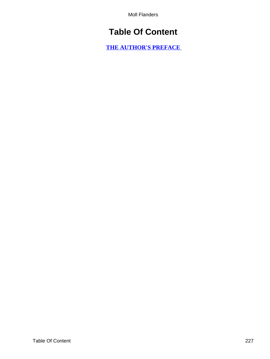# **Table Of Content**

**[THE AUTHOR'S PREFACE](#page-3-0)**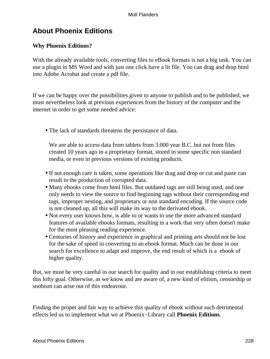## **About Phoenix Editions**

## **Why Phoenix Editions?**

With the already available tools, converting files to eBook formats is not a big task. You can use a plugin in MS Word and with just one click have a lit file. You can drag and drop html into Adobe Acrobat and create a pdf file.

If we can be happy over the possibilities given to anyone to publish and to be published, we must nevertheless look at previous experiences from the history of the computer and the internet in order to get some needed advice:

• The lack of standards threatens the persistance of data.

We are able to access data from tablets from 3.000 year B.C. but not from files created 10 years ago in a proprietary format, stored in some specific non standard media, or even in previous versions of existing products.

- If not enough care is taken, some operations like drag and drop or cut and paste can result in the production of corrupted data.
- Many ebooks come from html files. But outdated tags are still being used, and one only needs to view the source to find beginning tags without their corresponding end tags, improper nesting, and proprietary or non standard encoding. If the source code is not cleaned up, all this will make its way to the derivated ebook.
- Not every user knows how, is able to or wants to use the more advanced standard features of available ebooks formats, resulting in a work that very often doesn't make for the most pleasing reading experience.
- Centuries of history and experience in graphical and printing arts should not be lost for the sake of speed in converting to an ebook format. Much can be done in our search for excellence to adapt and improve, the end result of which is a ebook of higher quality.

But, we must be very careful in our search for quality and in our establishing criteria to meet this lofty goal. Otherwise, as we know and are aware of, a new kind of elitism, censorship or snobism can arise out of this endeavour.

Finding the proper and fair way to achieve this quality of ebook without such detrimental effects led us to implement what we at Phoenix−Library call **Phoenix Editions**.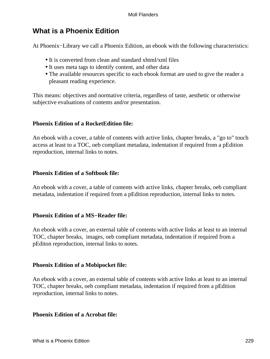## **What is a Phoenix Edition**

At Phoenix−Library we call a Phoenix Edition, an ebook with the following characteristics:

- It is converted from clean and standard xhtml/xml files
- It uses meta tags to identify content, and other data
- The available resources specific to each ebook format are used to give the reader a pleasant reading experience.

This means: objectives and normative criteria, regardless of taste, aesthetic or otherwise subjective evaluations of contents and/or presentation.

## **Phoenix Edition of a RocketEdition file:**

An ebook with a cover, a table of contents with active links, chapter breaks, a "go to" touch access at least to a TOC, oeb compliant metadata, indentation if required from a pEdition reproduction, internal links to notes.

## **Phoenix Edition of a Softbook file:**

An ebook with a cover, a table of contents with active links, chapter breaks, oeb compliant metadata, indentation if required from a pEdition reproduction, internal links to notes.

## **Phoenix Edition of a MS−Reader file:**

An ebook with a cover, an external table of contents with active links at least to an internal TOC, chapter breaks, images, oeb compliant metadata, indentation if required from a pEditon reproduction, internal links to notes.

## **Phoenix Edition of a Mobipocket file:**

An ebook with a cover, an external table of contents with active links at least to an internal TOC, chapter breaks, oeb compliant metadata, indentation if required from a pEdition reproduction, internal links to notes.

## **Phoenix Edition of a Acrobat file:**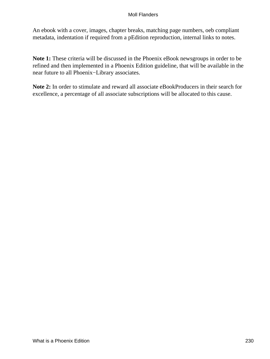An ebook with a cover, images, chapter breaks, matching page numbers, oeb compliant metadata, indentation if required from a pEdition reproduction, internal links to notes.

**Note 1:** These criteria will be discussed in the Phoenix eBook newsgroups in order to be refined and then implemented in a Phoenix Edition guideline, that will be available in the near future to all Phoenix−Library associates.

**Note 2:** In order to stimulate and reward all associate eBookProducers in their search for excellence, a percentage of all associate subscriptions will be allocated to this cause.